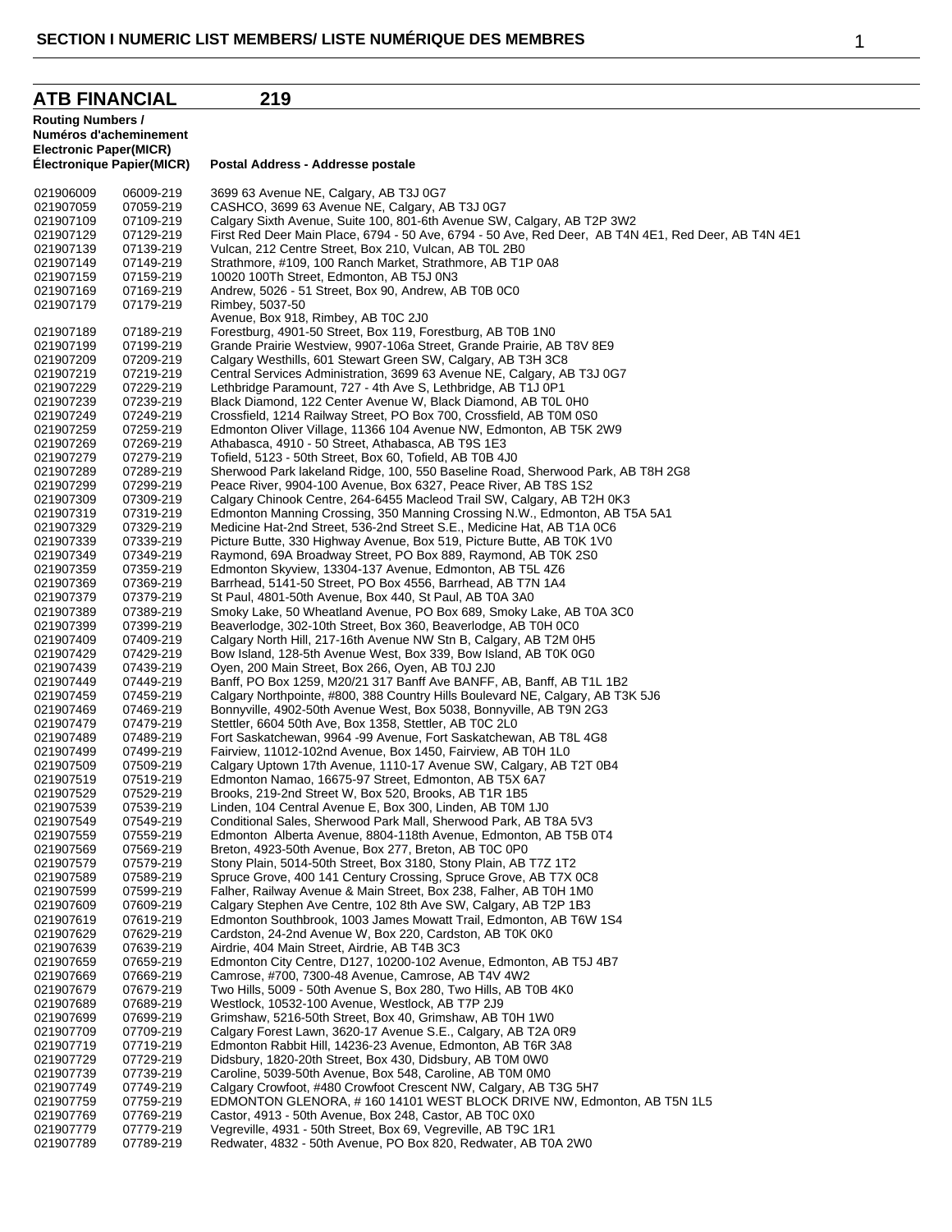# **ATB FINANCIAL 219**

| <b>Routing Numbers /</b><br>Numéros d'acheminement<br><b>Electronic Paper(MICR)</b> |                        |                                                                                                                                                         |
|-------------------------------------------------------------------------------------|------------------------|---------------------------------------------------------------------------------------------------------------------------------------------------------|
| Electronique Papier(MICR)                                                           |                        | Postal Address - Addresse postale                                                                                                                       |
| 021906009                                                                           | 06009-219              | 3699 63 Avenue NE, Calgary, AB T3J 0G7                                                                                                                  |
| 021907059                                                                           | 07059-219              | CASHCO, 3699 63 Avenue NE, Calgary, AB T3J 0G7                                                                                                          |
| 021907109                                                                           | 07109-219              | Calgary Sixth Avenue, Suite 100, 801-6th Avenue SW, Calgary, AB T2P 3W2                                                                                 |
| 021907129                                                                           | 07129-219              | First Red Deer Main Place, 6794 - 50 Ave, 6794 - 50 Ave, Red Deer, AB T4N 4E1, Red Deer, AB T4N 4E1                                                     |
| 021907139                                                                           | 07139-219              | Vulcan, 212 Centre Street, Box 210, Vulcan, AB T0L 2B0                                                                                                  |
| 021907149                                                                           | 07149-219              | Strathmore, #109, 100 Ranch Market, Strathmore, AB T1P 0A8                                                                                              |
| 021907159                                                                           | 07159-219              | 10020 100Th Street, Edmonton, AB T5J 0N3                                                                                                                |
| 021907169<br>021907179                                                              | 07169-219<br>07179-219 | Andrew, 5026 - 51 Street, Box 90, Andrew, AB T0B 0C0<br>Rimbey, 5037-50                                                                                 |
|                                                                                     |                        | Avenue, Box 918, Rimbey, AB TOC 2J0                                                                                                                     |
| 021907189                                                                           | 07189-219              | Forestburg, 4901-50 Street, Box 119, Forestburg, AB T0B 1N0                                                                                             |
| 021907199                                                                           | 07199-219              | Grande Prairie Westview, 9907-106a Street, Grande Prairie, AB T8V 8E9                                                                                   |
| 021907209                                                                           | 07209-219              | Calgary Westhills, 601 Stewart Green SW, Calgary, AB T3H 3C8                                                                                            |
| 021907219                                                                           | 07219-219              | Central Services Administration, 3699 63 Avenue NE, Calgary, AB T3J 0G7                                                                                 |
| 021907229                                                                           | 07229-219              | Lethbridge Paramount, 727 - 4th Ave S, Lethbridge, AB T1J 0P1                                                                                           |
| 021907239                                                                           | 07239-219              | Black Diamond, 122 Center Avenue W, Black Diamond, AB T0L 0H0                                                                                           |
| 021907249                                                                           | 07249-219              | Crossfield, 1214 Railway Street, PO Box 700, Crossfield, AB T0M 0S0                                                                                     |
| 021907259                                                                           | 07259-219              | Edmonton Oliver Village, 11366 104 Avenue NW, Edmonton, AB T5K 2W9                                                                                      |
| 021907269                                                                           | 07269-219              | Athabasca, 4910 - 50 Street, Athabasca, AB T9S 1E3                                                                                                      |
| 021907279                                                                           | 07279-219              | Tofield, 5123 - 50th Street, Box 60, Tofield, AB T0B 4J0                                                                                                |
| 021907289                                                                           | 07289-219              | Sherwood Park lakeland Ridge, 100, 550 Baseline Road, Sherwood Park, AB T8H 2G8                                                                         |
| 021907299<br>021907309                                                              | 07299-219<br>07309-219 | Peace River, 9904-100 Avenue, Box 6327, Peace River, AB T8S 1S2<br>Calgary Chinook Centre, 264-6455 Macleod Trail SW, Calgary, AB T2H 0K3               |
| 021907319                                                                           | 07319-219              | Edmonton Manning Crossing, 350 Manning Crossing N.W., Edmonton, AB T5A 5A1                                                                              |
| 021907329                                                                           | 07329-219              | Medicine Hat-2nd Street, 536-2nd Street S.E., Medicine Hat, AB T1A 0C6                                                                                  |
| 021907339                                                                           | 07339-219              | Picture Butte, 330 Highway Avenue, Box 519, Picture Butte, AB T0K 1V0                                                                                   |
| 021907349                                                                           | 07349-219              | Raymond, 69A Broadway Street, PO Box 889, Raymond, AB T0K 2S0                                                                                           |
| 021907359                                                                           | 07359-219              | Edmonton Skyview, 13304-137 Avenue, Edmonton, AB T5L 4Z6                                                                                                |
| 021907369                                                                           | 07369-219              | Barrhead, 5141-50 Street, PO Box 4556, Barrhead, AB T7N 1A4                                                                                             |
| 021907379                                                                           | 07379-219              | St Paul, 4801-50th Avenue, Box 440, St Paul, AB T0A 3A0                                                                                                 |
| 021907389                                                                           | 07389-219              | Smoky Lake, 50 Wheatland Avenue, PO Box 689, Smoky Lake, AB T0A 3C0                                                                                     |
| 021907399                                                                           | 07399-219              | Beaverlodge, 302-10th Street, Box 360, Beaverlodge, AB T0H 0C0                                                                                          |
| 021907409                                                                           | 07409-219              | Calgary North Hill, 217-16th Avenue NW Stn B, Calgary, AB T2M 0H5                                                                                       |
| 021907429                                                                           | 07429-219              | Bow Island, 128-5th Avenue West, Box 339, Bow Island, AB T0K 0G0                                                                                        |
| 021907439                                                                           | 07439-219              | Oyen, 200 Main Street, Box 266, Oyen, AB T0J 2J0                                                                                                        |
| 021907449                                                                           | 07449-219<br>07459-219 | Banff, PO Box 1259, M20/21 317 Banff Ave BANFF, AB, Banff, AB T1L 1B2<br>Calgary Northpointe, #800, 388 Country Hills Boulevard NE, Calgary, AB T3K 5J6 |
| 021907459<br>021907469                                                              | 07469-219              | Bonnyville, 4902-50th Avenue West, Box 5038, Bonnyville, AB T9N 2G3                                                                                     |
| 021907479                                                                           | 07479-219              | Stettler, 6604 50th Ave, Box 1358, Stettler, AB TOC 2L0                                                                                                 |
| 021907489                                                                           | 07489-219              | Fort Saskatchewan, 9964 -99 Avenue, Fort Saskatchewan, AB T8L 4G8                                                                                       |
| 021907499                                                                           | 07499-219              | Fairview, 11012-102nd Avenue, Box 1450, Fairview, AB T0H 1L0                                                                                            |
| 021907509                                                                           | 07509-219              | Calgary Uptown 17th Avenue, 1110-17 Avenue SW, Calgary, AB T2T 0B4                                                                                      |
| 021907519                                                                           | 07519-219              | Edmonton Namao, 16675-97 Street, Edmonton, AB T5X 6A7                                                                                                   |
| 021907529                                                                           | 07529-219              | Brooks, 219-2nd Street W, Box 520, Brooks, AB T1R 1B5                                                                                                   |
| 021907539                                                                           | 07539-219              | Linden, 104 Central Avenue E, Box 300, Linden, AB T0M 1J0                                                                                               |
| 021907549                                                                           | 07549-219              | Conditional Sales, Sherwood Park Mall, Sherwood Park, AB T8A 5V3                                                                                        |
| 021907559                                                                           | 07559-219              | Edmonton Alberta Avenue, 8804-118th Avenue, Edmonton, AB T5B 0T4                                                                                        |
| 021907569                                                                           | 07569-219              | Breton, 4923-50th Avenue, Box 277, Breton, AB TOC 0P0                                                                                                   |
| 021907579                                                                           | 07579-219<br>07589-219 | Stony Plain, 5014-50th Street, Box 3180, Stony Plain, AB T7Z 1T2<br>Spruce Grove, 400 141 Century Crossing, Spruce Grove, AB T7X 0C8                    |
| 021907589<br>021907599                                                              | 07599-219              | Falher, Railway Avenue & Main Street, Box 238, Falher, AB T0H 1M0                                                                                       |
| 021907609                                                                           | 07609-219              | Calgary Stephen Ave Centre, 102 8th Ave SW, Calgary, AB T2P 1B3                                                                                         |
| 021907619                                                                           | 07619-219              | Edmonton Southbrook, 1003 James Mowatt Trail, Edmonton, AB T6W 1S4                                                                                      |
| 021907629                                                                           | 07629-219              | Cardston, 24-2nd Avenue W, Box 220, Cardston, AB T0K 0K0                                                                                                |
| 021907639                                                                           | 07639-219              | Airdrie, 404 Main Street, Airdrie, AB T4B 3C3                                                                                                           |
| 021907659                                                                           | 07659-219              | Edmonton City Centre, D127, 10200-102 Avenue, Edmonton, AB T5J 4B7                                                                                      |
| 021907669                                                                           | 07669-219              | Camrose, #700, 7300-48 Avenue, Camrose, AB T4V 4W2                                                                                                      |
| 021907679                                                                           | 07679-219              | Two Hills, 5009 - 50th Avenue S, Box 280, Two Hills, AB T0B 4K0                                                                                         |
| 021907689                                                                           | 07689-219              | Westlock, 10532-100 Avenue, Westlock, AB T7P 2J9                                                                                                        |
| 021907699                                                                           | 07699-219              | Grimshaw, 5216-50th Street, Box 40, Grimshaw, AB T0H 1W0                                                                                                |
| 021907709                                                                           | 07709-219              | Calgary Forest Lawn, 3620-17 Avenue S.E., Calgary, AB T2A 0R9                                                                                           |
| 021907719                                                                           | 07719-219<br>07729-219 | Edmonton Rabbit Hill, 14236-23 Avenue, Edmonton, AB T6R 3A8<br>Didsbury, 1820-20th Street, Box 430, Didsbury, AB T0M 0W0                                |
| 021907729<br>021907739                                                              | 07739-219              | Caroline, 5039-50th Avenue, Box 548, Caroline, AB T0M 0M0                                                                                               |
| 021907749                                                                           | 07749-219              | Calgary Crowfoot, #480 Crowfoot Crescent NW, Calgary, AB T3G 5H7                                                                                        |
| 021907759                                                                           | 07759-219              | EDMONTON GLENORA, #160 14101 WEST BLOCK DRIVE NW, Edmonton, AB T5N 1L5                                                                                  |
| 021907769                                                                           | 07769-219              | Castor, 4913 - 50th Avenue, Box 248, Castor, AB T0C 0X0                                                                                                 |
| 021907779                                                                           | 07779-219              | Vegreville, 4931 - 50th Street, Box 69, Vegreville, AB T9C 1R1                                                                                          |
| 021907789                                                                           | 07789-219              | Redwater, 4832 - 50th Avenue, PO Box 820, Redwater, AB T0A 2W0                                                                                          |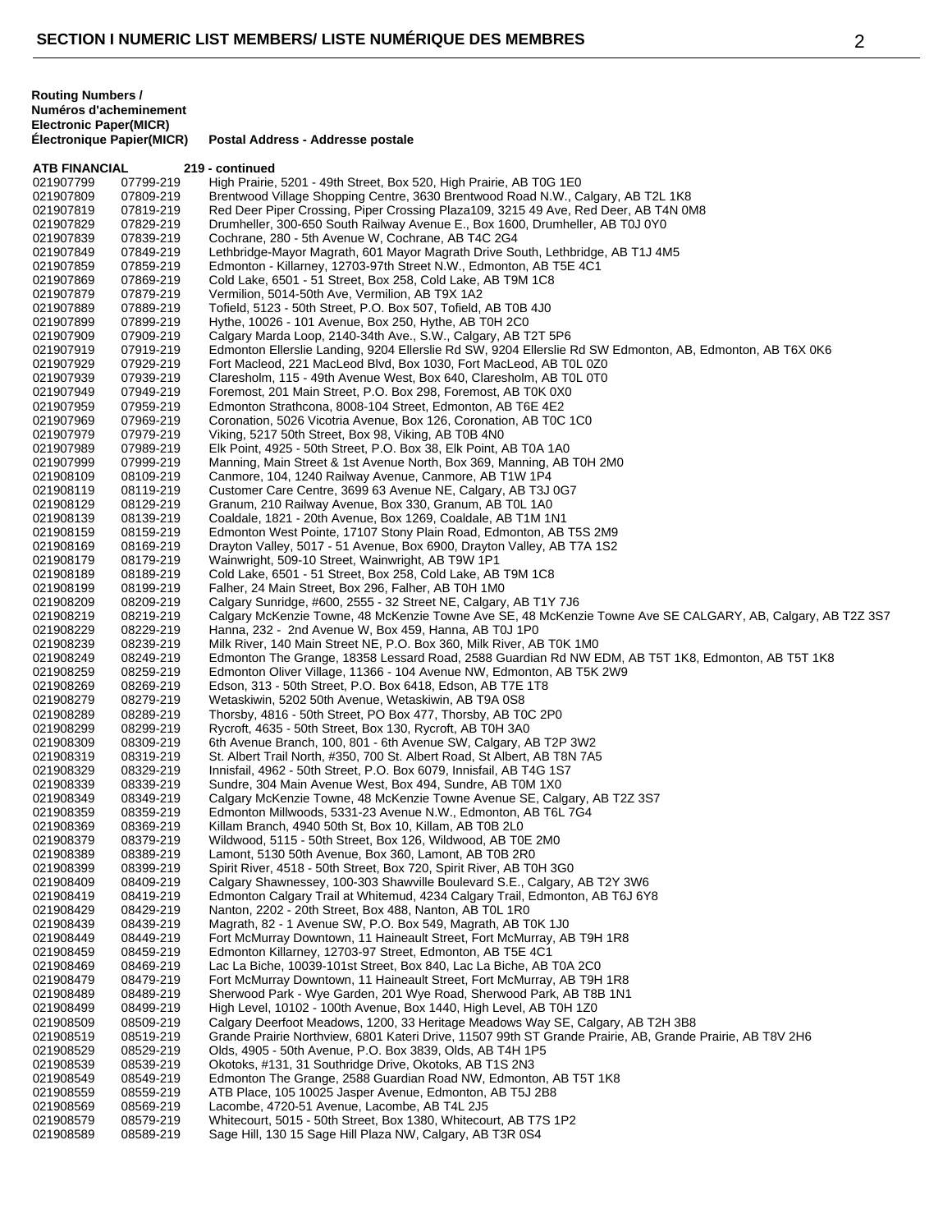**Routing Numbers /**

**Numéros d'acheminement Electronic Paper(MICR) Électronique Papier(MICR) Postal Address - Addresse postale ATB FINANCIAL 219 - continued** 021907799 07799-219 High Prairie, 5201 - 49th Street, Box 520, High Prairie, AB T0G 1E0<br>021907809 07809-219 Brentwood Village Shopping Centre, 3630 Brentwood Road N.W., C 021907809 07809-219 Brentwood Village Shopping Centre, 3630 Brentwood Road N.W., Calgary, AB T2L 1K8<br>021907819 07819-219 Red Deer Piper Crossing. Piper Crossing Plaza109. 3215 49 Ave. Red Deer. AB T4N 0N Red Deer Piper Crossing, Piper Crossing Plaza109, 3215 49 Ave, Red Deer, AB T4N 0M8 021907829 07829-219 Drumheller, 300-650 South Railway Avenue E., Box 1600, Drumheller, AB T0J 0Y0<br>021907839 07839-219 Cochrane, 280 - 5th Avenue W, Cochrane, AB T4C 2G4 Cochrane, 280 - 5th Avenue W, Cochrane, AB T4C 2G4 021907849 07849-219 Lethbridge-Mayor Magrath, 601 Mayor Magrath Drive South, Lethbridge, AB T1J 4M5<br>021907859 07859-219 Edmonton - Killarney, 12703-97th Street N.W., Edmonton, AB T5E 4C1 021907859 07859-219 Edmonton - Killarney, 12703-97th Street N.W., Edmonton, AB T5E 4C1 Cold Lake, 6501 - 51 Street, Box 258, Cold Lake, AB T9M 1C8 021907879 07879-219 Vermilion, 5014-50th Ave, Vermilion, AB T9X 1A2 021907889 07889-219 Tofield, 5123 - 50th Street, P.O. Box 507, Tofield, AB T0B 4J0<br>021907899 07899-219 Hythe, 10026 - 101 Avenue, Box 250, Hythe, AB T0H 2C0 021907899 07899-219 Hythe, 10026 - 101 Avenue, Box 250, Hythe, AB T0H 2C0<br>021907909 07909-219 Calgary Marda Loop, 2140-34th Ave., S.W., Calgary, AB T 021907909 07909-219 Calgary Marda Loop, 2140-34th Ave., S.W., Calgary, AB T2T 5P6 Edmonton Ellerslie Landing, 9204 Ellerslie Rd SW, 9204 Ellerslie Rd SW Edmonton, AB, Edmonton, AB T6X 0K6 021907929 07929-219 Fort Macleod, 221 MacLeod Blvd, Box 1030, Fort MacLeod, AB T0L 0Z0<br>021907939 07939-219 Claresholm, 115 - 49th Avenue West, Box 640, Claresholm, AB T0L 0T0 Claresholm, 115 - 49th Avenue West, Box 640, Claresholm, AB T0L 0T0 021907949 07949-219 Foremost, 201 Main Street, P.O. Box 298, Foremost, AB T0K 0X0 021907959 07959-219 Edmonton Strathcona, 8008-104 Street, Edmonton, AB T6E 4E2<br>021907969 07969-219 Coronation, 5026 Vicotria Avenue, Box 126, Coronation, AB T0C 021907969 07969-219 Coronation, 5026 Vicotria Avenue, Box 126, Coronation, AB T0C 1C0<br>021907979 07979-219 Viking, 5217 50th Street, Box 98, Viking, AB T0B 4N0 021907979 07979-219 Viking, 5217 50th Street, Box 98, Viking, AB T0B 4N0 Elk Point, 4925 - 50th Street, P.O. Box 38, Elk Point, AB T0A 1A0 021907999 07999-219 Manning, Main Street & 1st Avenue North, Box 369, Manning, AB T0H 2M0<br>021908109 08109-219 Canmore, 104, 1240 Railway Avenue, Canmore, AB T1W 1P4 08109-219 Canmore, 104, 1240 Railway Avenue, Canmore, AB T1W 1P4<br>08119-219 Customer Care Centre, 3699 63 Avenue NE, Calgary, AB T3J 021908119 08119-219 Customer Care Centre, 3699 63 Avenue NE, Calgary, AB T3J 0G7 021908129 08129-219 Granum, 210 Railway Avenue, Box 330, Granum, AB T0L 1A0 Coaldale, 1821 - 20th Avenue, Box 1269, Coaldale, AB T1M 1N1 021908159 08159-219 Edmonton West Pointe, 17107 Stony Plain Road, Edmonton, AB T5S 2M9 Drayton Valley, 5017 - 51 Avenue, Box 6900, Drayton Valley, AB T7A 1S2 021908179 08179-219 Wainwright, 509-10 Street, Wainwright, AB T9W 1P1 021908189 08189-219 Cold Lake, 6501 - 51 Street, Box 258, Cold Lake, AB T9M 1C8 Falher, 24 Main Street, Box 296, Falher, AB T0H 1M0 021908209 08209-219 Calgary Sunridge, #600, 2555 - 32 Street NE, Calgary, AB T1Y 7J6 021908219 08219-219 Calgary McKenzie Towne, 48 McKenzie Towne Ave SE, 48 McKenzie Towne Ave SE CALGARY, AB, Calgary, AB T2Z 3S7<br>021908229 08229-219 Hanna, 232 - 2nd Avenue W. Box 459, Hanna, AB T0J 1P0 021908229 08229-219 Hanna, 232 - 2nd Avenue W, Box 459, Hanna, AB T0J 1P0 021908239 08239-219 Milk River, 140 Main Street NE, P.O. Box 360, Milk River, AB T0K 1M0 Edmonton The Grange, 18358 Lessard Road, 2588 Guardian Rd NW EDM, AB T5T 1K8, Edmonton, AB T5T 1K8 021908259 08259-219 Edmonton Oliver Village, 11366 - 104 Avenue NW, Edmonton, AB T5K 2W9<br>021908269 08269-219 Edson, 313 - 50th Street, P.O. Box 6418, Edson, AB T7E 1T8 021908269 08269-219 Edson, 313 - 50th Street, P.O. Box 6418, Edson, AB T7E 1T8 021908279 08279-219 Wetaskiwin, 5202 50th Avenue, Wetaskiwin, AB T9A 0S8<br>021908289 08289-219 Thorsby, 4816 - 50th Street, PO Box 477, Thorsby, AB T0 021908289 08289-219 Thorsby, 4816 - 50th Street, PO Box 477, Thorsby, AB T0C 2P0 021908299 08299-219 Rycroft, 4635 - 50th Street, Box 130, Rycroft, AB T0H 3A0 021908309 08309-219 6th Avenue Branch, 100, 801 - 6th Avenue SW, Calgary, AB T2P 3W2 St. Albert Trail North, #350, 700 St. Albert Road, St Albert, AB T8N 7A5 021908329 08329-219 Innisfail, 4962 - 50th Street, P.O. Box 6079, Innisfail, AB T4G 1S7 021908339 08339-219 Sundre, 304 Main Avenue West, Box 494, Sundre, AB T0M 1X0 021908349 08349-219 Calgary McKenzie Towne, 48 McKenzie Towne Avenue SE, Calgary, AB T2Z 3S7<br>021908359 08359-219 Edmonton Millwoods, 5331-23 Avenue N.W., Edmonton, AB T6L 7G4 021908359 08359-219 Edmonton Millwoods, 5331-23 Avenue N.W., Edmonton, AB T6L 7G4 Killam Branch, 4940 50th St, Box 10, Killam, AB T0B 2L0 021908379 08379-219 Wildwood, 5115 - 50th Street, Box 126, Wildwood, AB T0E 2M0 Lamont, 5130 50th Avenue, Box 360, Lamont, AB T0B 2R0 021908399 08399-219 Spirit River, 4518 - 50th Street, Box 720, Spirit River, AB T0H 3G0 021908409 08409-219 Calgary Shawnessey, 100-303 Shawville Boulevard S.E., Calgary, AB T2Y 3W6 Edmonton Calgary Trail at Whitemud, 4234 Calgary Trail, Edmonton, AB T6J 6Y8 021908429 08429-219 Nanton, 2202 - 20th Street, Box 488, Nanton, AB T0L 1R0 021908439 08439-219 Magrath, 82 - 1 Avenue SW, P.O. Box 549, Magrath, AB T0K 1J0<br>021908449 08449-219 Fort McMurray Downtown, 11 Haineault Street, Fort McMurray, Al 021908449 08449-219 Fort McMurray Downtown, 11 Haineault Street, Fort McMurray, AB T9H 1R8<br>021908459 08459-219 Edmonton Killarney, 12703-97 Street, Edmonton, AB T5E 4C1 021908459 08459-219 Edmonton Killarney, 12703-97 Street, Edmonton, AB T5E 4C1 Lac La Biche, 10039-101st Street, Box 840, Lac La Biche, AB T0A 2C0 021908479 08479-219 Fort McMurray Downtown, 11 Haineault Street, Fort McMurray, AB T9H 1R8<br>021908489 08489-219 Sherwood Park - Wye Garden, 201 Wye Road, Sherwood Park, AB T8B 1N1 021908489 08489-219 Sherwood Park - Wye Garden, 201 Wye Road, Sherwood Park, AB T8B 1N1 021908499 08499-219 High Level, 10102 - 100th Avenue, Box 1440, High Level, AB T0H 1Z0 021908509 08509-219 Calgary Deerfoot Meadows, 1200, 33 Heritage Meadows Way SE, Calgary, AB T2H 3B8 021908519 08519-219 Grande Prairie Northview, 6801 Kateri Drive, 11507 99th ST Grande Prairie, AB, Grande Prairie, AB T8V 2H6<br>021908529 08529-219 Olds, 4905 - 50th Avenue, P.O. Box 3839, Olds, AB T4H 1P5 021908529 08529-219 Olds, 4905 - 50th Avenue, P.O. Box 3839, Olds, AB T4H 1P5 021908539 08539-219 Okotoks, #131, 31 Southridge Drive, Okotoks, AB T1S 2N3<br>021908549 08549-219 Edmonton The Grange, 2588 Guardian Road NW, Edmonto 021908549 08549-219 Edmonton The Grange, 2588 Guardian Road NW, Edmonton, AB T5T 1K8<br>021908559 08559-219 ATB Place, 105 10025 Jasper Avenue, Edmonton, AB T5J 2B8 021908559 08559-219 ATB Place, 105 10025 Jasper Avenue, Edmonton, AB T5J 2B8<br>021908569 08569-219 Lacombe, 4720-51 Avenue, Lacombe, AB T4L 2J5 021908569 08569-219 Lacombe, 4720-51 Avenue, Lacombe, AB T4L 2J5 021908579 08579-219 Whitecourt, 5015 - 50th Street, Box 1380, Whitecourt, AB T7S 1P2 Sage Hill, 130 15 Sage Hill Plaza NW, Calgary, AB T3R 0S4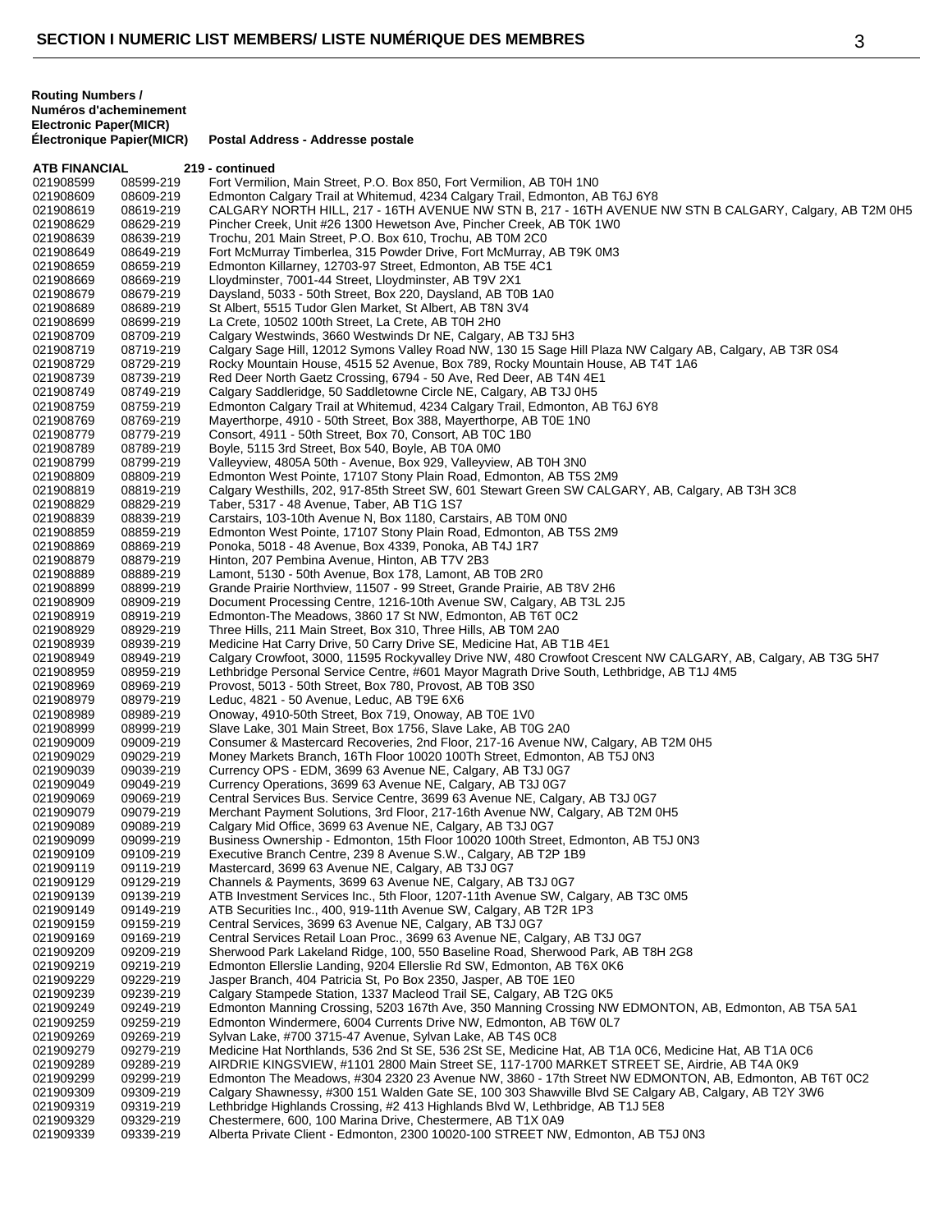|                      | <b>Routing Numbers /</b><br>Numéros d'acheminement<br><b>Electronic Paper(MICR)</b><br>Électronique Papier(MICR) | Postal Address - Addresse postale                                                                         |
|----------------------|------------------------------------------------------------------------------------------------------------------|-----------------------------------------------------------------------------------------------------------|
| <b>ATB FINANCIAL</b> |                                                                                                                  | 219 - continued                                                                                           |
| 021908599            | 08599-219                                                                                                        | Fort Vermilion, Main Street, P.O. Box 850, Fort Vermilion, AB T0H 1N0                                     |
| 021908609            | 08609-219                                                                                                        | Edmonton Calgary Trail at Whitemud, 4234 Calgary Trail, Edmonton, AB T6J 6Y8                              |
| 021908619            | 08619-219                                                                                                        | CALGARY NORTH HILL, 217 - 16TH AVENUE NW STN B, 217 - 16TH AVENUE NW STN B CALGARY, Calgary, AB T2M 0H5   |
| 021908629            | 08629-219                                                                                                        | Pincher Creek, Unit #26 1300 Hewetson Ave, Pincher Creek, AB T0K 1W0                                      |
| 021908639            | 08639-219                                                                                                        | Trochu, 201 Main Street, P.O. Box 610, Trochu, AB T0M 2C0                                                 |
| 021908649            | 08649-219                                                                                                        | Fort McMurray Timberlea, 315 Powder Drive, Fort McMurray, AB T9K 0M3                                      |
| 021908659            | 08659-219                                                                                                        | Edmonton Killarney, 12703-97 Street, Edmonton, AB T5E 4C1                                                 |
| 021908669            | 08669-219                                                                                                        | Lloydminster, 7001-44 Street, Lloydminster, AB T9V 2X1                                                    |
| 021908679            | 08679-219                                                                                                        | Daysland, 5033 - 50th Street, Box 220, Daysland, AB T0B 1A0                                               |
| 021908689            | 08689-219                                                                                                        | St Albert, 5515 Tudor Glen Market, St Albert, AB T8N 3V4                                                  |
| 021908699            | 08699-219                                                                                                        | La Crete, 10502 100th Street, La Crete, AB T0H 2H0                                                        |
| 021908709            | 08709-219                                                                                                        | Calgary Westwinds, 3660 Westwinds Dr NE, Calgary, AB T3J 5H3                                              |
| 021908719            | 08719-219                                                                                                        | Calgary Sage Hill, 12012 Symons Valley Road NW, 130 15 Sage Hill Plaza NW Calgary AB, Calgary, AB T3R 0S4 |
| 021908729            | 08729-219                                                                                                        | Rocky Mountain House, 4515 52 Avenue, Box 789, Rocky Mountain House, AB T4T 1A6                           |
| 021908739            | 08739-219                                                                                                        | Red Deer North Gaetz Crossing, 6794 - 50 Ave, Red Deer, AB T4N 4E1                                        |
| 021908749            | 08749-219                                                                                                        | Calgary Saddleridge, 50 Saddletowne Circle NE, Calgary, AB T3J 0H5                                        |
| 021908759            | 08759-219                                                                                                        | Edmonton Calgary Trail at Whitemud, 4234 Calgary Trail, Edmonton, AB T6J 6Y8                              |
| 021908769            | 08769-219                                                                                                        | Mayerthorpe, 4910 - 50th Street, Box 388, Mayerthorpe, AB T0E 1N0                                         |
| 021908779            | 08779-219                                                                                                        | Consort, 4911 - 50th Street, Box 70, Consort, AB T0C 1B0                                                  |
| 021908789            | 08789-219                                                                                                        | Boyle, 5115 3rd Street, Box 540, Boyle, AB T0A 0M0                                                        |
| 021908799            | 08799-219                                                                                                        | Valleyview, 4805A 50th - Avenue, Box 929, Valleyview, AB T0H 3N0                                          |
| 021908809            | 08809-219                                                                                                        | Edmonton West Pointe, 17107 Stony Plain Road, Edmonton, AB T5S 2M9                                        |
| 021908819            | 08819-219                                                                                                        | Calgary Westhills, 202, 917-85th Street SW, 601 Stewart Green SW CALGARY, AB, Calgary, AB T3H 3C8         |
| 021908829            | 08829-219                                                                                                        | Taber, 5317 - 48 Avenue, Taber, AB T1G 1S7                                                                |
| 021908839            | 08839-219                                                                                                        | Carstairs, 103-10th Avenue N, Box 1180, Carstairs, AB T0M 0N0                                             |
| 021908859            | 08859-219                                                                                                        | Edmonton West Pointe, 17107 Stony Plain Road, Edmonton, AB T5S 2M9                                        |
| 021908869            | 08869-219                                                                                                        | Ponoka, 5018 - 48 Avenue, Box 4339, Ponoka, AB T4J 1R7                                                    |
| 021908879            | 08879-219                                                                                                        | Hinton, 207 Pembina Avenue, Hinton, AB T7V 2B3                                                            |
| 021908889            | 08889-219                                                                                                        | Lamont, 5130 - 50th Avenue, Box 178, Lamont, AB T0B 2R0                                                   |
| 021908899            | 08899-219                                                                                                        | Grande Prairie Northview, 11507 - 99 Street, Grande Prairie, AB T8V 2H6                                   |
| 021908909            | 08909-219                                                                                                        | Document Processing Centre, 1216-10th Avenue SW, Calgary, AB T3L 2J5                                      |
| 021908919            | 08919-219                                                                                                        | Edmonton-The Meadows, 3860 17 St NW, Edmonton, AB T6T 0C2                                                 |
| 021908929            | 08929-219                                                                                                        | Three Hills, 211 Main Street, Box 310, Three Hills, AB T0M 2A0                                            |

- 021908909 08909-219 Document Processing Centre, 1216-10th Avenue SW, Calgary, AB T3L 2J5
- 021908919 08919-219 Edmonton-<br>021908929 08929-219 Three
- 021908929 08929-219 Three Hills, 211 Main Street, Box 310, Three Hills, AB T0M 2A0
- 021908939 08939-219 Medicine Hat Carry Drive, 50 Carry Drive SE, Medicine Hat, AB T1B 4E1
	- Calgary Crowfoot, 3000, 11595 Rockyvalley Drive NW, 480 Crowfoot Crescent NW CALGARY, AB, Calgary, AB T3G 5H7
- 021908959 08959-219 Lethbridge Personal Service Centre, #601 Mayor Magrath Drive South, Lethbridge, AB T1J 4M5<br>021908969 08969-219 Provost, 5013 50th Street, Box 780, Provost, AB T0B 3S0
- 021908969 08969-219 Provost, 5013 50th Street, Box 780, Provost, AB T0B 3S0
- 021908979 08979-219 Leduc, 4821 50 Avenue, Leduc, AB T9E 6X6
- 021908989 08989-219 Onoway, 4910-50th Street, Box 719, Onoway, AB T0E 1V0 021908999 08999-219 Slave Lake, 301 Main Street, Box 1756, Slave Lake, AB T0G 2A0<br>021909009 09009-219 Consumer & Mastercard Recoveries, 2nd Floor, 217-16 Avenue N
- 021909009 09009-219 Consumer & Mastercard Recoveries, 2nd Floor, 217-16 Avenue NW, Calgary, AB T2M 0H5<br>021909029 09029-219 Money Markets Branch. 16Th Floor 10020 100Th Street. Edmonton. AB T5J 0N3
	- Money Markets Branch, 16Th Floor 10020 100Th Street, Edmonton, AB T5J 0N3
- 021909039 09039-219 Currency OPS EDM, 3699 63 Avenue NE, Calgary, AB T3J 0G7
- 021909049 09049-219 Currency Operations, 3699 63 Avenue NE, Calgary, AB T3J 0G7
- 021909069 09069-219 Central Services Bus. Service Centre, 3699 63 Avenue NE, Calgary, AB T3J 0G7<br>021909079 09079-219 Merchant Payment Solutions, 3rd Floor, 217-16th Avenue NW, Calgary, AB T2M (
- 021909079 09079-219 Merchant Payment Solutions, 3rd Floor, 217-16th Avenue NW, Calgary, AB T2M 0H5 Calgary Mid Office, 3699 63 Avenue NE, Calgary, AB T3J 0G7
	-
- 021909099 09099-219 Business Ownership Edmonton, 15th Floor 10020 100th Street, Edmonton, AB T5J 0N3<br>021909109 09109-219 Executive Branch Centre, 239 8 Avenue S.W., Calgary, AB T2P 1B9 Executive Branch Centre, 239 8 Avenue S.W., Calgary, AB T2P 1B9
- 021909119 09119-219 Mastercard, 3699 63 Avenue NE, Calgary, AB T3J 0G7
- 021909129 09129-219 Channels & Payments, 3699 63 Avenue NE, Calgary, AB T3J 0G7
	- ATB Investment Services Inc., 5th Floor, 1207-11th Avenue SW, Calgary, AB T3C 0M5
- 021909149 09149-219 ATB Securities Inc., 400, 919-11th Avenue SW, Calgary, AB T2R 1P3
- 021909159 09159-219 Central Services, 3699 63 Avenue NE, Calgary, AB T3J 0G7
- 021909169 09169-219 Central Services Retail Loan Proc., 3699 63 Avenue NE, Calgary, AB T3J 0G7<br>021909209 09209-219 Sherwood Park Lakeland Ridge, 100, 550 Baseline Road, Sherwood Park, AB
- 021909209 09209-219 Sherwood Park Lakeland Ridge, 100, 550 Baseline Road, Sherwood Park, AB T8H 2G8<br>021909219 09219-219 Fdmonton Ellerslie Landing, 9204 Ellerslie Rd SW, Edmonton, AB T6X 0K6 Edmonton Ellerslie Landing, 9204 Ellerslie Rd SW, Edmonton, AB T6X 0K6
	-
- 021909229 09229-219 Jasper Branch, 404 Patricia St, Po Box 2350, Jasper, AB T0E 1E0
- 021909239 09239-219 Calgary Stampede Station, 1337 Macleod Trail SE, Calgary, AB T2G 0K5<br>021909249 09249-219 Edmonton Manning Crossing, 5203 167th Ave, 350 Manning Crossing NV
- 021909249 09249-219 Edmonton Manning Crossing, 5203 167th Ave, 350 Manning Crossing NW EDMONTON, AB, Edmonton, AB T5A 5A1<br>021909259 09259-219 Edmonton Windermere. 6004 Currents Drive NW. Edmonton. AB T6W 0L7 021909259 09259-219 Edmonton Windermere, 6004 Currents Drive NW, Edmonton, AB T6W 0L7
- 021909269 09269-219 Sylvan Lake, #700 3715-47 Avenue, Sylvan Lake, AB T4S 0C8
- 021909279 09279-219 Medicine Hat Northlands, 536 2nd St SE, 536 2St SE, Medicine Hat, AB T1A 0C6, Medicine Hat, AB T1A 0C6<br>021909289 09289-219 AIRDRIE KINGSVIEW. #1101 2800 Main Street SE. 117-1700 MARKET STREET SE. Airdri AIRDRIE KINGSVIEW, #1101 2800 Main Street SE, 117-1700 MARKET STREET SE, Airdrie, AB T4A 0K9 021909299 09299-219 Edmonton The Meadows, #304 2320 23 Avenue NW, 3860 - 17th Street NW EDMONTON, AB, Edmonton, AB T6T 0C2<br>021909309 09309-219 Calgary Shawnessy, #300 151 Walden Gate SE, 100 303 Shawville Blvd SE Calgary A 021909309 09309-219 Calgary Shawnessy, #300 151 Walden Gate SE, 100 303 Shawville Blvd SE Calgary AB, Calgary, AB T2Y 3W6<br>021909319 09319-219 Lethbridge Highlands Crossing, #2 413 Highlands Blvd W, Lethbridge, AB T1J 5E8 021909319 09319-219 Lethbridge Highlands Crossing, #2 413 Highlands Blvd W, Lethbridge, AB T1J 5E8<br>021909329 09329-219 Chestermere, 600, 100 Marina Drive, Chestermere, AB T1X 0A9 021909329 09329-219 Chestermere, 600, 100 Marina Drive, Chestermere, AB T1X 0A9
	- Alberta Private Client Edmonton, 2300 10020-100 STREET NW, Edmonton, AB T5J 0N3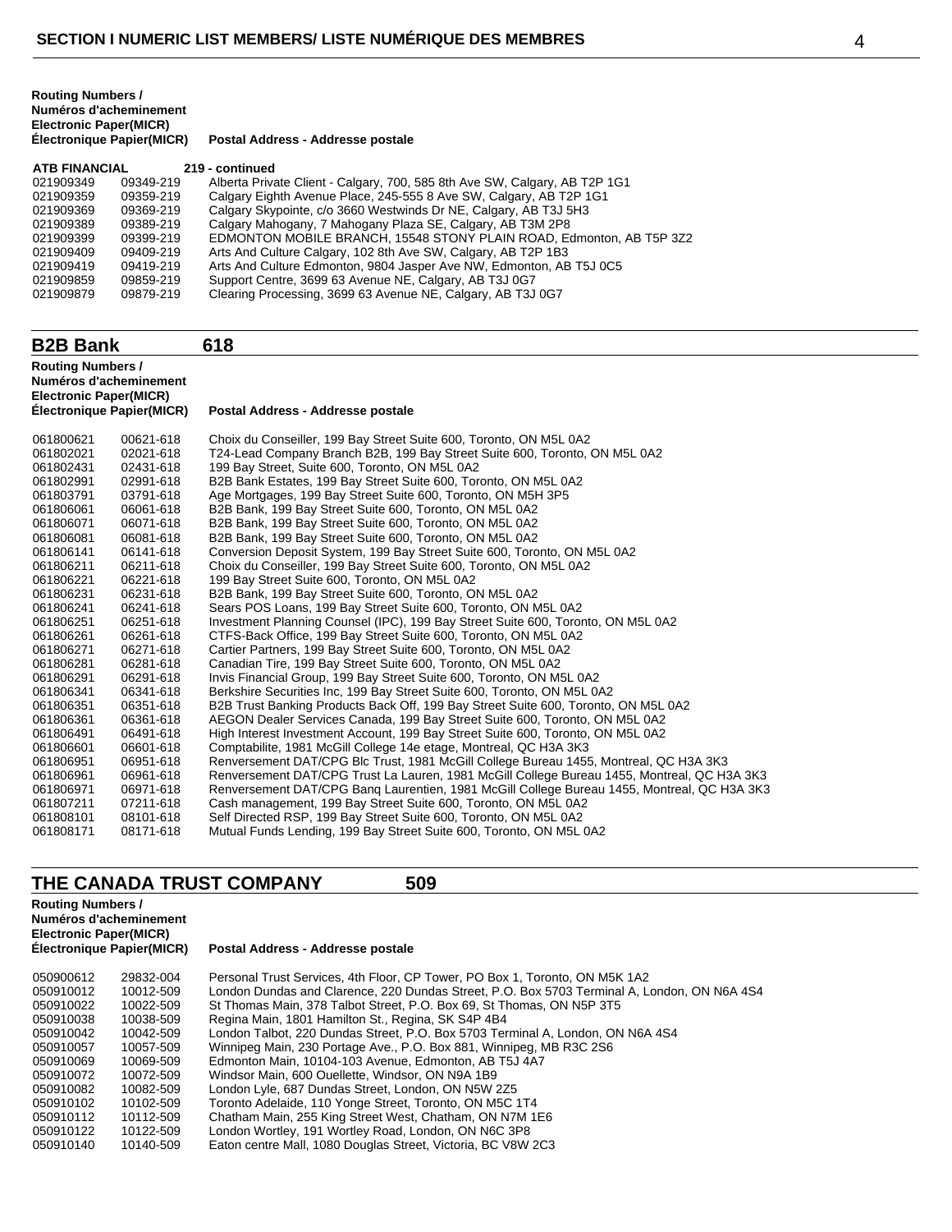| <b>Routing Numbers /</b><br><b>Electronic Paper(MICR)</b> | Numéros d'acheminement<br>Électronique Papier(MICR) | Postal Address - Addresse postale                                          |
|-----------------------------------------------------------|-----------------------------------------------------|----------------------------------------------------------------------------|
| <b>ATB FINANCIAL</b>                                      |                                                     | 219 - continued                                                            |
| 021909349                                                 | 09349-219                                           | Alberta Private Client - Calgary, 700, 585 8th Ave SW, Calgary, AB T2P 1G1 |
| 021909359                                                 | 09359-219                                           | Calgary Eighth Avenue Place, 245-555 8 Ave SW, Calgary, AB T2P 1G1         |
| 021909369                                                 | 09369-219                                           | Calgary Skypointe, c/o 3660 Westwinds Dr NE, Calgary, AB T3J 5H3           |
| 021909389                                                 | 09389-219                                           | Calgary Mahogany, 7 Mahogany Plaza SE, Calgary, AB T3M 2P8                 |
| 021909399                                                 | 09399-219                                           | EDMONTON MOBILE BRANCH, 15548 STONY PLAIN ROAD, Edmonton, AB T5P 3Z2       |
| 021909409                                                 | 09409-219                                           | Arts And Culture Calgary, 102 8th Ave SW, Calgary, AB T2P 1B3              |
| 021909419                                                 | 09419-219                                           | Arts And Culture Edmonton, 9804 Jasper Ave NW, Edmonton, AB T5J 0C5        |
| 021909859                                                 | 09859-219                                           | Support Centre, 3699 63 Avenue NE, Calgary, AB T3J 0G7                     |
| 021909879                                                 | 09879-219                                           | Clearing Processing, 3699 63 Avenue NE, Calgary, AB T3J 0G7                |

| <b>B2B Bank</b>                                                                                                                                                                                                                                                                                                                                                                                                                                                                                                                                                                                                                                                                                                                                                                | 618                                                                                                                                                                                                                                                                                                                                                                                                                                                                                                                                                                                                                                                                                                                                                                                                                                                                                                                                                                                                                                                                                                                                                                                                                                                                                                                                                                                                                                                                                                                                                                                                                                                                                                                                                                                                                                                                                                                                                                                                                                                                                                                                  |
|--------------------------------------------------------------------------------------------------------------------------------------------------------------------------------------------------------------------------------------------------------------------------------------------------------------------------------------------------------------------------------------------------------------------------------------------------------------------------------------------------------------------------------------------------------------------------------------------------------------------------------------------------------------------------------------------------------------------------------------------------------------------------------|--------------------------------------------------------------------------------------------------------------------------------------------------------------------------------------------------------------------------------------------------------------------------------------------------------------------------------------------------------------------------------------------------------------------------------------------------------------------------------------------------------------------------------------------------------------------------------------------------------------------------------------------------------------------------------------------------------------------------------------------------------------------------------------------------------------------------------------------------------------------------------------------------------------------------------------------------------------------------------------------------------------------------------------------------------------------------------------------------------------------------------------------------------------------------------------------------------------------------------------------------------------------------------------------------------------------------------------------------------------------------------------------------------------------------------------------------------------------------------------------------------------------------------------------------------------------------------------------------------------------------------------------------------------------------------------------------------------------------------------------------------------------------------------------------------------------------------------------------------------------------------------------------------------------------------------------------------------------------------------------------------------------------------------------------------------------------------------------------------------------------------------|
| <b>Routing Numbers /</b><br>Numéros d'acheminement<br><b>Electronic Paper(MICR)</b><br><b>Électronique Papier(MICR)</b>                                                                                                                                                                                                                                                                                                                                                                                                                                                                                                                                                                                                                                                        | Postal Address - Addresse postale                                                                                                                                                                                                                                                                                                                                                                                                                                                                                                                                                                                                                                                                                                                                                                                                                                                                                                                                                                                                                                                                                                                                                                                                                                                                                                                                                                                                                                                                                                                                                                                                                                                                                                                                                                                                                                                                                                                                                                                                                                                                                                    |
| 061800621<br>00621-618<br>061802021<br>02021-618<br>061802431<br>02431-618<br>061802991<br>02991-618<br>061803791<br>03791-618<br>061806061<br>06061-618<br>061806071<br>06071-618<br>061806081<br>06081-618<br>061806141<br>06141-618<br>061806211<br>06211-618<br>06221-618<br>061806221<br>061806231<br>06231-618<br>06241-618<br>061806241<br>061806251<br>06251-618<br>061806261<br>06261-618<br>06271-618<br>061806271<br>061806281<br>06281-618<br>06291-618<br>061806291<br>06341-618<br>061806341<br>06351-618<br>061806351<br>061806361<br>06361-618<br>061806491<br>06491-618<br>06601-618<br>061806601<br>061806951<br>06951-618<br>06961-618<br>061806961<br>061806971<br>06971-618<br>061807211<br>07211-618<br>061808101<br>08101-618<br>061808171<br>08171-618 | Choix du Conseiller, 199 Bay Street Suite 600, Toronto, ON M5L 0A2<br>T24-Lead Company Branch B2B, 199 Bay Street Suite 600, Toronto, ON M5L 0A2<br>199 Bay Street, Suite 600, Toronto, ON M5L 0A2<br>B2B Bank Estates, 199 Bay Street Suite 600, Toronto, ON M5L 0A2<br>Age Mortgages, 199 Bay Street Suite 600, Toronto, ON M5H 3P5<br>B2B Bank, 199 Bay Street Suite 600, Toronto, ON M5L 0A2<br>B2B Bank, 199 Bay Street Suite 600, Toronto, ON M5L 0A2<br>B2B Bank, 199 Bay Street Suite 600, Toronto, ON M5L 0A2<br>Conversion Deposit System, 199 Bay Street Suite 600, Toronto, ON M5L 0A2<br>Choix du Conseiller, 199 Bay Street Suite 600, Toronto, ON M5L 0A2<br>199 Bay Street Suite 600, Toronto, ON M5L 0A2<br>B2B Bank, 199 Bay Street Suite 600, Toronto, ON M5L 0A2<br>Sears POS Loans, 199 Bay Street Suite 600, Toronto, ON M5L 0A2<br>Investment Planning Counsel (IPC), 199 Bay Street Suite 600, Toronto, ON M5L 0A2<br>CTFS-Back Office, 199 Bay Street Suite 600, Toronto, ON M5L 0A2<br>Cartier Partners, 199 Bay Street Suite 600, Toronto, ON M5L 0A2<br>Canadian Tire, 199 Bay Street Suite 600, Toronto, ON M5L 0A2<br>Invis Financial Group, 199 Bay Street Suite 600, Toronto, ON M5L 0A2<br>Berkshire Securities Inc, 199 Bay Street Suite 600, Toronto, ON M5L 0A2<br>B2B Trust Banking Products Back Off, 199 Bay Street Suite 600, Toronto, ON M5L 0A2<br>AEGON Dealer Services Canada, 199 Bay Street Suite 600, Toronto, ON M5L 0A2<br>High Interest Investment Account, 199 Bay Street Suite 600, Toronto, ON M5L 0A2<br>Comptabilite, 1981 McGill College 14e etage, Montreal, QC H3A 3K3<br>Renversement DAT/CPG Blc Trust, 1981 McGill College Bureau 1455, Montreal, QC H3A 3K3<br>Renversement DAT/CPG Trust La Lauren, 1981 McGill College Bureau 1455, Montreal, QC H3A 3K3<br>Renversement DAT/CPG Bang Laurentien, 1981 McGill College Bureau 1455, Montreal, QC H3A 3K3<br>Cash management, 199 Bay Street Suite 600, Toronto, ON M5L 0A2<br>Self Directed RSP, 199 Bay Street Suite 600, Toronto, ON M5L 0A2<br>Mutual Funds Lending, 199 Bay Street Suite 600, Toronto, ON M5L 0A2 |

# **THE CANADA TRUST COMPANY 509**

| <b>Routing Numbers /</b><br>Numéros d'acheminement<br><b>Electronic Paper(MICR)</b><br>Électronique Papier(MICR) |           | Postal Address - Addresse postale                                                           |  |
|------------------------------------------------------------------------------------------------------------------|-----------|---------------------------------------------------------------------------------------------|--|
| 050900612                                                                                                        | 29832-004 | Personal Trust Services, 4th Floor, CP Tower, PO Box 1, Toronto, ON M5K 1A2                 |  |
| 050910012                                                                                                        | 10012-509 | London Dundas and Clarence, 220 Dundas Street, P.O. Box 5703 Terminal A, London, ON N6A 4S4 |  |
| 050910022                                                                                                        | 10022-509 | St Thomas Main, 378 Talbot Street, P.O. Box 69, St Thomas, ON N5P 3T5                       |  |
| 050910038                                                                                                        | 10038-509 | Regina Main, 1801 Hamilton St., Regina, SK S4P 4B4                                          |  |
| 050910042                                                                                                        | 10042-509 | London Talbot, 220 Dundas Street, P.O. Box 5703 Terminal A, London, ON N6A 4S4              |  |
| 050910057                                                                                                        | 10057-509 | Winnipeg Main, 230 Portage Ave., P.O. Box 881, Winnipeg, MB R3C 2S6                         |  |
| 050910069                                                                                                        | 10069-509 | Edmonton Main, 10104-103 Avenue, Edmonton, AB T5J 4A7                                       |  |
| 050910072                                                                                                        | 10072-509 | Windsor Main, 600 Ouellette, Windsor, ON N9A 1B9                                            |  |
| 050910082                                                                                                        | 10082-509 | London Lyle, 687 Dundas Street, London, ON N5W 2Z5                                          |  |
| 050910102                                                                                                        | 10102-509 | Toronto Adelaide, 110 Yonge Street, Toronto, ON M5C 1T4                                     |  |
| 050910112                                                                                                        | 10112-509 | Chatham Main, 255 King Street West, Chatham, ON N7M 1E6                                     |  |
| 050910122                                                                                                        | 10122-509 | London Wortley, 191 Wortley Road, London, ON N6C 3P8                                        |  |
| 050910140                                                                                                        | 10140-509 | Eaton centre Mall, 1080 Douglas Street, Victoria, BC V8W 2C3                                |  |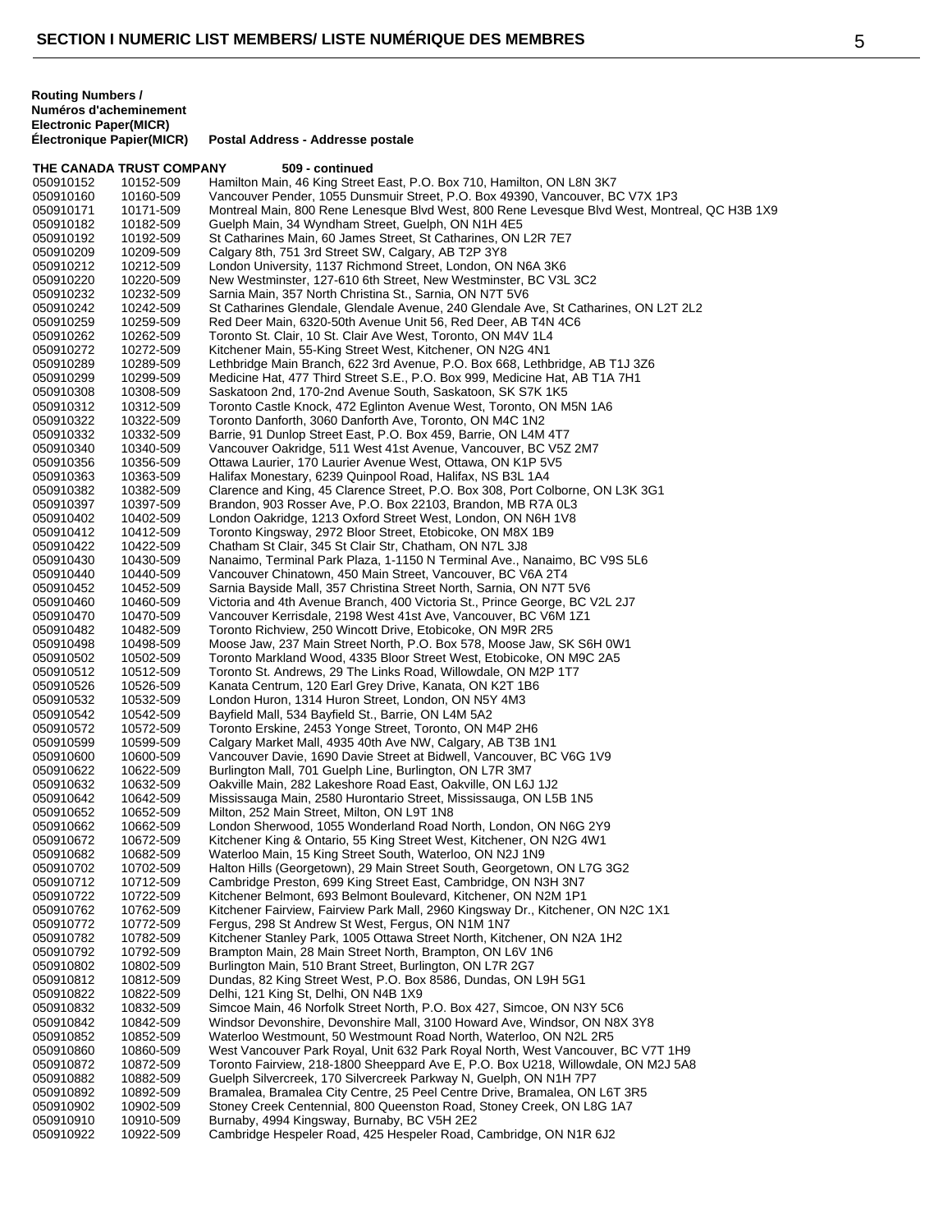**Routing Numbers / Numéros d'acheminement**

**Electronic Paper(MICR) Électronique Papier(MICR) Postal Address - Addresse postale THE CANADA TRUST COMPANY 509 - continued** 050910152 10152-509 Hamilton Main, 46 King Street East, P.O. Box 710, Hamilton, ON L8N 3K7<br>050910160 10160-509 Vancouver Pender, 1055 Dunsmuir Street, P.O. Box 49390, Vancouver, B 050910160 10160-509 Vancouver Pender, 1055 Dunsmuir Street, P.O. Box 49390, Vancouver, BC V7X 1P3<br>050910171 10171-509 Montreal Main. 800 Rene Lenesque Blvd West. 800 Rene Levesque Blvd West. Mont Montreal Main, 800 Rene Lenesque Blvd West, 800 Rene Levesque Blvd West, Montreal, QC H3B 1X9 050910182 10182-509 Guelph Main, 34 Wyndham Street, Guelph, ON N1H 4E5<br>050910192 10192-509 St Catharines Main, 60 James Street, St Catharines, ON St Catharines Main, 60 James Street, St Catharines, ON L2R 7E7 050910209 10209-509 Calgary 8th, 751 3rd Street SW, Calgary, AB T2P 3Y8<br>050910212 10212-509 London University, 1137 Richmond Street, London, OI 050910212 10212-509 London University, 1137 Richmond Street, London, ON N6A 3K6 New Westminster, 127-610 6th Street, New Westminster, BC V3L 3C2 050910232 10232-509 Sarnia Main, 357 North Christina St., Sarnia, ON N7T 5V6 050910242 10242-509 St Catharines Glendale, Glendale Avenue, 240 Glendale Ave, St Catharines, ON L2T 2L2<br>050910259 10259-509 Red Deer Main, 6320-50th Avenue Unit 56, Red Deer, AB T4N 4C6 050910259 10259-509 Red Deer Main, 6320-50th Avenue Unit 56, Red Deer, AB T4N 4C6<br>050910262 10262-509 Toronto St. Clair, 10 St. Clair Ave West, Toronto, ON M4V 1L4 050910262 10262-509 Toronto St. Clair, 10 St. Clair Ave West, Toronto, ON M4V 1L4<br>050910272 10272-509 Kitchener Main, 55-King Street West, Kitchener, ON N2G 4N1 050910272 10272-509 Kitchener Main, 55-King Street West, Kitchener, ON N2G 4N1 050910289 10289-509 Lethbridge Main Branch, 622 3rd Avenue, P.O. Box 668, Lethbridge, AB T1J 3Z6<br>050910299 10299-509 Medicine Hat, 477 Third Street S.E., P.O. Box 999, Medicine Hat, AB T1A 7H1 Medicine Hat, 477 Third Street S.E., P.O. Box 999, Medicine Hat, AB T1A 7H1 050910308 10308-509 Saskatoon 2nd, 170-2nd Avenue South, Saskatoon, SK S7K 1K5<br>050910312 10312-509 Toronto Castle Knock. 472 Edlinton Avenue West. Toronto. ON M 050910312 10312-509 Toronto Castle Knock, 472 Eglinton Avenue West, Toronto, ON M5N 1A6<br>050910322 10322-509 Toronto Danforth, 3060 Danforth Ave, Toronto, ON M4C 1N2 050910322 10322-509 Toronto Danforth, 3060 Danforth Ave, Toronto, ON M4C 1N2<br>050910332 10332-509 Barrie, 91 Dunlop Street East, P.O. Box 459, Barrie, ON L4M 050910332 10332-509 Barrie, 91 Dunlop Street East, P.O. Box 459, Barrie, ON L4M 4T7<br>050910340 10340-509 Vancouver Oakridge. 511 West 41st Avenue. Vancouver. BC V52 Vancouver Oakridge, 511 West 41st Avenue, Vancouver, BC V5Z 2M7 050910356 10356-509 Ottawa Laurier, 170 Laurier Avenue West, Ottawa, ON K1P 5V5<br>050910363 10363-509 Halifax Monestary, 6239 Quinpool Road, Halifax, NS B3L 1A4 Halifax Monestary, 6239 Quinpool Road, Halifax, NS B3L 1A4 050910382 10382-509 Clarence and King, 45 Clarence Street, P.O. Box 308, Port Colborne, ON L3K 3G1<br>050910397 10397-509 Brandon, 903 Rosser Ave, P.O. Box 22103, Brandon, MB R7A 0L3 050910397 10397-509 Brandon, 903 Rosser Ave, P.O. Box 22103, Brandon, MB R7A 0L3 London Oakridge, 1213 Oxford Street West, London, ON N6H 1V8 050910412 10412-509 Toronto Kingsway, 2972 Bloor Street, Etobicoke, ON M8X 1B9<br>050910422 10422-509 Chatham St Clair, 345 St Clair Str, Chatham, ON N7L 3J8 Chatham St Clair, 345 St Clair Str, Chatham, ON N7L 3J8 050910430 10430-509 Nanaimo, Terminal Park Plaza, 1-1150 N Terminal Ave., Nanaimo, BC V9S 5L6<br>050910440 10440-509 Vancouver Chinatown, 450 Main Street, Vancouver, BC V6A 2T4 050910440 10440-509 Vancouver Chinatown, 450 Main Street, Vancouver, BC V6A 2T4<br>050910452 10452-509 Sarnia Bavside Mall. 357 Christina Street North. Sarnia. ON N7T Sarnia Bayside Mall, 357 Christina Street North, Sarnia, ON N7T 5V6 050910460 10460-509 Victoria and 4th Avenue Branch, 400 Victoria St., Prince George, BC V2L 2J7<br>050910470 10470-509 Vancouver Kerrisdale, 2198 West 41st Ave, Vancouver, BC V6M 1Z1 050910470 10470-509 Vancouver Kerrisdale, 2198 West 41st Ave, Vancouver, BC V6M 1Z1<br>050910482 10482-509 Toronto Richview, 250 Wincott Drive, Etobicoke, ON M9R 2R5 050910482 10482-509 Toronto Richview, 250 Wincott Drive, Etobicoke, ON M9R 2R5<br>050910498 10498-509 Moose Jaw, 237 Main Street North, P.O. Box 578, Moose Jaw, 050910498 10498-509 Moose Jaw, 237 Main Street North, P.O. Box 578, Moose Jaw, SK S6H 0W1<br>050910502 10502-509 Toronto Markland Wood, 4335 Bloor Street West, Ftobicoke, ON M9C 2A5 Toronto Markland Wood, 4335 Bloor Street West, Etobicoke, ON M9C 2A5 050910512 10512-509 Toronto St. Andrews, 29 The Links Road, Willowdale, ON M2P 1T7<br>050910526 10526-509 Kanata Centrum, 120 Earl Grey Drive, Kanata, ON K2T 1B6 050910526 10526-509 Kanata Centrum, 120 Earl Grey Drive, Kanata, ON K2T 1B6<br>050910532 10532-509 London Huron, 1314 Huron Street, London, ON N5Y 4M3 050910532 10532-509 London Huron, 1314 Huron Street, London, ON N5Y 4M3<br>050910542 10542-509 Bayfield Mall, 534 Bayfield St., Barrie, ON L4M 5A2 050910542 10542-509 Bayfield Mall, 534 Bayfield St., Barrie, ON L4M 5A2<br>050910572 10572-509 Toronto Erskine, 2453 Yonge Street, Toronto, ON N 050910572 10572-509 Toronto Erskine, 2453 Yonge Street, Toronto, ON M4P 2H6<br>050910599 10599-509 Calgary Market Mall, 4935 40th Ave NW, Calgary, AB T3B 1 050910599 10599-509 Calgary Market Mall, 4935 40th Ave NW, Calgary, AB T3B 1N1 Vancouver Davie, 1690 Davie Street at Bidwell, Vancouver, BC V6G 1V9 050910622 10622-509 Burlington Mall, 701 Guelph Line, Burlington, ON L7R 3M7<br>050910632 10632-509 Oakville Main, 282 Lakeshore Road East, Oakville, ON L6J Oakville Main, 282 Lakeshore Road East, Oakville, ON L6J 1J2 050910642 10642-509 Mississauga Main, 2580 Hurontario Street, Mississauga, ON L5B 1N5 050910652 10652-509 Milton, 252 Main Street, Milton, ON L9T 1N8<br>050910662 10662-509 London Sherwood. 1055 Wonderland Road N London Sherwood, 1055 Wonderland Road North, London, ON N6G 2Y9 050910672 10672-509 Kitchener King & Ontario, 55 King Street West, Kitchener, ON N2G 4W1<br>050910682 10682-509 Waterloo Main, 15 King Street South, Waterloo, ON N2J 1N9 Waterloo Main, 15 King Street South, Waterloo, ON N2J 1N9 050910702 10702-509 Halton Hills (Georgetown), 29 Main Street South, Georgetown, ON L7G 3G2<br>050910712 10712-509 Cambridge Preston, 699 King Street East, Cambridge, ON N3H 3N7 050910712 10712-509 Cambridge Preston, 699 King Street East, Cambridge, ON N3H 3N7<br>050910722 10722-509 Kitchener Belmont, 693 Belmont Boulevard, Kitchener, ON N2M 1P1 Kitchener Belmont, 693 Belmont Boulevard, Kitchener, ON N2M 1P1 050910762 10762-509 Kitchener Fairview, Fairview Park Mall, 2960 Kingsway Dr., Kitchener, ON N2C 1X1<br>050910772 10772-509 Fergus, 298 St Andrew St West, Fergus, ON N1M 1N7 050910772 10772-509 Fergus, 298 St Andrew St West, Fergus, ON N1M 1N7 050910782 10782-509 Kitchener Stanley Park, 1005 Ottawa Street North, Kitchener, ON N2A 1H2<br>050910792 10792-509 Brampton Main, 28 Main Street North, Brampton, ON L6V 1N6 050910792 10792-509 Brampton Main, 28 Main Street North, Brampton, ON L6V 1N6<br>050910802 10802-509 Burlington Main, 510 Brant Street, Burlington, ON L7R 2G7 Burlington Main, 510 Brant Street, Burlington, ON L7R 2G7 050910812 10812-509 Dundas, 82 King Street West, P.O. Box 8586, Dundas, ON L9H 5G1<br>050910822 10822-509 Delhi, 121 King St, Delhi, ON N4B 1X9 050910822 10822-509 Delhi, 121 King St, Delhi, ON N4B 1X9<br>050910832 10832-509 Simcoe Main, 46 Norfolk Street North, 10832-509 Simcoe Main, 46 Norfolk Street North, P.O. Box 427, Simcoe, ON N3Y 5C6<br>10842-509 Windsor Devonshire, Devonshire Mall, 3100 Howard Ave, Windsor, ON N8Y 050910842 10842-509 Windsor Devonshire, Devonshire Mall, 3100 Howard Ave, Windsor, ON N8X 3Y8<br>050910852 10852-509 Waterloo Westmount, 50 Westmount Road North, Waterloo, ON N2L 2R5 050910852 10852-509 Waterloo Westmount, 50 Westmount Road North, Waterloo, ON N2L 2R5<br>050910860 10860-509 West Vancouver Park Royal, Unit 632 Park Royal North, West Vancouver. 050910860 10860-509 West Vancouver Park Royal, Unit 632 Park Royal North, West Vancouver, BC V7T 1H9<br>050910872 10872-509 Toronto Fairview. 218-1800 Sheeppard Ave E. P.O. Box U218. Willowdale. ON M2J 5A

Toronto Fairview, 218-1800 Sheeppard Ave E, P.O. Box U218, Willowdale, ON M2J 5A8 050910882 10882-509 Guelph Silvercreek, 170 Silvercreek Parkway N, Guelph, ON N1H 7P7<br>050910892 10892-509 Bramalea, Bramalea City Centre, 25 Peel Centre Drive, Bramalea, ON 050910892 10892-509 Bramalea, Bramalea City Centre, 25 Peel Centre Drive, Bramalea, ON L6T 3R5<br>050910902 10902-509 Stoney Creek Centennial, 800 Queenston Road, Stoney Creek, ON L8G 1A7 050910902 10902-509 Stoney Creek Centennial, 800 Queenston Road, Stoney Creek, ON L8G 1A7<br>050910910 10910-509 Burnaby, 4994 Kingsway, Burnaby, BC V5H 2E2 050910910 10910-509 Burnaby, 4994 Kingsway, Burnaby, BC V5H 2E2<br>050910922 10922-509 Cambridge Hespeler Road. 425 Hespeler Road. Cambridge Hespeler Road, 425 Hespeler Road, Cambridge, ON N1R 6J2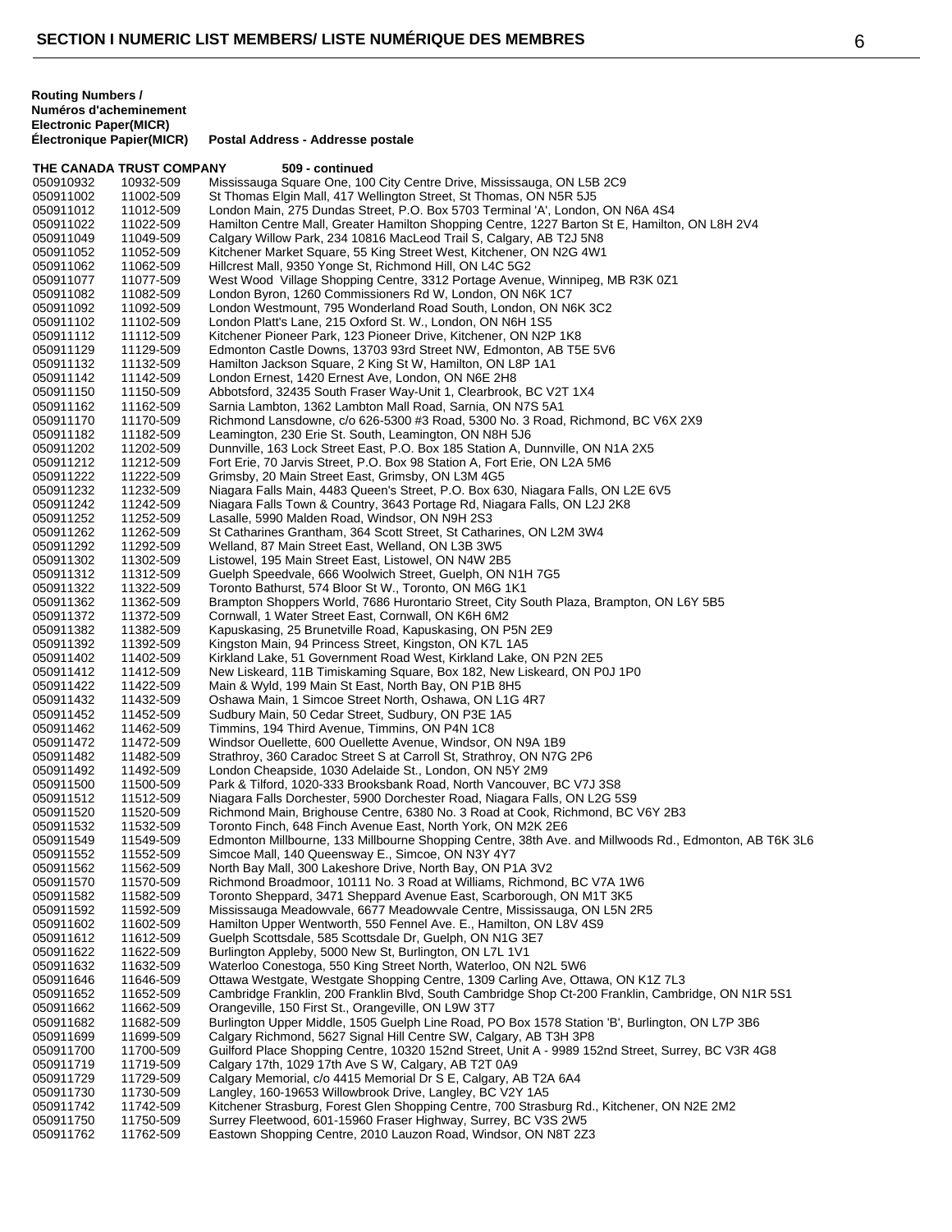| <b>Routing Numbers /</b>      |                                   |
|-------------------------------|-----------------------------------|
| Numéros d'acheminement        |                                   |
| <b>Electronic Paper(MICR)</b> |                                   |
| Electronique Papier(MICR)     | Postal Address - Addresse postale |
|                               |                                   |

|                        | THE CANADA TRUST COMPANY | 509 - continued                                                                                                                                                      |
|------------------------|--------------------------|----------------------------------------------------------------------------------------------------------------------------------------------------------------------|
| 050910932              | 10932-509                | Mississauga Square One, 100 City Centre Drive, Mississauga, ON L5B 2C9                                                                                               |
| 050911002              | 11002-509                | St Thomas Elgin Mall, 417 Wellington Street, St Thomas, ON N5R 5J5                                                                                                   |
| 050911012              | 11012-509                | London Main, 275 Dundas Street, P.O. Box 5703 Terminal 'A', London, ON N6A 4S4                                                                                       |
| 050911022              | 11022-509                | Hamilton Centre Mall, Greater Hamilton Shopping Centre, 1227 Barton St E, Hamilton, ON L8H 2V4                                                                       |
| 050911049              | 11049-509                | Calgary Willow Park, 234 10816 MacLeod Trail S, Calgary, AB T2J 5N8                                                                                                  |
| 050911052              | 11052-509                | Kitchener Market Square, 55 King Street West, Kitchener, ON N2G 4W1                                                                                                  |
| 050911062<br>050911077 | 11062-509<br>11077-509   | Hillcrest Mall, 9350 Yonge St, Richmond Hill, ON L4C 5G2<br>West Wood Village Shopping Centre, 3312 Portage Avenue, Winnipeg, MB R3K 0Z1                             |
| 050911082              | 11082-509                | London Byron, 1260 Commissioners Rd W, London, ON N6K 1C7                                                                                                            |
| 050911092              | 11092-509                | London Westmount, 795 Wonderland Road South, London, ON N6K 3C2                                                                                                      |
| 050911102              | 11102-509                | London Platt's Lane, 215 Oxford St. W., London, ON N6H 1S5                                                                                                           |
| 050911112              | 11112-509                | Kitchener Pioneer Park, 123 Pioneer Drive, Kitchener, ON N2P 1K8                                                                                                     |
| 050911129              | 11129-509                | Edmonton Castle Downs, 13703 93rd Street NW, Edmonton, AB T5E 5V6                                                                                                    |
| 050911132              | 11132-509                | Hamilton Jackson Square, 2 King St W, Hamilton, ON L8P 1A1                                                                                                           |
| 050911142              | 11142-509                | London Ernest, 1420 Ernest Ave, London, ON N6E 2H8                                                                                                                   |
| 050911150<br>050911162 | 11150-509<br>11162-509   | Abbotsford, 32435 South Fraser Way-Unit 1, Clearbrook, BC V2T 1X4<br>Sarnia Lambton, 1362 Lambton Mall Road, Sarnia, ON N7S 5A1                                      |
| 050911170              | 11170-509                | Richmond Lansdowne, c/o 626-5300 #3 Road, 5300 No. 3 Road, Richmond, BC V6X 2X9                                                                                      |
| 050911182              | 11182-509                | Leamington, 230 Erie St. South, Leamington, ON N8H 5J6                                                                                                               |
| 050911202              | 11202-509                | Dunnville, 163 Lock Street East, P.O. Box 185 Station A, Dunnville, ON N1A 2X5                                                                                       |
| 050911212              | 11212-509                | Fort Erie, 70 Jarvis Street, P.O. Box 98 Station A, Fort Erie, ON L2A 5M6                                                                                            |
| 050911222              | 11222-509                | Grimsby, 20 Main Street East, Grimsby, ON L3M 4G5                                                                                                                    |
| 050911232              | 11232-509                | Niagara Falls Main, 4483 Queen's Street, P.O. Box 630, Niagara Falls, ON L2E 6V5                                                                                     |
| 050911242              | 11242-509                | Niagara Falls Town & Country, 3643 Portage Rd, Niagara Falls, ON L2J 2K8                                                                                             |
| 050911252<br>050911262 | 11252-509<br>11262-509   | Lasalle, 5990 Malden Road, Windsor, ON N9H 2S3                                                                                                                       |
| 050911292              | 11292-509                | St Catharines Grantham, 364 Scott Street, St Catharines, ON L2M 3W4<br>Welland, 87 Main Street East, Welland, ON L3B 3W5                                             |
| 050911302              | 11302-509                | Listowel, 195 Main Street East, Listowel, ON N4W 2B5                                                                                                                 |
| 050911312              | 11312-509                | Guelph Speedvale, 666 Woolwich Street, Guelph, ON N1H 7G5                                                                                                            |
| 050911322              | 11322-509                | Toronto Bathurst, 574 Bloor St W., Toronto, ON M6G 1K1                                                                                                               |
| 050911362              | 11362-509                | Brampton Shoppers World, 7686 Hurontario Street, City South Plaza, Brampton, ON L6Y 5B5                                                                              |
| 050911372              | 11372-509                | Cornwall, 1 Water Street East, Cornwall, ON K6H 6M2                                                                                                                  |
| 050911382              | 11382-509                | Kapuskasing, 25 Brunetville Road, Kapuskasing, ON P5N 2E9                                                                                                            |
| 050911392              | 11392-509                | Kingston Main, 94 Princess Street, Kingston, ON K7L 1A5<br>Kirkland Lake, 51 Government Road West, Kirkland Lake, ON P2N 2E5                                         |
| 050911402<br>050911412 | 11402-509<br>11412-509   | New Liskeard, 11B Timiskaming Square, Box 182, New Liskeard, ON P0J 1P0                                                                                              |
| 050911422              | 11422-509                | Main & Wyld, 199 Main St East, North Bay, ON P1B 8H5                                                                                                                 |
| 050911432              | 11432-509                | Oshawa Main, 1 Simcoe Street North, Oshawa, ON L1G 4R7                                                                                                               |
| 050911452              | 11452-509                | Sudbury Main, 50 Cedar Street, Sudbury, ON P3E 1A5                                                                                                                   |
| 050911462              | 11462-509                | Timmins, 194 Third Avenue, Timmins, ON P4N 1C8                                                                                                                       |
| 050911472              | 11472-509                | Windsor Ouellette, 600 Ouellette Avenue, Windsor, ON N9A 1B9                                                                                                         |
| 050911482              | 11482-509                | Strathroy, 360 Caradoc Street S at Carroll St, Strathroy, ON N7G 2P6                                                                                                 |
| 050911492              | 11492-509                | London Cheapside, 1030 Adelaide St., London, ON N5Y 2M9                                                                                                              |
| 050911500<br>050911512 | 11500-509<br>11512-509   | Park & Tilford, 1020-333 Brooksbank Road, North Vancouver, BC V7J 3S8<br>Niagara Falls Dorchester, 5900 Dorchester Road, Niagara Falls, ON L2G 5S9                   |
| 050911520              | 11520-509                | Richmond Main, Brighouse Centre, 6380 No. 3 Road at Cook, Richmond, BC V6Y 2B3                                                                                       |
| 050911532              | 11532-509                | Toronto Finch, 648 Finch Avenue East, North York, ON M2K 2E6                                                                                                         |
| 050911549              | 11549-509                | Edmonton Millbourne, 133 Millbourne Shopping Centre, 38th Ave. and Millwoods Rd., Edmonton, AB T6K 3L6                                                               |
| 050911552              | 11552-509                | Simcoe Mall, 140 Queensway E., Simcoe, ON N3Y 4Y7                                                                                                                    |
| 050911562              | 11562-509                | North Bay Mall, 300 Lakeshore Drive, North Bay, ON P1A 3V2                                                                                                           |
| 050911570              | 11570-509                | Richmond Broadmoor, 10111 No. 3 Road at Williams, Richmond, BC V7A 1W6                                                                                               |
| 050911582              | 11582-509                | Toronto Sheppard, 3471 Sheppard Avenue East, Scarborough, ON M1T 3K5<br>Mississauga Meadowvale, 6677 Meadowvale Centre, Mississauga, ON L5N 2R5                      |
| 050911592<br>050911602 | 11592-509<br>11602-509   | Hamilton Upper Wentworth, 550 Fennel Ave. E., Hamilton, ON L8V 4S9                                                                                                   |
| 050911612              | 11612-509                | Guelph Scottsdale, 585 Scottsdale Dr, Guelph, ON N1G 3E7                                                                                                             |
| 050911622              | 11622-509                | Burlington Appleby, 5000 New St, Burlington, ON L7L 1V1                                                                                                              |
| 050911632              | 11632-509                | Waterloo Conestoga, 550 King Street North, Waterloo, ON N2L 5W6                                                                                                      |
| 050911646              | 11646-509                | Ottawa Westgate, Westgate Shopping Centre, 1309 Carling Ave, Ottawa, ON K1Z 7L3                                                                                      |
| 050911652              | 11652-509                | Cambridge Franklin, 200 Franklin Blvd, South Cambridge Shop Ct-200 Franklin, Cambridge, ON N1R 5S1                                                                   |
| 050911662              | 11662-509                | Orangeville, 150 First St., Orangeville, ON L9W 3T7                                                                                                                  |
| 050911682              | 11682-509                | Burlington Upper Middle, 1505 Guelph Line Road, PO Box 1578 Station 'B', Burlington, ON L7P 3B6<br>Calgary Richmond, 5627 Signal Hill Centre SW, Calgary, AB T3H 3P8 |
| 050911699<br>050911700 | 11699-509<br>11700-509   | Guilford Place Shopping Centre, 10320 152nd Street, Unit A - 9989 152nd Street, Surrey, BC V3R 4G8                                                                   |
| 050911719              | 11719-509                | Calgary 17th, 1029 17th Ave S W, Calgary, AB T2T 0A9                                                                                                                 |
| 050911729              | 11729-509                | Calgary Memorial, c/o 4415 Memorial Dr S E, Calgary, AB T2A 6A4                                                                                                      |
| 050911730              | 11730-509                | Langley, 160-19653 Willowbrook Drive, Langley, BC V2Y 1A5                                                                                                            |
| 050911742              | 11742-509                | Kitchener Strasburg, Forest Glen Shopping Centre, 700 Strasburg Rd., Kitchener, ON N2E 2M2                                                                           |
| 050911750              | 11750-509                | Surrey Fleetwood, 601-15960 Fraser Highway, Surrey, BC V3S 2W5                                                                                                       |
| 050911762              | 11762-509                | Eastown Shopping Centre, 2010 Lauzon Road, Windsor, ON N8T 2Z3                                                                                                       |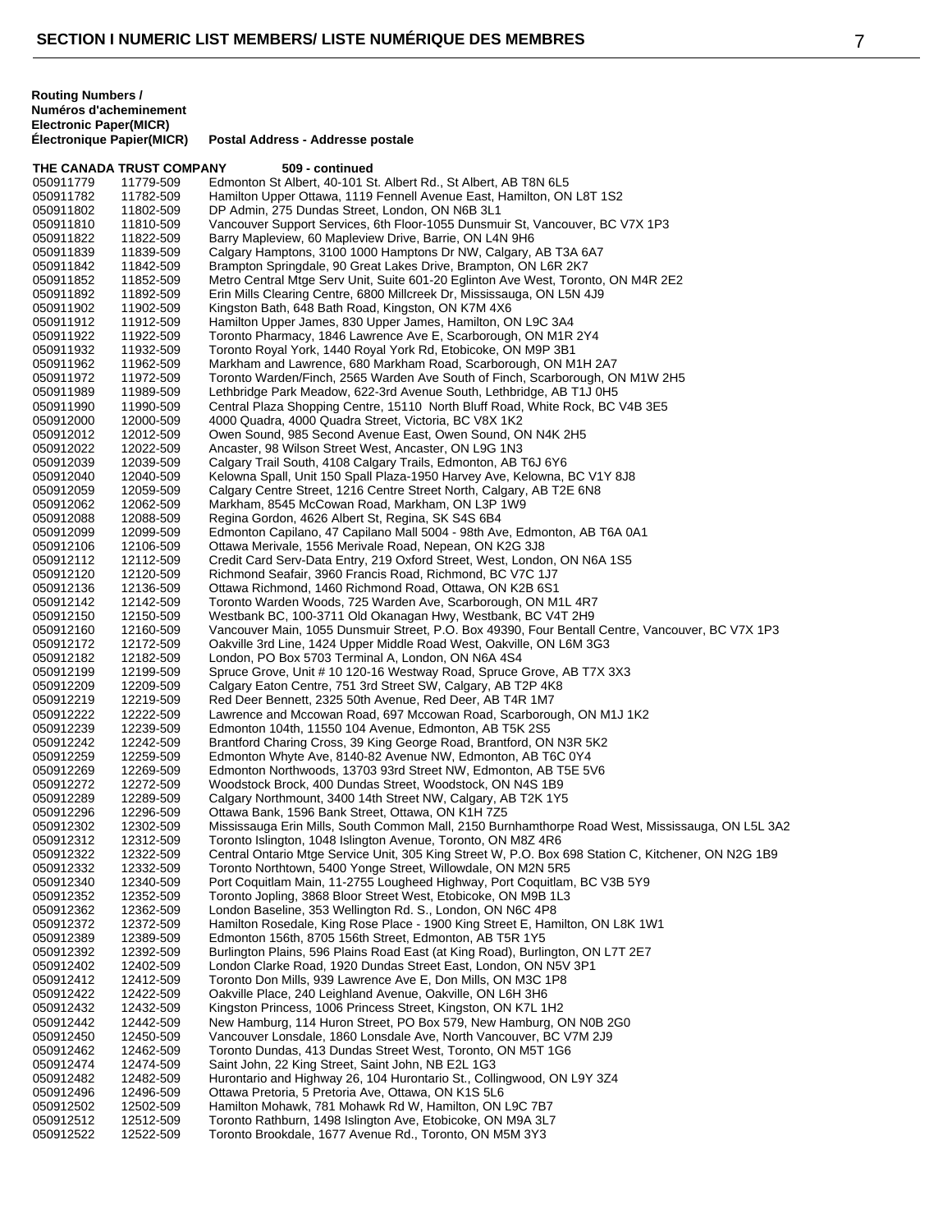| -IVIDI\LJ |  |  |  |  |
|-----------|--|--|--|--|
|           |  |  |  |  |
|           |  |  |  |  |
|           |  |  |  |  |

**Routing Numbers / Numéros d'acheminement Electronic Paper(MICR) Électronique Papier(MICR) Postal Address - Addresse postale THE CANADA TRUST COMPANY 509 - continued** 050911779 11779-509 Edmonton St Albert, 40-101 St. Albert Rd., St Albert, AB T8N 6L5<br>050911782 11782-509 Hamilton Upper Ottawa, 1119 Fennell Avenue East, Hamilton, ON 050911782 11782-509 Hamilton Upper Ottawa, 1119 Fennell Avenue East, Hamilton, ON L8T 1S2<br>050911802 11802-509 DP Admin, 275 Dundas Street, London, ON N6B 3L1 DP Admin, 275 Dundas Street, London, ON N6B 3L1 050911810 11810-509 Vancouver Support Services, 6th Floor-1055 Dunsmuir St, Vancouver, BC V7X 1P3<br>050911822 11822-509 Barry Mapleview, 60 Mapleview Drive, Barrie, ON L4N 9H6 Barry Mapleview, 60 Mapleview Drive, Barrie, ON L4N 9H6 050911839 11839-509 Calgary Hamptons, 3100 1000 Hamptons Dr NW, Calgary, AB T3A 6A7<br>050911842 11842-509 Brampton Springdale, 90 Great Lakes Drive, Brampton, ON L6R 2K7 050911842 11842-509 Brampton Springdale, 90 Great Lakes Drive, Brampton, ON L6R 2K7<br>050911852 11852-509 Metro Central Mtge Serv Unit, Suite 601-20 Folinton Ave West, Toron Metro Central Mtge Serv Unit, Suite 601-20 Eglinton Ave West, Toronto, ON M4R 2E2 050911892 11892-509 Erin Mills Clearing Centre, 6800 Millcreek Dr, Mississauga, ON L5N 4J9<br>050911902 11902-509 Kingston Bath, 648 Bath Road, Kingston, ON K7M 4X6 050911902 11902-509 Kingston Bath, 648 Bath Road, Kingston, ON K7M 4X6<br>050911912 11912-509 Hamilton Upper James, 830 Upper James, Hamilton, O 050911912 11912-509 Hamilton Upper James, 830 Upper James, Hamilton, ON L9C 3A4<br>050911922 11922-509 Toronto Pharmacy, 1846 Lawrence Ave E, Scarborough, ON M1R 050911922 11922-509 Toronto Pharmacy, 1846 Lawrence Ave E, Scarborough, ON M1R 2Y4<br>050911932 11932-509 Toronto Royal York, 1440 Royal York Rd, Etobicoke, ON M9P 3B1 050911932 11932-509 Toronto Royal York, 1440 Royal York Rd, Etobicoke, ON M9P 3B1<br>050911962 11962-509 Markham and Lawrence, 680 Markham Road, Scarborough, ON M 050911962 11962-509 Markham and Lawrence, 680 Markham Road, Scarborough, ON M1H 2A7<br>050911972 11972-509 Toronto Warden/Finch, 2565 Warden Ave South of Finch, Scarborough, OI Toronto Warden/Finch, 2565 Warden Ave South of Finch, Scarborough, ON M1W 2H5 050911989 11989-509 Lethbridge Park Meadow, 622-3rd Avenue South, Lethbridge, AB T1J 0H5<br>050911990 11990-509 Central Plaza Shopping Centre, 15110 North Bluff Road, White Rock, BC Central Plaza Shopping Centre, 15110 North Bluff Road, White Rock, BC V4B 3E5 050912000 12000-509 4000 Quadra, 4000 Quadra Street, Victoria, BC V8X 1K2<br>050912012 12012-509 Owen Sound, 985 Second Avenue East, Owen Sound, O 050912012 12012-509 Owen Sound, 985 Second Avenue East, Owen Sound, ON N4K 2H5<br>050912022 12022-509 Ancaster, 98 Wilson Street West, Ancaster, ON L9G 1N3 Ancaster, 98 Wilson Street West, Ancaster, ON L9G 1N3 050912039 12039-509 Calgary Trail South, 4108 Calgary Trails, Edmonton, AB T6J 6Y6<br>050912040 12040-509 Kelowna Spall, Unit 150 Spall Plaza-1950 Harvey Ave, Kelowna, I 050912040 12040-509 Kelowna Spall, Unit 150 Spall Plaza-1950 Harvey Ave, Kelowna, BC V1Y 8J8<br>050912059 12059-509 Calgary Centre Street, 1216 Centre Street North, Calgary, AB T2E 6N8 050912059 12059-509 Calgary Centre Street, 1216 Centre Street North, Calgary, AB T2E 6N8<br>050912062 12062-509 Markham, 8545 McCowan Road, Markham, ON L3P 1W9 050912062 12062-509 Markham, 8545 McCowan Road, Markham, ON L3P 1W9 Regina Gordon, 4626 Albert St, Regina, SK S4S 6B4 050912099 12099-509 Edmonton Capilano, 47 Capilano Mall 5004 - 98th Ave, Edmonton, AB T6A 0A1<br>050912106 12106-509 Ottawa Merivale, 1556 Merivale Road, Nepean, ON K2G 3J8 050912106 12106-509 Ottawa Merivale, 1556 Merivale Road, Nepean, ON K2G 3J8 050912112 12112-509 Credit Card Serv-Data Entry, 219 Oxford Street, West, London, ON N6A 1S5<br>050912120 12120-509 Richmond Seafair, 3960 Francis Road, Richmond, BC V7C 1J7 050912120 12120-509 Richmond Seafair, 3960 Francis Road, Richmond, BC V7C 1J7<br>050912136 12136-509 Ottawa Richmond, 1460 Richmond Road, Ottawa, ON K2B 6S1 Ottawa Richmond, 1460 Richmond Road, Ottawa, ON K2B 6S1 050912142 12142-509 Toronto Warden Woods, 725 Warden Ave, Scarborough, ON M1L 4R7<br>050912150 12150-509 Westbank BC, 100-3711 Old Okanagan Hwy, Westbank, BC V4T 2H9 050912150 12150-509 Westbank BC, 100-3711 Old Okanagan Hwy, Westbank, BC V4T 2H9 050912160 12160-509 Vancouver Main, 1055 Dunsmuir Street, P.O. Box 49390, Four Bentall Centre, Vancouver, BC V7X 1P3<br>050912172 12172-509 Oakville 3rd Line, 1424 Upper Middle Road West, Oakville, ON L6M 3G3 050912172 12172-509 Oakville 3rd Line, 1424 Upper Middle Road West, Oakville, ON L6M 3G3<br>050912182 12182-509 London, PO Box 5703 Terminal A. London, ON N6A 4S4 London, PO Box 5703 Terminal A, London, ON N6A 4S4 050912199 12199-509 Spruce Grove, Unit # 10 120-16 Westway Road, Spruce Grove, AB T7X 3X3<br>050912209 12209-509 Calgary Eaton Centre, 751 3rd Street SW, Calgary, AB T2P 4K8 Calgary Eaton Centre, 751 3rd Street SW, Calgary, AB T2P 4K8 050912219 12219-509 Red Deer Bennett, 2325 50th Avenue, Red Deer, AB T4R 1M7<br>050912222 12222-509 Lawrence and Mccowan Road, 697 Mccowan Road, Scarborou 050912222 12222-509 Lawrence and Mccowan Road, 697 Mccowan Road, Scarborough, ON M1J 1K2<br>050912239 12239-509 Edmonton 104th, 11550 104 Avenue, Edmonton, AB T5K 2S5 050912239 12239-509 Edmonton 104th, 11550 104 Avenue, Edmonton, AB T5K 2S5<br>050912242 12242-509 Brantford Charing Cross, 39 King George Road, Brantford, ON 050912242 12242-509 Brantford Charing Cross, 39 King George Road, Brantford, ON N3R 5K2<br>050912259 12259-509 Edmonton Whyte Ave. 8140-82 Avenue NW. Edmonton. AB T6C 0Y4 Edmonton Whyte Ave, 8140-82 Avenue NW, Edmonton, AB T6C 0Y4 050912269 12269-509 Edmonton Northwoods, 13703 93rd Street NW, Edmonton, AB T5E 5V6<br>050912272 12272-509 Woodstock Brock, 400 Dundas Street, Woodstock, ON N4S 1B9 Woodstock Brock, 400 Dundas Street, Woodstock, ON N4S 1B9 050912289 12289-509 Calgary Northmount, 3400 14th Street NW, Calgary, AB T2K 1Y5<br>050912296 12296-509 Ottawa Bank, 1596 Bank Street, Ottawa, ON K1H 7Z5 050912296 12296-509 Ottawa Bank, 1596 Bank Street, Ottawa, ON K1H 7Z5 050912302 12302-509 Mississauga Erin Mills, South Common Mall, 2150 Burnhamthorpe Road West, Mississauga, ON L5L 3A2 050912312 12312-509 Toronto Islington, 1048 Islington Avenue, Toronto, ON M8Z 4R6<br>050912322 12322-509 Central Ontario Mtge Service Unit, 305 King Street W, P.O. Box Central Ontario Mtge Service Unit, 305 King Street W, P.O. Box 698 Station C, Kitchener, ON N2G 1B9 050912332 12332-509 Toronto Northtown, 5400 Yonge Street, Willowdale, ON M2N 5R5 050912340 12340-509 Port Coquitlam Main, 11-2755 Lougheed Highway, Port Coquitlam, BC V3B 5Y9<br>050912352 12352-509 Toronto Jopling, 3868 Bloor Street West, Etobicoke, ON M9B 1L3 Toronto Jopling, 3868 Bloor Street West, Etobicoke, ON M9B 1L3 050912362 12362-509 London Baseline, 353 Wellington Rd. S., London, ON N6C 4P8<br>050912372 12372-509 Hamilton Rosedale, King Rose Place - 1900 King Street E, Han 050912372 12372-509 Hamilton Rosedale, King Rose Place - 1900 King Street E, Hamilton, ON L8K 1W1<br>050912389 12389-509 Edmonton 156th, 8705 156th Street, Edmonton, AB T5R 1Y5 050912389 12389-509 Edmonton 156th, 8705 156th Street, Edmonton, AB T5R 1Y5<br>050912392 12392-509 Burlington Plains, 596 Plains Road East (at King Road), Burlin 050912392 12392-509 Burlington Plains, 596 Plains Road East (at King Road), Burlington, ON L7T 2E7<br>050912402 12402-509 London Clarke Road, 1920 Dundas Street Fast, London, ON N5V 3P1 050912402 12402-509 London Clarke Road, 1920 Dundas Street East, London, ON N5V 3P1 050912412 12412-509 Toronto Don Mills, 939 Lawrence Ave E, Don Mills, ON M3C 1P8<br>050912422 12422-509 Oakville Place, 240 Leighland Avenue, Oakville, ON L6H 3H6 Oakville Place, 240 Leighland Avenue, Oakville, ON L6H 3H6 050912432 12432-509 Kingston Princess, 1006 Princess Street, Kingston, ON K7L 1H2 050912442 12442-509 New Hamburg, 114 Huron Street, PO Box 579, New Hamburg, ON N0B 2G0<br>050912450 12450-509 Vancouver Lonsdale, 1860 Lonsdale Ave, North Vancouver, BC V7M 2.19 050912450 12450-509 Vancouver Lonsdale, 1860 Lonsdale Ave, North Vancouver, BC V7M 2J9<br>050912462 12462-509 Toronto Dundas, 413 Dundas Street West, Toronto, ON M5T 1G6 050912462 12462-509 Toronto Dundas, 413 Dundas Street West, Toronto, ON M5T 1G6<br>050912474 12474-509 Saint John. 22 King Street. Saint John. NB E2L 1G3 Saint John, 22 King Street, Saint John, NB E2L 1G3 050912482 12482-509 Hurontario and Highway 26, 104 Hurontario St., Collingwood, ON L9Y 3Z4<br>050912496 12496-509 Ottawa Pretoria, 5 Pretoria Ave, Ottawa, ON K1S 5L6 Ottawa Pretoria, 5 Pretoria Ave, Ottawa, ON K1S 5L6 050912502 12502-509 Hamilton Mohawk, 781 Mohawk Rd W, Hamilton, ON L9C 7B7<br>050912512 12512-509 Toronto Rathburn, 1498 Islington Ave, Etobicoke, ON M9A 3L7 050912512 12512-509 Toronto Rathburn, 1498 Islington Ave, Etobicoke, ON M9A 3L7<br>050912522 12522-509 Toronto Brookdale, 1677 Avenue Rd., Toronto, ON M5M 3Y3 050912522 12522-509 Toronto Brookdale, 1677 Avenue Rd., Toronto, ON M5M 3Y3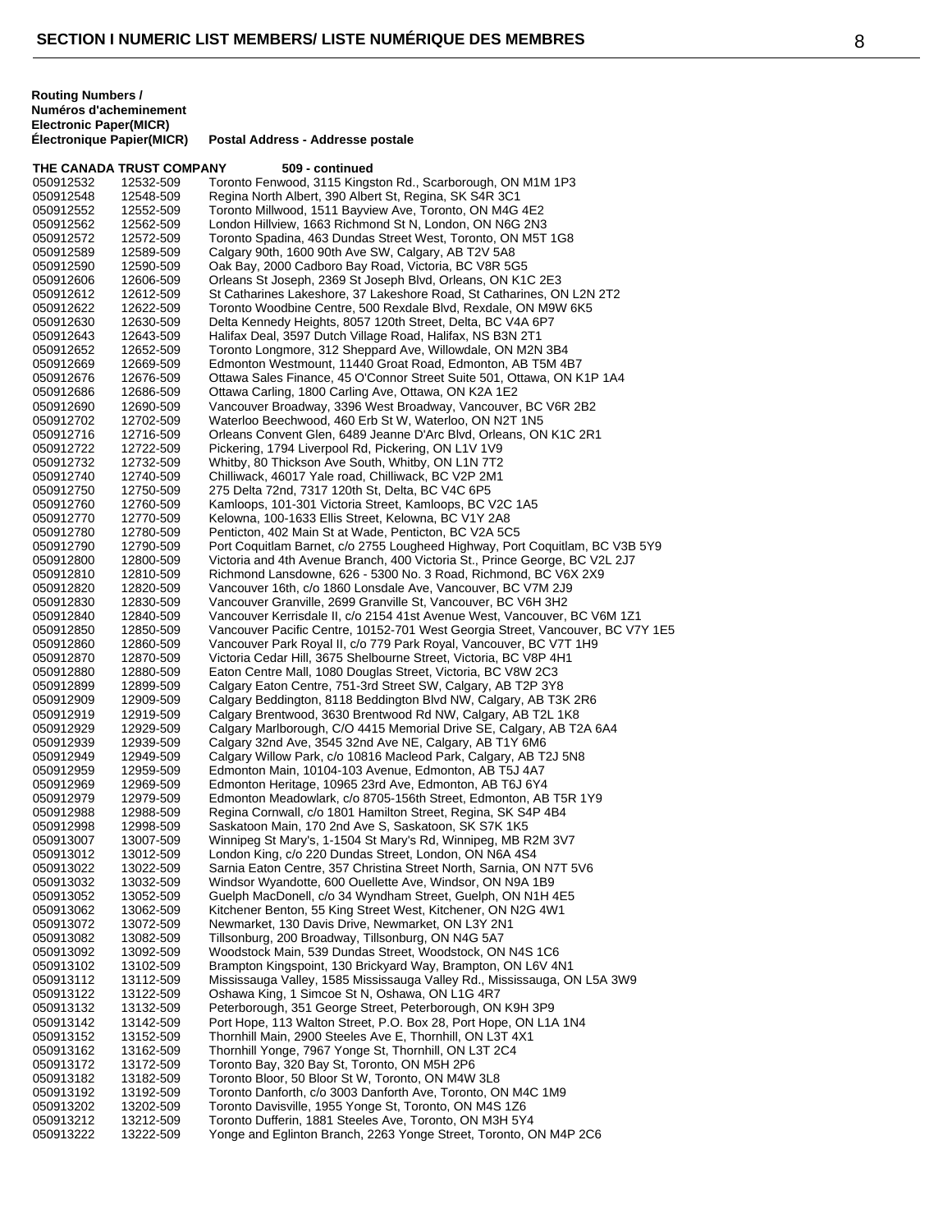| <b>Routing Numbers /</b>      |                                   |
|-------------------------------|-----------------------------------|
| Numéros d'acheminement        |                                   |
| <b>Electronic Paper(MICR)</b> |                                   |
| Électronique Papier(MICR)     | Postal Address - Addresse postale |
|                               |                                   |
| THE CANADA TRUST COMPANY      | 509 - continued                   |

| <br>050912532          | .<br>12532-509         | <u>voimmuud</u><br>Toronto Fenwood, 3115 Kingston Rd., Scarborough, ON M1M 1P3                                                    |
|------------------------|------------------------|-----------------------------------------------------------------------------------------------------------------------------------|
| 050912548              | 12548-509              | Regina North Albert, 390 Albert St, Regina, SK S4R 3C1                                                                            |
| 050912552              | 12552-509              | Toronto Millwood, 1511 Bayview Ave, Toronto, ON M4G 4E2                                                                           |
| 050912562              | 12562-509              | London Hillview, 1663 Richmond St N, London, ON N6G 2N3                                                                           |
| 050912572              | 12572-509              | Toronto Spadina, 463 Dundas Street West, Toronto, ON M5T 1G8                                                                      |
| 050912589              | 12589-509              | Calgary 90th, 1600 90th Ave SW, Calgary, AB T2V 5A8                                                                               |
| 050912590              | 12590-509              | Oak Bay, 2000 Cadboro Bay Road, Victoria, BC V8R 5G5                                                                              |
| 050912606              | 12606-509              | Orleans St Joseph, 2369 St Joseph Blvd, Orleans, ON K1C 2E3                                                                       |
| 050912612              | 12612-509              | St Catharines Lakeshore, 37 Lakeshore Road, St Catharines, ON L2N 2T2                                                             |
| 050912622              | 12622-509              | Toronto Woodbine Centre, 500 Rexdale Blvd, Rexdale, ON M9W 6K5                                                                    |
| 050912630              | 12630-509              | Delta Kennedy Heights, 8057 120th Street, Delta, BC V4A 6P7                                                                       |
| 050912643              | 12643-509<br>12652-509 | Halifax Deal, 3597 Dutch Village Road, Halifax, NS B3N 2T1<br>Toronto Longmore, 312 Sheppard Ave, Willowdale, ON M2N 3B4          |
| 050912652<br>050912669 | 12669-509              | Edmonton Westmount, 11440 Groat Road, Edmonton, AB T5M 4B7                                                                        |
| 050912676              | 12676-509              | Ottawa Sales Finance, 45 O'Connor Street Suite 501, Ottawa, ON K1P 1A4                                                            |
| 050912686              | 12686-509              | Ottawa Carling, 1800 Carling Ave, Ottawa, ON K2A 1E2                                                                              |
| 050912690              | 12690-509              | Vancouver Broadway, 3396 West Broadway, Vancouver, BC V6R 2B2                                                                     |
| 050912702              | 12702-509              | Waterloo Beechwood, 460 Erb St W, Waterloo, ON N2T 1N5                                                                            |
| 050912716              | 12716-509              | Orleans Convent Glen, 6489 Jeanne D'Arc Blvd, Orleans, ON K1C 2R1                                                                 |
| 050912722              | 12722-509              | Pickering, 1794 Liverpool Rd, Pickering, ON L1V 1V9                                                                               |
| 050912732              | 12732-509              | Whitby, 80 Thickson Ave South, Whitby, ON L1N 7T2                                                                                 |
| 050912740              | 12740-509              | Chilliwack, 46017 Yale road, Chilliwack, BC V2P 2M1                                                                               |
| 050912750              | 12750-509              | 275 Delta 72nd, 7317 120th St, Delta, BC V4C 6P5                                                                                  |
| 050912760<br>050912770 | 12760-509<br>12770-509 | Kamloops, 101-301 Victoria Street, Kamloops, BC V2C 1A5<br>Kelowna, 100-1633 Ellis Street, Kelowna, BC V1Y 2A8                    |
| 050912780              | 12780-509              | Penticton, 402 Main St at Wade, Penticton, BC V2A 5C5                                                                             |
| 050912790              | 12790-509              | Port Coquitlam Barnet, c/o 2755 Lougheed Highway, Port Coquitlam, BC V3B 5Y9                                                      |
| 050912800              | 12800-509              | Victoria and 4th Avenue Branch, 400 Victoria St., Prince George, BC V2L 2J7                                                       |
| 050912810              | 12810-509              | Richmond Lansdowne, 626 - 5300 No. 3 Road, Richmond, BC V6X 2X9                                                                   |
| 050912820              | 12820-509              | Vancouver 16th, c/o 1860 Lonsdale Ave, Vancouver, BC V7M 2J9                                                                      |
| 050912830              | 12830-509              | Vancouver Granville, 2699 Granville St, Vancouver, BC V6H 3H2                                                                     |
| 050912840              | 12840-509              | Vancouver Kerrisdale II, c/o 2154 41st Avenue West, Vancouver, BC V6M 1Z1                                                         |
| 050912850              | 12850-509              | Vancouver Pacific Centre, 10152-701 West Georgia Street, Vancouver, BC V7Y 1E5                                                    |
| 050912860              | 12860-509              | Vancouver Park Royal II, c/o 779 Park Royal, Vancouver, BC V7T 1H9                                                                |
| 050912870<br>050912880 | 12870-509<br>12880-509 | Victoria Cedar Hill, 3675 Shelbourne Street, Victoria, BC V8P 4H1<br>Eaton Centre Mall, 1080 Douglas Street, Victoria, BC V8W 2C3 |
| 050912899              | 12899-509              | Calgary Eaton Centre, 751-3rd Street SW, Calgary, AB T2P 3Y8                                                                      |
| 050912909              | 12909-509              | Calgary Beddington, 8118 Beddington Blvd NW, Calgary, AB T3K 2R6                                                                  |
| 050912919              | 12919-509              | Calgary Brentwood, 3630 Brentwood Rd NW, Calgary, AB T2L 1K8                                                                      |
| 050912929              | 12929-509              | Calgary Marlborough, C/O 4415 Memorial Drive SE, Calgary, AB T2A 6A4                                                              |
| 050912939              | 12939-509              | Calgary 32nd Ave, 3545 32nd Ave NE, Calgary, AB T1Y 6M6                                                                           |
| 050912949              | 12949-509              | Calgary Willow Park, c/o 10816 Macleod Park, Calgary, AB T2J 5N8                                                                  |
| 050912959              | 12959-509              | Edmonton Main, 10104-103 Avenue, Edmonton, AB T5J 4A7                                                                             |
| 050912969              | 12969-509              | Edmonton Heritage, 10965 23rd Ave, Edmonton, AB T6J 6Y4                                                                           |
| 050912979<br>050912988 | 12979-509<br>12988-509 | Edmonton Meadowlark, c/o 8705-156th Street, Edmonton, AB T5R 1Y9<br>Regina Cornwall, c/o 1801 Hamilton Street, Regina, SK S4P 4B4 |
| 050912998              | 12998-509              | Saskatoon Main, 170 2nd Ave S, Saskatoon, SK S7K 1K5                                                                              |
| 050913007              | 13007-509              | Winnipeg St Mary's, 1-1504 St Mary's Rd, Winnipeg, MB R2M 3V7                                                                     |
| 050913012              | 13012-509              | London King, c/o 220 Dundas Street, London, ON N6A 4S4                                                                            |
| 050913022              | 13022-509              | Sarnia Eaton Centre, 357 Christina Street North, Sarnia, ON N7T 5V6                                                               |
| 050913032              | 13032-509              | Windsor Wyandotte, 600 Ouellette Ave, Windsor, ON N9A 1B9                                                                         |
| 050913052              | 13052-509              | Guelph MacDonell, c/o 34 Wyndham Street, Guelph, ON N1H 4E5                                                                       |
| 050913062              | 13062-509              | Kitchener Benton, 55 King Street West, Kitchener, ON N2G 4W1                                                                      |
| 050913072              | 13072-509              | Newmarket, 130 Davis Drive, Newmarket, ON L3Y 2N1                                                                                 |
| 050913082<br>050913092 | 13082-509<br>13092-509 | Tillsonburg, 200 Broadway, Tillsonburg, ON N4G 5A7<br>Woodstock Main, 539 Dundas Street, Woodstock, ON N4S 1C6                    |
| 050913102              | 13102-509              | Brampton Kingspoint, 130 Brickyard Way, Brampton, ON L6V 4N1                                                                      |
| 050913112              | 13112-509              | Mississauga Valley, 1585 Mississauga Valley Rd., Mississauga, ON L5A 3W9                                                          |
| 050913122              | 13122-509              | Oshawa King, 1 Simcoe St N, Oshawa, ON L1G 4R7                                                                                    |
| 050913132              | 13132-509              | Peterborough, 351 George Street, Peterborough, ON K9H 3P9                                                                         |
| 050913142              | 13142-509              | Port Hope, 113 Walton Street, P.O. Box 28, Port Hope, ON L1A 1N4                                                                  |
| 050913152              | 13152-509              | Thornhill Main, 2900 Steeles Ave E, Thornhill, ON L3T 4X1                                                                         |
| 050913162              | 13162-509              | Thornhill Yonge, 7967 Yonge St, Thornhill, ON L3T 2C4                                                                             |
| 050913172              | 13172-509              | Toronto Bay, 320 Bay St, Toronto, ON M5H 2P6                                                                                      |
| 050913182              | 13182-509              | Toronto Bloor, 50 Bloor St W, Toronto, ON M4W 3L8<br>Toronto Danforth, c/o 3003 Danforth Ave, Toronto, ON M4C 1M9                 |
| 050913192<br>050913202 | 13192-509<br>13202-509 | Toronto Davisville, 1955 Yonge St, Toronto, ON M4S 1Z6                                                                            |
| 050913212              | 13212-509              | Toronto Dufferin, 1881 Steeles Ave, Toronto, ON M3H 5Y4                                                                           |
| 050913222              | 13222-509              | Yonge and Eglinton Branch, 2263 Yonge Street, Toronto, ON M4P 2C6                                                                 |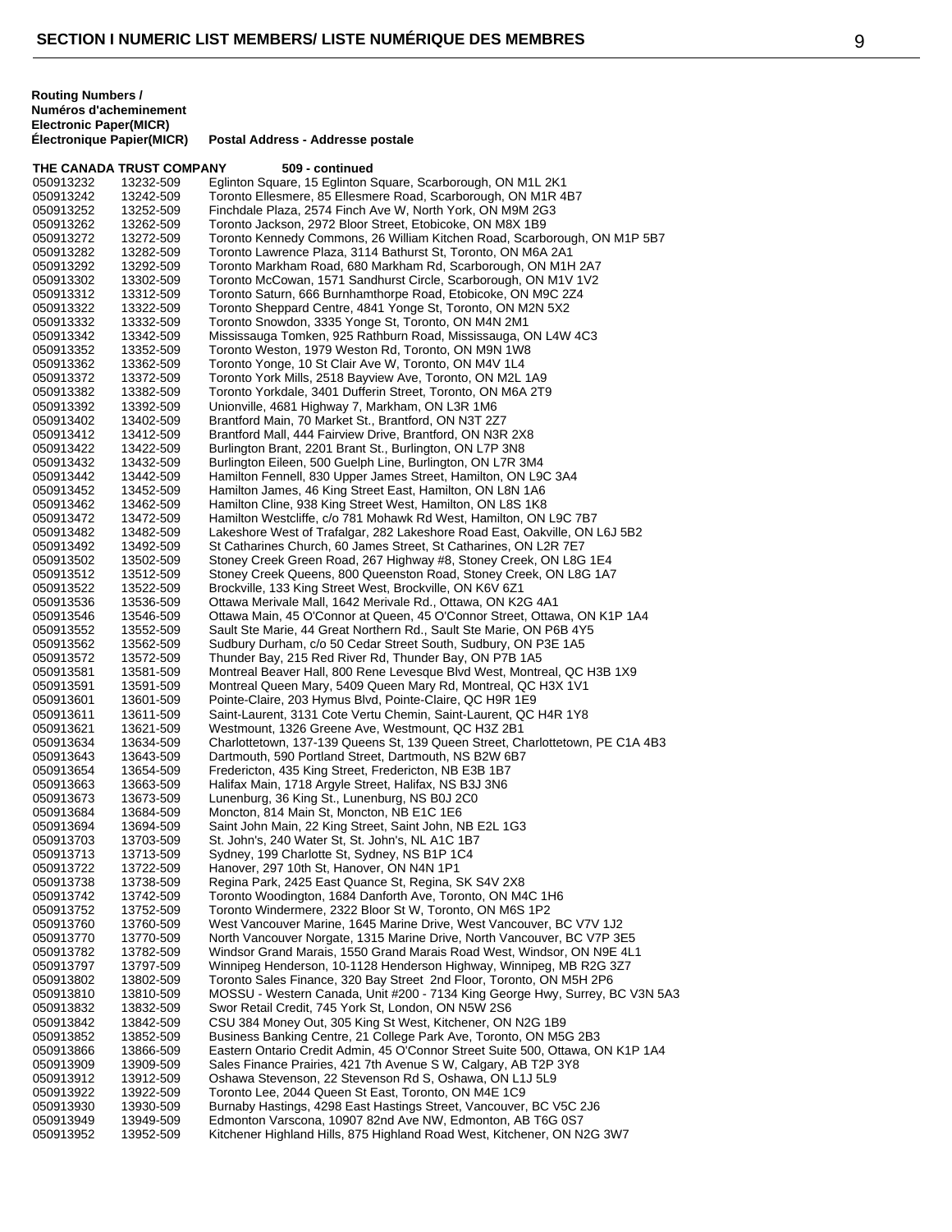| <b>Routing Numbers /</b>  |                                   |
|---------------------------|-----------------------------------|
| Numéros d'acheminement    |                                   |
| Electronic Paper(MICR)    |                                   |
| Électronique Papier(MICR) | Postal Address - Addresse postale |

**THE CANADA TRUST COMPANY 509 - continued** 050913232 13232-509 Eglinton Square, 15 Eglinton Square, Scarborough, ON M1L 2K1<br>050913242 13242-509 Toronto Ellesmere, 85 Ellesmere Road, Scarborough, ON M1R 4 050913242 13242-509 Toronto Ellesmere, 85 Ellesmere Road, Scarborough, ON M1R 4B7<br>050913252 13252-509 Finchdale Plaza. 2574 Finch Ave W. North York. ON M9M 2G3 Finchdale Plaza, 2574 Finch Ave W, North York, ON M9M 2G3 050913262 13262-509 Toronto Jackson, 2972 Bloor Street, Etobicoke, ON M8X 1B9<br>050913272 13272-509 Toronto Kennedy Commons, 26 William Kitchen Road, Scarb Toronto Kennedy Commons, 26 William Kitchen Road, Scarborough, ON M1P 5B7 050913282 13282-509 Toronto Lawrence Plaza, 3114 Bathurst St, Toronto, ON M6A 2A1 050913292 13292-509 Toronto Markham Road, 680 Markham Rd, Scarborough, ON M1H 2A7<br>050913302 13302-509 Toronto McCowan, 1571 Sandhurst Circle, Scarborough, ON M1V 1V2 Toronto McCowan, 1571 Sandhurst Circle, Scarborough, ON M1V 1V2 050913312 13312-509 Toronto Saturn, 666 Burnhamthorpe Road, Etobicoke, ON M9C 2Z4<br>050913322 13322-509 Toronto Sheppard Centre, 4841 Yonge St, Toronto, ON M2N 5X2 050913322 13322-509 Toronto Sheppard Centre, 4841 Yonge St, Toronto, ON M2N 5X2<br>050913332 13332-509 Toronto Snowdon, 3335 Yonge St, Toronto, ON M4N 2M1 Toronto Snowdon, 3335 Yonge St, Toronto, ON M4N 2M1 050913342 13342-509 Mississauga Tomken, 925 Rathburn Road, Mississauga, ON L4W 4C3<br>050913352 13352-509 Toronto Weston, 1979 Weston Rd, Toronto, ON M9N 1W8 050913352 13352-509 Toronto Weston, 1979 Weston Rd, Toronto, ON M9N 1W8<br>050913362 13362-509 Toronto Yonge, 10 St Clair Ave W, Toronto, ON M4V 1L4 050913362 13362-509 Toronto Yonge, 10 St Clair Ave W, Toronto, ON M4V 1L4<br>050913372 13372-509 Toronto York Mills, 2518 Bayview Ave, Toronto, ON M2L Toronto York Mills, 2518 Bayview Ave, Toronto, ON M2L 1A9 050913382 13382-509 Toronto Yorkdale, 3401 Dufferin Street, Toronto, ON M6A 2T9 050913392 13392-509 Unionville, 4681 Highway 7, Markham, ON L3R 1M6 050913402 13402-509 Brantford Main, 70 Market St., Brantford, ON N3T 2Z7<br>050913412 13412-509 Brantford Mall, 444 Fairview Drive, Brantford, ON N3F 050913412 13412-509 Brantford Mall, 444 Fairview Drive, Brantford, ON N3R 2X8<br>050913422 13422-509 Burlington Brant, 2201 Brant St., Burlington, ON L7P 3N8 Burlington Brant, 2201 Brant St., Burlington, ON L7P 3N8 050913432 13432-509 Burlington Eileen, 500 Guelph Line, Burlington, ON L7R 3M4 050913442 13442-509 Hamilton Fennell, 830 Upper James Street, Hamilton, ON L9C 3A4<br>050913452 13452-509 Hamilton James. 46 King Street East. Hamilton. ON L8N 1A6 050913452 13452-509 Hamilton James, 46 King Street East, Hamilton, ON L8N 1A6<br>050913462 13462-509 Hamilton Cline, 938 King Street West, Hamilton, ON L8S 1K8 050913462 13462-509 Hamilton Cline, 938 King Street West, Hamilton, ON L8S 1K8<br>050913472 13472-509 Hamilton Westcliffe. c/o 781 Mohawk Rd West. Hamilton. ON Hamilton Westcliffe, c/o 781 Mohawk Rd West, Hamilton, ON L9C 7B7 050913482 13482-509 Lakeshore West of Trafalgar, 282 Lakeshore Road East, Oakville, ON L6J 5B2<br>050913492 13492-509 St Catharines Church, 60 James Street, St Catharines, ON L2R 7E7 St Catharines Church, 60 James Street, St Catharines, ON L2R 7E7 050913502 13502-509 Stoney Creek Green Road, 267 Highway #8, Stoney Creek, ON L8G 1E4<br>050913512 13512-509 Stoney Creek Queens, 800 Queenston Road, Stoney Creek, ON L8G 1A7 050913512 13512-509 Stoney Creek Queens, 800 Queenston Road, Stoney Creek, ON L8G 1A7<br>050913522 13522-509 Brockville, 133 King Street West, Brockville, ON K6V 671 Brockville, 133 King Street West, Brockville, ON K6V 6Z1 050913536 13536-509 Ottawa Merivale Mall, 1642 Merivale Rd., Ottawa, ON K2G 4A1 Ottawa Main, 45 O'Connor at Queen, 45 O'Connor Street, Ottawa, ON K1P 1A4 050913552 13552-509 Sault Ste Marie, 44 Great Northern Rd., Sault Ste Marie, ON P6B 4Y5<br>050913562 13562-509 Sudbury Durham, c/o 50 Cedar Street South, Sudbury, ON P3E 1A5 050913562 13562-509 Sudbury Durham, c/o 50 Cedar Street South, Sudbury, ON P3E 1A5<br>050913572 13572-509 Thunder Bay, 215 Red River Rd, Thunder Bay, ON P7B 1A5 13572-509 Thunder Bay, 215 Red River Rd, Thunder Bay, ON P7B 1A5<br>13581-509 Montreal Beaver Hall, 800 Rene Levesque Blvd West, Montre 050913581 13581-509 Montreal Beaver Hall, 800 Rene Levesque Blvd West, Montreal, QC H3B 1X9<br>050913591 13591-509 Montreal Queen Mary, 5409 Queen Mary Rd, Montreal, QC H3X 1V1 Montreal Queen Mary, 5409 Queen Mary Rd, Montreal, QC H3X 1V1 050913601 13601-509 Pointe-Claire, 203 Hymus Blvd, Pointe-Claire, QC H9R 1E9 050913611 13611-509 Saint-Laurent, 3131 Cote Vertu Chemin, Saint-Laurent, QC H4R 1Y8 050913621 13621-509 Westmount, 1326 Greene Ave, Westmount, QC H3Z 2B1<br>050913634 13634-509 Charlottetown, 137-139 Queens St, 139 Queen Street, Ch 050913634 13634-509 Charlottetown, 137-139 Queens St, 139 Queen Street, Charlottetown, PE C1A 4B3<br>050913643 13643-509 Dartmouth, 590 Portland Street, Dartmouth, NS B2W 6B7 Dartmouth, 590 Portland Street, Dartmouth, NS B2W 6B7 050913654 13654-509 Fredericton, 435 King Street, Fredericton, NB E3B 1B7<br>050913663 13663-509 Halifax Main, 1718 Argyle Street, Halifax, NS B3J 3N6 Halifax Main, 1718 Argyle Street, Halifax, NS B3J 3N6 050913673 13673-509 Lunenburg, 36 King St., Lunenburg, NS B0J 2C0 050913684 13684-509 Moncton, 814 Main St, Moncton, NB E1C 1E6 13694-509 Saint John Main, 22 King Street, Saint John, NB E2L 1G3 050913703 13703-509 St. John's, 240 Water St, St. John's, NL A1C 1B7<br>050913713 13713-509 Sydney, 199 Charlotte St, Sydney, NS B1P 1C4 Sydney, 199 Charlotte St, Sydney, NS B1P 1C4 050913722 13722-509 Hanover, 297 10th St, Hanover, ON N4N 1P1<br>050913738 13738-509 Regina Park, 2425 East Quance St, Regina, S 050913738 13738-509 Regina Park, 2425 East Quance St, Regina, SK S4V 2X8<br>050913742 13742-509 Toronto Woodington, 1684 Danforth Ave. Toronto, ON M4 Toronto Woodington, 1684 Danforth Ave, Toronto, ON M4C 1H6 050913752 13752-509 Toronto Windermere, 2322 Bloor St W, Toronto, ON M6S 1P2<br>050913760 13760-509 West Vancouver Marine, 1645 Marine Drive, West Vancouver, West Vancouver Marine, 1645 Marine Drive, West Vancouver, BC V7V 1J2 050913770 13770-509 North Vancouver Norgate, 1315 Marine Drive, North Vancouver, BC V7P 3E5 050913782 13782-509 Windsor Grand Marais, 1550 Grand Marais Road West, Windsor, ON N9E 4L1<br>050913797 13797-509 Winnipeg Henderson, 10-1128 Henderson Highway, Winnipeg, MB R2G 377 050913797 13797-509 Winnipeg Henderson, 10-1128 Henderson Highway, Winnipeg, MB R2G 3Z7 050913802 13802-509 Toronto Sales Finance, 320 Bay Street 2nd Floor, Toronto, ON M5H 2P6<br>050913810 13810-509 MOSSU - Western Canada, Unit #200 - 7134 King George Hwy, Surrey, E MOSSU - Western Canada, Unit #200 - 7134 King George Hwy, Surrey, BC V3N 5A3 050913832 13832-509 Swor Retail Credit, 745 York St, London, ON N5W 2S6 050913842 13842-509 CSU 384 Money Out, 305 King St West, Kitchener, ON N2G 1B9 050913852 13852-509 Business Banking Centre, 21 College Park Ave, Toronto, ON M5G 2B3<br>050913866 13866-509 Eastern Ontario Credit Admin, 45 O'Connor Street Suite 500, Ottawa, C 050913866 13866-509 Eastern Ontario Credit Admin, 45 O'Connor Street Suite 500, Ottawa, ON K1P 1A4<br>050913909 13909-509 Sales Finance Prairies. 421 7th Avenue S W. Calgary. AB T2P 3Y8 Sales Finance Prairies, 421 7th Avenue S W, Calgary, AB T2P 3Y8 050913912 13912-509 Oshawa Stevenson, 22 Stevenson Rd S, Oshawa, ON L1J 5L9<br>050913922 13922-509 Toronto Lee, 2044 Queen St East, Toronto, ON M4E 1C9 Toronto Lee, 2044 Queen St East, Toronto, ON M4E 1C9 050913930 13930-509 Burnaby Hastings, 4298 East Hastings Street, Vancouver, BC V5C 2J6<br>050913949 13949-509 Edmonton Varscona, 10907 82nd Ave NW, Edmonton, AB T6G 0S7 050913949 13949-509 Edmonton Varscona, 10907 82nd Ave NW, Edmonton, AB T6G 0S7<br>050913952 13952-509 Kitchener Highland Hills. 875 Highland Road West. Kitchener. ON N Kitchener Highland Hills, 875 Highland Road West, Kitchener, ON N2G 3W7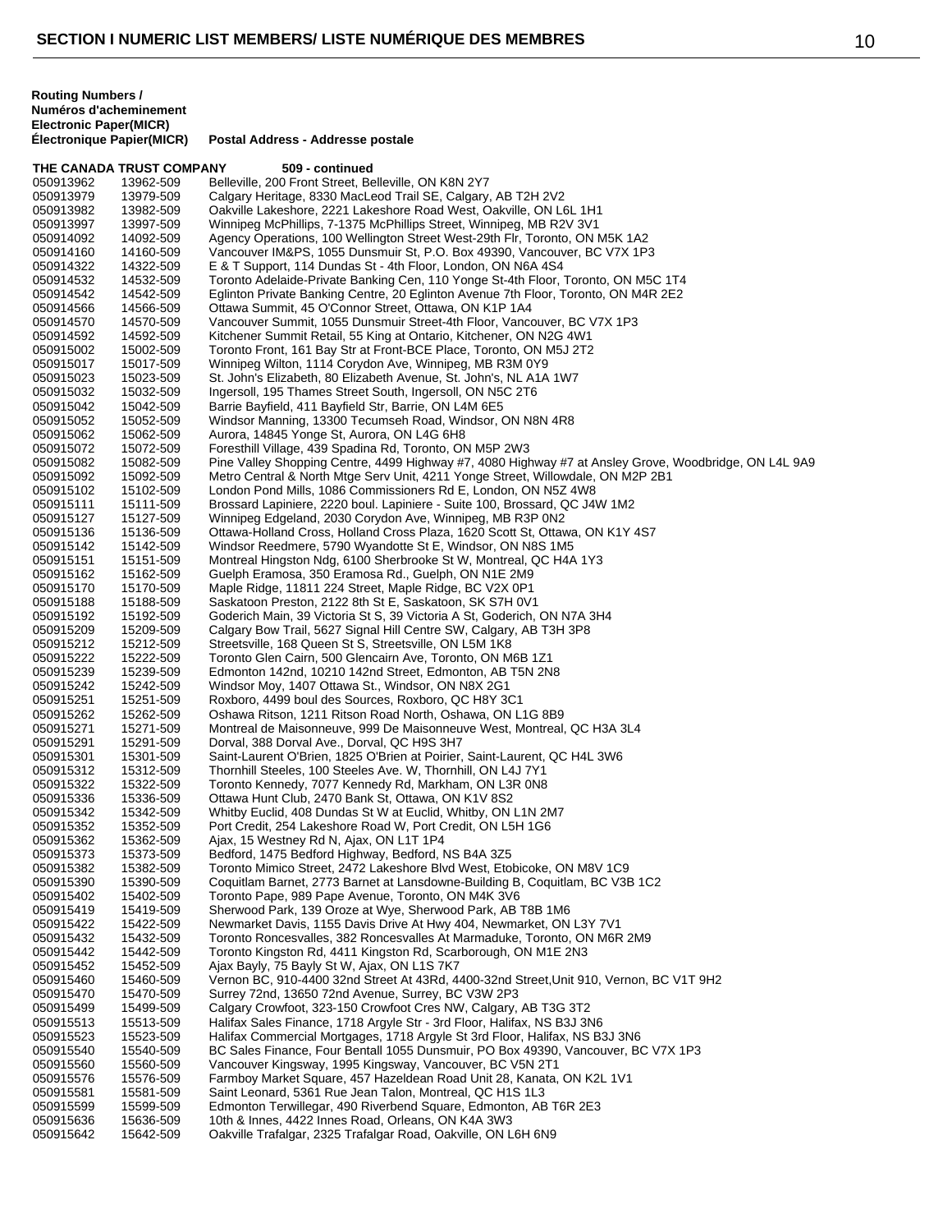| Postal Address - Addresse postale |
|-----------------------------------|
|                                   |

**THE CANADA TRUST COMPANY 509 - continued** 050913962 13962-509 Belleville, 200 Front Street, Belleville, ON K8N 2Y7<br>050913979 13979-509 Calgary Heritage, 8330 MacLeod Trail SE, Calgary 050913979 13979-509 Calgary Heritage, 8330 MacLeod Trail SE, Calgary, AB T2H 2V2<br>050913982 13982-509 Oakville Lakeshore, 2221 Lakeshore Road West, Oakville, ON L6 Oakville Lakeshore, 2221 Lakeshore Road West, Oakville, ON L6L 1H1 050913997 13997-509 Winnipeg McPhillips, 7-1375 McPhillips Street, Winnipeg, MB R2V 3V1<br>050914092 14092-509 Agency Operations, 100 Wellington Street West-29th Flr, Toronto, ON I Agency Operations, 100 Wellington Street West-29th Flr, Toronto, ON M5K 1A2 050914160 14160-509 Vancouver IM&PS, 1055 Dunsmuir St, P.O. Box 49390, Vancouver, BC V7X 1P3<br>050914322 14322-509 E & T Support, 114 Dundas St - 4th Floor, London, ON N6A 4S4 050914322 14322-509 E & T Support, 114 Dundas St - 4th Floor, London, ON N6A 4S4<br>050914532 14532-509 Toronto Adelaide-Private Banking Cen, 110 Yonge St-4th Floor, Toronto Adelaide-Private Banking Cen, 110 Yonge St-4th Floor, Toronto, ON M5C 1T4 050914542 14542-509 Eglinton Private Banking Centre, 20 Eglinton Avenue 7th Floor, Toronto, ON M4R 2E2<br>050914566 14566-509 Ottawa Summit, 45 O'Connor Street, Ottawa, ON K1P 1A4 050914566 14566-509 Ottawa Summit, 45 O'Connor Street, Ottawa, ON K1P 1A4<br>050914570 14570-509 Vancouver Summit, 1055 Dunsmuir Street-4th Floor, Vanco 050914570 14570-509 Vancouver Summit, 1055 Dunsmuir Street-4th Floor, Vancouver, BC V7X 1P3<br>050914592 14592-509 Kitchener Summit Retail, 55 King at Ontario, Kitchener, ON N2G 4W1 050914592 14592-509 Kitchener Summit Retail, 55 King at Ontario, Kitchener, ON N2G 4W1 Toronto Front, 161 Bay Str at Front-BCE Place, Toronto, ON M5J 2T2 050915017 15017-509 Winnipeg Wilton, 1114 Corydon Ave, Winnipeg, MB R3M 0Y9<br>050915023 15023-509 St. John's Elizabeth, 80 Elizabeth Avenue, St. John's, NL A1A St. John's Elizabeth, 80 Elizabeth Avenue, St. John's, NL A1A 1W7 050915032 15032-509 Ingersoll, 195 Thames Street South, Ingersoll, ON N5C 2T6<br>050915042 15042-509 Barrie Bayfield, 411 Bayfield Str, Barrie, ON L4M 6E5 050915042 15042-509 Barrie Bayfield, 411 Bayfield Str, Barrie, ON L4M 6E5 050915052 15052-509 Windsor Manning, 13300 Tecumseh Road, Windsor, ON N8N 4R8<br>050915062 15062-509 Aurora, 14845 Yonge St, Aurora, ON L4G 6H8 050915062 15062-509 Aurora, 14845 Yonge St, Aurora, ON L4G 6H8 Foresthill Village, 439 Spadina Rd, Toronto, ON M5P 2W3 050915082 15082-509 Pine Valley Shopping Centre, 4499 Highway #7, 4080 Highway #7 at Ansley Grove, Woodbridge, ON L4L 9A9<br>050915092 15092-509 Metro Central & North Mtge Serv Unit, 4211 Yonge Street, Willowdale, ON M2P 2B1 Metro Central & North Mtge Serv Unit, 4211 Yonge Street, Willowdale, ON M2P 2B1 050915102 15102-509 London Pond Mills, 1086 Commissioners Rd E, London, ON N5Z 4W8 050915111 15111-509 Brossard Lapiniere, 2220 boul. Lapiniere - Suite 100, Brossard, QC J4W 1M2<br>050915127 15127-509 Winnipeg Edgeland. 2030 Corvdon Ave. Winnipeg. MB R3P 0N2 Winnipeg Edgeland, 2030 Corydon Ave, Winnipeg, MB R3P 0N2 050915136 15136-509 Ottawa-Holland Cross, Holland Cross Plaza, 1620 Scott St, Ottawa, ON K1Y 4S7<br>050915142 15142-509 Windsor Reedmere, 5790 Wyandotte St E, Windsor, ON N8S 1M5 Windsor Reedmere, 5790 Wyandotte St E, Windsor, ON N8S 1M5 050915151 15151-509 Montreal Hingston Ndg, 6100 Sherbrooke St W, Montreal, QC H4A 1Y3<br>050915162 15162-509 Guelph Eramosa, 350 Eramosa Rd., Guelph, ON N1E 2M9 050915162 15162-509 Guelph Eramosa, 350 Eramosa Rd., Guelph, ON N1E 2M9 Maple Ridge, 11811 224 Street, Maple Ridge, BC V2X 0P1 050915188 15188-509 Saskatoon Preston, 2122 8th St E, Saskatoon, SK S7H 0V1<br>050915192 15192-509 Goderich Main, 39 Victoria St S, 39 Victoria A St, Goderich, Goderich Main, 39 Victoria St S, 39 Victoria A St, Goderich, ON N7A 3H4 050915209 15209-509 Calgary Bow Trail, 5627 Signal Hill Centre SW, Calgary, AB T3H 3P8<br>050915212 15212-509 Streetsville, 168 Queen St S, Streetsville, ON L5M 1K8 050915212 15212-509 Streetsville, 168 Queen St S, Streetsville, ON L5M 1K8<br>050915222 15222-509 Toronto Glen Cairn, 500 Glencairn Ave, Toronto, ON M 15222-509 Toronto Glen Cairn, 500 Glencairn Ave, Toronto, ON M6B 1Z1 050915239 15239-509 Edmonton 142nd, 10210 142nd Street, Edmonton, AB T5N 2N8<br>050915242 15242-509 Windsor Moy, 1407 Ottawa St., Windsor, ON N8X 2G1 Windsor Moy, 1407 Ottawa St., Windsor, ON N8X 2G1 050915251 15251-509 Roxboro, 4499 boul des Sources, Roxboro, QC H8Y 3C1 050915262 15262-509 Oshawa Ritson, 1211 Ritson Road North, Oshawa, ON L1G 8B9 050915271 15271-509 Montreal de Maisonneuve, 999 De Maisonneuve West, Montreal, QC H3A 3L4<br>050915291 15291-509 Dorval, 388 Dorval Ave., Dorval, QC H9S 3H7 050915291 15291-509 Dorval, 388 Dorval Ave., Dorval, QC H9S 3H7<br>050915301 15301-509 Saint-Laurent O'Brien. 1825 O'Brien at Poirier. Saint-Laurent O'Brien, 1825 O'Brien at Poirier, Saint-Laurent, QC H4L 3W6 050915312 15312-509 Thornhill Steeles, 100 Steeles Ave. W, Thornhill, ON L4J 7Y1<br>050915322 15322-509 Toronto Kennedy, 7077 Kennedy Rd, Markham, ON L3R 0N& Toronto Kennedy, 7077 Kennedy Rd, Markham, ON L3R 0N8 050915336 15336-509 Ottawa Hunt Club, 2470 Bank St, Ottawa, ON K1V 8S2<br>050915342 15342-509 Whitby Euclid, 408 Dundas St W at Euclid, Whitby, ON 050915342 15342-509 Whitby Euclid, 408 Dundas St W at Euclid, Whitby, ON L1N 2M7<br>050915352 15352-509 Port Credit, 254 Lakeshore Road W. Port Credit, ON L5H 1G6 050915352 15352-509 Port Credit, 254 Lakeshore Road W, Port Credit, ON L5H 1G6 050915362 15362-509 Ajax, 15 Westney Rd N, Ajax, ON L1T 1P4 Bedford, 1475 Bedford Highway, Bedford, NS B4A 3Z5 050915382 15382-509 Toronto Mimico Street, 2472 Lakeshore Blvd West, Etobicoke, ON M8V 1C9<br>050915390 15390-509 Coquitlam Barnet, 2773 Barnet at Lansdowne-Building B, Coquitlam, BC V3E 050915390 15390-509 Coquitlam Barnet, 2773 Barnet at Lansdowne-Building B, Coquitlam, BC V3B 1C2<br>050915402 15402-509 Toronto Pape, 989 Pape Avenue, Toronto, ON M4K 3V6 Toronto Pape, 989 Pape Avenue, Toronto, ON M4K 3V6 050915419 15419-509 Sherwood Park, 139 Oroze at Wye, Sherwood Park, AB T8B 1M6<br>050915422 15422-509 Newmarket Davis, 1155 Davis Drive At Hwy 404, Newmarket, ON Newmarket Davis, 1155 Davis Drive At Hwy 404, Newmarket, ON L3Y 7V1 050915432 15432-509 Toronto Roncesvalles, 382 Roncesvalles At Marmaduke, Toronto, ON M6R 2M9<br>050915442 15442-509 Toronto Kingston Rd, 4411 Kingston Rd, Scarborough, ON M1E 2N3 050915442 15442-509 Toronto Kingston Rd, 4411 Kingston Rd, Scarborough, ON M1E 2N3<br>050915452 15452-509 Aiax Bayly, 75 Bayly St W. Aiax, ON L1S 7K7 Ajax Bayly, 75 Bayly St W, Ajax, ON L1S 7K7 050915460 15460-509 Vernon BC, 910-4400 32nd Street At 43Rd, 4400-32nd Street, Unit 910, Vernon, BC V1T 9H2<br>050915470 15470-509 Surrey 72nd, 13650 72nd Avenue, Surrey, BC V3W 2P3 Surrey 72nd, 13650 72nd Avenue, Surrey, BC V3W 2P3 050915499 15499-509 Calgary Crowfoot, 323-150 Crowfoot Cres NW, Calgary, AB T3G 3T2 050915513 15513-509 Halifax Sales Finance, 1718 Argyle Str - 3rd Floor, Halifax, NS B3J 3N6 050915523 15523-509 Halifax Commercial Mortgages, 1718 Argyle St 3rd Floor, Halifax, NS B3J 3N6 050915540 15540-509 BC Sales Finance, Four Bentall 1055 Dunsmuir, PO Box 49390, Vancouver, BC V7X 1P3<br>050915560 15560-509 Vancouver Kingsway. 1995 Kingsway. Vancouver. BC V5N 2T1 Vancouver Kingsway, 1995 Kingsway, Vancouver, BC V5N 2T1 050915576 15576-509 Farmboy Market Square, 457 Hazeldean Road Unit 28, Kanata, ON K2L 1V1<br>050915581 15581-509 Saint Leonard, 5361 Rue Jean Talon, Montreal, QC H1S 1L3 Saint Leonard, 5361 Rue Jean Talon, Montreal, QC H1S 1L3 050915599 15599-509 Edmonton Terwillegar, 490 Riverbend Square, Edmonton, AB T6R 2E3<br>050915636 15636-509 10th & Innes, 4422 Innes Road, Orleans, ON K4A 3W3 050915636 15636-509 10th & Innes, 4422 Innes Road, Orleans, ON K4A 3W3<br>050915642 15642-509 Oakville Trafalgar, 2325 Trafalgar Road, Oakville, ON L Oakville Trafalgar, 2325 Trafalgar Road, Oakville, ON L6H 6N9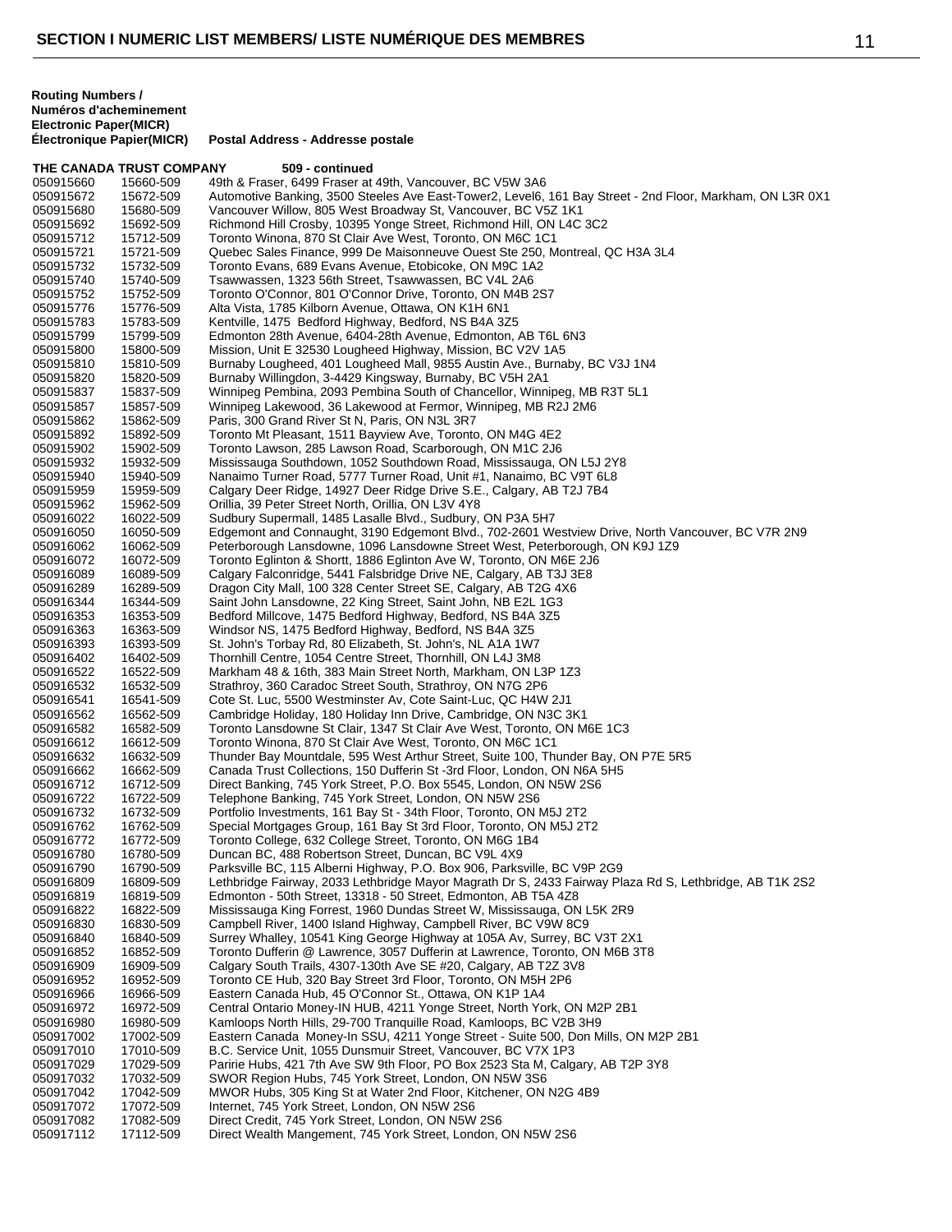**THE CANADA TRUST COMPANY 509 - continued** 050915660 15660-509 49th & Fraser, 6499 Fraser at 49th, Vancouver, BC V5W 3A6<br>050915672 15672-509 Automotive Banking, 3500 Steeles Ave East-Tower2, Level6, 050915672 15672-509 Automotive Banking, 3500 Steeles Ave East-Tower2, Level6, 161 Bay Street - 2nd Floor, Markham, ON L3R 0X1<br>050915680 15680-509 Vancouver Willow, 805 West Broadway St. Vancouver, BC V5Z 1K1 Vancouver Willow, 805 West Broadway St, Vancouver, BC V5Z 1K1 050915692 15692-509 Richmond Hill Crosby, 10395 Yonge Street, Richmond Hill, ON L4C 3C2<br>050915712 15712-509 Toronto Winona, 870 St Clair Ave West, Toronto, ON M6C 1C1 Toronto Winona, 870 St Clair Ave West, Toronto, ON M6C 1C1 050915721 15721-509 Quebec Sales Finance, 999 De Maisonneuve Ouest Ste 250, Montreal, QC H3A 3L4<br>050915732 15732-509 Toronto Evans, 689 Evans Avenue, Etobicoke, ON M9C 1A2 050915732 15732-509 Toronto Evans, 689 Evans Avenue, Etobicoke, ON M9C 1A2 Tsawwassen, 1323 56th Street, Tsawwassen, BC V4L 2A6 050915752 15752-509 Toronto O'Connor, 801 O'Connor Drive, Toronto, ON M4B 2S7<br>050915776 15776-509 Alta Vista, 1785 Kilborn Avenue, Ottawa, ON K1H 6N1 050915776 15776-509 Alta Vista, 1785 Kilborn Avenue, Ottawa, ON K1H 6N1<br>050915783 15783-509 Kentville, 1475 Bedford Highway, Bedford, NS B4A 32 050915783 15783-509 Kentville, 1475 Bedford Highway, Bedford, NS B4A 3Z5<br>050915799 15799-509 Edmonton 28th Avenue, 6404-28th Avenue, Edmonton, 050915799 15799-509 Edmonton 28th Avenue, 6404-28th Avenue, Edmonton, AB T6L 6N3<br>050915800 15800-509 Mission, Unit F 32530 Lougheed Highway, Mission, BC V2V 1A5 050915800 15800-509 Mission, Unit E 32530 Lougheed Highway, Mission, BC V2V 1A5<br>050915810 15810-509 Burnaby Lougheed, 401 Lougheed Mall, 9855 Austin Ave., Burna 050915810 15810-509 Burnaby Lougheed, 401 Lougheed Mall, 9855 Austin Ave., Burnaby, BC V3J 1N4<br>050915820 15820-509 Burnaby Willingdon, 3-4429 Kingsway, Burnaby, BC V5H 2A1 Burnaby Willingdon, 3-4429 Kingsway, Burnaby, BC V5H 2A1 050915837 15837-509 Winnipeg Pembina, 2093 Pembina South of Chancellor, Winnipeg, MB R3T 5L1<br>050915857 15857-509 Winnipeg Lakewood. 36 Lakewood at Fermor. Winnipeg. MB R2J 2M6 050915857 15857-509 Winnipeg Lakewood, 36 Lakewood at Fermor, Winnipeg, MB R2J 2M6<br>050915862 15862-509 Paris, 300 Grand River St N, Paris, ON N3L 3R7 050915862 15862-509 Paris, 300 Grand River St N, Paris, ON N3L 3R7<br>050915892 15892-509 Toronto Mt Pleasant, 1511 Bayview Ave, Toronto 050915892 15892-509 Toronto Mt Pleasant, 1511 Bayview Ave, Toronto, ON M4G 4E2 Toronto Lawson, 285 Lawson Road, Scarborough, ON M1C 2J6 050915932 15932-509 Mississauga Southdown, 1052 Southdown Road, Mississauga, ON L5J 2Y8<br>050915940 15940-509 Nanaimo Turner Road, 5777 Turner Road, Unit #1, Nanaimo, BC V9T 6L8 Nanaimo Turner Road, 5777 Turner Road, Unit #1, Nanaimo, BC V9T 6L8 050915959 15959-509 Calgary Deer Ridge, 14927 Deer Ridge Drive S.E., Calgary, AB T2J 7B4<br>050915962 15962-509 Orillia, 39 Peter Street North, Orillia, ON L3V 4Y8 050915962 15962-509 Orillia, 39 Peter Street North, Orillia, ON L3V 4Y8 Sudbury Supermall, 1485 Lasalle Blvd., Sudbury, ON P3A 5H7 050916050 16050-509 Edgemont and Connaught, 3190 Edgemont Blvd., 702-2601 Westview Drive, North Vancouver, BC V7R 2N9<br>050916062 16062-509 Peterborough Lansdowne, 1096 Lansdowne Street West, Peterborough, ON K9J 1Z9 Peterborough Lansdowne, 1096 Lansdowne Street West, Peterborough, ON K9J 1Z9 050916072 16072-509 Toronto Eglinton & Shortt, 1886 Eglinton Ave W, Toronto, ON M6E 2J6<br>050916089 16089-509 Calgary Falconridge, 5441 Falsbridge Drive NE, Calgary, AB T3J 3E8 050916089 16089-509 Calgary Falconridge, 5441 Falsbridge Drive NE, Calgary, AB T3J 3E8 Dragon City Mall, 100 328 Center Street SE, Calgary, AB T2G 4X6 050916344 16344-509 Saint John Lansdowne, 22 King Street, Saint John, NB E2L 1G3 050916353 16353-509 Bedford Millcove, 1475 Bedford Highway, Bedford, NS B4A 3Z5 050916363 16363-509 Windsor NS, 1475 Bedford Highway, Bedford, NS B4A 3Z5<br>050916393 16393-509 St. John's Torbay Rd, 80 Elizabeth, St. John's, NL A1A 1W7 050916393 16393-509 St. John's Torbay Rd, 80 Elizabeth, St. John's, NL A1A 1W7 Thornhill Centre, 1054 Centre Street, Thornhill, ON L4J 3M8 050916522 16522-509 Markham 48 & 16th, 383 Main Street North, Markham, ON L3P 1Z3<br>050916532 16532-509 Strathroy, 360 Caradoc Street South, Strathroy, ON N7G 2P6 050916532 16532-509 Strathroy, 360 Caradoc Street South, Strathroy, ON N7G 2P6<br>050916541 16541-509 Cote St. Luc, 5500 Westminster Av, Cote Saint-Luc, QC H4W 050916541 16541-509 Cote St. Luc, 5500 Westminster Av, Cote Saint-Luc, QC H4W 2J1<br>050916562 16562-509 Cambridge Holiday, 180 Holiday Inn Drive, Cambridge, ON N3C 3 050916562 16562-509 Cambridge Holiday, 180 Holiday Inn Drive, Cambridge, ON N3C 3K1 050916582 16582-509 Toronto Lansdowne St Clair, 1347 St Clair Ave West, Toronto, ON M6E 1C3<br>050916612 16612-509 Toronto Winona, 870 St Clair Ave West, Toronto, ON M6C 1C1 050916612 16612-509 Toronto Winona, 870 St Clair Ave West, Toronto, ON M6C 1C1<br>050916632 16632-509 Thunder Bay Mountdale. 595 West Arthur Street. Suite 100. Th Thunder Bay Mountdale, 595 West Arthur Street, Suite 100, Thunder Bay, ON P7E 5R5 050916662 16662-509 Canada Trust Collections, 150 Dufferin St -3rd Floor, London, ON N6A 5H5<br>050916712 16712-509 Direct Banking, 745 York Street, P.O. Box 5545, London, ON N5W 2S6 Direct Banking, 745 York Street, P.O. Box 5545, London, ON N5W 2S6 050916722 16722-509 Telephone Banking, 745 York Street, London, ON N5W 2S6<br>050916732 16732-509 Portfolio Investments, 161 Bay St - 34th Floor, Toronto, ON I 050916732 16732-509 Portfolio Investments, 161 Bay St - 34th Floor, Toronto, ON M5J 2T2 Special Mortgages Group, 161 Bay St 3rd Floor, Toronto, ON M5J 2T2 050916772 16772-509 Toronto College, 632 College Street, Toronto, ON M6G 1B4<br>050916780 16780-509 Duncan BC, 488 Robertson Street, Duncan, BC V9L 4X9 Duncan BC, 488 Robertson Street, Duncan, BC V9L 4X9 050916790 16790-509 Parksville BC, 115 Alberni Highway, P.O. Box 906, Parksville, BC V9P 2G9<br>050916809 16809-509 Lethbridge Fairway, 2033 Lethbridge Mayor Magrath Dr S, 2433 Fairway Pla 050916809 16809-509 Lethbridge Fairway, 2033 Lethbridge Mayor Magrath Dr S, 2433 Fairway Plaza Rd S, Lethbridge, AB T1K 2S2<br>050916819 16819-509 Edmonton - 50th Street. 13318 - 50 Street. Edmonton. AB T5A 4Z8 Edmonton - 50th Street, 13318 - 50 Street, Edmonton, AB T5A 4Z8 050916822 16822-509 Mississauga King Forrest, 1960 Dundas Street W, Mississauga, ON L5K 2R9<br>050916830 16830-509 Campbell River, 1400 Island Highway, Campbell River, BC V9W 8C9 050916830 16830-509 Campbell River, 1400 Island Highway, Campbell River, BC V9W 8C9<br>050916840 16840-509 Surrey Whalley, 10541 King George Highway at 105A Av, Surrey, BC 050916840 16840-509 Surrey Whalley, 10541 King George Highway at 105A Av, Surrey, BC V3T 2X1<br>050916852 16852-509 Toronto Dufferin @ Lawrence, 3057 Dufferin at Lawrence, Toronto, ON M6B 31 050916852 16852-509 Toronto Dufferin @ Lawrence, 3057 Dufferin at Lawrence, Toronto, ON M6B 3T8<br>050916909 16909-509 Calgary South Trails, 4307-130th Ave SF #20, Calgary, AB T27 3V8 Calgary South Trails, 4307-130th Ave SE #20, Calgary, AB T2Z 3V8 050916952 16952-509 Toronto CE Hub, 320 Bay Street 3rd Floor, Toronto, ON M5H 2P6<br>050916966 16966-509 Eastern Canada Hub, 45 O'Connor St., Ottawa, ON K1P 1A4 050916966 16966-509 Eastern Canada Hub, 45 O'Connor St., Ottawa, ON K1P 1A4<br>050916972 16972-509 Central Ontario Money-IN HUB, 4211 Yonge Street, North Yo 050916972 16972-509 Central Ontario Money-IN HUB, 4211 Yonge Street, North York, ON M2P 2B1<br>050916980 16980-509 Kamloops North Hills. 29-700 Tranguille Road. Kamloops. BC V2B 3H9 050916980 16980-509 Kamloops North Hills, 29-700 Tranquille Road, Kamloops, BC V2B 3H9<br>050917002 17002-509 Eastern Canada Money-In SSU, 4211 Yonge Street - Suite 500, Don M 050917002 17002-509 Eastern Canada Money-In SSU, 4211 Yonge Street - Suite 500, Don Mills, ON M2P 2B1<br>050917010 17010-509 B.C. Service Unit, 1055 Dunsmuir Street, Vancouver, BC V7X 1P3 050917010 17010-509 B.C. Service Unit, 1055 Dunsmuir Street, Vancouver, BC V7X 1P3<br>050917029 17029-509 Paririe Hubs. 421 7th Ave SW 9th Floor. PO Box 2523 Sta M. Calg Paririe Hubs, 421 7th Ave SW 9th Floor, PO Box 2523 Sta M, Calgary, AB T2P 3Y8 050917032 17032-509 SWOR Region Hubs, 745 York Street, London, ON N5W 3S6<br>050917042 17042-509 MWOR Hubs, 305 King St at Water 2nd Floor, Kitchener, ON MWOR Hubs, 305 King St at Water 2nd Floor, Kitchener, ON N2G 4B9 050917072 17072-509 Internet, 745 York Street, London, ON N5W 2S6<br>050917082 17082-509 Direct Credit, 745 York Street, London, ON N5W 050917082 17082-509 Direct Credit, 745 York Street, London, ON N5W 2S6<br>050917112 17112-509 Direct Wealth Mangement, 745 York Street, London, Direct Wealth Mangement, 745 York Street, London, ON N5W 2S6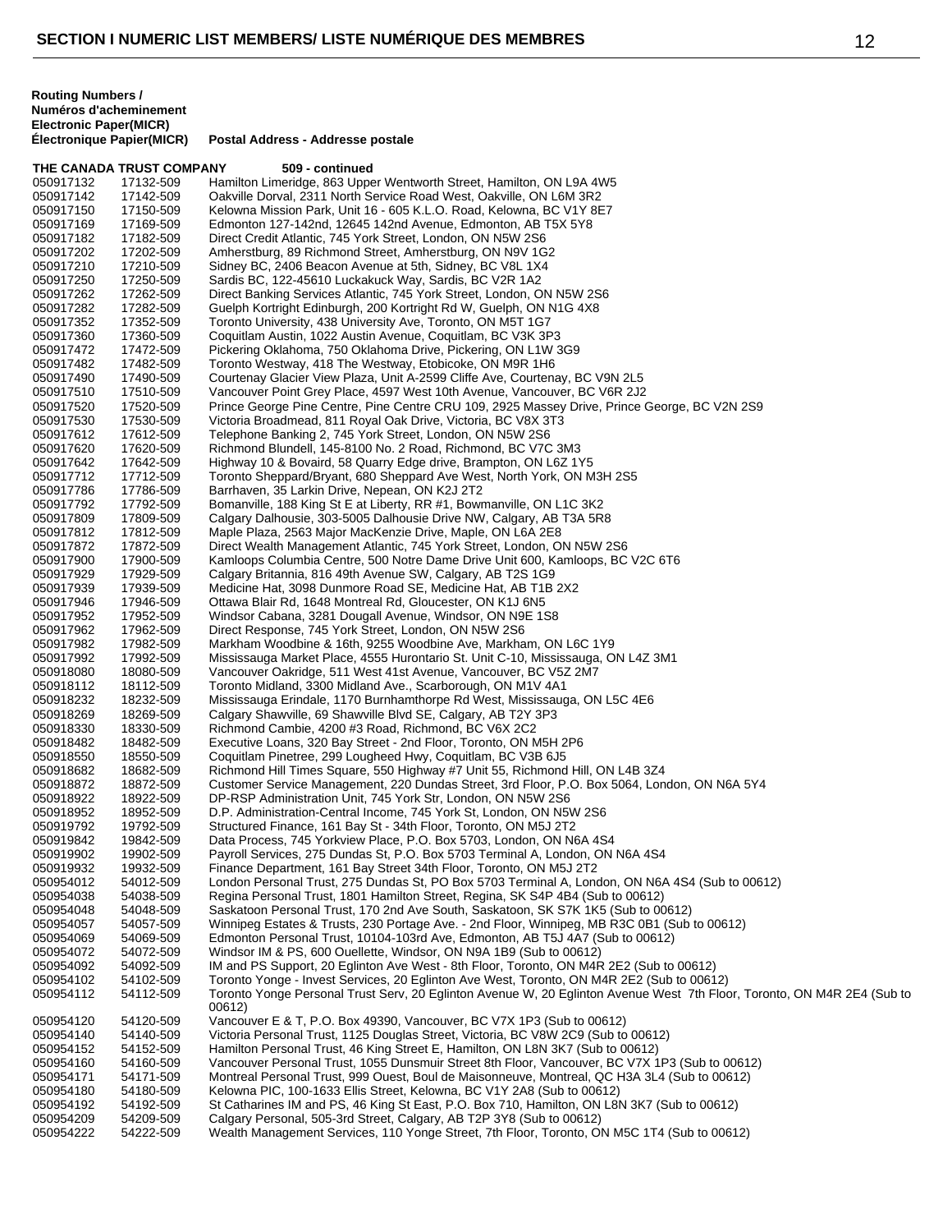| <b>Routing Numbers /</b>      |                                   |
|-------------------------------|-----------------------------------|
| Numéros d'acheminement        |                                   |
| <b>Electronic Paper(MICR)</b> |                                   |
| Electronique Papier(MICR)     | Postal Address - Addresse postale |

**THE CANADA TRUST COMPANY 509 - continued** 050917132 17132-509 Hamilton Limeridge, 863 Upper Wentworth Street, Hamilton, ON L9A 4W5<br>050917142 17142-509 Oakville Dorval, 2311 North Service Road West, Oakville, ON L6M 3R2 050917142 17142-509 Oakville Dorval, 2311 North Service Road West, Oakville, ON L6M 3R2<br>050917150 17150-509 Kelowna Mission Park. Unit 16 - 605 K.L.O. Road. Kelowna. BC V1Y 8E Kelowna Mission Park, Unit 16 - 605 K.L.O. Road, Kelowna, BC V1Y 8E7 050917169 17169-509 Edmonton 127-142nd, 12645 142nd Avenue, Edmonton, AB T5X 5Y8<br>050917182 17182-509 Direct Credit Atlantic, 745 York Street, London, ON N5W 2S6 Direct Credit Atlantic, 745 York Street, London, ON N5W 2S6 050917202 17202-509 Amherstburg, 89 Richmond Street, Amherstburg, ON N9V 1G2<br>050917210 17210-509 Sidney BC, 2406 Beacon Avenue at 5th, Sidney, BC V8L 1X4 050917210 17210-509 Sidney BC, 2406 Beacon Avenue at 5th, Sidney, BC V8L 1X4<br>050917250 17250-509 Sardis BC, 122-45610 Luckakuck Way, Sardis, BC V2R 1A2 Sardis BC, 122-45610 Luckakuck Way, Sardis, BC V2R 1A2 050917262 17262-509 Direct Banking Services Atlantic, 745 York Street, London, ON N5W 2S6<br>050917282 17282-509 Guelph Kortright Edinburgh, 200 Kortright Rd W, Guelph, ON N1G 4X8 17282-509 Guelph Kortright Edinburgh, 200 Kortright Rd W, Guelph, ON N1G 4X8<br>17352-509 Toronto University, 438 University Ave, Toronto, ON M5T 1G7 050917352 17352-509 Toronto University, 438 University Ave, Toronto, ON M5T 1G7 050917360 17360-509 Coquitlam Austin, 1022 Austin Avenue, Coquitlam, BC V3K 3P3 Pickering Oklahoma, 750 Oklahoma Drive, Pickering, ON L1W 3G9 050917482 17482-509 Toronto Westway, 418 The Westway, Etobicoke, ON M9R 1H6<br>050917490 17490-509 Courtenay Glacier View Plaza, Unit A-2599 Cliffe Ave, Courtena Courtenay Glacier View Plaza, Unit A-2599 Cliffe Ave, Courtenay, BC V9N 2L5 050917510 17510-509 Vancouver Point Grey Place, 4597 West 10th Avenue, Vancouver, BC V6R 2J2 050917520 17520-509 Prince George Pine Centre, Pine Centre CRU 109, 2925 Massey Drive, Prince George, BC V2N 2S9 050917530 17530-509 Victoria Broadmead, 811 Royal Oak Drive, Victoria, BC V8X 3T3<br>050917612 17612-509 Telephone Banking 2, 745 York Street, London, ON N5W 2S6 050917612 17612-509 Telephone Banking 2, 745 York Street, London, ON N5W 2S6<br>050917620 17620-509 Richmond Blundell. 145-8100 No. 2 Road. Richmond. BC V7C Richmond Blundell, 145-8100 No. 2 Road, Richmond, BC V7C 3M3 050917642 17642-509 Highway 10 & Bovaird, 58 Quarry Edge drive, Brampton, ON L6Z 1Y5<br>050917712 17712-509 Toronto Sheppard/Bryant, 680 Sheppard Ave West, North York, ON M 050917712 17712-509 Toronto Sheppard/Bryant, 680 Sheppard Ave West, North York, ON M3H 2S5<br>050917786 17786-509 Barrhaven. 35 Larkin Drive. Nepean. ON K2J 2T2 050917786 17786-509 Barrhaven, 35 Larkin Drive, Nepean, ON K2J 2T2<br>050917792 17792-509 Bomanville, 188 King St E at Liberty, RR #1, Bowr 050917792 17792-509 Bomanville, 188 King St E at Liberty, RR #1, Bowmanville, ON L1C 3K2<br>050917809 17809-509 Calgary Dalhousie, 303-5005 Dalhousie Drive NW, Calgary, AB T3A 5R 050917809 17809-509 Calgary Dalhousie, 303-5005 Dalhousie Drive NW, Calgary, AB T3A 5R8 050917812 17812-509 Maple Plaza, 2563 Major MacKenzie Drive, Maple, ON L6A 2E8 Direct Wealth Management Atlantic, 745 York Street, London, ON N5W 2S6 050917900 17900-509 Kamloops Columbia Centre, 500 Notre Dame Drive Unit 600, Kamloops, BC V2C 6T6<br>050917929 17929-509 Calgary Britannia, 816 49th Avenue SW, Calgary, AB T2S 1G9 050917929 17929-509 Calgary Britannia, 816 49th Avenue SW, Calgary, AB T2S 1G9 Medicine Hat, 3098 Dunmore Road SE, Medicine Hat, AB T1B 2X2 050917946 17946-509 Ottawa Blair Rd, 1648 Montreal Rd, Gloucester, ON K1J 6N5<br>050917952 17952-509 Windsor Cabana, 3281 Dougall Avenue, Windsor, ON N9E 19 Windsor Cabana, 3281 Dougall Avenue, Windsor, ON N9E 1S8 050917962 17962-509 Direct Response, 745 York Street, London, ON N5W 2S6<br>050917982 17982-509 Markham Woodbine & 16th, 9255 Woodbine Ave, Markha 050917982 17982-509 Markham Woodbine & 16th, 9255 Woodbine Ave, Markham, ON L6C 1Y9 050917992 17992-509 Mississauga Market Place, 4555 Hurontario St. Unit C-10, Mississauga, ON L4Z 3M1<br>050918080 18080-509 Vancouver Oakridge, 511 West 41st Avenue, Vancouver, BC V5Z 2M7 050918080 18080-509 Vancouver Oakridge, 511 West 41st Avenue, Vancouver, BC V5Z 2M7<br>050918112 18112-509 Toronto Midland, 3300 Midland Ave., Scarborough, ON M1V 4A1 Toronto Midland, 3300 Midland Ave., Scarborough, ON M1V 4A1 050918232 18232-509 Mississauga Erindale, 1170 Burnhamthorpe Rd West, Mississauga, ON L5C 4E6 050918269 18269-509 Calgary Shawville, 69 Shawville Blvd SE, Calgary, AB T2Y 3P3<br>050918330 18330-509 Richmond Cambie, 4200 #3 Road, Richmond, BC V6X 2C2 050918330 18330-509 Richmond Cambie, 4200 #3 Road, Richmond, BC V6X 2C2<br>050918482 18482-509 Executive Loans, 320 Bay Street - 2nd Floor, Toronto, ON M 050918482 18482-509 Executive Loans, 320 Bay Street - 2nd Floor, Toronto, ON M5H 2P6<br>050918550 18550-509 Coquitlam Pinetree. 299 Lougheed Hwy. Coquitlam. BC V3B 6J5 Coquitlam Pinetree, 299 Lougheed Hwy, Coquitlam, BC V3B 6J5 050918682 18682-509 Richmond Hill Times Square, 550 Highway #7 Unit 55, Richmond Hill, ON L4B 3Z4<br>050918872 18872-509 Customer Service Management, 220 Dundas Street, 3rd Floor, P.O. Box 5064, Lon Customer Service Management, 220 Dundas Street, 3rd Floor, P.O. Box 5064, London, ON N6A 5Y4 050918922 18922-509 DP-RSP Administration Unit, 745 York Str, London, ON N5W 2S6 050918952 18952-509 D.P. Administration-Central Income, 745 York St, London, ON N5W 2S6<br>050919792 19792-509 Structured Finance. 161 Bav St - 34th Floor. Toronto. ON M5J 2T2 050919792 19792-509 Structured Finance, 161 Bay St - 34th Floor, Toronto, ON M5J 2T2 050919842 19842-509 Data Process, 745 Yorkview Place, P.O. Box 5703, London, ON N6A 4S4<br>050919902 19902-509 Payroll Services, 275 Dundas St, P.O. Box 5703 Terminal A, London, ON Payroll Services, 275 Dundas St, P.O. Box 5703 Terminal A, London, ON N6A 4S4 050919932 19932-509 Finance Department, 161 Bay Street 34th Floor, Toronto, ON M5J 2T2 050954012 54012-509 London Personal Trust, 275 Dundas St, PO Box 5703 Terminal A, London, ON N6A 4S4 (Sub to 00612)<br>050954038 54038-509 Regina Personal Trust, 1801 Hamilton Street, Regina, SK S4P 4B4 (Sub to 00612) Regina Personal Trust, 1801 Hamilton Street, Regina, SK S4P 4B4 (Sub to 00612) 050954048 54048-509 Saskatoon Personal Trust, 170 2nd Ave South, Saskatoon, SK S7K 1K5 (Sub to 00612)<br>050954057 54057-509 Winnipeg Estates & Trusts, 230 Portage Ave. - 2nd Floor, Winnipeg, MB R3C 0B1 (Sub 050954057 54057-509 Winnipeg Estates & Trusts, 230 Portage Ave. - 2nd Floor, Winnipeg, MB R3C 0B1 (Sub to 00612)<br>050954069 54069-509 Fdmonton Personal Trust. 10104-103rd Ave. Edmonton. AB T5.I 4A7 (Sub to 00612) 050954069 54069-509 Edmonton Personal Trust, 10104-103rd Ave, Edmonton, AB T5J 4A7 (Sub to 00612)<br>050954072 54072-509 Windsor IM & PS, 600 Ouellette, Windsor, ON N9A 1B9 (Sub to 00612) Windsor IM & PS, 600 Ouellette, Windsor, ON N9A 1B9 (Sub to 00612) 050954092 54092-509 IM and PS Support, 20 Eglinton Ave West - 8th Floor, Toronto, ON M4R 2E2 (Sub to 00612) 050954102 54102-509 Toronto Yonge - Invest Services, 20 Eglinton Ave West, Toronto, ON M4R 2E2 (Sub to 00612)<br>050954112 54112-509 Toronto Yonge Personal Trust Serv, 20 Eglinton Avenue W, 20 Eglinton Avenue West 7th Floc Toronto Yonge Personal Trust Serv, 20 Eglinton Avenue W, 20 Eglinton Avenue West 7th Floor, Toronto, ON M4R 2E4 (Sub to 00612) 050954120 54120-509 Vancouver E & T, P.O. Box 49390, Vancouver, BC V7X 1P3 (Sub to 00612) 050954140 54140-509 Victoria Personal Trust, 1125 Douglas Street, Victoria, BC V8W 2C9 (Sub to 00612) 050954152 54152-509 Hamilton Personal Trust, 46 King Street E, Hamilton, ON L8N 3K7 (Sub to 00612) 050954160 54160-509 Vancouver Personal Trust, 1055 Dunsmuir Street 8th Floor, Vancouver, BC V7X 1P3 (Sub to 00612) 050954171 54171-509 Montreal Personal Trust, 999 Ouest, Boul de Maisonneuve, Montreal, QC H3A 3L4 (Sub to 00612) 050954180 54180-509 Kelowna PIC, 100-1633 Ellis Street, Kelowna, BC V1Y 2A8 (Sub to 00612) 050954192 54192-509 St Catharines IM and PS, 46 King St East, P.O. Box 710, Hamilton, ON L8N 3K7 (Sub to 00612) 050954209 54209-509 Calgary Personal, 505-3rd Street, Calgary, AB T2P 3Y8 (Sub to 00612) 050954222 54222-509 Wealth Management Services, 110 Yonge Street, 7th Floor, Toronto, ON M5C 1T4 (Sub to 00612)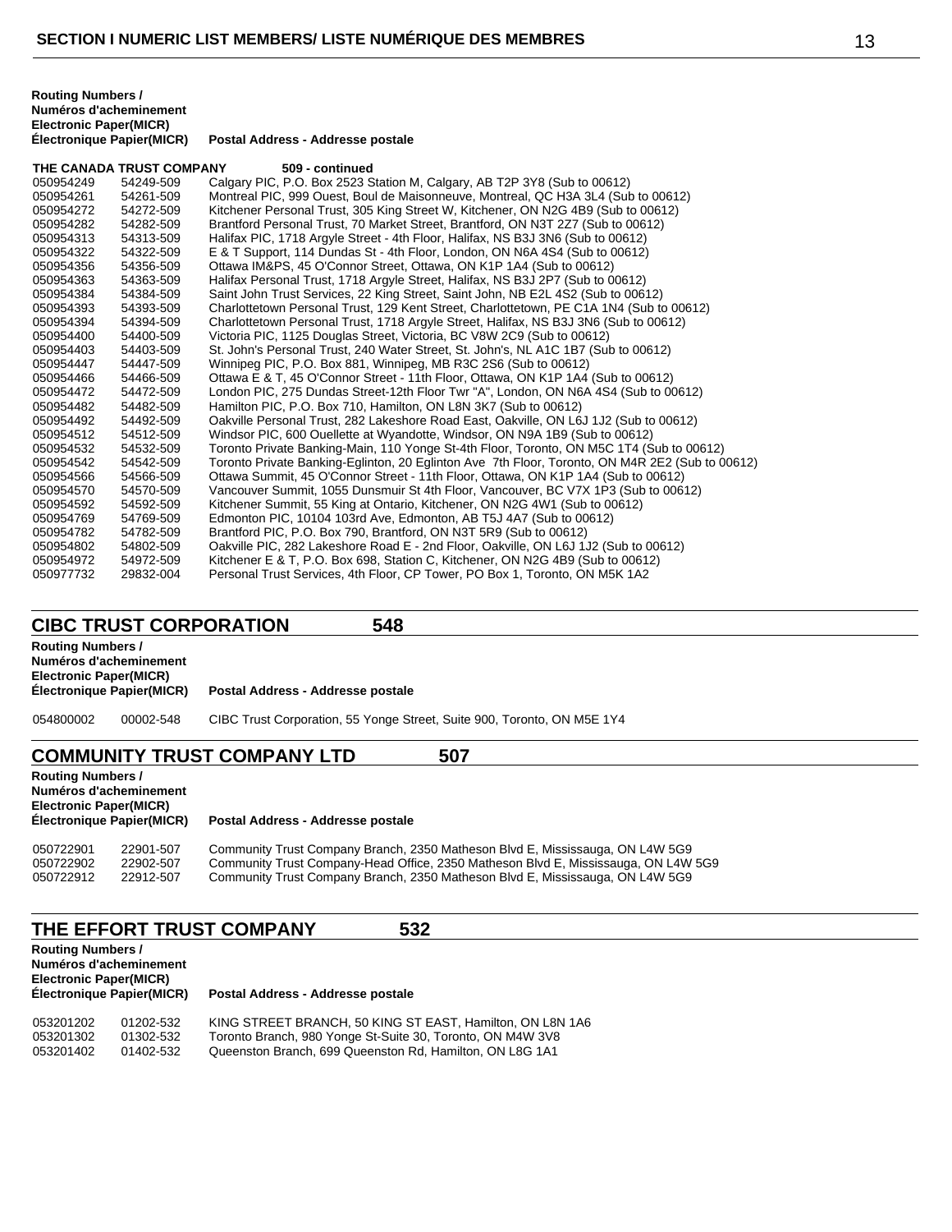| <b>Routing Numbers /</b>      |                                   |
|-------------------------------|-----------------------------------|
| Numéros d'acheminement        |                                   |
| <b>Electronic Paper(MICR)</b> |                                   |
| Electronique Papier(MICR)     | Postal Address - Addresse postale |

**THE CANADA TRUST COMPANY 509 - continued**

|           | IIIL YANAPA INYYI YYIII AN |                                                                                                 |
|-----------|----------------------------|-------------------------------------------------------------------------------------------------|
| 050954249 | 54249-509                  | Calgary PIC, P.O. Box 2523 Station M, Calgary, AB T2P 3Y8 (Sub to 00612)                        |
| 050954261 | 54261-509                  | Montreal PIC, 999 Ouest, Boul de Maisonneuve, Montreal, QC H3A 3L4 (Sub to 00612)               |
| 050954272 | 54272-509                  | Kitchener Personal Trust, 305 King Street W, Kitchener, ON N2G 4B9 (Sub to 00612)               |
| 050954282 | 54282-509                  | Brantford Personal Trust, 70 Market Street, Brantford, ON N3T 2Z7 (Sub to 00612)                |
| 050954313 | 54313-509                  | Halifax PIC, 1718 Argyle Street - 4th Floor, Halifax, NS B3J 3N6 (Sub to 00612)                 |
| 050954322 | 54322-509                  | E & T Support, 114 Dundas St - 4th Floor, London, ON N6A 4S4 (Sub to 00612)                     |
| 050954356 | 54356-509                  | Ottawa IM&PS, 45 O'Connor Street, Ottawa, ON K1P 1A4 (Sub to 00612)                             |
| 050954363 | 54363-509                  | Halifax Personal Trust, 1718 Argyle Street, Halifax, NS B3J 2P7 (Sub to 00612)                  |
| 050954384 | 54384-509                  | Saint John Trust Services, 22 King Street, Saint John, NB E2L 4S2 (Sub to 00612)                |
| 050954393 | 54393-509                  | Charlottetown Personal Trust, 129 Kent Street, Charlottetown, PE C1A 1N4 (Sub to 00612)         |
| 050954394 | 54394-509                  | Charlottetown Personal Trust, 1718 Argyle Street, Halifax, NS B3J 3N6 (Sub to 00612)            |
| 050954400 | 54400-509                  | Victoria PIC, 1125 Douglas Street, Victoria, BC V8W 2C9 (Sub to 00612)                          |
| 050954403 | 54403-509                  | St. John's Personal Trust, 240 Water Street, St. John's, NL A1C 1B7 (Sub to 00612)              |
| 050954447 | 54447-509                  | Winnipeg PIC, P.O. Box 881, Winnipeg, MB R3C 2S6 (Sub to 00612)                                 |
| 050954466 | 54466-509                  | Ottawa E & T, 45 O'Connor Street - 11th Floor, Ottawa, ON K1P 1A4 (Sub to 00612)                |
| 050954472 | 54472-509                  | London PIC, 275 Dundas Street-12th Floor Twr "A", London, ON N6A 4S4 (Sub to 00612)             |
| 050954482 | 54482-509                  | Hamilton PIC, P.O. Box 710, Hamilton, ON L8N 3K7 (Sub to 00612)                                 |
| 050954492 | 54492-509                  | Oakville Personal Trust, 282 Lakeshore Road East, Oakville, ON L6J 1J2 (Sub to 00612)           |
| 050954512 | 54512-509                  | Windsor PIC, 600 Ouellette at Wyandotte, Windsor, ON N9A 1B9 (Sub to 00612)                     |
| 050954532 | 54532-509                  | Toronto Private Banking-Main, 110 Yonge St-4th Floor, Toronto, ON M5C 1T4 (Sub to 00612)        |
| 050954542 | 54542-509                  | Toronto Private Banking-Eglinton, 20 Eglinton Ave 7th Floor, Toronto, ON M4R 2E2 (Sub to 00612) |
| 050954566 | 54566-509                  | Ottawa Summit, 45 O'Connor Street - 11th Floor, Ottawa, ON K1P 1A4 (Sub to 00612)               |
| 050954570 | 54570-509                  | Vancouver Summit, 1055 Dunsmuir St 4th Floor, Vancouver, BC V7X 1P3 (Sub to 00612)              |
| 050954592 | 54592-509                  | Kitchener Summit, 55 King at Ontario, Kitchener, ON N2G 4W1 (Sub to 00612)                      |
| 050954769 | 54769-509                  | Edmonton PIC, 10104 103rd Ave, Edmonton, AB T5J 4A7 (Sub to 00612)                              |
| 050954782 | 54782-509                  | Brantford PIC, P.O. Box 790, Brantford, ON N3T 5R9 (Sub to 00612)                               |
| 050954802 | 54802-509                  | Oakville PIC, 282 Lakeshore Road E - 2nd Floor, Oakville, ON L6J 1J2 (Sub to 00612)             |
| 050954972 | 54972-509                  | Kitchener E & T, P.O. Box 698, Station C, Kitchener, ON N2G 4B9 (Sub to 00612)                  |
| 050977732 | 29832-004                  | Personal Trust Services, 4th Floor, CP Tower, PO Box 1, Toronto, ON M5K 1A2                     |

# **CIBC TRUST CORPORATION 548**

**Routing Numbers / Numéros d'acheminement Electronic Paper(MICR) Postal Address - Addresse postale** 

00002-548 CIBC Trust Corporation, 55 Yonge Street, Suite 900, Toronto, ON M5E 1Y4

## **COMMUNITY TRUST COMPANY LTD 507**

**Routing Numbers / Numéros d'acheminement Electronic Paper(MICR) Électronique Papier(MICR) Postal Address - Addresse postale**

050722901 22901-507 Community Trust Company Branch, 2350 Matheson Blvd E, Mississauga, ON L4W 5G9<br>050722902 22902-507 Community Trust Company-Head Office. 2350 Matheson Blvd E. Mississauga. ON L4W 22902-507 Community Trust Company-Head Office, 2350 Matheson Blvd E, Mississauga, ON L4W 5G9 22912-507 Community Trust Company Branch, 2350 Matheson Blvd E, Mississauga, ON L4W 5G9

# **THE EFFORT TRUST COMPANY 532**

**Routing Numbers / Numéros d'acheminement**

#### **Electronic Paper(MICR) Postal Address - Addresse postale**

| 053201202 | 01202-532 | KING STREET BRANCH, 50 KING ST EAST, Hamilton, ON L8N 1A6  |
|-----------|-----------|------------------------------------------------------------|
| 053201302 | 01302-532 | Toronto Branch, 980 Yonge St-Suite 30, Toronto, ON M4W 3V8 |
| 053201402 | 01402-532 | Queenston Branch, 699 Queenston Rd. Hamilton, ON L8G 1A1   |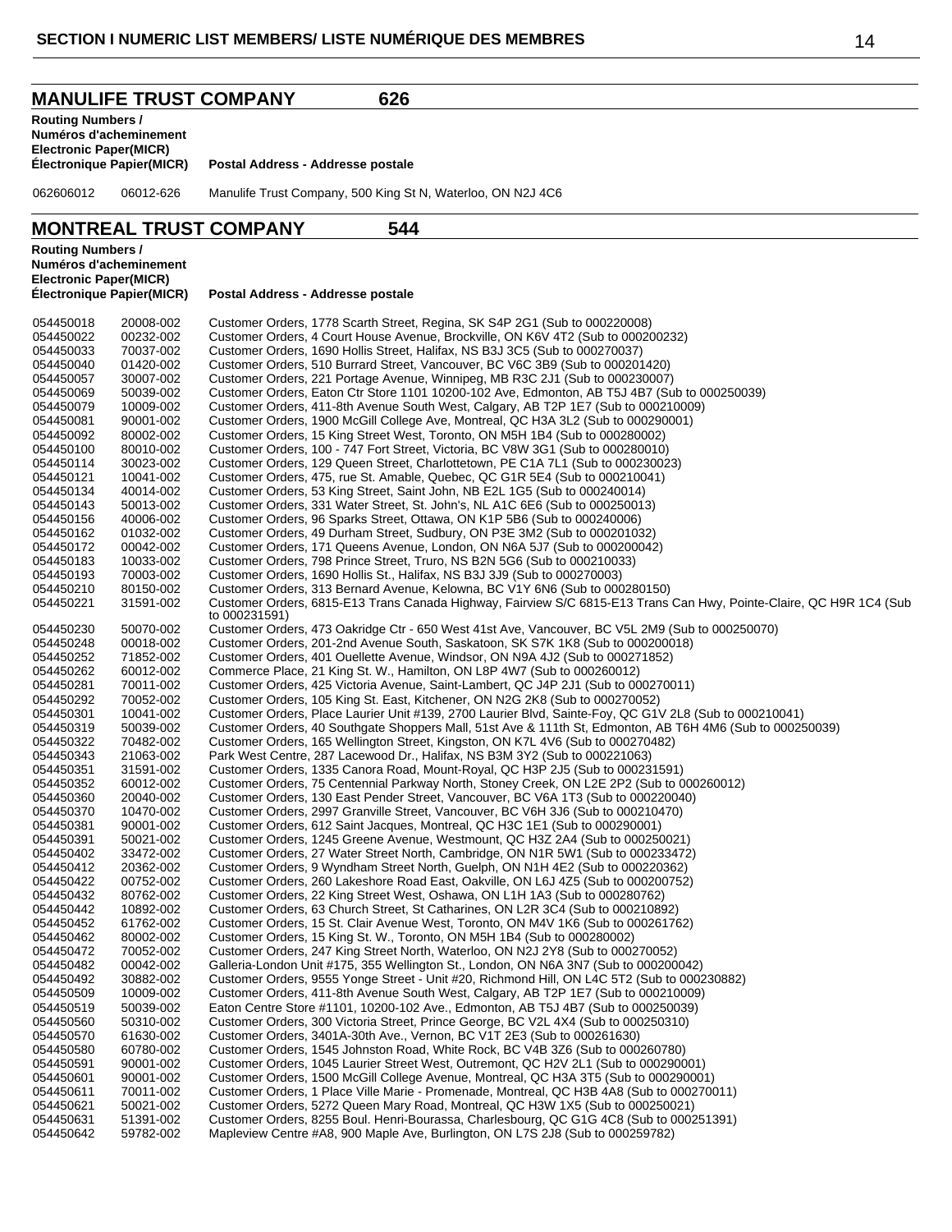**MANULIFE TRUST COMPANY 626 Routing Numbers / Numéros d'acheminement Electronic Paper(MICR) Électronique Papier(MICR) Postal Address - Addresse postale** 062606012 06012-626 Manulife Trust Company, 500 King St N, Waterloo, ON N2J 4C6 **MONTREAL TRUST COMPANY 544 Routing Numbers / Numéros d'acheminement Electronic Paper(MICR) Électronique Papier(MICR) Postal Address - Addresse postale** 054450018 20008-002 Customer Orders, 1778 Scarth Street, Regina, SK S4P 2G1 (Sub to 000220008) 054450022 00232-002 Customer Orders, 4 Court House Avenue, Brockville, ON K6V 4T2 (Sub to 000200232) 054450033 70037-002 Customer Orders, 1690 Hollis Street, Halifax, NS B3J 3C5 (Sub to 000270037) 054450040 01420-002 Customer Orders, 510 Burrard Street, Vancouver, BC V6C 3B9 (Sub to 000201420) 054450057 30007-002 Customer Orders, 221 Portage Avenue, Winnipeg, MB R3C 2J1 (Sub to 000230007) 054450069 50039-002 Customer Orders, Eaton Ctr Store 1101 10200-102 Ave, Edmonton, AB T5J 4B7 (Sub to 000250039) 054450079 10009-002 Customer Orders, 411-8th Avenue South West, Calgary, AB T2P 1E7 (Sub to 000210009) 054450081 90001-002 Customer Orders, 1900 McGill College Ave, Montreal, QC H3A 3L2 (Sub to 000290001) 054450092 80002-002 Customer Orders, 15 King Street West, Toronto, ON M5H 1B4 (Sub to 000280002) 054450100 80010-002 Customer Orders, 100 - 747 Fort Street, Victoria, BC V8W 3G1 (Sub to 000280010) 054450114 30023-002 Customer Orders, 129 Queen Street, Charlottetown, PE C1A 7L1 (Sub to 000230023)<br>054450121 10041-002 Customer Orders, 475, rue St. Amable, Quebec, QC G1R 5E4 (Sub to 000210041) 054450121 10041-002 Customer Orders, 475, rue St. Amable, Quebec, QC G1R 5E4 (Sub to 000210041) 054450134 40014-002 Customer Orders, 53 King Street, Saint John, NB E2L 1G5 (Sub to 000240014) 054450143 50013-002 Customer Orders, 331 Water Street, St. John's, NL A1C 6E6 (Sub to 000250013) 054450156 40006-002 Customer Orders, 96 Sparks Street, Ottawa, ON K1P 5B6 (Sub to 000240006) 054450162 01032-002 Customer Orders, 49 Durham Street, Sudbury, ON P3E 3M2 (Sub to 000201032) 054450172 00042-002 Customer Orders, 171 Queens Avenue, London, ON N6A 5J7 (Sub to 000200042) 054450183 10033-002 Customer Orders, 798 Prince Street, Truro, NS B2N 5G6 (Sub to 000210033) 054450193 70003-002 Customer Orders, 1690 Hollis St., Halifax, NS B3J 3J9 (Sub to 000270003) 80150-002 Customer Orders, 313 Bernard Avenue, Kelowna, BC V1Y 6N6 (Sub to 000280150) 054450221 31591-002 Customer Orders, 6815-E13 Trans Canada Highway, Fairview S/C 6815-E13 Trans Can Hwy, Pointe-Claire, QC H9R 1C4 (Sub to 000231591) 054450230 50070-002 Customer Orders, 473 Oakridge Ctr - 650 West 41st Ave, Vancouver, BC V5L 2M9 (Sub to 000250070)<br>054450248 00018-002 Customer Orders, 201-2nd Avenue South, Saskatoon, SK S7K 1K8 (Sub to 000200018) 054450248 00018-002 Customer Orders, 201-2nd Avenue South, Saskatoon, SK S7K 1K8 (Sub to 000200018)<br>054450252 71852-002 Customer Orders, 401 Ouellette Avenue, Windsor, ON N9A 4J2 (Sub to 000271852) Customer Orders, 401 Ouellette Avenue, Windsor, ON N9A 4J2 (Sub to 000271852) 054450262 60012-002 Commerce Place, 21 King St. W., Hamilton, ON L8P 4W7 (Sub to 000260012) 054450281 70011-002 Customer Orders, 425 Victoria Avenue, Saint-Lambert, QC J4P 2J1 (Sub to 000270011)<br>054450292 70052-002 Customer Orders, 105 King St. East. Kitchener, ON N2G 2K8 (Sub to 000270052) Customer Orders, 105 King St. East, Kitchener, ON N2G 2K8 (Sub to 000270052) 054450301 10041-002 Customer Orders, Place Laurier Unit #139, 2700 Laurier Blvd, Sainte-Foy, QC G1V 2L8 (Sub to 000210041)<br>054450319 50039-002 Customer Orders, 40 Southgate Shoppers Mall, 51st Ave & 111th St, Edmonton, AB 054450319 50039-002 Customer Orders, 40 Southgate Shoppers Mall, 51st Ave & 111th St, Edmonton, AB T6H 4M6 (Sub to 000250039)<br>054450322 70482-002 Customer Orders, 165 Wellington Street, Kingston, ON K7L 4V6 (Sub to 0002704 054450322 70482-002 Customer Orders, 165 Wellington Street, Kingston, ON K7L 4V6 (Sub to 000270482)<br>054450343 21063-002 Park West Centre, 287 Lacewood Dr., Halifax, NS B3M 3Y2 (Sub to 000221063) 054450343 21063-002 Park West Centre, 287 Lacewood Dr., Halifax, NS B3M 3Y2 (Sub to 000221063) Customer Orders, 1335 Canora Road, Mount-Royal, QC H3P 2J5 (Sub to 000231591) 054450352 60012-002 Customer Orders, 75 Centennial Parkway North, Stoney Creek, ON L2E 2P2 (Sub to 000260012)<br>054450360 20040-002 Customer Orders, 130 East Pender Street, Vancouver, BC V6A 1T3 (Sub to 000220040) 054450360 20040-002 Customer Orders, 130 East Pender Street, Vancouver, BC V6A 1T3 (Sub to 000220040)<br>054450370 10470-002 Customer Orders, 2997 Granville Street, Vancouver, BC V6H 3J6 (Sub to 000210470) 054450370 10470-002 Customer Orders, 2997 Granville Street, Vancouver, BC V6H 3J6 (Sub to 000210470)<br>054450381 90001-002 Customer Orders, 612 Saint Jacques, Montreal, QC H3C 1E1 (Sub to 000290001) 054450381 90001-002 Customer Orders, 612 Saint Jacques, Montreal, QC H3C 1E1 (Sub to 000290001) 054450391 50021-002 Customer Orders, 1245 Greene Avenue, Westmount, QC H3Z 2A4 (Sub to 000250021) 054450402 33472-002 Customer Orders, 27 Water Street North, Cambridge, ON N1R 5W1 (Sub to 000233472)<br>054450412 20362-002 Customer Orders, 9 Wyndham Street North, Guelph, ON N1H 4E2 (Sub to 000220362) 054450412 20362-002 Customer Orders, 9 Wyndham Street North, Guelph, ON N1H 4E2 (Sub to 000220362) 054450422 00752-002 Customer Orders, 260 Lakeshore Road East, Oakville, ON L6J 4Z5 (Sub to 000200752)<br>054450432 80762-002 Customer Orders, 22 King Street West, Oshawa, ON L1H 1A3 (Sub to 000280762) 054450432 80762-002 Customer Orders, 22 King Street West, Oshawa, ON L1H 1A3 (Sub to 000280762) 054450442 10892-002 Customer Orders, 63 Church Street, St Catharines, ON L2R 3C4 (Sub to 000210892)<br>054450452 61762-002 Customer Orders, 15 St. Clair Avenue West, Toronto, ON M4V 1K6 (Sub to 00026176 054450452 61762-002 Customer Orders, 15 St. Clair Avenue West, Toronto, ON M4V 1K6 (Sub to 000261762)<br>054450462 80002-002 Customer Orders, 15 King St. W., Toronto, ON M5H 1B4 (Sub to 000280002) Customer Orders, 15 King St. W., Toronto, ON M5H 1B4 (Sub to 000280002) 054450472 70052-002 Customer Orders, 247 King Street North, Waterloo, ON N2J 2Y8 (Sub to 000270052)<br>054450482 00042-002 Galleria-London Unit #175, 355 Wellington St., London, ON N6A 3N7 (Sub to 000200 Galleria-London Unit #175, 355 Wellington St., London, ON N6A 3N7 (Sub to 000200042) 054450492 30882-002 Customer Orders, 9555 Yonge Street - Unit #20, Richmond Hill, ON L4C 5T2 (Sub to 000230882)<br>054450509 10009-002 Customer Orders, 411-8th Avenue South West, Calgary, AB T2P 1E7 (Sub to 000210009) 054450509 10009-002 Customer Orders, 411-8th Avenue South West, Calgary, AB T2P 1E7 (Sub to 000210009)<br>054450519 50039-002 Eaton Centre Store #1101, 10200-102 Ave.. Edmonton, AB T5J 4B7 (Sub to 000250039) Eaton Centre Store #1101, 10200-102 Ave., Edmonton, AB T5J 4B7 (Sub to 000250039) 054450560 50310-002 Customer Orders, 300 Victoria Street, Prince George, BC V2L 4X4 (Sub to 000250310)<br>054450570 61630-002 Customer Orders, 3401A-30th Ave., Vernon, BC V1T 2E3 (Sub to 000261630) 054450570 61630-002 Customer Orders, 3401A-30th Ave., Vernon, BC V1T 2E3 (Sub to 000261630) 054450580 60780-002 Customer Orders, 1545 Johnston Road, White Rock, BC V4B 3Z6 (Sub to 000260780)<br>054450591 90001-002 Customer Orders, 1045 Laurier Street West, Outremont, QC H2V 2L1 (Sub to 0002900 054450591 90001-002 Customer Orders, 1045 Laurier Street West, Outremont, QC H2V 2L1 (Sub to 000290001) Customer Orders, 1500 McGill College Avenue, Montreal, QC H3A 3T5 (Sub to 000290001) 054450611 70011-002 Customer Orders, 1 Place Ville Marie - Promenade, Montreal, QC H3B 4A8 (Sub to 000270011)<br>054450621 50021-002 Customer Orders, 5272 Queen Mary Road, Montreal, QC H3W 1X5 (Sub to 000250021) 054450621 50021-002 Customer Orders, 5272 Queen Mary Road, Montreal, QC H3W 1X5 (Sub to 000250021) 054450631 51391-002 Customer Orders, 8255 Boul. Henri-Bourassa, Charlesbourg, QC G1G 4C8 (Sub to 000251391)<br>054450642 59782-002 Mapleview Centre #A8, 900 Maple Ave, Burlington, ON L7S 2J8 (Sub to 000259782) Mapleview Centre #A8, 900 Maple Ave, Burlington, ON L7S 2J8 (Sub to 000259782)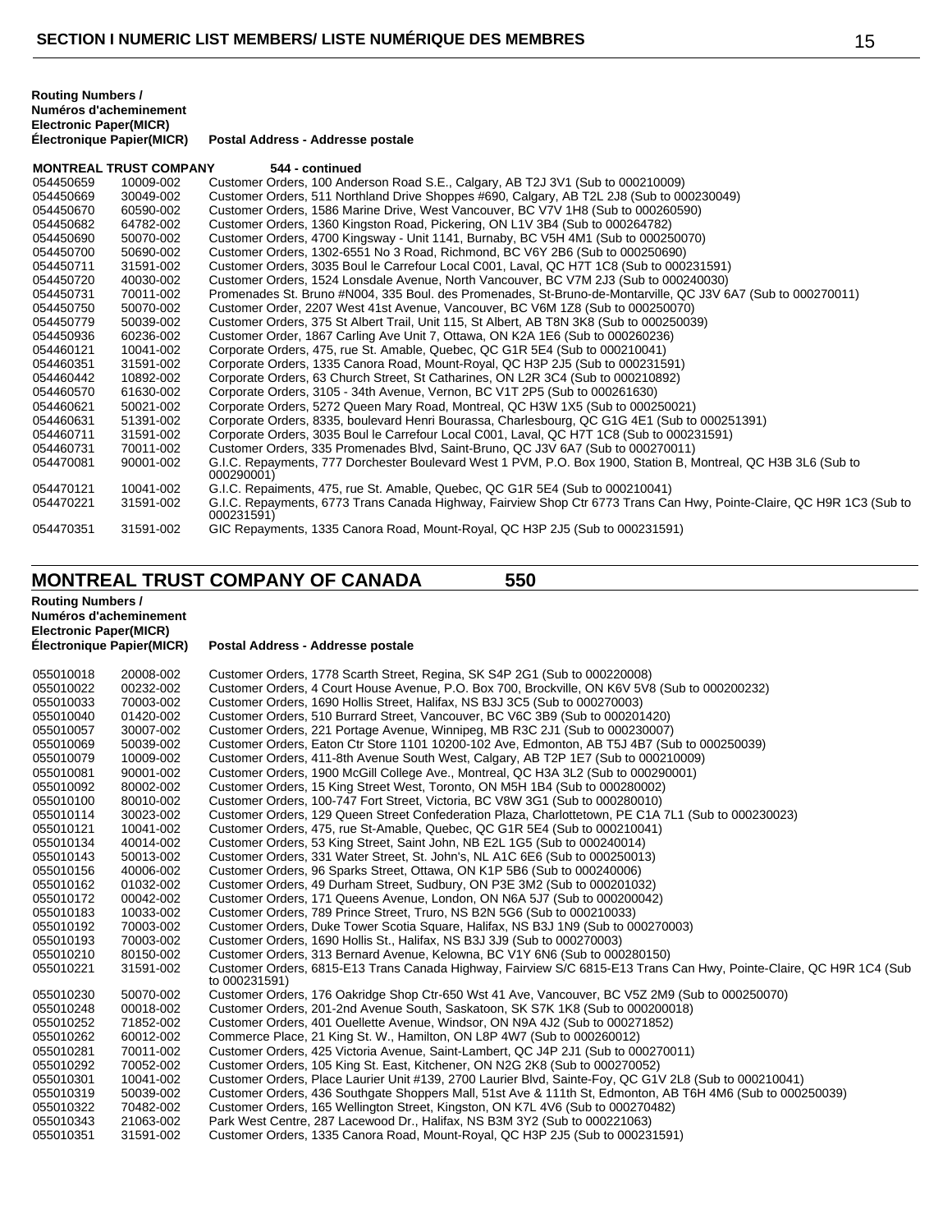| Routing Numbers /             |                                   |
|-------------------------------|-----------------------------------|
| Numéros d'acheminement        |                                   |
| <b>Electronic Paper(MICR)</b> |                                   |
| Electronique Papier(MICR)     | Postal Address - Addresse postale |

|           | <b>MONTREAL TRUST COMPANY</b> | 544 - continued                                                                                                                     |
|-----------|-------------------------------|-------------------------------------------------------------------------------------------------------------------------------------|
| 054450659 | 10009-002                     | Customer Orders, 100 Anderson Road S.E., Calgary, AB T2J 3V1 (Sub to 000210009)                                                     |
| 054450669 | 30049-002                     | Customer Orders, 511 Northland Drive Shoppes #690, Calgary, AB T2L 2J8 (Sub to 000230049)                                           |
| 054450670 | 60590-002                     | Customer Orders, 1586 Marine Drive, West Vancouver, BC V7V 1H8 (Sub to 000260590)                                                   |
| 054450682 | 64782-002                     | Customer Orders, 1360 Kingston Road, Pickering, ON L1V 3B4 (Sub to 000264782)                                                       |
| 054450690 | 50070-002                     | Customer Orders, 4700 Kingsway - Unit 1141, Burnaby, BC V5H 4M1 (Sub to 000250070)                                                  |
| 054450700 | 50690-002                     | Customer Orders, 1302-6551 No 3 Road, Richmond, BC V6Y 2B6 (Sub to 000250690)                                                       |
| 054450711 | 31591-002                     | Customer Orders, 3035 Boul le Carrefour Local C001, Laval, QC H7T 1C8 (Sub to 000231591)                                            |
| 054450720 | 40030-002                     | Customer Orders, 1524 Lonsdale Avenue, North Vancouver, BC V7M 2J3 (Sub to 000240030)                                               |
| 054450731 | 70011-002                     | Promenades St. Bruno #N004, 335 Boul. des Promenades, St-Bruno-de-Montarville, QC J3V 6A7 (Sub to 000270011)                        |
| 054450750 | 50070-002                     | Customer Order, 2207 West 41st Avenue, Vancouver, BC V6M 1Z8 (Sub to 000250070)                                                     |
| 054450779 | 50039-002                     | Customer Orders, 375 St Albert Trail, Unit 115, St Albert, AB T8N 3K8 (Sub to 000250039)                                            |
| 054450936 | 60236-002                     | Customer Order, 1867 Carling Ave Unit 7, Ottawa, ON K2A 1E6 (Sub to 000260236)                                                      |
| 054460121 | 10041-002                     | Corporate Orders, 475, rue St. Amable, Quebec, QC G1R 5E4 (Sub to 000210041)                                                        |
| 054460351 | 31591-002                     | Corporate Orders, 1335 Canora Road, Mount-Royal, QC H3P 2J5 (Sub to 000231591)                                                      |
| 054460442 | 10892-002                     | Corporate Orders, 63 Church Street, St Catharines, ON L2R 3C4 (Sub to 000210892)                                                    |
| 054460570 | 61630-002                     | Corporate Orders, 3105 - 34th Avenue, Vernon, BC V1T 2P5 (Sub to 000261630)                                                         |
| 054460621 | 50021-002                     | Corporate Orders, 5272 Queen Mary Road, Montreal, QC H3W 1X5 (Sub to 000250021)                                                     |
| 054460631 | 51391-002                     | Corporate Orders, 8335, boulevard Henri Bourassa, Charlesbourg, QC G1G 4E1 (Sub to 000251391)                                       |
| 054460711 | 31591-002                     | Corporate Orders, 3035 Boul le Carrefour Local C001, Laval, QC H7T 1C8 (Sub to 000231591)                                           |
| 054460731 | 70011-002                     | Customer Orders, 335 Promenades Blvd, Saint-Bruno, QC J3V 6A7 (Sub to 000270011)                                                    |
| 054470081 | 90001-002                     | G.I.C. Repayments, 777 Dorchester Boulevard West 1 PVM, P.O. Box 1900, Station B, Montreal, QC H3B 3L6 (Sub to<br>000290001)        |
| 054470121 | 10041-002                     | G.I.C. Repaiments, 475, rue St. Amable, Quebec, QC G1R 5E4 (Sub to 000210041)                                                       |
| 054470221 | 31591-002                     | G.I.C. Repayments, 6773 Trans Canada Highway, Fairview Shop Ctr 6773 Trans Can Hwy, Pointe-Claire, QC H9R 1C3 (Sub to<br>000231591) |
| 054470351 | 31591-002                     | GIC Repayments, 1335 Canora Road, Mount-Royal, QC H3P 2J5 (Sub to 000231591)                                                        |

# **MONTREAL TRUST COMPANY OF CANADA 550**

# **Routing Numbers / Numéros d'acheminement Electronic Paper(MICR)**

**Postal Address - Addresse postale** 

| 055010018 | 20008-002 | Customer Orders, 1778 Scarth Street, Regina, SK S4P 2G1 (Sub to 000220008)                                                           |
|-----------|-----------|--------------------------------------------------------------------------------------------------------------------------------------|
| 055010022 | 00232-002 | Customer Orders, 4 Court House Avenue, P.O. Box 700, Brockville, ON K6V 5V8 (Sub to 000200232)                                       |
| 055010033 | 70003-002 | Customer Orders, 1690 Hollis Street, Halifax, NS B3J 3C5 (Sub to 000270003)                                                          |
| 055010040 | 01420-002 | Customer Orders, 510 Burrard Street, Vancouver, BC V6C 3B9 (Sub to 000201420)                                                        |
| 055010057 | 30007-002 | Customer Orders, 221 Portage Avenue, Winnipeg, MB R3C 2J1 (Sub to 000230007)                                                         |
| 055010069 | 50039-002 | Customer Orders, Eaton Ctr Store 1101 10200-102 Ave, Edmonton, AB T5J 4B7 (Sub to 000250039)                                         |
| 055010079 | 10009-002 | Customer Orders, 411-8th Avenue South West, Calgary, AB T2P 1E7 (Sub to 000210009)                                                   |
| 055010081 | 90001-002 | Customer Orders, 1900 McGill College Ave., Montreal, QC H3A 3L2 (Sub to 000290001)                                                   |
| 055010092 | 80002-002 | Customer Orders, 15 King Street West, Toronto, ON M5H 1B4 (Sub to 000280002)                                                         |
| 055010100 | 80010-002 | Customer Orders, 100-747 Fort Street, Victoria, BC V8W 3G1 (Sub to 000280010)                                                        |
| 055010114 | 30023-002 | Customer Orders, 129 Queen Street Confederation Plaza, Charlottetown, PE C1A 7L1 (Sub to 000230023)                                  |
| 055010121 | 10041-002 | Customer Orders, 475, rue St-Amable, Quebec, QC G1R 5E4 (Sub to 000210041)                                                           |
| 055010134 | 40014-002 | Customer Orders, 53 King Street, Saint John, NB E2L 1G5 (Sub to 000240014)                                                           |
| 055010143 | 50013-002 | Customer Orders, 331 Water Street, St. John's, NL A1C 6E6 (Sub to 000250013)                                                         |
| 055010156 | 40006-002 | Customer Orders, 96 Sparks Street, Ottawa, ON K1P 5B6 (Sub to 000240006)                                                             |
| 055010162 | 01032-002 | Customer Orders, 49 Durham Street, Sudbury, ON P3E 3M2 (Sub to 000201032)                                                            |
| 055010172 | 00042-002 | Customer Orders, 171 Queens Avenue, London, ON N6A 5J7 (Sub to 000200042)                                                            |
| 055010183 | 10033-002 | Customer Orders, 789 Prince Street, Truro, NS B2N 5G6 (Sub to 000210033)                                                             |
| 055010192 | 70003-002 | Customer Orders, Duke Tower Scotia Square, Halifax, NS B3J 1N9 (Sub to 000270003)                                                    |
| 055010193 | 70003-002 | Customer Orders, 1690 Hollis St., Halifax, NS B3J 3J9 (Sub to 000270003)                                                             |
| 055010210 | 80150-002 | Customer Orders, 313 Bernard Avenue, Kelowna, BC V1Y 6N6 (Sub to 000280150)                                                          |
| 055010221 | 31591-002 | Customer Orders, 6815-E13 Trans Canada Highway, Fairview S/C 6815-E13 Trans Can Hwy, Pointe-Claire, QC H9R 1C4 (Sub<br>to 000231591) |
| 055010230 | 50070-002 | Customer Orders, 176 Oakridge Shop Ctr-650 Wst 41 Ave, Vancouver, BC V5Z 2M9 (Sub to 000250070)                                      |
| 055010248 | 00018-002 | Customer Orders, 201-2nd Avenue South, Saskatoon, SK S7K 1K8 (Sub to 000200018)                                                      |
| 055010252 | 71852-002 | Customer Orders, 401 Ouellette Avenue, Windsor, ON N9A 4J2 (Sub to 000271852)                                                        |
| 055010262 | 60012-002 | Commerce Place, 21 King St. W., Hamilton, ON L8P 4W7 (Sub to 000260012)                                                              |
| 055010281 | 70011-002 | Customer Orders, 425 Victoria Avenue, Saint-Lambert, QC J4P 2J1 (Sub to 000270011)                                                   |
| 055010292 | 70052-002 | Customer Orders, 105 King St. East, Kitchener, ON N2G 2K8 (Sub to 000270052)                                                         |
| 055010301 | 10041-002 | Customer Orders, Place Laurier Unit #139, 2700 Laurier Blvd, Sainte-Foy, QC G1V 2L8 (Sub to 000210041)                               |
| 055010319 | 50039-002 | Customer Orders, 436 Southgate Shoppers Mall, 51st Ave & 111th St, Edmonton, AB T6H 4M6 (Sub to 000250039)                           |
| 055010322 | 70482-002 | Customer Orders, 165 Wellington Street, Kingston, ON K7L 4V6 (Sub to 000270482)                                                      |
| 055010343 | 21063-002 | Park West Centre, 287 Lacewood Dr., Halifax, NS B3M 3Y2 (Sub to 000221063)                                                           |
| 055010351 | 31591-002 | Customer Orders, 1335 Canora Road, Mount-Royal, QC H3P 2J5 (Sub to 000231591)                                                        |
|           |           |                                                                                                                                      |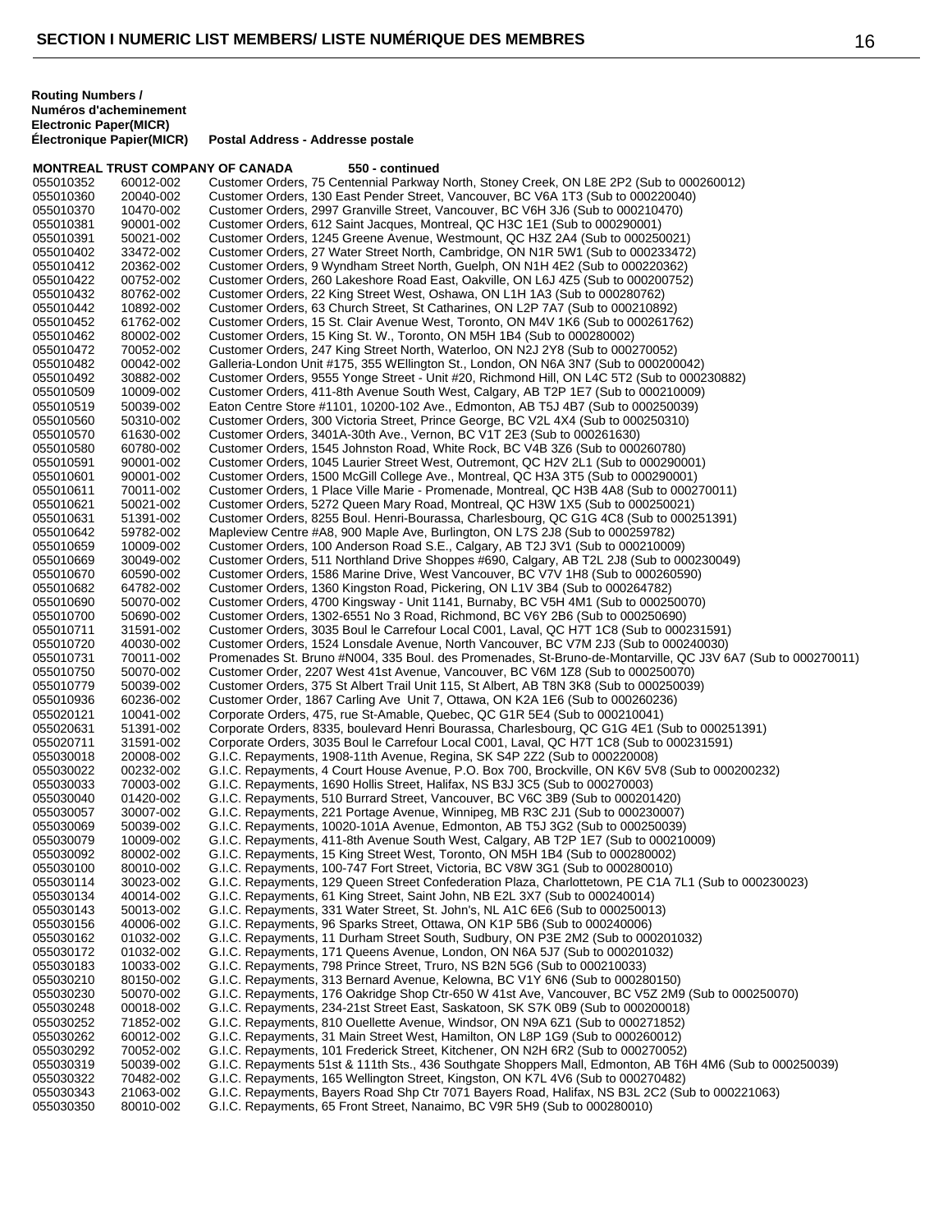| Postal Address - Addresse postale |
|-----------------------------------|
|                                   |

## **MONTREAL TRUST COMPANY OF CANADA 550 - continued**

| Customer Orders, 130 East Pender Street, Vancouver, BC V6A 1T3 (Sub to 000220040)<br>055010360<br>20040-002<br>055010370<br>10470-002<br>Customer Orders, 2997 Granville Street, Vancouver, BC V6H 3J6 (Sub to 000210470)<br>Customer Orders, 612 Saint Jacques, Montreal, QC H3C 1E1 (Sub to 000290001)<br>055010381<br>90001-002<br>Customer Orders, 1245 Greene Avenue, Westmount, QC H3Z 2A4 (Sub to 000250021)<br>055010391<br>50021-002<br>33472-002<br>Customer Orders, 27 Water Street North, Cambridge, ON N1R 5W1 (Sub to 000233472)<br>055010402<br>055010412<br>20362-002<br>Customer Orders, 9 Wyndham Street North, Guelph, ON N1H 4E2 (Sub to 000220362)<br>Customer Orders, 260 Lakeshore Road East, Oakville, ON L6J 4Z5 (Sub to 000200752)<br>055010422<br>00752-002<br>055010432<br>80762-002<br>Customer Orders, 22 King Street West, Oshawa, ON L1H 1A3 (Sub to 000280762)<br>10892-002<br>Customer Orders, 63 Church Street, St Catharines, ON L2P 7A7 (Sub to 000210892)<br>055010442<br>055010452<br>61762-002<br>Customer Orders, 15 St. Clair Avenue West, Toronto, ON M4V 1K6 (Sub to 000261762)<br>Customer Orders, 15 King St. W., Toronto, ON M5H 1B4 (Sub to 000280002)<br>055010462<br>80002-002<br>055010472<br>70052-002<br>Customer Orders, 247 King Street North, Waterloo, ON N2J 2Y8 (Sub to 000270052)<br>00042-002<br>055010482<br>Galleria-London Unit #175, 355 WEllington St., London, ON N6A 3N7 (Sub to 000200042)<br>Customer Orders, 9555 Yonge Street - Unit #20, Richmond Hill, ON L4C 5T2 (Sub to 000230882)<br>055010492<br>30882-002<br>Customer Orders, 411-8th Avenue South West, Calgary, AB T2P 1E7 (Sub to 000210009)<br>055010509<br>10009-002<br>Eaton Centre Store #1101, 10200-102 Ave., Edmonton, AB T5J 4B7 (Sub to 000250039)<br>055010519<br>50039-002<br>Customer Orders, 300 Victoria Street, Prince George, BC V2L 4X4 (Sub to 000250310)<br>055010560<br>50310-002<br>61630-002<br>Customer Orders, 3401A-30th Ave., Vernon, BC V1T 2E3 (Sub to 000261630)<br>055010570<br>Customer Orders, 1545 Johnston Road, White Rock, BC V4B 3Z6 (Sub to 000260780)<br>055010580<br>60780-002<br>055010591<br>90001-002<br>Customer Orders, 1045 Laurier Street West, Outremont, QC H2V 2L1 (Sub to 000290001)<br>Customer Orders, 1500 McGill College Ave., Montreal, QC H3A 3T5 (Sub to 000290001)<br>055010601<br>90001-002<br>70011-002<br>Customer Orders, 1 Place Ville Marie - Promenade, Montreal, QC H3B 4A8 (Sub to 000270011)<br>055010611<br>Customer Orders, 5272 Queen Mary Road, Montreal, QC H3W 1X5 (Sub to 000250021)<br>055010621<br>50021-002<br>Customer Orders, 8255 Boul. Henri-Bourassa, Charlesbourg, QC G1G 4C8 (Sub to 000251391)<br>055010631<br>51391-002<br>Mapleview Centre #A8, 900 Maple Ave, Burlington, ON L7S 2J8 (Sub to 000259782)<br>055010642<br>59782-002<br>Customer Orders, 100 Anderson Road S.E., Calgary, AB T2J 3V1 (Sub to 000210009)<br>055010659<br>10009-002<br>Customer Orders, 511 Northland Drive Shoppes #690, Calgary, AB T2L 2J8 (Sub to 000230049)<br>055010669<br>30049-002<br>055010670<br>60590-002<br>Customer Orders, 1586 Marine Drive, West Vancouver, BC V7V 1H8 (Sub to 000260590)<br>055010682<br>64782-002<br>Customer Orders, 1360 Kingston Road, Pickering, ON L1V 3B4 (Sub to 000264782)<br>50070-002<br>055010690<br>Customer Orders, 4700 Kingsway - Unit 1141, Burnaby, BC V5H 4M1 (Sub to 000250070)<br>Customer Orders, 1302-6551 No 3 Road, Richmond, BC V6Y 2B6 (Sub to 000250690)<br>055010700<br>50690-002<br>Customer Orders, 3035 Boul le Carrefour Local C001, Laval, QC H7T 1C8 (Sub to 000231591)<br>055010711<br>31591-002<br>Customer Orders, 1524 Lonsdale Avenue, North Vancouver, BC V7M 2J3 (Sub to 000240030)<br>055010720<br>40030-002<br>Promenades St. Bruno #N004, 335 Boul. des Promenades, St-Bruno-de-Montarville, QC J3V 6A7 (Sub to 000270011)<br>055010731<br>70011-002<br>Customer Order, 2207 West 41st Avenue, Vancouver, BC V6M 1Z8 (Sub to 000250070)<br>055010750<br>50070-002<br>50039-002<br>055010779<br>Customer Orders, 375 St Albert Trail Unit 115, St Albert, AB T8N 3K8 (Sub to 000250039)<br>055010936<br>60236-002<br>Customer Order, 1867 Carling Ave Unit 7, Ottawa, ON K2A 1E6 (Sub to 000260236)<br>055020121<br>Corporate Orders, 475, rue St-Amable, Quebec, QC G1R 5E4 (Sub to 000210041)<br>10041-002<br>055020631<br>51391-002<br>Corporate Orders, 8335, boulevard Henri Bourassa, Charlesbourg, QC G1G 4E1 (Sub to 000251391)<br>055020711<br>Corporate Orders, 3035 Boul le Carrefour Local C001, Laval, QC H7T 1C8 (Sub to 000231591)<br>31591-002<br>055030018<br>20008-002<br>G.I.C. Repayments, 1908-11th Avenue, Regina, SK S4P 2Z2 (Sub to 000220008)<br>055030022<br>G.I.C. Repayments, 4 Court House Avenue, P.O. Box 700, Brockville, ON K6V 5V8 (Sub to 000200232)<br>00232-002<br>055030033<br>70003-002<br>G.I.C. Repayments, 1690 Hollis Street, Halifax, NS B3J 3C5 (Sub to 000270003)<br>055030040<br>01420-002<br>G.I.C. Repayments, 510 Burrard Street, Vancouver, BC V6C 3B9 (Sub to 000201420)<br>055030057<br>30007-002<br>G.I.C. Repayments, 221 Portage Avenue, Winnipeg, MB R3C 2J1 (Sub to 000230007)<br>055030069<br>G.I.C. Repayments, 10020-101A Avenue, Edmonton, AB T5J 3G2 (Sub to 000250039)<br>50039-002<br>055030079<br>10009-002<br>G.I.C. Repayments, 411-8th Avenue South West, Calgary, AB T2P 1E7 (Sub to 000210009)<br>055030092<br>80002-002<br>G.I.C. Repayments, 15 King Street West, Toronto, ON M5H 1B4 (Sub to 000280002)<br>G.I.C. Repayments, 100-747 Fort Street, Victoria, BC V8W 3G1 (Sub to 000280010)<br>055030100<br>80010-002<br>G.I.C. Repayments, 129 Queen Street Confederation Plaza, Charlottetown, PE C1A 7L1 (Sub to 000230023)<br>055030114<br>30023-002<br>G.I.C. Repayments, 61 King Street, Saint John, NB E2L 3X7 (Sub to 000240014)<br>055030134<br>40014-002<br>G.I.C. Repayments, 331 Water Street, St. John's, NL A1C 6E6 (Sub to 000250013)<br>055030143<br>50013-002<br>G.I.C. Repayments, 96 Sparks Street, Ottawa, ON K1P 5B6 (Sub to 000240006)<br>055030156<br>40006-002<br>G.I.C. Repayments, 11 Durham Street South, Sudbury, ON P3E 2M2 (Sub to 000201032)<br>055030162<br>01032-002<br>G.I.C. Repayments, 171 Queens Avenue, London, ON N6A 5J7 (Sub to 000201032)<br>055030172<br>01032-002<br>G.I.C. Repayments, 798 Prince Street, Truro, NS B2N 5G6 (Sub to 000210033)<br>055030183<br>10033-002<br>G.I.C. Repayments, 313 Bernard Avenue, Kelowna, BC V1Y 6N6 (Sub to 000280150)<br>055030210<br>80150-002<br>50070-002<br>G.I.C. Repayments, 176 Oakridge Shop Ctr-650 W 41st Ave, Vancouver, BC V5Z 2M9 (Sub to 000250070)<br>055030230<br>G.I.C. Repayments, 234-21st Street East, Saskatoon, SK S7K 0B9 (Sub to 000200018)<br>055030248<br>00018-002<br>G.I.C. Repayments, 810 Ouellette Avenue, Windsor, ON N9A 6Z1 (Sub to 000271852)<br>055030252<br>71852-002<br>G.I.C. Repayments, 31 Main Street West, Hamilton, ON L8P 1G9 (Sub to 000260012)<br>055030262<br>60012-002<br>G.I.C. Repayments, 101 Frederick Street, Kitchener, ON N2H 6R2 (Sub to 000270052)<br>055030292<br>70052-002<br>G.I.C. Repayments 51st & 111th Sts., 436 Southgate Shoppers Mall, Edmonton, AB T6H 4M6 (Sub to 000250039)<br>055030319<br>50039-002<br>G.I.C. Repayments, 165 Wellington Street, Kingston, ON K7L 4V6 (Sub to 000270482)<br>055030322<br>70482-002<br>G.I.C. Repayments, Bayers Road Shp Ctr 7071 Bayers Road, Halifax, NS B3L 2C2 (Sub to 000221063)<br>055030343<br>21063-002<br>G.I.C. Repayments, 65 Front Street, Nanaimo, BC V9R 5H9 (Sub to 000280010)<br>055030350<br>80010-002 | 055010352 | 60012-002 | Customer Orders, 75 Centennial Parkway North, Stoney Creek, ON L8E 2P2 (Sub to 000260012) |
|----------------------------------------------------------------------------------------------------------------------------------------------------------------------------------------------------------------------------------------------------------------------------------------------------------------------------------------------------------------------------------------------------------------------------------------------------------------------------------------------------------------------------------------------------------------------------------------------------------------------------------------------------------------------------------------------------------------------------------------------------------------------------------------------------------------------------------------------------------------------------------------------------------------------------------------------------------------------------------------------------------------------------------------------------------------------------------------------------------------------------------------------------------------------------------------------------------------------------------------------------------------------------------------------------------------------------------------------------------------------------------------------------------------------------------------------------------------------------------------------------------------------------------------------------------------------------------------------------------------------------------------------------------------------------------------------------------------------------------------------------------------------------------------------------------------------------------------------------------------------------------------------------------------------------------------------------------------------------------------------------------------------------------------------------------------------------------------------------------------------------------------------------------------------------------------------------------------------------------------------------------------------------------------------------------------------------------------------------------------------------------------------------------------------------------------------------------------------------------------------------------------------------------------------------------------------------------------------------------------------------------------------------------------------------------------------------------------------------------------------------------------------------------------------------------------------------------------------------------------------------------------------------------------------------------------------------------------------------------------------------------------------------------------------------------------------------------------------------------------------------------------------------------------------------------------------------------------------------------------------------------------------------------------------------------------------------------------------------------------------------------------------------------------------------------------------------------------------------------------------------------------------------------------------------------------------------------------------------------------------------------------------------------------------------------------------------------------------------------------------------------------------------------------------------------------------------------------------------------------------------------------------------------------------------------------------------------------------------------------------------------------------------------------------------------------------------------------------------------------------------------------------------------------------------------------------------------------------------------------------------------------------------------------------------------------------------------------------------------------------------------------------------------------------------------------------------------------------------------------------------------------------------------------------------------------------------------------------------------------------------------------------------------------------------------------------------------------------------------------------------------------------------------------------------------------------------------------------------------------------------------------------------------------------------------------------------------------------------------------------------------------------------------------------------------------------------------------------------------------------------------------------------------------------------------------------------------------------------------------------------------------------------------------------------------------------------------------------------------------------------------------------------------------------------------------------------------------------------------------------------------------------------------------------------------------------------------------------------------------------------------------------------------------------------------------------------------------------------------------------------------------------------------------------------------------------------------------------------------------------------------------------------------------------------------------------------------------------------------------------------------------------------------------------------------------------------------------------------------------------------------------------------------------------------------------------------------------------------------------------------------------------------------------------------------------------------------------------------------------------------------------------------------------------------------------------------------------------------------------------------------------------------------------------------------------------------------------------------------------------------------------------------------------------------------------------------------------------------------------------------------------------------------------------------------------------------------------------------------------------------------------------------------------------------------------------------------------------------------------------------------------------------------------------------------------------------------------------------------------------------------------------------------------------------------------------------------------------------------------------------------------------------------------------------------------------------------------------------------------------------------------------------------------------------------------------------------------------------------------------------------------------------------------------------------------------------------------------------------------------------------------------------------------------------------|-----------|-----------|-------------------------------------------------------------------------------------------|
|                                                                                                                                                                                                                                                                                                                                                                                                                                                                                                                                                                                                                                                                                                                                                                                                                                                                                                                                                                                                                                                                                                                                                                                                                                                                                                                                                                                                                                                                                                                                                                                                                                                                                                                                                                                                                                                                                                                                                                                                                                                                                                                                                                                                                                                                                                                                                                                                                                                                                                                                                                                                                                                                                                                                                                                                                                                                                                                                                                                                                                                                                                                                                                                                                                                                                                                                                                                                                                                                                                                                                                                                                                                                                                                                                                                                                                                                                                                                                                                                                                                                                                                                                                                                                                                                                                                                                                                                                                                                                                                                                                                                                                                                                                                                                                                                                                                                                                                                                                                                                                                                                                                                                                                                                                                                                                                                                                                                                                                                                                                                                                                                                                                                                                                                                                                                                                                                                                                                                                                                                                                                                                                                                                                                                                                                                                                                                                                                                                                                                                                                                                                                                                                                                                                                                                                                                                                                                                                                                                                                                                                                                                                                                                                                                                                                                                                                                                                                                                                                                                                                                                                                                                                                                  |           |           |                                                                                           |
|                                                                                                                                                                                                                                                                                                                                                                                                                                                                                                                                                                                                                                                                                                                                                                                                                                                                                                                                                                                                                                                                                                                                                                                                                                                                                                                                                                                                                                                                                                                                                                                                                                                                                                                                                                                                                                                                                                                                                                                                                                                                                                                                                                                                                                                                                                                                                                                                                                                                                                                                                                                                                                                                                                                                                                                                                                                                                                                                                                                                                                                                                                                                                                                                                                                                                                                                                                                                                                                                                                                                                                                                                                                                                                                                                                                                                                                                                                                                                                                                                                                                                                                                                                                                                                                                                                                                                                                                                                                                                                                                                                                                                                                                                                                                                                                                                                                                                                                                                                                                                                                                                                                                                                                                                                                                                                                                                                                                                                                                                                                                                                                                                                                                                                                                                                                                                                                                                                                                                                                                                                                                                                                                                                                                                                                                                                                                                                                                                                                                                                                                                                                                                                                                                                                                                                                                                                                                                                                                                                                                                                                                                                                                                                                                                                                                                                                                                                                                                                                                                                                                                                                                                                                                                  |           |           |                                                                                           |
|                                                                                                                                                                                                                                                                                                                                                                                                                                                                                                                                                                                                                                                                                                                                                                                                                                                                                                                                                                                                                                                                                                                                                                                                                                                                                                                                                                                                                                                                                                                                                                                                                                                                                                                                                                                                                                                                                                                                                                                                                                                                                                                                                                                                                                                                                                                                                                                                                                                                                                                                                                                                                                                                                                                                                                                                                                                                                                                                                                                                                                                                                                                                                                                                                                                                                                                                                                                                                                                                                                                                                                                                                                                                                                                                                                                                                                                                                                                                                                                                                                                                                                                                                                                                                                                                                                                                                                                                                                                                                                                                                                                                                                                                                                                                                                                                                                                                                                                                                                                                                                                                                                                                                                                                                                                                                                                                                                                                                                                                                                                                                                                                                                                                                                                                                                                                                                                                                                                                                                                                                                                                                                                                                                                                                                                                                                                                                                                                                                                                                                                                                                                                                                                                                                                                                                                                                                                                                                                                                                                                                                                                                                                                                                                                                                                                                                                                                                                                                                                                                                                                                                                                                                                                                  |           |           |                                                                                           |
|                                                                                                                                                                                                                                                                                                                                                                                                                                                                                                                                                                                                                                                                                                                                                                                                                                                                                                                                                                                                                                                                                                                                                                                                                                                                                                                                                                                                                                                                                                                                                                                                                                                                                                                                                                                                                                                                                                                                                                                                                                                                                                                                                                                                                                                                                                                                                                                                                                                                                                                                                                                                                                                                                                                                                                                                                                                                                                                                                                                                                                                                                                                                                                                                                                                                                                                                                                                                                                                                                                                                                                                                                                                                                                                                                                                                                                                                                                                                                                                                                                                                                                                                                                                                                                                                                                                                                                                                                                                                                                                                                                                                                                                                                                                                                                                                                                                                                                                                                                                                                                                                                                                                                                                                                                                                                                                                                                                                                                                                                                                                                                                                                                                                                                                                                                                                                                                                                                                                                                                                                                                                                                                                                                                                                                                                                                                                                                                                                                                                                                                                                                                                                                                                                                                                                                                                                                                                                                                                                                                                                                                                                                                                                                                                                                                                                                                                                                                                                                                                                                                                                                                                                                                                                  |           |           |                                                                                           |
|                                                                                                                                                                                                                                                                                                                                                                                                                                                                                                                                                                                                                                                                                                                                                                                                                                                                                                                                                                                                                                                                                                                                                                                                                                                                                                                                                                                                                                                                                                                                                                                                                                                                                                                                                                                                                                                                                                                                                                                                                                                                                                                                                                                                                                                                                                                                                                                                                                                                                                                                                                                                                                                                                                                                                                                                                                                                                                                                                                                                                                                                                                                                                                                                                                                                                                                                                                                                                                                                                                                                                                                                                                                                                                                                                                                                                                                                                                                                                                                                                                                                                                                                                                                                                                                                                                                                                                                                                                                                                                                                                                                                                                                                                                                                                                                                                                                                                                                                                                                                                                                                                                                                                                                                                                                                                                                                                                                                                                                                                                                                                                                                                                                                                                                                                                                                                                                                                                                                                                                                                                                                                                                                                                                                                                                                                                                                                                                                                                                                                                                                                                                                                                                                                                                                                                                                                                                                                                                                                                                                                                                                                                                                                                                                                                                                                                                                                                                                                                                                                                                                                                                                                                                                                  |           |           |                                                                                           |
|                                                                                                                                                                                                                                                                                                                                                                                                                                                                                                                                                                                                                                                                                                                                                                                                                                                                                                                                                                                                                                                                                                                                                                                                                                                                                                                                                                                                                                                                                                                                                                                                                                                                                                                                                                                                                                                                                                                                                                                                                                                                                                                                                                                                                                                                                                                                                                                                                                                                                                                                                                                                                                                                                                                                                                                                                                                                                                                                                                                                                                                                                                                                                                                                                                                                                                                                                                                                                                                                                                                                                                                                                                                                                                                                                                                                                                                                                                                                                                                                                                                                                                                                                                                                                                                                                                                                                                                                                                                                                                                                                                                                                                                                                                                                                                                                                                                                                                                                                                                                                                                                                                                                                                                                                                                                                                                                                                                                                                                                                                                                                                                                                                                                                                                                                                                                                                                                                                                                                                                                                                                                                                                                                                                                                                                                                                                                                                                                                                                                                                                                                                                                                                                                                                                                                                                                                                                                                                                                                                                                                                                                                                                                                                                                                                                                                                                                                                                                                                                                                                                                                                                                                                                                                  |           |           |                                                                                           |
|                                                                                                                                                                                                                                                                                                                                                                                                                                                                                                                                                                                                                                                                                                                                                                                                                                                                                                                                                                                                                                                                                                                                                                                                                                                                                                                                                                                                                                                                                                                                                                                                                                                                                                                                                                                                                                                                                                                                                                                                                                                                                                                                                                                                                                                                                                                                                                                                                                                                                                                                                                                                                                                                                                                                                                                                                                                                                                                                                                                                                                                                                                                                                                                                                                                                                                                                                                                                                                                                                                                                                                                                                                                                                                                                                                                                                                                                                                                                                                                                                                                                                                                                                                                                                                                                                                                                                                                                                                                                                                                                                                                                                                                                                                                                                                                                                                                                                                                                                                                                                                                                                                                                                                                                                                                                                                                                                                                                                                                                                                                                                                                                                                                                                                                                                                                                                                                                                                                                                                                                                                                                                                                                                                                                                                                                                                                                                                                                                                                                                                                                                                                                                                                                                                                                                                                                                                                                                                                                                                                                                                                                                                                                                                                                                                                                                                                                                                                                                                                                                                                                                                                                                                                                                  |           |           |                                                                                           |
|                                                                                                                                                                                                                                                                                                                                                                                                                                                                                                                                                                                                                                                                                                                                                                                                                                                                                                                                                                                                                                                                                                                                                                                                                                                                                                                                                                                                                                                                                                                                                                                                                                                                                                                                                                                                                                                                                                                                                                                                                                                                                                                                                                                                                                                                                                                                                                                                                                                                                                                                                                                                                                                                                                                                                                                                                                                                                                                                                                                                                                                                                                                                                                                                                                                                                                                                                                                                                                                                                                                                                                                                                                                                                                                                                                                                                                                                                                                                                                                                                                                                                                                                                                                                                                                                                                                                                                                                                                                                                                                                                                                                                                                                                                                                                                                                                                                                                                                                                                                                                                                                                                                                                                                                                                                                                                                                                                                                                                                                                                                                                                                                                                                                                                                                                                                                                                                                                                                                                                                                                                                                                                                                                                                                                                                                                                                                                                                                                                                                                                                                                                                                                                                                                                                                                                                                                                                                                                                                                                                                                                                                                                                                                                                                                                                                                                                                                                                                                                                                                                                                                                                                                                                                                  |           |           |                                                                                           |
|                                                                                                                                                                                                                                                                                                                                                                                                                                                                                                                                                                                                                                                                                                                                                                                                                                                                                                                                                                                                                                                                                                                                                                                                                                                                                                                                                                                                                                                                                                                                                                                                                                                                                                                                                                                                                                                                                                                                                                                                                                                                                                                                                                                                                                                                                                                                                                                                                                                                                                                                                                                                                                                                                                                                                                                                                                                                                                                                                                                                                                                                                                                                                                                                                                                                                                                                                                                                                                                                                                                                                                                                                                                                                                                                                                                                                                                                                                                                                                                                                                                                                                                                                                                                                                                                                                                                                                                                                                                                                                                                                                                                                                                                                                                                                                                                                                                                                                                                                                                                                                                                                                                                                                                                                                                                                                                                                                                                                                                                                                                                                                                                                                                                                                                                                                                                                                                                                                                                                                                                                                                                                                                                                                                                                                                                                                                                                                                                                                                                                                                                                                                                                                                                                                                                                                                                                                                                                                                                                                                                                                                                                                                                                                                                                                                                                                                                                                                                                                                                                                                                                                                                                                                                                  |           |           |                                                                                           |
|                                                                                                                                                                                                                                                                                                                                                                                                                                                                                                                                                                                                                                                                                                                                                                                                                                                                                                                                                                                                                                                                                                                                                                                                                                                                                                                                                                                                                                                                                                                                                                                                                                                                                                                                                                                                                                                                                                                                                                                                                                                                                                                                                                                                                                                                                                                                                                                                                                                                                                                                                                                                                                                                                                                                                                                                                                                                                                                                                                                                                                                                                                                                                                                                                                                                                                                                                                                                                                                                                                                                                                                                                                                                                                                                                                                                                                                                                                                                                                                                                                                                                                                                                                                                                                                                                                                                                                                                                                                                                                                                                                                                                                                                                                                                                                                                                                                                                                                                                                                                                                                                                                                                                                                                                                                                                                                                                                                                                                                                                                                                                                                                                                                                                                                                                                                                                                                                                                                                                                                                                                                                                                                                                                                                                                                                                                                                                                                                                                                                                                                                                                                                                                                                                                                                                                                                                                                                                                                                                                                                                                                                                                                                                                                                                                                                                                                                                                                                                                                                                                                                                                                                                                                                                  |           |           |                                                                                           |
|                                                                                                                                                                                                                                                                                                                                                                                                                                                                                                                                                                                                                                                                                                                                                                                                                                                                                                                                                                                                                                                                                                                                                                                                                                                                                                                                                                                                                                                                                                                                                                                                                                                                                                                                                                                                                                                                                                                                                                                                                                                                                                                                                                                                                                                                                                                                                                                                                                                                                                                                                                                                                                                                                                                                                                                                                                                                                                                                                                                                                                                                                                                                                                                                                                                                                                                                                                                                                                                                                                                                                                                                                                                                                                                                                                                                                                                                                                                                                                                                                                                                                                                                                                                                                                                                                                                                                                                                                                                                                                                                                                                                                                                                                                                                                                                                                                                                                                                                                                                                                                                                                                                                                                                                                                                                                                                                                                                                                                                                                                                                                                                                                                                                                                                                                                                                                                                                                                                                                                                                                                                                                                                                                                                                                                                                                                                                                                                                                                                                                                                                                                                                                                                                                                                                                                                                                                                                                                                                                                                                                                                                                                                                                                                                                                                                                                                                                                                                                                                                                                                                                                                                                                                                                  |           |           |                                                                                           |
|                                                                                                                                                                                                                                                                                                                                                                                                                                                                                                                                                                                                                                                                                                                                                                                                                                                                                                                                                                                                                                                                                                                                                                                                                                                                                                                                                                                                                                                                                                                                                                                                                                                                                                                                                                                                                                                                                                                                                                                                                                                                                                                                                                                                                                                                                                                                                                                                                                                                                                                                                                                                                                                                                                                                                                                                                                                                                                                                                                                                                                                                                                                                                                                                                                                                                                                                                                                                                                                                                                                                                                                                                                                                                                                                                                                                                                                                                                                                                                                                                                                                                                                                                                                                                                                                                                                                                                                                                                                                                                                                                                                                                                                                                                                                                                                                                                                                                                                                                                                                                                                                                                                                                                                                                                                                                                                                                                                                                                                                                                                                                                                                                                                                                                                                                                                                                                                                                                                                                                                                                                                                                                                                                                                                                                                                                                                                                                                                                                                                                                                                                                                                                                                                                                                                                                                                                                                                                                                                                                                                                                                                                                                                                                                                                                                                                                                                                                                                                                                                                                                                                                                                                                                                                  |           |           |                                                                                           |
|                                                                                                                                                                                                                                                                                                                                                                                                                                                                                                                                                                                                                                                                                                                                                                                                                                                                                                                                                                                                                                                                                                                                                                                                                                                                                                                                                                                                                                                                                                                                                                                                                                                                                                                                                                                                                                                                                                                                                                                                                                                                                                                                                                                                                                                                                                                                                                                                                                                                                                                                                                                                                                                                                                                                                                                                                                                                                                                                                                                                                                                                                                                                                                                                                                                                                                                                                                                                                                                                                                                                                                                                                                                                                                                                                                                                                                                                                                                                                                                                                                                                                                                                                                                                                                                                                                                                                                                                                                                                                                                                                                                                                                                                                                                                                                                                                                                                                                                                                                                                                                                                                                                                                                                                                                                                                                                                                                                                                                                                                                                                                                                                                                                                                                                                                                                                                                                                                                                                                                                                                                                                                                                                                                                                                                                                                                                                                                                                                                                                                                                                                                                                                                                                                                                                                                                                                                                                                                                                                                                                                                                                                                                                                                                                                                                                                                                                                                                                                                                                                                                                                                                                                                                                                  |           |           |                                                                                           |
|                                                                                                                                                                                                                                                                                                                                                                                                                                                                                                                                                                                                                                                                                                                                                                                                                                                                                                                                                                                                                                                                                                                                                                                                                                                                                                                                                                                                                                                                                                                                                                                                                                                                                                                                                                                                                                                                                                                                                                                                                                                                                                                                                                                                                                                                                                                                                                                                                                                                                                                                                                                                                                                                                                                                                                                                                                                                                                                                                                                                                                                                                                                                                                                                                                                                                                                                                                                                                                                                                                                                                                                                                                                                                                                                                                                                                                                                                                                                                                                                                                                                                                                                                                                                                                                                                                                                                                                                                                                                                                                                                                                                                                                                                                                                                                                                                                                                                                                                                                                                                                                                                                                                                                                                                                                                                                                                                                                                                                                                                                                                                                                                                                                                                                                                                                                                                                                                                                                                                                                                                                                                                                                                                                                                                                                                                                                                                                                                                                                                                                                                                                                                                                                                                                                                                                                                                                                                                                                                                                                                                                                                                                                                                                                                                                                                                                                                                                                                                                                                                                                                                                                                                                                                                  |           |           |                                                                                           |
|                                                                                                                                                                                                                                                                                                                                                                                                                                                                                                                                                                                                                                                                                                                                                                                                                                                                                                                                                                                                                                                                                                                                                                                                                                                                                                                                                                                                                                                                                                                                                                                                                                                                                                                                                                                                                                                                                                                                                                                                                                                                                                                                                                                                                                                                                                                                                                                                                                                                                                                                                                                                                                                                                                                                                                                                                                                                                                                                                                                                                                                                                                                                                                                                                                                                                                                                                                                                                                                                                                                                                                                                                                                                                                                                                                                                                                                                                                                                                                                                                                                                                                                                                                                                                                                                                                                                                                                                                                                                                                                                                                                                                                                                                                                                                                                                                                                                                                                                                                                                                                                                                                                                                                                                                                                                                                                                                                                                                                                                                                                                                                                                                                                                                                                                                                                                                                                                                                                                                                                                                                                                                                                                                                                                                                                                                                                                                                                                                                                                                                                                                                                                                                                                                                                                                                                                                                                                                                                                                                                                                                                                                                                                                                                                                                                                                                                                                                                                                                                                                                                                                                                                                                                                                  |           |           |                                                                                           |
|                                                                                                                                                                                                                                                                                                                                                                                                                                                                                                                                                                                                                                                                                                                                                                                                                                                                                                                                                                                                                                                                                                                                                                                                                                                                                                                                                                                                                                                                                                                                                                                                                                                                                                                                                                                                                                                                                                                                                                                                                                                                                                                                                                                                                                                                                                                                                                                                                                                                                                                                                                                                                                                                                                                                                                                                                                                                                                                                                                                                                                                                                                                                                                                                                                                                                                                                                                                                                                                                                                                                                                                                                                                                                                                                                                                                                                                                                                                                                                                                                                                                                                                                                                                                                                                                                                                                                                                                                                                                                                                                                                                                                                                                                                                                                                                                                                                                                                                                                                                                                                                                                                                                                                                                                                                                                                                                                                                                                                                                                                                                                                                                                                                                                                                                                                                                                                                                                                                                                                                                                                                                                                                                                                                                                                                                                                                                                                                                                                                                                                                                                                                                                                                                                                                                                                                                                                                                                                                                                                                                                                                                                                                                                                                                                                                                                                                                                                                                                                                                                                                                                                                                                                                                                  |           |           |                                                                                           |
|                                                                                                                                                                                                                                                                                                                                                                                                                                                                                                                                                                                                                                                                                                                                                                                                                                                                                                                                                                                                                                                                                                                                                                                                                                                                                                                                                                                                                                                                                                                                                                                                                                                                                                                                                                                                                                                                                                                                                                                                                                                                                                                                                                                                                                                                                                                                                                                                                                                                                                                                                                                                                                                                                                                                                                                                                                                                                                                                                                                                                                                                                                                                                                                                                                                                                                                                                                                                                                                                                                                                                                                                                                                                                                                                                                                                                                                                                                                                                                                                                                                                                                                                                                                                                                                                                                                                                                                                                                                                                                                                                                                                                                                                                                                                                                                                                                                                                                                                                                                                                                                                                                                                                                                                                                                                                                                                                                                                                                                                                                                                                                                                                                                                                                                                                                                                                                                                                                                                                                                                                                                                                                                                                                                                                                                                                                                                                                                                                                                                                                                                                                                                                                                                                                                                                                                                                                                                                                                                                                                                                                                                                                                                                                                                                                                                                                                                                                                                                                                                                                                                                                                                                                                                                  |           |           |                                                                                           |
|                                                                                                                                                                                                                                                                                                                                                                                                                                                                                                                                                                                                                                                                                                                                                                                                                                                                                                                                                                                                                                                                                                                                                                                                                                                                                                                                                                                                                                                                                                                                                                                                                                                                                                                                                                                                                                                                                                                                                                                                                                                                                                                                                                                                                                                                                                                                                                                                                                                                                                                                                                                                                                                                                                                                                                                                                                                                                                                                                                                                                                                                                                                                                                                                                                                                                                                                                                                                                                                                                                                                                                                                                                                                                                                                                                                                                                                                                                                                                                                                                                                                                                                                                                                                                                                                                                                                                                                                                                                                                                                                                                                                                                                                                                                                                                                                                                                                                                                                                                                                                                                                                                                                                                                                                                                                                                                                                                                                                                                                                                                                                                                                                                                                                                                                                                                                                                                                                                                                                                                                                                                                                                                                                                                                                                                                                                                                                                                                                                                                                                                                                                                                                                                                                                                                                                                                                                                                                                                                                                                                                                                                                                                                                                                                                                                                                                                                                                                                                                                                                                                                                                                                                                                                                  |           |           |                                                                                           |
|                                                                                                                                                                                                                                                                                                                                                                                                                                                                                                                                                                                                                                                                                                                                                                                                                                                                                                                                                                                                                                                                                                                                                                                                                                                                                                                                                                                                                                                                                                                                                                                                                                                                                                                                                                                                                                                                                                                                                                                                                                                                                                                                                                                                                                                                                                                                                                                                                                                                                                                                                                                                                                                                                                                                                                                                                                                                                                                                                                                                                                                                                                                                                                                                                                                                                                                                                                                                                                                                                                                                                                                                                                                                                                                                                                                                                                                                                                                                                                                                                                                                                                                                                                                                                                                                                                                                                                                                                                                                                                                                                                                                                                                                                                                                                                                                                                                                                                                                                                                                                                                                                                                                                                                                                                                                                                                                                                                                                                                                                                                                                                                                                                                                                                                                                                                                                                                                                                                                                                                                                                                                                                                                                                                                                                                                                                                                                                                                                                                                                                                                                                                                                                                                                                                                                                                                                                                                                                                                                                                                                                                                                                                                                                                                                                                                                                                                                                                                                                                                                                                                                                                                                                                                                  |           |           |                                                                                           |
|                                                                                                                                                                                                                                                                                                                                                                                                                                                                                                                                                                                                                                                                                                                                                                                                                                                                                                                                                                                                                                                                                                                                                                                                                                                                                                                                                                                                                                                                                                                                                                                                                                                                                                                                                                                                                                                                                                                                                                                                                                                                                                                                                                                                                                                                                                                                                                                                                                                                                                                                                                                                                                                                                                                                                                                                                                                                                                                                                                                                                                                                                                                                                                                                                                                                                                                                                                                                                                                                                                                                                                                                                                                                                                                                                                                                                                                                                                                                                                                                                                                                                                                                                                                                                                                                                                                                                                                                                                                                                                                                                                                                                                                                                                                                                                                                                                                                                                                                                                                                                                                                                                                                                                                                                                                                                                                                                                                                                                                                                                                                                                                                                                                                                                                                                                                                                                                                                                                                                                                                                                                                                                                                                                                                                                                                                                                                                                                                                                                                                                                                                                                                                                                                                                                                                                                                                                                                                                                                                                                                                                                                                                                                                                                                                                                                                                                                                                                                                                                                                                                                                                                                                                                                                  |           |           |                                                                                           |
|                                                                                                                                                                                                                                                                                                                                                                                                                                                                                                                                                                                                                                                                                                                                                                                                                                                                                                                                                                                                                                                                                                                                                                                                                                                                                                                                                                                                                                                                                                                                                                                                                                                                                                                                                                                                                                                                                                                                                                                                                                                                                                                                                                                                                                                                                                                                                                                                                                                                                                                                                                                                                                                                                                                                                                                                                                                                                                                                                                                                                                                                                                                                                                                                                                                                                                                                                                                                                                                                                                                                                                                                                                                                                                                                                                                                                                                                                                                                                                                                                                                                                                                                                                                                                                                                                                                                                                                                                                                                                                                                                                                                                                                                                                                                                                                                                                                                                                                                                                                                                                                                                                                                                                                                                                                                                                                                                                                                                                                                                                                                                                                                                                                                                                                                                                                                                                                                                                                                                                                                                                                                                                                                                                                                                                                                                                                                                                                                                                                                                                                                                                                                                                                                                                                                                                                                                                                                                                                                                                                                                                                                                                                                                                                                                                                                                                                                                                                                                                                                                                                                                                                                                                                                                  |           |           |                                                                                           |
|                                                                                                                                                                                                                                                                                                                                                                                                                                                                                                                                                                                                                                                                                                                                                                                                                                                                                                                                                                                                                                                                                                                                                                                                                                                                                                                                                                                                                                                                                                                                                                                                                                                                                                                                                                                                                                                                                                                                                                                                                                                                                                                                                                                                                                                                                                                                                                                                                                                                                                                                                                                                                                                                                                                                                                                                                                                                                                                                                                                                                                                                                                                                                                                                                                                                                                                                                                                                                                                                                                                                                                                                                                                                                                                                                                                                                                                                                                                                                                                                                                                                                                                                                                                                                                                                                                                                                                                                                                                                                                                                                                                                                                                                                                                                                                                                                                                                                                                                                                                                                                                                                                                                                                                                                                                                                                                                                                                                                                                                                                                                                                                                                                                                                                                                                                                                                                                                                                                                                                                                                                                                                                                                                                                                                                                                                                                                                                                                                                                                                                                                                                                                                                                                                                                                                                                                                                                                                                                                                                                                                                                                                                                                                                                                                                                                                                                                                                                                                                                                                                                                                                                                                                                                                  |           |           |                                                                                           |
|                                                                                                                                                                                                                                                                                                                                                                                                                                                                                                                                                                                                                                                                                                                                                                                                                                                                                                                                                                                                                                                                                                                                                                                                                                                                                                                                                                                                                                                                                                                                                                                                                                                                                                                                                                                                                                                                                                                                                                                                                                                                                                                                                                                                                                                                                                                                                                                                                                                                                                                                                                                                                                                                                                                                                                                                                                                                                                                                                                                                                                                                                                                                                                                                                                                                                                                                                                                                                                                                                                                                                                                                                                                                                                                                                                                                                                                                                                                                                                                                                                                                                                                                                                                                                                                                                                                                                                                                                                                                                                                                                                                                                                                                                                                                                                                                                                                                                                                                                                                                                                                                                                                                                                                                                                                                                                                                                                                                                                                                                                                                                                                                                                                                                                                                                                                                                                                                                                                                                                                                                                                                                                                                                                                                                                                                                                                                                                                                                                                                                                                                                                                                                                                                                                                                                                                                                                                                                                                                                                                                                                                                                                                                                                                                                                                                                                                                                                                                                                                                                                                                                                                                                                                                                  |           |           |                                                                                           |
|                                                                                                                                                                                                                                                                                                                                                                                                                                                                                                                                                                                                                                                                                                                                                                                                                                                                                                                                                                                                                                                                                                                                                                                                                                                                                                                                                                                                                                                                                                                                                                                                                                                                                                                                                                                                                                                                                                                                                                                                                                                                                                                                                                                                                                                                                                                                                                                                                                                                                                                                                                                                                                                                                                                                                                                                                                                                                                                                                                                                                                                                                                                                                                                                                                                                                                                                                                                                                                                                                                                                                                                                                                                                                                                                                                                                                                                                                                                                                                                                                                                                                                                                                                                                                                                                                                                                                                                                                                                                                                                                                                                                                                                                                                                                                                                                                                                                                                                                                                                                                                                                                                                                                                                                                                                                                                                                                                                                                                                                                                                                                                                                                                                                                                                                                                                                                                                                                                                                                                                                                                                                                                                                                                                                                                                                                                                                                                                                                                                                                                                                                                                                                                                                                                                                                                                                                                                                                                                                                                                                                                                                                                                                                                                                                                                                                                                                                                                                                                                                                                                                                                                                                                                                                  |           |           |                                                                                           |
|                                                                                                                                                                                                                                                                                                                                                                                                                                                                                                                                                                                                                                                                                                                                                                                                                                                                                                                                                                                                                                                                                                                                                                                                                                                                                                                                                                                                                                                                                                                                                                                                                                                                                                                                                                                                                                                                                                                                                                                                                                                                                                                                                                                                                                                                                                                                                                                                                                                                                                                                                                                                                                                                                                                                                                                                                                                                                                                                                                                                                                                                                                                                                                                                                                                                                                                                                                                                                                                                                                                                                                                                                                                                                                                                                                                                                                                                                                                                                                                                                                                                                                                                                                                                                                                                                                                                                                                                                                                                                                                                                                                                                                                                                                                                                                                                                                                                                                                                                                                                                                                                                                                                                                                                                                                                                                                                                                                                                                                                                                                                                                                                                                                                                                                                                                                                                                                                                                                                                                                                                                                                                                                                                                                                                                                                                                                                                                                                                                                                                                                                                                                                                                                                                                                                                                                                                                                                                                                                                                                                                                                                                                                                                                                                                                                                                                                                                                                                                                                                                                                                                                                                                                                                                  |           |           |                                                                                           |
|                                                                                                                                                                                                                                                                                                                                                                                                                                                                                                                                                                                                                                                                                                                                                                                                                                                                                                                                                                                                                                                                                                                                                                                                                                                                                                                                                                                                                                                                                                                                                                                                                                                                                                                                                                                                                                                                                                                                                                                                                                                                                                                                                                                                                                                                                                                                                                                                                                                                                                                                                                                                                                                                                                                                                                                                                                                                                                                                                                                                                                                                                                                                                                                                                                                                                                                                                                                                                                                                                                                                                                                                                                                                                                                                                                                                                                                                                                                                                                                                                                                                                                                                                                                                                                                                                                                                                                                                                                                                                                                                                                                                                                                                                                                                                                                                                                                                                                                                                                                                                                                                                                                                                                                                                                                                                                                                                                                                                                                                                                                                                                                                                                                                                                                                                                                                                                                                                                                                                                                                                                                                                                                                                                                                                                                                                                                                                                                                                                                                                                                                                                                                                                                                                                                                                                                                                                                                                                                                                                                                                                                                                                                                                                                                                                                                                                                                                                                                                                                                                                                                                                                                                                                                                  |           |           |                                                                                           |
|                                                                                                                                                                                                                                                                                                                                                                                                                                                                                                                                                                                                                                                                                                                                                                                                                                                                                                                                                                                                                                                                                                                                                                                                                                                                                                                                                                                                                                                                                                                                                                                                                                                                                                                                                                                                                                                                                                                                                                                                                                                                                                                                                                                                                                                                                                                                                                                                                                                                                                                                                                                                                                                                                                                                                                                                                                                                                                                                                                                                                                                                                                                                                                                                                                                                                                                                                                                                                                                                                                                                                                                                                                                                                                                                                                                                                                                                                                                                                                                                                                                                                                                                                                                                                                                                                                                                                                                                                                                                                                                                                                                                                                                                                                                                                                                                                                                                                                                                                                                                                                                                                                                                                                                                                                                                                                                                                                                                                                                                                                                                                                                                                                                                                                                                                                                                                                                                                                                                                                                                                                                                                                                                                                                                                                                                                                                                                                                                                                                                                                                                                                                                                                                                                                                                                                                                                                                                                                                                                                                                                                                                                                                                                                                                                                                                                                                                                                                                                                                                                                                                                                                                                                                                                  |           |           |                                                                                           |
|                                                                                                                                                                                                                                                                                                                                                                                                                                                                                                                                                                                                                                                                                                                                                                                                                                                                                                                                                                                                                                                                                                                                                                                                                                                                                                                                                                                                                                                                                                                                                                                                                                                                                                                                                                                                                                                                                                                                                                                                                                                                                                                                                                                                                                                                                                                                                                                                                                                                                                                                                                                                                                                                                                                                                                                                                                                                                                                                                                                                                                                                                                                                                                                                                                                                                                                                                                                                                                                                                                                                                                                                                                                                                                                                                                                                                                                                                                                                                                                                                                                                                                                                                                                                                                                                                                                                                                                                                                                                                                                                                                                                                                                                                                                                                                                                                                                                                                                                                                                                                                                                                                                                                                                                                                                                                                                                                                                                                                                                                                                                                                                                                                                                                                                                                                                                                                                                                                                                                                                                                                                                                                                                                                                                                                                                                                                                                                                                                                                                                                                                                                                                                                                                                                                                                                                                                                                                                                                                                                                                                                                                                                                                                                                                                                                                                                                                                                                                                                                                                                                                                                                                                                                                                  |           |           |                                                                                           |
|                                                                                                                                                                                                                                                                                                                                                                                                                                                                                                                                                                                                                                                                                                                                                                                                                                                                                                                                                                                                                                                                                                                                                                                                                                                                                                                                                                                                                                                                                                                                                                                                                                                                                                                                                                                                                                                                                                                                                                                                                                                                                                                                                                                                                                                                                                                                                                                                                                                                                                                                                                                                                                                                                                                                                                                                                                                                                                                                                                                                                                                                                                                                                                                                                                                                                                                                                                                                                                                                                                                                                                                                                                                                                                                                                                                                                                                                                                                                                                                                                                                                                                                                                                                                                                                                                                                                                                                                                                                                                                                                                                                                                                                                                                                                                                                                                                                                                                                                                                                                                                                                                                                                                                                                                                                                                                                                                                                                                                                                                                                                                                                                                                                                                                                                                                                                                                                                                                                                                                                                                                                                                                                                                                                                                                                                                                                                                                                                                                                                                                                                                                                                                                                                                                                                                                                                                                                                                                                                                                                                                                                                                                                                                                                                                                                                                                                                                                                                                                                                                                                                                                                                                                                                                  |           |           |                                                                                           |
|                                                                                                                                                                                                                                                                                                                                                                                                                                                                                                                                                                                                                                                                                                                                                                                                                                                                                                                                                                                                                                                                                                                                                                                                                                                                                                                                                                                                                                                                                                                                                                                                                                                                                                                                                                                                                                                                                                                                                                                                                                                                                                                                                                                                                                                                                                                                                                                                                                                                                                                                                                                                                                                                                                                                                                                                                                                                                                                                                                                                                                                                                                                                                                                                                                                                                                                                                                                                                                                                                                                                                                                                                                                                                                                                                                                                                                                                                                                                                                                                                                                                                                                                                                                                                                                                                                                                                                                                                                                                                                                                                                                                                                                                                                                                                                                                                                                                                                                                                                                                                                                                                                                                                                                                                                                                                                                                                                                                                                                                                                                                                                                                                                                                                                                                                                                                                                                                                                                                                                                                                                                                                                                                                                                                                                                                                                                                                                                                                                                                                                                                                                                                                                                                                                                                                                                                                                                                                                                                                                                                                                                                                                                                                                                                                                                                                                                                                                                                                                                                                                                                                                                                                                                                                  |           |           |                                                                                           |
|                                                                                                                                                                                                                                                                                                                                                                                                                                                                                                                                                                                                                                                                                                                                                                                                                                                                                                                                                                                                                                                                                                                                                                                                                                                                                                                                                                                                                                                                                                                                                                                                                                                                                                                                                                                                                                                                                                                                                                                                                                                                                                                                                                                                                                                                                                                                                                                                                                                                                                                                                                                                                                                                                                                                                                                                                                                                                                                                                                                                                                                                                                                                                                                                                                                                                                                                                                                                                                                                                                                                                                                                                                                                                                                                                                                                                                                                                                                                                                                                                                                                                                                                                                                                                                                                                                                                                                                                                                                                                                                                                                                                                                                                                                                                                                                                                                                                                                                                                                                                                                                                                                                                                                                                                                                                                                                                                                                                                                                                                                                                                                                                                                                                                                                                                                                                                                                                                                                                                                                                                                                                                                                                                                                                                                                                                                                                                                                                                                                                                                                                                                                                                                                                                                                                                                                                                                                                                                                                                                                                                                                                                                                                                                                                                                                                                                                                                                                                                                                                                                                                                                                                                                                                                  |           |           |                                                                                           |
|                                                                                                                                                                                                                                                                                                                                                                                                                                                                                                                                                                                                                                                                                                                                                                                                                                                                                                                                                                                                                                                                                                                                                                                                                                                                                                                                                                                                                                                                                                                                                                                                                                                                                                                                                                                                                                                                                                                                                                                                                                                                                                                                                                                                                                                                                                                                                                                                                                                                                                                                                                                                                                                                                                                                                                                                                                                                                                                                                                                                                                                                                                                                                                                                                                                                                                                                                                                                                                                                                                                                                                                                                                                                                                                                                                                                                                                                                                                                                                                                                                                                                                                                                                                                                                                                                                                                                                                                                                                                                                                                                                                                                                                                                                                                                                                                                                                                                                                                                                                                                                                                                                                                                                                                                                                                                                                                                                                                                                                                                                                                                                                                                                                                                                                                                                                                                                                                                                                                                                                                                                                                                                                                                                                                                                                                                                                                                                                                                                                                                                                                                                                                                                                                                                                                                                                                                                                                                                                                                                                                                                                                                                                                                                                                                                                                                                                                                                                                                                                                                                                                                                                                                                                                                  |           |           |                                                                                           |
|                                                                                                                                                                                                                                                                                                                                                                                                                                                                                                                                                                                                                                                                                                                                                                                                                                                                                                                                                                                                                                                                                                                                                                                                                                                                                                                                                                                                                                                                                                                                                                                                                                                                                                                                                                                                                                                                                                                                                                                                                                                                                                                                                                                                                                                                                                                                                                                                                                                                                                                                                                                                                                                                                                                                                                                                                                                                                                                                                                                                                                                                                                                                                                                                                                                                                                                                                                                                                                                                                                                                                                                                                                                                                                                                                                                                                                                                                                                                                                                                                                                                                                                                                                                                                                                                                                                                                                                                                                                                                                                                                                                                                                                                                                                                                                                                                                                                                                                                                                                                                                                                                                                                                                                                                                                                                                                                                                                                                                                                                                                                                                                                                                                                                                                                                                                                                                                                                                                                                                                                                                                                                                                                                                                                                                                                                                                                                                                                                                                                                                                                                                                                                                                                                                                                                                                                                                                                                                                                                                                                                                                                                                                                                                                                                                                                                                                                                                                                                                                                                                                                                                                                                                                                                  |           |           |                                                                                           |
|                                                                                                                                                                                                                                                                                                                                                                                                                                                                                                                                                                                                                                                                                                                                                                                                                                                                                                                                                                                                                                                                                                                                                                                                                                                                                                                                                                                                                                                                                                                                                                                                                                                                                                                                                                                                                                                                                                                                                                                                                                                                                                                                                                                                                                                                                                                                                                                                                                                                                                                                                                                                                                                                                                                                                                                                                                                                                                                                                                                                                                                                                                                                                                                                                                                                                                                                                                                                                                                                                                                                                                                                                                                                                                                                                                                                                                                                                                                                                                                                                                                                                                                                                                                                                                                                                                                                                                                                                                                                                                                                                                                                                                                                                                                                                                                                                                                                                                                                                                                                                                                                                                                                                                                                                                                                                                                                                                                                                                                                                                                                                                                                                                                                                                                                                                                                                                                                                                                                                                                                                                                                                                                                                                                                                                                                                                                                                                                                                                                                                                                                                                                                                                                                                                                                                                                                                                                                                                                                                                                                                                                                                                                                                                                                                                                                                                                                                                                                                                                                                                                                                                                                                                                                                  |           |           |                                                                                           |
|                                                                                                                                                                                                                                                                                                                                                                                                                                                                                                                                                                                                                                                                                                                                                                                                                                                                                                                                                                                                                                                                                                                                                                                                                                                                                                                                                                                                                                                                                                                                                                                                                                                                                                                                                                                                                                                                                                                                                                                                                                                                                                                                                                                                                                                                                                                                                                                                                                                                                                                                                                                                                                                                                                                                                                                                                                                                                                                                                                                                                                                                                                                                                                                                                                                                                                                                                                                                                                                                                                                                                                                                                                                                                                                                                                                                                                                                                                                                                                                                                                                                                                                                                                                                                                                                                                                                                                                                                                                                                                                                                                                                                                                                                                                                                                                                                                                                                                                                                                                                                                                                                                                                                                                                                                                                                                                                                                                                                                                                                                                                                                                                                                                                                                                                                                                                                                                                                                                                                                                                                                                                                                                                                                                                                                                                                                                                                                                                                                                                                                                                                                                                                                                                                                                                                                                                                                                                                                                                                                                                                                                                                                                                                                                                                                                                                                                                                                                                                                                                                                                                                                                                                                                                                  |           |           |                                                                                           |
|                                                                                                                                                                                                                                                                                                                                                                                                                                                                                                                                                                                                                                                                                                                                                                                                                                                                                                                                                                                                                                                                                                                                                                                                                                                                                                                                                                                                                                                                                                                                                                                                                                                                                                                                                                                                                                                                                                                                                                                                                                                                                                                                                                                                                                                                                                                                                                                                                                                                                                                                                                                                                                                                                                                                                                                                                                                                                                                                                                                                                                                                                                                                                                                                                                                                                                                                                                                                                                                                                                                                                                                                                                                                                                                                                                                                                                                                                                                                                                                                                                                                                                                                                                                                                                                                                                                                                                                                                                                                                                                                                                                                                                                                                                                                                                                                                                                                                                                                                                                                                                                                                                                                                                                                                                                                                                                                                                                                                                                                                                                                                                                                                                                                                                                                                                                                                                                                                                                                                                                                                                                                                                                                                                                                                                                                                                                                                                                                                                                                                                                                                                                                                                                                                                                                                                                                                                                                                                                                                                                                                                                                                                                                                                                                                                                                                                                                                                                                                                                                                                                                                                                                                                                                                  |           |           |                                                                                           |
|                                                                                                                                                                                                                                                                                                                                                                                                                                                                                                                                                                                                                                                                                                                                                                                                                                                                                                                                                                                                                                                                                                                                                                                                                                                                                                                                                                                                                                                                                                                                                                                                                                                                                                                                                                                                                                                                                                                                                                                                                                                                                                                                                                                                                                                                                                                                                                                                                                                                                                                                                                                                                                                                                                                                                                                                                                                                                                                                                                                                                                                                                                                                                                                                                                                                                                                                                                                                                                                                                                                                                                                                                                                                                                                                                                                                                                                                                                                                                                                                                                                                                                                                                                                                                                                                                                                                                                                                                                                                                                                                                                                                                                                                                                                                                                                                                                                                                                                                                                                                                                                                                                                                                                                                                                                                                                                                                                                                                                                                                                                                                                                                                                                                                                                                                                                                                                                                                                                                                                                                                                                                                                                                                                                                                                                                                                                                                                                                                                                                                                                                                                                                                                                                                                                                                                                                                                                                                                                                                                                                                                                                                                                                                                                                                                                                                                                                                                                                                                                                                                                                                                                                                                                                                  |           |           |                                                                                           |
|                                                                                                                                                                                                                                                                                                                                                                                                                                                                                                                                                                                                                                                                                                                                                                                                                                                                                                                                                                                                                                                                                                                                                                                                                                                                                                                                                                                                                                                                                                                                                                                                                                                                                                                                                                                                                                                                                                                                                                                                                                                                                                                                                                                                                                                                                                                                                                                                                                                                                                                                                                                                                                                                                                                                                                                                                                                                                                                                                                                                                                                                                                                                                                                                                                                                                                                                                                                                                                                                                                                                                                                                                                                                                                                                                                                                                                                                                                                                                                                                                                                                                                                                                                                                                                                                                                                                                                                                                                                                                                                                                                                                                                                                                                                                                                                                                                                                                                                                                                                                                                                                                                                                                                                                                                                                                                                                                                                                                                                                                                                                                                                                                                                                                                                                                                                                                                                                                                                                                                                                                                                                                                                                                                                                                                                                                                                                                                                                                                                                                                                                                                                                                                                                                                                                                                                                                                                                                                                                                                                                                                                                                                                                                                                                                                                                                                                                                                                                                                                                                                                                                                                                                                                                                  |           |           |                                                                                           |
|                                                                                                                                                                                                                                                                                                                                                                                                                                                                                                                                                                                                                                                                                                                                                                                                                                                                                                                                                                                                                                                                                                                                                                                                                                                                                                                                                                                                                                                                                                                                                                                                                                                                                                                                                                                                                                                                                                                                                                                                                                                                                                                                                                                                                                                                                                                                                                                                                                                                                                                                                                                                                                                                                                                                                                                                                                                                                                                                                                                                                                                                                                                                                                                                                                                                                                                                                                                                                                                                                                                                                                                                                                                                                                                                                                                                                                                                                                                                                                                                                                                                                                                                                                                                                                                                                                                                                                                                                                                                                                                                                                                                                                                                                                                                                                                                                                                                                                                                                                                                                                                                                                                                                                                                                                                                                                                                                                                                                                                                                                                                                                                                                                                                                                                                                                                                                                                                                                                                                                                                                                                                                                                                                                                                                                                                                                                                                                                                                                                                                                                                                                                                                                                                                                                                                                                                                                                                                                                                                                                                                                                                                                                                                                                                                                                                                                                                                                                                                                                                                                                                                                                                                                                                                  |           |           |                                                                                           |
|                                                                                                                                                                                                                                                                                                                                                                                                                                                                                                                                                                                                                                                                                                                                                                                                                                                                                                                                                                                                                                                                                                                                                                                                                                                                                                                                                                                                                                                                                                                                                                                                                                                                                                                                                                                                                                                                                                                                                                                                                                                                                                                                                                                                                                                                                                                                                                                                                                                                                                                                                                                                                                                                                                                                                                                                                                                                                                                                                                                                                                                                                                                                                                                                                                                                                                                                                                                                                                                                                                                                                                                                                                                                                                                                                                                                                                                                                                                                                                                                                                                                                                                                                                                                                                                                                                                                                                                                                                                                                                                                                                                                                                                                                                                                                                                                                                                                                                                                                                                                                                                                                                                                                                                                                                                                                                                                                                                                                                                                                                                                                                                                                                                                                                                                                                                                                                                                                                                                                                                                                                                                                                                                                                                                                                                                                                                                                                                                                                                                                                                                                                                                                                                                                                                                                                                                                                                                                                                                                                                                                                                                                                                                                                                                                                                                                                                                                                                                                                                                                                                                                                                                                                                                                  |           |           |                                                                                           |
|                                                                                                                                                                                                                                                                                                                                                                                                                                                                                                                                                                                                                                                                                                                                                                                                                                                                                                                                                                                                                                                                                                                                                                                                                                                                                                                                                                                                                                                                                                                                                                                                                                                                                                                                                                                                                                                                                                                                                                                                                                                                                                                                                                                                                                                                                                                                                                                                                                                                                                                                                                                                                                                                                                                                                                                                                                                                                                                                                                                                                                                                                                                                                                                                                                                                                                                                                                                                                                                                                                                                                                                                                                                                                                                                                                                                                                                                                                                                                                                                                                                                                                                                                                                                                                                                                                                                                                                                                                                                                                                                                                                                                                                                                                                                                                                                                                                                                                                                                                                                                                                                                                                                                                                                                                                                                                                                                                                                                                                                                                                                                                                                                                                                                                                                                                                                                                                                                                                                                                                                                                                                                                                                                                                                                                                                                                                                                                                                                                                                                                                                                                                                                                                                                                                                                                                                                                                                                                                                                                                                                                                                                                                                                                                                                                                                                                                                                                                                                                                                                                                                                                                                                                                                                  |           |           |                                                                                           |
|                                                                                                                                                                                                                                                                                                                                                                                                                                                                                                                                                                                                                                                                                                                                                                                                                                                                                                                                                                                                                                                                                                                                                                                                                                                                                                                                                                                                                                                                                                                                                                                                                                                                                                                                                                                                                                                                                                                                                                                                                                                                                                                                                                                                                                                                                                                                                                                                                                                                                                                                                                                                                                                                                                                                                                                                                                                                                                                                                                                                                                                                                                                                                                                                                                                                                                                                                                                                                                                                                                                                                                                                                                                                                                                                                                                                                                                                                                                                                                                                                                                                                                                                                                                                                                                                                                                                                                                                                                                                                                                                                                                                                                                                                                                                                                                                                                                                                                                                                                                                                                                                                                                                                                                                                                                                                                                                                                                                                                                                                                                                                                                                                                                                                                                                                                                                                                                                                                                                                                                                                                                                                                                                                                                                                                                                                                                                                                                                                                                                                                                                                                                                                                                                                                                                                                                                                                                                                                                                                                                                                                                                                                                                                                                                                                                                                                                                                                                                                                                                                                                                                                                                                                                                                  |           |           |                                                                                           |
|                                                                                                                                                                                                                                                                                                                                                                                                                                                                                                                                                                                                                                                                                                                                                                                                                                                                                                                                                                                                                                                                                                                                                                                                                                                                                                                                                                                                                                                                                                                                                                                                                                                                                                                                                                                                                                                                                                                                                                                                                                                                                                                                                                                                                                                                                                                                                                                                                                                                                                                                                                                                                                                                                                                                                                                                                                                                                                                                                                                                                                                                                                                                                                                                                                                                                                                                                                                                                                                                                                                                                                                                                                                                                                                                                                                                                                                                                                                                                                                                                                                                                                                                                                                                                                                                                                                                                                                                                                                                                                                                                                                                                                                                                                                                                                                                                                                                                                                                                                                                                                                                                                                                                                                                                                                                                                                                                                                                                                                                                                                                                                                                                                                                                                                                                                                                                                                                                                                                                                                                                                                                                                                                                                                                                                                                                                                                                                                                                                                                                                                                                                                                                                                                                                                                                                                                                                                                                                                                                                                                                                                                                                                                                                                                                                                                                                                                                                                                                                                                                                                                                                                                                                                                                  |           |           |                                                                                           |
|                                                                                                                                                                                                                                                                                                                                                                                                                                                                                                                                                                                                                                                                                                                                                                                                                                                                                                                                                                                                                                                                                                                                                                                                                                                                                                                                                                                                                                                                                                                                                                                                                                                                                                                                                                                                                                                                                                                                                                                                                                                                                                                                                                                                                                                                                                                                                                                                                                                                                                                                                                                                                                                                                                                                                                                                                                                                                                                                                                                                                                                                                                                                                                                                                                                                                                                                                                                                                                                                                                                                                                                                                                                                                                                                                                                                                                                                                                                                                                                                                                                                                                                                                                                                                                                                                                                                                                                                                                                                                                                                                                                                                                                                                                                                                                                                                                                                                                                                                                                                                                                                                                                                                                                                                                                                                                                                                                                                                                                                                                                                                                                                                                                                                                                                                                                                                                                                                                                                                                                                                                                                                                                                                                                                                                                                                                                                                                                                                                                                                                                                                                                                                                                                                                                                                                                                                                                                                                                                                                                                                                                                                                                                                                                                                                                                                                                                                                                                                                                                                                                                                                                                                                                                                  |           |           |                                                                                           |
|                                                                                                                                                                                                                                                                                                                                                                                                                                                                                                                                                                                                                                                                                                                                                                                                                                                                                                                                                                                                                                                                                                                                                                                                                                                                                                                                                                                                                                                                                                                                                                                                                                                                                                                                                                                                                                                                                                                                                                                                                                                                                                                                                                                                                                                                                                                                                                                                                                                                                                                                                                                                                                                                                                                                                                                                                                                                                                                                                                                                                                                                                                                                                                                                                                                                                                                                                                                                                                                                                                                                                                                                                                                                                                                                                                                                                                                                                                                                                                                                                                                                                                                                                                                                                                                                                                                                                                                                                                                                                                                                                                                                                                                                                                                                                                                                                                                                                                                                                                                                                                                                                                                                                                                                                                                                                                                                                                                                                                                                                                                                                                                                                                                                                                                                                                                                                                                                                                                                                                                                                                                                                                                                                                                                                                                                                                                                                                                                                                                                                                                                                                                                                                                                                                                                                                                                                                                                                                                                                                                                                                                                                                                                                                                                                                                                                                                                                                                                                                                                                                                                                                                                                                                                                  |           |           |                                                                                           |
|                                                                                                                                                                                                                                                                                                                                                                                                                                                                                                                                                                                                                                                                                                                                                                                                                                                                                                                                                                                                                                                                                                                                                                                                                                                                                                                                                                                                                                                                                                                                                                                                                                                                                                                                                                                                                                                                                                                                                                                                                                                                                                                                                                                                                                                                                                                                                                                                                                                                                                                                                                                                                                                                                                                                                                                                                                                                                                                                                                                                                                                                                                                                                                                                                                                                                                                                                                                                                                                                                                                                                                                                                                                                                                                                                                                                                                                                                                                                                                                                                                                                                                                                                                                                                                                                                                                                                                                                                                                                                                                                                                                                                                                                                                                                                                                                                                                                                                                                                                                                                                                                                                                                                                                                                                                                                                                                                                                                                                                                                                                                                                                                                                                                                                                                                                                                                                                                                                                                                                                                                                                                                                                                                                                                                                                                                                                                                                                                                                                                                                                                                                                                                                                                                                                                                                                                                                                                                                                                                                                                                                                                                                                                                                                                                                                                                                                                                                                                                                                                                                                                                                                                                                                                                  |           |           |                                                                                           |
|                                                                                                                                                                                                                                                                                                                                                                                                                                                                                                                                                                                                                                                                                                                                                                                                                                                                                                                                                                                                                                                                                                                                                                                                                                                                                                                                                                                                                                                                                                                                                                                                                                                                                                                                                                                                                                                                                                                                                                                                                                                                                                                                                                                                                                                                                                                                                                                                                                                                                                                                                                                                                                                                                                                                                                                                                                                                                                                                                                                                                                                                                                                                                                                                                                                                                                                                                                                                                                                                                                                                                                                                                                                                                                                                                                                                                                                                                                                                                                                                                                                                                                                                                                                                                                                                                                                                                                                                                                                                                                                                                                                                                                                                                                                                                                                                                                                                                                                                                                                                                                                                                                                                                                                                                                                                                                                                                                                                                                                                                                                                                                                                                                                                                                                                                                                                                                                                                                                                                                                                                                                                                                                                                                                                                                                                                                                                                                                                                                                                                                                                                                                                                                                                                                                                                                                                                                                                                                                                                                                                                                                                                                                                                                                                                                                                                                                                                                                                                                                                                                                                                                                                                                                                                  |           |           |                                                                                           |
|                                                                                                                                                                                                                                                                                                                                                                                                                                                                                                                                                                                                                                                                                                                                                                                                                                                                                                                                                                                                                                                                                                                                                                                                                                                                                                                                                                                                                                                                                                                                                                                                                                                                                                                                                                                                                                                                                                                                                                                                                                                                                                                                                                                                                                                                                                                                                                                                                                                                                                                                                                                                                                                                                                                                                                                                                                                                                                                                                                                                                                                                                                                                                                                                                                                                                                                                                                                                                                                                                                                                                                                                                                                                                                                                                                                                                                                                                                                                                                                                                                                                                                                                                                                                                                                                                                                                                                                                                                                                                                                                                                                                                                                                                                                                                                                                                                                                                                                                                                                                                                                                                                                                                                                                                                                                                                                                                                                                                                                                                                                                                                                                                                                                                                                                                                                                                                                                                                                                                                                                                                                                                                                                                                                                                                                                                                                                                                                                                                                                                                                                                                                                                                                                                                                                                                                                                                                                                                                                                                                                                                                                                                                                                                                                                                                                                                                                                                                                                                                                                                                                                                                                                                                                                  |           |           |                                                                                           |
|                                                                                                                                                                                                                                                                                                                                                                                                                                                                                                                                                                                                                                                                                                                                                                                                                                                                                                                                                                                                                                                                                                                                                                                                                                                                                                                                                                                                                                                                                                                                                                                                                                                                                                                                                                                                                                                                                                                                                                                                                                                                                                                                                                                                                                                                                                                                                                                                                                                                                                                                                                                                                                                                                                                                                                                                                                                                                                                                                                                                                                                                                                                                                                                                                                                                                                                                                                                                                                                                                                                                                                                                                                                                                                                                                                                                                                                                                                                                                                                                                                                                                                                                                                                                                                                                                                                                                                                                                                                                                                                                                                                                                                                                                                                                                                                                                                                                                                                                                                                                                                                                                                                                                                                                                                                                                                                                                                                                                                                                                                                                                                                                                                                                                                                                                                                                                                                                                                                                                                                                                                                                                                                                                                                                                                                                                                                                                                                                                                                                                                                                                                                                                                                                                                                                                                                                                                                                                                                                                                                                                                                                                                                                                                                                                                                                                                                                                                                                                                                                                                                                                                                                                                                                                  |           |           |                                                                                           |
|                                                                                                                                                                                                                                                                                                                                                                                                                                                                                                                                                                                                                                                                                                                                                                                                                                                                                                                                                                                                                                                                                                                                                                                                                                                                                                                                                                                                                                                                                                                                                                                                                                                                                                                                                                                                                                                                                                                                                                                                                                                                                                                                                                                                                                                                                                                                                                                                                                                                                                                                                                                                                                                                                                                                                                                                                                                                                                                                                                                                                                                                                                                                                                                                                                                                                                                                                                                                                                                                                                                                                                                                                                                                                                                                                                                                                                                                                                                                                                                                                                                                                                                                                                                                                                                                                                                                                                                                                                                                                                                                                                                                                                                                                                                                                                                                                                                                                                                                                                                                                                                                                                                                                                                                                                                                                                                                                                                                                                                                                                                                                                                                                                                                                                                                                                                                                                                                                                                                                                                                                                                                                                                                                                                                                                                                                                                                                                                                                                                                                                                                                                                                                                                                                                                                                                                                                                                                                                                                                                                                                                                                                                                                                                                                                                                                                                                                                                                                                                                                                                                                                                                                                                                                                  |           |           |                                                                                           |
|                                                                                                                                                                                                                                                                                                                                                                                                                                                                                                                                                                                                                                                                                                                                                                                                                                                                                                                                                                                                                                                                                                                                                                                                                                                                                                                                                                                                                                                                                                                                                                                                                                                                                                                                                                                                                                                                                                                                                                                                                                                                                                                                                                                                                                                                                                                                                                                                                                                                                                                                                                                                                                                                                                                                                                                                                                                                                                                                                                                                                                                                                                                                                                                                                                                                                                                                                                                                                                                                                                                                                                                                                                                                                                                                                                                                                                                                                                                                                                                                                                                                                                                                                                                                                                                                                                                                                                                                                                                                                                                                                                                                                                                                                                                                                                                                                                                                                                                                                                                                                                                                                                                                                                                                                                                                                                                                                                                                                                                                                                                                                                                                                                                                                                                                                                                                                                                                                                                                                                                                                                                                                                                                                                                                                                                                                                                                                                                                                                                                                                                                                                                                                                                                                                                                                                                                                                                                                                                                                                                                                                                                                                                                                                                                                                                                                                                                                                                                                                                                                                                                                                                                                                                                                  |           |           |                                                                                           |
|                                                                                                                                                                                                                                                                                                                                                                                                                                                                                                                                                                                                                                                                                                                                                                                                                                                                                                                                                                                                                                                                                                                                                                                                                                                                                                                                                                                                                                                                                                                                                                                                                                                                                                                                                                                                                                                                                                                                                                                                                                                                                                                                                                                                                                                                                                                                                                                                                                                                                                                                                                                                                                                                                                                                                                                                                                                                                                                                                                                                                                                                                                                                                                                                                                                                                                                                                                                                                                                                                                                                                                                                                                                                                                                                                                                                                                                                                                                                                                                                                                                                                                                                                                                                                                                                                                                                                                                                                                                                                                                                                                                                                                                                                                                                                                                                                                                                                                                                                                                                                                                                                                                                                                                                                                                                                                                                                                                                                                                                                                                                                                                                                                                                                                                                                                                                                                                                                                                                                                                                                                                                                                                                                                                                                                                                                                                                                                                                                                                                                                                                                                                                                                                                                                                                                                                                                                                                                                                                                                                                                                                                                                                                                                                                                                                                                                                                                                                                                                                                                                                                                                                                                                                                                  |           |           |                                                                                           |
|                                                                                                                                                                                                                                                                                                                                                                                                                                                                                                                                                                                                                                                                                                                                                                                                                                                                                                                                                                                                                                                                                                                                                                                                                                                                                                                                                                                                                                                                                                                                                                                                                                                                                                                                                                                                                                                                                                                                                                                                                                                                                                                                                                                                                                                                                                                                                                                                                                                                                                                                                                                                                                                                                                                                                                                                                                                                                                                                                                                                                                                                                                                                                                                                                                                                                                                                                                                                                                                                                                                                                                                                                                                                                                                                                                                                                                                                                                                                                                                                                                                                                                                                                                                                                                                                                                                                                                                                                                                                                                                                                                                                                                                                                                                                                                                                                                                                                                                                                                                                                                                                                                                                                                                                                                                                                                                                                                                                                                                                                                                                                                                                                                                                                                                                                                                                                                                                                                                                                                                                                                                                                                                                                                                                                                                                                                                                                                                                                                                                                                                                                                                                                                                                                                                                                                                                                                                                                                                                                                                                                                                                                                                                                                                                                                                                                                                                                                                                                                                                                                                                                                                                                                                                                  |           |           |                                                                                           |
|                                                                                                                                                                                                                                                                                                                                                                                                                                                                                                                                                                                                                                                                                                                                                                                                                                                                                                                                                                                                                                                                                                                                                                                                                                                                                                                                                                                                                                                                                                                                                                                                                                                                                                                                                                                                                                                                                                                                                                                                                                                                                                                                                                                                                                                                                                                                                                                                                                                                                                                                                                                                                                                                                                                                                                                                                                                                                                                                                                                                                                                                                                                                                                                                                                                                                                                                                                                                                                                                                                                                                                                                                                                                                                                                                                                                                                                                                                                                                                                                                                                                                                                                                                                                                                                                                                                                                                                                                                                                                                                                                                                                                                                                                                                                                                                                                                                                                                                                                                                                                                                                                                                                                                                                                                                                                                                                                                                                                                                                                                                                                                                                                                                                                                                                                                                                                                                                                                                                                                                                                                                                                                                                                                                                                                                                                                                                                                                                                                                                                                                                                                                                                                                                                                                                                                                                                                                                                                                                                                                                                                                                                                                                                                                                                                                                                                                                                                                                                                                                                                                                                                                                                                                                                  |           |           |                                                                                           |
|                                                                                                                                                                                                                                                                                                                                                                                                                                                                                                                                                                                                                                                                                                                                                                                                                                                                                                                                                                                                                                                                                                                                                                                                                                                                                                                                                                                                                                                                                                                                                                                                                                                                                                                                                                                                                                                                                                                                                                                                                                                                                                                                                                                                                                                                                                                                                                                                                                                                                                                                                                                                                                                                                                                                                                                                                                                                                                                                                                                                                                                                                                                                                                                                                                                                                                                                                                                                                                                                                                                                                                                                                                                                                                                                                                                                                                                                                                                                                                                                                                                                                                                                                                                                                                                                                                                                                                                                                                                                                                                                                                                                                                                                                                                                                                                                                                                                                                                                                                                                                                                                                                                                                                                                                                                                                                                                                                                                                                                                                                                                                                                                                                                                                                                                                                                                                                                                                                                                                                                                                                                                                                                                                                                                                                                                                                                                                                                                                                                                                                                                                                                                                                                                                                                                                                                                                                                                                                                                                                                                                                                                                                                                                                                                                                                                                                                                                                                                                                                                                                                                                                                                                                                                                  |           |           |                                                                                           |
|                                                                                                                                                                                                                                                                                                                                                                                                                                                                                                                                                                                                                                                                                                                                                                                                                                                                                                                                                                                                                                                                                                                                                                                                                                                                                                                                                                                                                                                                                                                                                                                                                                                                                                                                                                                                                                                                                                                                                                                                                                                                                                                                                                                                                                                                                                                                                                                                                                                                                                                                                                                                                                                                                                                                                                                                                                                                                                                                                                                                                                                                                                                                                                                                                                                                                                                                                                                                                                                                                                                                                                                                                                                                                                                                                                                                                                                                                                                                                                                                                                                                                                                                                                                                                                                                                                                                                                                                                                                                                                                                                                                                                                                                                                                                                                                                                                                                                                                                                                                                                                                                                                                                                                                                                                                                                                                                                                                                                                                                                                                                                                                                                                                                                                                                                                                                                                                                                                                                                                                                                                                                                                                                                                                                                                                                                                                                                                                                                                                                                                                                                                                                                                                                                                                                                                                                                                                                                                                                                                                                                                                                                                                                                                                                                                                                                                                                                                                                                                                                                                                                                                                                                                                                                  |           |           |                                                                                           |
|                                                                                                                                                                                                                                                                                                                                                                                                                                                                                                                                                                                                                                                                                                                                                                                                                                                                                                                                                                                                                                                                                                                                                                                                                                                                                                                                                                                                                                                                                                                                                                                                                                                                                                                                                                                                                                                                                                                                                                                                                                                                                                                                                                                                                                                                                                                                                                                                                                                                                                                                                                                                                                                                                                                                                                                                                                                                                                                                                                                                                                                                                                                                                                                                                                                                                                                                                                                                                                                                                                                                                                                                                                                                                                                                                                                                                                                                                                                                                                                                                                                                                                                                                                                                                                                                                                                                                                                                                                                                                                                                                                                                                                                                                                                                                                                                                                                                                                                                                                                                                                                                                                                                                                                                                                                                                                                                                                                                                                                                                                                                                                                                                                                                                                                                                                                                                                                                                                                                                                                                                                                                                                                                                                                                                                                                                                                                                                                                                                                                                                                                                                                                                                                                                                                                                                                                                                                                                                                                                                                                                                                                                                                                                                                                                                                                                                                                                                                                                                                                                                                                                                                                                                                                                  |           |           |                                                                                           |
|                                                                                                                                                                                                                                                                                                                                                                                                                                                                                                                                                                                                                                                                                                                                                                                                                                                                                                                                                                                                                                                                                                                                                                                                                                                                                                                                                                                                                                                                                                                                                                                                                                                                                                                                                                                                                                                                                                                                                                                                                                                                                                                                                                                                                                                                                                                                                                                                                                                                                                                                                                                                                                                                                                                                                                                                                                                                                                                                                                                                                                                                                                                                                                                                                                                                                                                                                                                                                                                                                                                                                                                                                                                                                                                                                                                                                                                                                                                                                                                                                                                                                                                                                                                                                                                                                                                                                                                                                                                                                                                                                                                                                                                                                                                                                                                                                                                                                                                                                                                                                                                                                                                                                                                                                                                                                                                                                                                                                                                                                                                                                                                                                                                                                                                                                                                                                                                                                                                                                                                                                                                                                                                                                                                                                                                                                                                                                                                                                                                                                                                                                                                                                                                                                                                                                                                                                                                                                                                                                                                                                                                                                                                                                                                                                                                                                                                                                                                                                                                                                                                                                                                                                                                                                  |           |           |                                                                                           |
|                                                                                                                                                                                                                                                                                                                                                                                                                                                                                                                                                                                                                                                                                                                                                                                                                                                                                                                                                                                                                                                                                                                                                                                                                                                                                                                                                                                                                                                                                                                                                                                                                                                                                                                                                                                                                                                                                                                                                                                                                                                                                                                                                                                                                                                                                                                                                                                                                                                                                                                                                                                                                                                                                                                                                                                                                                                                                                                                                                                                                                                                                                                                                                                                                                                                                                                                                                                                                                                                                                                                                                                                                                                                                                                                                                                                                                                                                                                                                                                                                                                                                                                                                                                                                                                                                                                                                                                                                                                                                                                                                                                                                                                                                                                                                                                                                                                                                                                                                                                                                                                                                                                                                                                                                                                                                                                                                                                                                                                                                                                                                                                                                                                                                                                                                                                                                                                                                                                                                                                                                                                                                                                                                                                                                                                                                                                                                                                                                                                                                                                                                                                                                                                                                                                                                                                                                                                                                                                                                                                                                                                                                                                                                                                                                                                                                                                                                                                                                                                                                                                                                                                                                                                                                  |           |           |                                                                                           |
|                                                                                                                                                                                                                                                                                                                                                                                                                                                                                                                                                                                                                                                                                                                                                                                                                                                                                                                                                                                                                                                                                                                                                                                                                                                                                                                                                                                                                                                                                                                                                                                                                                                                                                                                                                                                                                                                                                                                                                                                                                                                                                                                                                                                                                                                                                                                                                                                                                                                                                                                                                                                                                                                                                                                                                                                                                                                                                                                                                                                                                                                                                                                                                                                                                                                                                                                                                                                                                                                                                                                                                                                                                                                                                                                                                                                                                                                                                                                                                                                                                                                                                                                                                                                                                                                                                                                                                                                                                                                                                                                                                                                                                                                                                                                                                                                                                                                                                                                                                                                                                                                                                                                                                                                                                                                                                                                                                                                                                                                                                                                                                                                                                                                                                                                                                                                                                                                                                                                                                                                                                                                                                                                                                                                                                                                                                                                                                                                                                                                                                                                                                                                                                                                                                                                                                                                                                                                                                                                                                                                                                                                                                                                                                                                                                                                                                                                                                                                                                                                                                                                                                                                                                                                                  |           |           |                                                                                           |
|                                                                                                                                                                                                                                                                                                                                                                                                                                                                                                                                                                                                                                                                                                                                                                                                                                                                                                                                                                                                                                                                                                                                                                                                                                                                                                                                                                                                                                                                                                                                                                                                                                                                                                                                                                                                                                                                                                                                                                                                                                                                                                                                                                                                                                                                                                                                                                                                                                                                                                                                                                                                                                                                                                                                                                                                                                                                                                                                                                                                                                                                                                                                                                                                                                                                                                                                                                                                                                                                                                                                                                                                                                                                                                                                                                                                                                                                                                                                                                                                                                                                                                                                                                                                                                                                                                                                                                                                                                                                                                                                                                                                                                                                                                                                                                                                                                                                                                                                                                                                                                                                                                                                                                                                                                                                                                                                                                                                                                                                                                                                                                                                                                                                                                                                                                                                                                                                                                                                                                                                                                                                                                                                                                                                                                                                                                                                                                                                                                                                                                                                                                                                                                                                                                                                                                                                                                                                                                                                                                                                                                                                                                                                                                                                                                                                                                                                                                                                                                                                                                                                                                                                                                                                                  |           |           |                                                                                           |
|                                                                                                                                                                                                                                                                                                                                                                                                                                                                                                                                                                                                                                                                                                                                                                                                                                                                                                                                                                                                                                                                                                                                                                                                                                                                                                                                                                                                                                                                                                                                                                                                                                                                                                                                                                                                                                                                                                                                                                                                                                                                                                                                                                                                                                                                                                                                                                                                                                                                                                                                                                                                                                                                                                                                                                                                                                                                                                                                                                                                                                                                                                                                                                                                                                                                                                                                                                                                                                                                                                                                                                                                                                                                                                                                                                                                                                                                                                                                                                                                                                                                                                                                                                                                                                                                                                                                                                                                                                                                                                                                                                                                                                                                                                                                                                                                                                                                                                                                                                                                                                                                                                                                                                                                                                                                                                                                                                                                                                                                                                                                                                                                                                                                                                                                                                                                                                                                                                                                                                                                                                                                                                                                                                                                                                                                                                                                                                                                                                                                                                                                                                                                                                                                                                                                                                                                                                                                                                                                                                                                                                                                                                                                                                                                                                                                                                                                                                                                                                                                                                                                                                                                                                                                                  |           |           |                                                                                           |
|                                                                                                                                                                                                                                                                                                                                                                                                                                                                                                                                                                                                                                                                                                                                                                                                                                                                                                                                                                                                                                                                                                                                                                                                                                                                                                                                                                                                                                                                                                                                                                                                                                                                                                                                                                                                                                                                                                                                                                                                                                                                                                                                                                                                                                                                                                                                                                                                                                                                                                                                                                                                                                                                                                                                                                                                                                                                                                                                                                                                                                                                                                                                                                                                                                                                                                                                                                                                                                                                                                                                                                                                                                                                                                                                                                                                                                                                                                                                                                                                                                                                                                                                                                                                                                                                                                                                                                                                                                                                                                                                                                                                                                                                                                                                                                                                                                                                                                                                                                                                                                                                                                                                                                                                                                                                                                                                                                                                                                                                                                                                                                                                                                                                                                                                                                                                                                                                                                                                                                                                                                                                                                                                                                                                                                                                                                                                                                                                                                                                                                                                                                                                                                                                                                                                                                                                                                                                                                                                                                                                                                                                                                                                                                                                                                                                                                                                                                                                                                                                                                                                                                                                                                                                                  |           |           |                                                                                           |
|                                                                                                                                                                                                                                                                                                                                                                                                                                                                                                                                                                                                                                                                                                                                                                                                                                                                                                                                                                                                                                                                                                                                                                                                                                                                                                                                                                                                                                                                                                                                                                                                                                                                                                                                                                                                                                                                                                                                                                                                                                                                                                                                                                                                                                                                                                                                                                                                                                                                                                                                                                                                                                                                                                                                                                                                                                                                                                                                                                                                                                                                                                                                                                                                                                                                                                                                                                                                                                                                                                                                                                                                                                                                                                                                                                                                                                                                                                                                                                                                                                                                                                                                                                                                                                                                                                                                                                                                                                                                                                                                                                                                                                                                                                                                                                                                                                                                                                                                                                                                                                                                                                                                                                                                                                                                                                                                                                                                                                                                                                                                                                                                                                                                                                                                                                                                                                                                                                                                                                                                                                                                                                                                                                                                                                                                                                                                                                                                                                                                                                                                                                                                                                                                                                                                                                                                                                                                                                                                                                                                                                                                                                                                                                                                                                                                                                                                                                                                                                                                                                                                                                                                                                                                                  |           |           |                                                                                           |
|                                                                                                                                                                                                                                                                                                                                                                                                                                                                                                                                                                                                                                                                                                                                                                                                                                                                                                                                                                                                                                                                                                                                                                                                                                                                                                                                                                                                                                                                                                                                                                                                                                                                                                                                                                                                                                                                                                                                                                                                                                                                                                                                                                                                                                                                                                                                                                                                                                                                                                                                                                                                                                                                                                                                                                                                                                                                                                                                                                                                                                                                                                                                                                                                                                                                                                                                                                                                                                                                                                                                                                                                                                                                                                                                                                                                                                                                                                                                                                                                                                                                                                                                                                                                                                                                                                                                                                                                                                                                                                                                                                                                                                                                                                                                                                                                                                                                                                                                                                                                                                                                                                                                                                                                                                                                                                                                                                                                                                                                                                                                                                                                                                                                                                                                                                                                                                                                                                                                                                                                                                                                                                                                                                                                                                                                                                                                                                                                                                                                                                                                                                                                                                                                                                                                                                                                                                                                                                                                                                                                                                                                                                                                                                                                                                                                                                                                                                                                                                                                                                                                                                                                                                                                                  |           |           |                                                                                           |
|                                                                                                                                                                                                                                                                                                                                                                                                                                                                                                                                                                                                                                                                                                                                                                                                                                                                                                                                                                                                                                                                                                                                                                                                                                                                                                                                                                                                                                                                                                                                                                                                                                                                                                                                                                                                                                                                                                                                                                                                                                                                                                                                                                                                                                                                                                                                                                                                                                                                                                                                                                                                                                                                                                                                                                                                                                                                                                                                                                                                                                                                                                                                                                                                                                                                                                                                                                                                                                                                                                                                                                                                                                                                                                                                                                                                                                                                                                                                                                                                                                                                                                                                                                                                                                                                                                                                                                                                                                                                                                                                                                                                                                                                                                                                                                                                                                                                                                                                                                                                                                                                                                                                                                                                                                                                                                                                                                                                                                                                                                                                                                                                                                                                                                                                                                                                                                                                                                                                                                                                                                                                                                                                                                                                                                                                                                                                                                                                                                                                                                                                                                                                                                                                                                                                                                                                                                                                                                                                                                                                                                                                                                                                                                                                                                                                                                                                                                                                                                                                                                                                                                                                                                                                                  |           |           |                                                                                           |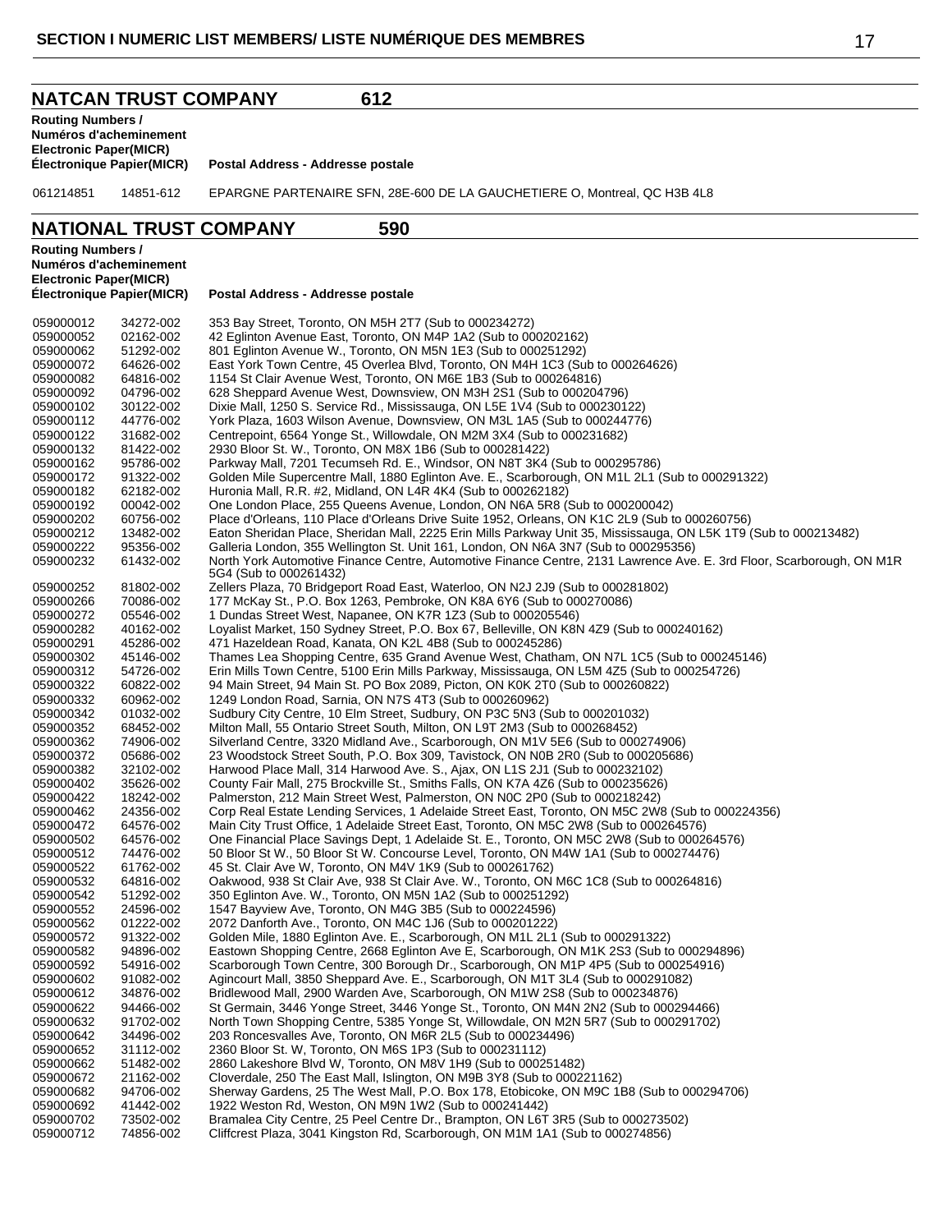**NATCAN TRUST COMPANY 612 Routing Numbers / Numéros d'acheminement Electronic Paper(MICR) Électronique Papier(MICR) Postal Address - Addresse postale** 061214851 14851-612 EPARGNE PARTENAIRE SFN, 28E-600 DE LA GAUCHETIERE O, Montreal, QC H3B 4L8 **NATIONAL TRUST COMPANY 590 Routing Numbers / Numéros d'acheminement Electronic Paper(MICR) Électronique Papier(MICR) Postal Address - Addresse postale** 059000012 34272-002 353 Bay Street, Toronto, ON M5H 2T7 (Sub to 000234272) 059000052 02162-002 42 Eglinton Avenue East, Toronto, ON M4P 1A2 (Sub to 000202162) 059000062 51292-002 801 Eglinton Avenue W., Toronto, ON M5N 1E3 (Sub to 000251292) 059000072 64626-002 East York Town Centre, 45 Overlea Blvd, Toronto, ON M4H 1C3 (Sub to 000264626) 059000082 64816-002 1154 St Clair Avenue West, Toronto, ON M6E 1B3 (Sub to 000264816) 059000092 04796-002 628 Sheppard Avenue West, Downsview, ON M3H 2S1 (Sub to 000204796) 059000102 30122-002 Dixie Mall, 1250 S. Service Rd., Mississauga, ON L5E 1V4 (Sub to 000230122) 059000112 44776-002 York Plaza, 1603 Wilson Avenue, Downsview, ON M3L 1A5 (Sub to 000244776) 059000122 31682-002 Centrepoint, 6564 Yonge St., Willowdale, ON M2M 3X4 (Sub to 000231682) 059000132 81422-002 2930 Bloor St. W., Toronto, ON M8X 1B6 (Sub to 000281422) 059000162 95786-002 Parkway Mall, 7201 Tecumseh Rd. E., Windsor, ON N8T 3K4 (Sub to 000295786) Golden Mile Supercentre Mall, 1880 Eglinton Ave. E., Scarborough, ON M1L 2L1 (Sub to 000291322) 059000182 62182-002 Huronia Mall, R.R. #2, Midland, ON L4R 4K4 (Sub to 000262182) 059000192 00042-002 One London Place, 255 Queens Avenue, London, ON N6A 5R8 (Sub to 000200042) 059000202 60756-002 Place d'Orleans, 110 Place d'Orleans Drive Suite 1952, Orleans, ON K1C 2L9 (Sub to 000260756) 059000212 13482-002 Eaton Sheridan Place, Sheridan Mall, 2225 Erin Mills Parkway Unit 35, Mississauga, ON L5K 1T9 (Sub to 000213482) 059000222 95356-002 Galleria London, 355 Wellington St. Unit 161, London, ON N6A 3N7 (Sub to 000295356) 059000232 61432-002 North York Automotive Finance Centre, Automotive Finance Centre, 2131 Lawrence Ave. E. 3rd Floor, Scarborough, ON M1R 5G4 (Sub to 000261432) 059000252 81802-002 Zellers Plaza, 70 Bridgeport Road East, Waterloo, ON N2J 2J9 (Sub to 000281802)<br>059000266 70086-002 177 McKay St. P.O. Box 1263. Pembroke, ON K8A 6Y6 (Sub to 000270086) 059000266 70086-002 177 McKay St., P.O. Box 1263, Pembroke, ON K8A 6Y6 (Sub to 000270086)<br>059000272 05546-002 1 Dundas Street West, Napanee, ON K7R 1Z3 (Sub to 000205546) 059000272 05546-002 1 Dundas Street West, Napanee, ON K7R 1Z3 (Sub to 000205546) Loyalist Market, 150 Sydney Street, P.O. Box 67, Belleville, ON K8N 4Z9 (Sub to 000240162) 059000291 45286-002 471 Hazeldean Road, Kanata, ON K2L 4B8 (Sub to 000245286) 45146-002 Thames Lea Shopping Centre, 635 Grand Avenue West, Chatham, ON N7L 1C5 (Sub to 000245146)<br>54726-002 Frin Mills Town Centre, 5100 Erin Mills Parkway, Mississauga, ON L5M 4Z5 (Sub to 000254726) 059000312 54726-002 Erin Mills Town Centre, 5100 Erin Mills Parkway, Mississauga, ON L5M 4Z5 (Sub to 000254726)<br>059000322 60822-002 94 Main Street, 94 Main St. PO Box 2089, Picton, ON K0K 2T0 (Sub to 000260822) 059000322 60822-002 94 Main Street, 94 Main St. PO Box 2089, Picton, ON K0K 2T0 (Sub to 000260822)<br>059000332 60962-002 1249 London Road. Sarnia. ON N7S 4T3 (Sub to 000260962) 1249 London Road, Sarnia, ON N7S 4T3 (Sub to 000260962) 059000342 01032-002 Sudbury City Centre, 10 Elm Street, Sudbury, ON P3C 5N3 (Sub to 000201032)<br>059000352 68452-002 Milton Mall, 55 Ontario Street South, Milton, ON L9T 2M3 (Sub to 000268452) 059000352 68452-002 Milton Mall, 55 Ontario Street South, Milton, ON L9T 2M3 (Sub to 000268452) 059000362 74906-002 Silverland Centre, 3320 Midland Ave., Scarborough, ON M1V 5E6 (Sub to 000274906) 059000372 05686-002 23 Woodstock Street South, P.O. Box 309, Tavistock, ON N0B 2R0 (Sub to 000205686)<br>059000382 32102-002 Harwood Place Mall 314 Harwood Ave S. Aiax ON L1S 2.11 (Sub to 000232102) Harwood Place Mall, 314 Harwood Ave. S., Ajax, ON L1S 2J1 (Sub to 000232102) 059000402 35626-002 County Fair Mall, 275 Brockville St., Smiths Falls, ON K7A 4Z6 (Sub to 000235626) 059000422 18242-002 Palmerston, 212 Main Street West, Palmerston, ON N0C 2P0 (Sub to 000218242)<br>059000462 24356-002 Corp Real Estate Lending Services, 1 Adelaide Street East, Toronto, ON M5C 2W8 059000462 24356-002 Corp Real Estate Lending Services, 1 Adelaide Street East, Toronto, ON M5C 2W8 (Sub to 000224356)<br>059000472 64576-002 Main City Trust Office, 1 Adelaide Street East, Toronto, ON M5C 2W8 (Sub to 00026457 059000472 64576-002 Main City Trust Office, 1 Adelaide Street East, Toronto, ON M5C 2W8 (Sub to 000264576) 059000502 64576-002 One Financial Place Savings Dept, 1 Adelaide St. E., Toronto, ON M5C 2W8 (Sub to 000264576)<br>059000512 74476-002 50 Bloor St W., 50 Bloor St W. Concourse Level, Toronto, ON M4W 1A1 (Sub to 000274476) 059000512 74476-002 50 Bloor St W., 50 Bloor St W. Concourse Level, Toronto, ON M4W 1A1 (Sub to 000274476)<br>059000522 61762-002 45 St. Clair Ave W, Toronto, ON M4V 1K9 (Sub to 000261762) 059000522 61762-002 45 St. Clair Ave W, Toronto, ON M4V 1K9 (Sub to 000261762)<br>059000532 64816-002 Oakwood, 938 St Clair Ave, 938 St Clair Ave. W., Toronto, ON 059000532 64816-002 Oakwood, 938 St Clair Ave, 938 St Clair Ave. W., Toronto, ON M6C 1C8 (Sub to 000264816)<br>059000542 51292-002 350 Eglinton Ave. W., Toronto, ON M5N 1A2 (Sub to 000251292) 51292-002 350 Eglinton Ave. W., Toronto, ON M5N 1A2 (Sub to 000251292)<br>24596-002 1547 Bayview Ave, Toronto, ON M4G 3B5 (Sub to 000224596) 059000552 24596-002 1547 Bayview Ave, Toronto, ON M4G 3B5 (Sub to 000224596)<br>059000562 01222-002 2072 Danforth Ave., Toronto, ON M4C 1J6 (Sub to 000201222) 059000562 01222-002 2072 Danforth Ave., Toronto, ON M4C 1J6 (Sub to 000201222)<br>059000572 91322-002 Golden Mile. 1880 Eglinton Ave. E., Scarborough, ON M1L 2L1 Golden Mile, 1880 Eglinton Ave. E., Scarborough, ON M1L 2L1 (Sub to 000291322) 059000582 94896-002 Eastown Shopping Centre, 2668 Eglinton Ave E, Scarborough, ON M1K 2S3 (Sub to 000294896)<br>059000592 54916-002 Scarborough Town Centre, 300 Borough Dr., Scarborough, ON M1P 4P5 (Sub to 000254916) Scarborough Town Centre, 300 Borough Dr., Scarborough, ON M1P 4P5 (Sub to 000254916) 059000602 91082-002 Agincourt Mall, 3850 Sheppard Ave. E., Scarborough, ON M1T 3L4 (Sub to 000291082)<br>059000612 34876-002 Bridlewood Mall, 2900 Warden Ave, Scarborough, ON M1W 2S8 (Sub to 000234876) 059000612 34876-002 Bridlewood Mall, 2900 Warden Ave, Scarborough, ON M1W 2S8 (Sub to 000234876) St Germain, 3446 Yonge Street, 3446 Yonge St., Toronto, ON M4N 2N2 (Sub to 000294466) 059000632 91702-002 North Town Shopping Centre, 5385 Yonge St, Willowdale, ON M2N 5R7 (Sub to 000291702)<br>059000642 34496-002 203 Roncesvalles Ave, Toronto, ON M6R 2L5 (Sub to 000234496) 059000642 34496-002 203 Roncesvalles Ave, Toronto, ON M6R 2L5 (Sub to 000234496)<br>059000652 31112-002 2360 Bloor St. W. Toronto, ON M6S 1P3 (Sub to 000231112) 059000652 31112-002 2360 Bloor St. W, Toronto, ON M6S 1P3 (Sub to 000231112)<br>059000662 51482-002 2860 Lakeshore Blvd W, Toronto, ON M8V 1H9 (Sub to 0002 059000662 51482-002 2860 Lakeshore Blvd W, Toronto, ON M8V 1H9 (Sub to 000251482) Cloverdale, 250 The East Mall, Islington, ON M9B 3Y8 (Sub to 000221162) 059000682 94706-002 Sherway Gardens, 25 The West Mall, P.O. Box 178, Etobicoke, ON M9C 1B8 (Sub to 000294706)<br>059000692 41442-002 1922 Weston Rd, Weston, ON M9N 1W2 (Sub to 000241442) 059000692 41442-002 1922 Weston Rd, Weston, ON M9N 1W2 (Sub to 000241442)<br>059000702 73502-002 Bramalea City Centre 25 Peel Centre Dr. Brampton, ON L6T 059000702 73502-002 Bramalea City Centre, 25 Peel Centre Dr., Brampton, ON L6T 3R5 (Sub to 000273502)<br>059000712 74856-002 Cliffcrest Plaza. 3041 Kingston Rd. Scarborough. ON M1M 1A1 (Sub to 000274856) Cliffcrest Plaza, 3041 Kingston Rd, Scarborough, ON M1M 1A1 (Sub to 000274856)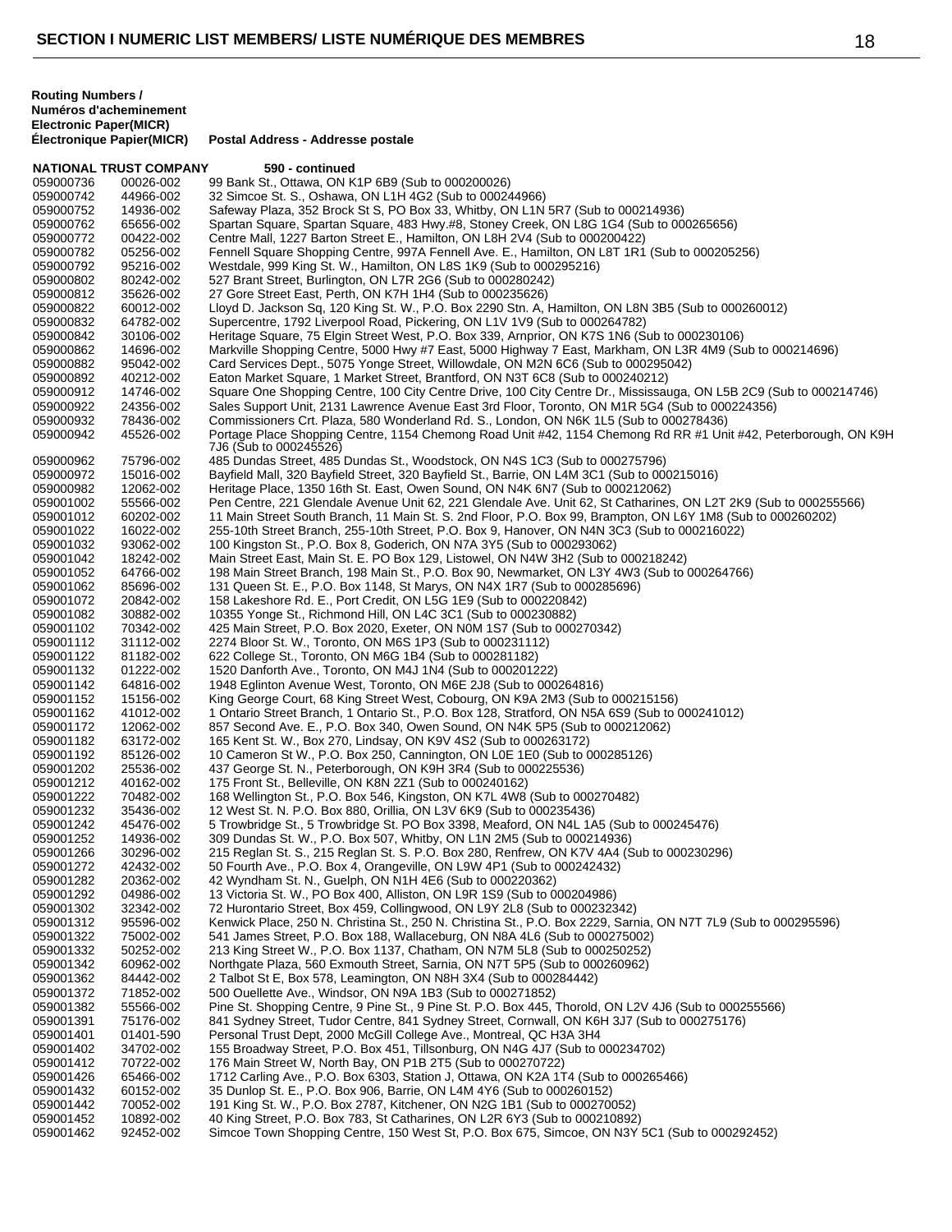**Routing Numbers / Numéros d'acheminement**

**Electronic Paper(MICR) Électronique Papier(MICR) Postal Address - Addresse postale NATIONAL TRUST COMPANY 590 - continued** 059000736 00026-002 99 Bank St., Ottawa, ON K1P 6B9 (Sub to 000200026)<br>059000742 44966-002 32 Simcoe St. S., Oshawa, ON L1H 4G2 (Sub to 00024 059000742 44966-002 32 Simcoe St. S., Oshawa, ON L1H 4G2 (Sub to 000244966)<br>059000752 14936-002 Safeway Plaza. 352 Brock St S. PO Box 33. Whitby. ON L1N Safeway Plaza, 352 Brock St S, PO Box 33, Whitby, ON L1N 5R7 (Sub to 000214936) 7J6 (Sub to 000245526)

059000762 65656-002 Spartan Square, Spartan Square, 483 Hwy.#8, Stoney Creek, ON L8G 1G4 (Sub to 000265656)<br>059000772 00422-002 Centre Mall, 1227 Barton Street E., Hamilton, ON L8H 2V4 (Sub to 000200422) 00422-002 Centre Mall, 1227 Barton Street E., Hamilton, ON L8H 2V4 (Sub to 000200422)<br>05256-002 Fennell Square Shopping Centre, 997A Fennell Ave. E., Hamilton, ON L8T 1R1 059000782 05256-002 Fennell Square Shopping Centre, 997A Fennell Ave. E., Hamilton, ON L8T 1R1 (Sub to 000205256)<br>059000792 95216-002 Westdale, 999 King St. W., Hamilton, ON L8S 1K9 (Sub to 000295216) 059000792 95216-002 Westdale, 999 King St. W., Hamilton, ON L8S 1K9 (Sub to 000295216)<br>059000802 80242-002 527 Brant Street. Burlington. ON L7R 2G6 (Sub to 000280242) 527 Brant Street, Burlington, ON L7R 2G6 (Sub to 000280242) 059000812 35626-002 27 Gore Street East, Perth, ON K7H 1H4 (Sub to 000235626)<br>059000822 60012-002 Lloyd D. Jackson Sq, 120 King St. W., P.O. Box 2290 Stn. A, I 059000822 60012-002 Lloyd D. Jackson Sq, 120 King St. W., P.O. Box 2290 Stn. A, Hamilton, ON L8N 3B5 (Sub to 000260012)<br>059000832 64782-002 Supercentre, 1792 Liverpool Road, Pickering, ON L1V 1V9 (Sub to 000264782) 64782-002 Supercentre, 1792 Liverpool Road, Pickering, ON L1V 1V9 (Sub to 000264782) 30106-002 Heritage Square, 75 Elgin Street West, P.O. Box 339, Arnprior, ON K7S 1N6 (Sub to 000230106) 14696-002 Markville Shopping Centre, 5000 Hwy #7 East, 5000 Highway 7 East, Markham, ON L3R 4M9 (Sub to 000214696)<br>95042-002 Card Services Dept., 5075 Yonge Street, Willowdale, ON M2N 6C6 (Sub to 000295042) 059000882 95042-002 Card Services Dept., 5075 Yonge Street, Willowdale, ON M2N 6C6 (Sub to 000295042)<br>059000892 40212-002 Eaton Market Square, 1 Market Street, Brantford, ON N3T 6C8 (Sub to 000240212) Eaton Market Square, 1 Market Street, Brantford, ON N3T 6C8 (Sub to 000240212) 059000912 14746-002 Square One Shopping Centre, 100 City Centre Drive, 100 City Centre Dr., Mississauga, ON L5B 2C9 (Sub to 000214746)<br>059000922 24356-002 Sales Support Unit, 2131 Lawrence Avenue East 3rd Floor, Toronto, O 059000922 24356-002 Sales Support Unit, 2131 Lawrence Avenue East 3rd Floor, Toronto, ON M1R 5G4 (Sub to 000224356)<br>059000932 78436-002 Commissioners Crt. Plaza, 580 Wonderland Rd. S., London, ON N6K 1L5 (Sub to 000278436) 059000932 78436-002 Commissioners Crt. Plaza, 580 Wonderland Rd. S., London, ON N6K 1L5 (Sub to 000278436)<br>059000942 45526-002 Portage Place Shopping Centre, 1154 Chemong Road Unit #42, 1154 Chemong Rd RR #1 Un Portage Place Shopping Centre, 1154 Chemong Road Unit #42, 1154 Chemong Rd RR #1 Unit #42, Peterborough, ON K9H 75796-002 485 Dundas Street, 485 Dundas St., Woodstock, ON N4S 1C3 (Sub to 000275796) 15016-002 Bayfield Mall, 320 Bayfield Street, 320 Bayfield St., Barrie, ON L4M 3C1 (Sub to 000215016) 12062-002 Heritage Place, 1350 16th St. East, Owen Sound, ON N4K 6N7 (Sub to 000212062) 55566-002 Pen Centre, 221 Glendale Avenue Unit 62, 221 Glendale Ave. Unit 62, St Catharines, ON L2T 2K9 (Sub to 000255566) 60202-002 11 Main Street South Branch, 11 Main St. S. 2nd Floor, P.O. Box 99, Brampton, ON L6Y 1M8 (Sub to 000260202) 16022-002 255-10th Street Branch, 255-10th Street, P.O. Box 9, Hanover, ON N4N 3C3 (Sub to 000216022) 93062-002 100 Kingston St., P.O. Box 8, Goderich, ON N7A 3Y5 (Sub to 000293062) 18242-002 Main Street East, Main St. E. PO Box 129, Listowel, ON N4W 3H2 (Sub to 000218242) 64766-002 198 Main Street Branch, 198 Main St., P.O. Box 90, Newmarket, ON L3Y 4W3 (Sub to 000264766) 85696-002 131 Queen St. E., P.O. Box 1148, St Marys, ON N4X 1R7 (Sub to 000285696) 20842-002 158 Lakeshore Rd. E., Port Credit, ON L5G 1E9 (Sub to 000220842) 30882-002 10355 Yonge St., Richmond Hill, ON L4C 3C1 (Sub to 000230882) 70342-002 425 Main Street, P.O. Box 2020, Exeter, ON N0M 1S7 (Sub to 000270342) 31112-002 2274 Bloor St. W., Toronto, ON M6S 1P3 (Sub to 000231112) 81182-002 622 College St., Toronto, ON M6G 1B4 (Sub to 000281182) 01222-002 1520 Danforth Ave., Toronto, ON M4J 1N4 (Sub to 000201222) 64816-002 1948 Eglinton Avenue West, Toronto, ON M6E 2J8 (Sub to 000264816) 15156-002 King George Court, 68 King Street West, Cobourg, ON K9A 2M3 (Sub to 000215156) 41012-002 1 Ontario Street Branch, 1 Ontario St., P.O. Box 128, Stratford, ON N5A 6S9 (Sub to 000241012) 12062-002 857 Second Ave. E., P.O. Box 340, Owen Sound, ON N4K 5P5 (Sub to 000212062) 63172-002 165 Kent St. W., Box 270, Lindsay, ON K9V 4S2 (Sub to 000263172) 85126-002 10 Cameron St W., P.O. Box 250, Cannington, ON L0E 1E0 (Sub to 000285126) 25536-002 437 George St. N., Peterborough, ON K9H 3R4 (Sub to 000225536) 40162-002 175 Front St., Belleville, ON K8N 2Z1 (Sub to 000240162) 70482-002 168 Wellington St., P.O. Box 546, Kingston, ON K7L 4W8 (Sub to 000270482) 35436-002 12 West St. N. P.O. Box 880, Orillia, ON L3V 6K9 (Sub to 000235436) 45476-002 5 Trowbridge St., 5 Trowbridge St. PO Box 3398, Meaford, ON N4L 1A5 (Sub to 000245476) 14936-002 309 Dundas St. W., P.O. Box 507, Whitby, ON L1N 2M5 (Sub to 000214936) 30296-002 215 Reglan St. S., 215 Reglan St. S. P.O. Box 280, Renfrew, ON K7V 4A4 (Sub to 000230296) 42432-002 50 Fourth Ave., P.O. Box 4, Orangeville, ON L9W 4P1 (Sub to 000242432) 20362-002 42 Wyndham St. N., Guelph, ON N1H 4E6 (Sub to 000220362) 04986-002 13 Victoria St. W., PO Box 400, Alliston, ON L9R 1S9 (Sub to 000204986) 32342-002 72 Hurontario Street, Box 459, Collingwood, ON L9Y 2L8 (Sub to 000232342) 95596-002 Kenwick Place, 250 N. Christina St., 250 N. Christina St., P.O. Box 2229, Sarnia, ON N7T 7L9 (Sub to 000295596) 75002-002 541 James Street, P.O. Box 188, Wallaceburg, ON N8A 4L6 (Sub to 000275002) 50252-002 213 King Street W., P.O. Box 1137, Chatham, ON N7M 5L8 (Sub to 000250252) 60962-002 Northgate Plaza, 560 Exmouth Street, Sarnia, ON N7T 5P5 (Sub to 000260962) 84442-002 2 Talbot St E, Box 578, Leamington, ON N8H 3X4 (Sub to 000284442) 71852-002 500 Ouellette Ave., Windsor, ON N9A 1B3 (Sub to 000271852) 55566-002 Pine St. Shopping Centre, 9 Pine St., 9 Pine St. P.O. Box 445, Thorold, ON L2V 4J6 (Sub to 000255566) 75176-002 841 Sydney Street, Tudor Centre, 841 Sydney Street, Cornwall, ON K6H 3J7 (Sub to 000275176) 01401-590 Personal Trust Dept, 2000 McGill College Ave., Montreal, QC H3A 3H4 34702-002 155 Broadway Street, P.O. Box 451, Tillsonburg, ON N4G 4J7 (Sub to 000234702) 70722-002 176 Main Street W, North Bay, ON P1B 2T5 (Sub to 000270722) 65466-002 1712 Carling Ave., P.O. Box 6303, Station J, Ottawa, ON K2A 1T4 (Sub to 000265466) 60152-002 35 Dunlop St. E., P.O. Box 906, Barrie, ON L4M 4Y6 (Sub to 000260152) 70052-002 191 King St. W., P.O. Box 2787, Kitchener, ON N2G 1B1 (Sub to 000270052) 10892-002 40 King Street, P.O. Box 783, St Catharines, ON L2R 6Y3 (Sub to 000210892) 92452-002 Simcoe Town Shopping Centre, 150 West St, P.O. Box 675, Simcoe, ON N3Y 5C1 (Sub to 000292452)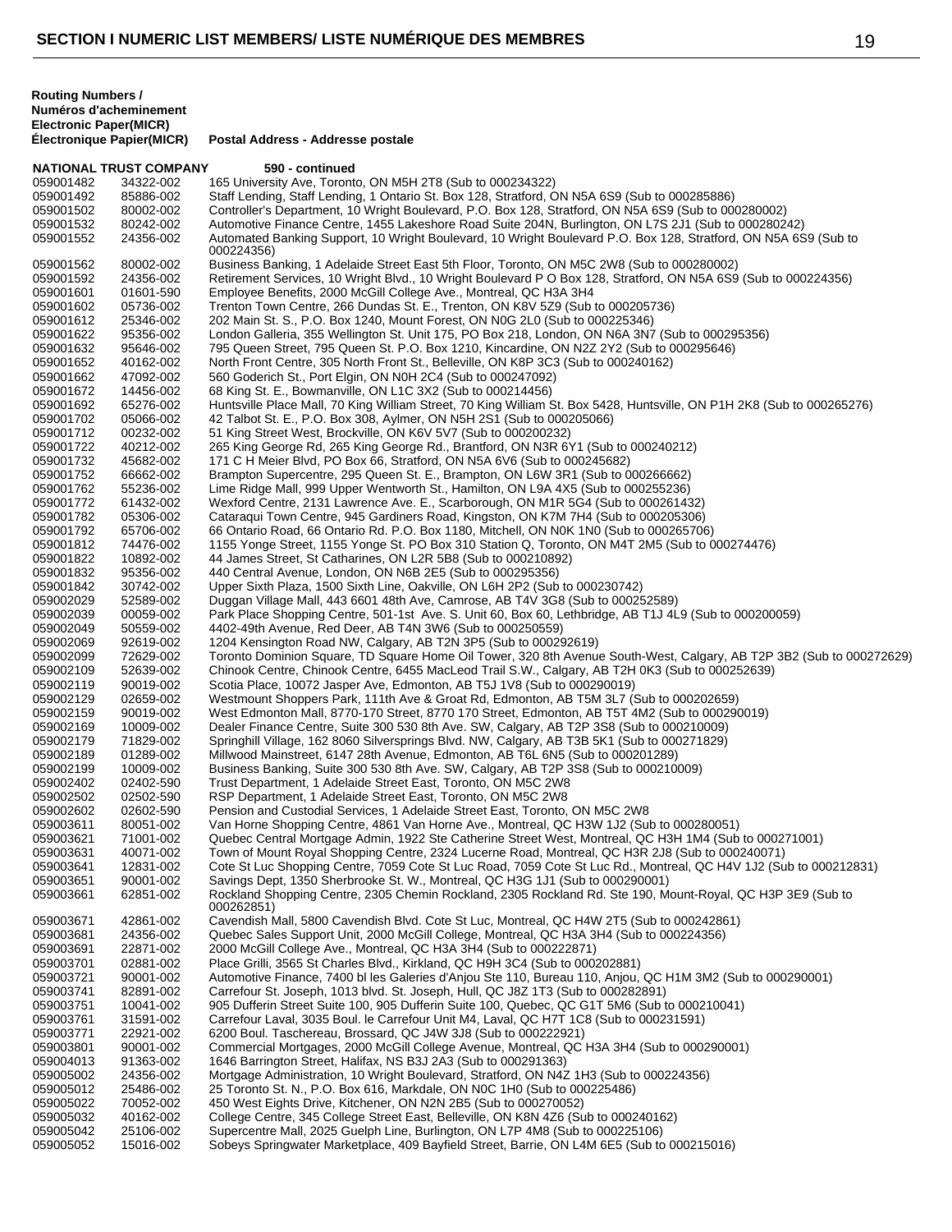|                        | NATIONAL TRUST COMPANY | 590 - continued                                                                                                                                                                                |
|------------------------|------------------------|------------------------------------------------------------------------------------------------------------------------------------------------------------------------------------------------|
| 059001482              | 34322-002              | 165 University Ave, Toronto, ON M5H 2T8 (Sub to 000234322)                                                                                                                                     |
| 059001492              | 85886-002              | Staff Lending, Staff Lending, 1 Ontario St. Box 128, Stratford, ON N5A 6S9 (Sub to 000285886)                                                                                                  |
| 059001502              | 80002-002              | Controller's Department, 10 Wright Boulevard, P.O. Box 128, Stratford, ON N5A 6S9 (Sub to 000280002)                                                                                           |
| 059001532              | 80242-002              | Automotive Finance Centre, 1455 Lakeshore Road Suite 204N, Burlington, ON L7S 2J1 (Sub to 000280242)                                                                                           |
| 059001552              | 24356-002              | Automated Banking Support, 10 Wright Boulevard, 10 Wright Boulevard P.O. Box 128, Stratford, ON N5A 6S9 (Sub to<br>000224356)                                                                  |
| 059001562              | 80002-002              | Business Banking, 1 Adelaide Street East 5th Floor, Toronto, ON M5C 2W8 (Sub to 000280002)                                                                                                     |
| 059001592              | 24356-002              | Retirement Services, 10 Wright Blvd., 10 Wright Boulevard P O Box 128, Stratford, ON N5A 6S9 (Sub to 000224356)                                                                                |
| 059001601              | 01601-590              | Employee Benefits, 2000 McGill College Ave., Montreal, QC H3A 3H4                                                                                                                              |
| 059001602              | 05736-002              | Trenton Town Centre, 266 Dundas St. E., Trenton, ON K8V 5Z9 (Sub to 000205736)                                                                                                                 |
| 059001612              | 25346-002              | 202 Main St. S., P.O. Box 1240, Mount Forest, ON N0G 2L0 (Sub to 000225346)                                                                                                                    |
| 059001622              | 95356-002              | London Galleria, 355 Wellington St. Unit 175, PO Box 218, London, ON N6A 3N7 (Sub to 000295356)<br>795 Queen Street, 795 Queen St. P.O. Box 1210, Kincardine, ON N2Z 2Y2 (Sub to 000295646)    |
| 059001632<br>059001652 | 95646-002<br>40162-002 | North Front Centre, 305 North Front St., Belleville, ON K8P 3C3 (Sub to 000240162)                                                                                                             |
| 059001662              | 47092-002              | 560 Goderich St., Port Elgin, ON N0H 2C4 (Sub to 000247092)                                                                                                                                    |
| 059001672              | 14456-002              | 68 King St. E., Bowmanville, ON L1C 3X2 (Sub to 000214456)                                                                                                                                     |
| 059001692              | 65276-002              | Huntsville Place Mall, 70 King William Street, 70 King William St. Box 5428, Huntsville, ON P1H 2K8 (Sub to 000265276)                                                                         |
| 059001702              | 05066-002              | 42 Talbot St. E., P.O. Box 308, Aylmer, ON N5H 2S1 (Sub to 000205066)                                                                                                                          |
| 059001712              | 00232-002              | 51 King Street West, Brockville, ON K6V 5V7 (Sub to 000200232)                                                                                                                                 |
| 059001722              | 40212-002              | 265 King George Rd, 265 King George Rd., Brantford, ON N3R 6Y1 (Sub to 000240212)                                                                                                              |
| 059001732              | 45682-002              | 171 C H Meier Blvd, PO Box 66, Stratford, ON N5A 6V6 (Sub to 000245682)                                                                                                                        |
| 059001752              | 66662-002              | Brampton Supercentre, 295 Queen St. E., Brampton, ON L6W 3R1 (Sub to 000266662)                                                                                                                |
| 059001762              | 55236-002              | Lime Ridge Mall, 999 Upper Wentworth St., Hamilton, ON L9A 4X5 (Sub to 000255236)                                                                                                              |
| 059001772              | 61432-002              | Wexford Centre, 2131 Lawrence Ave. E., Scarborough, ON M1R 5G4 (Sub to 000261432)                                                                                                              |
| 059001782              | 05306-002              | Cataragui Town Centre, 945 Gardiners Road, Kingston, ON K7M 7H4 (Sub to 000205306)                                                                                                             |
| 059001792              | 65706-002              | 66 Ontario Road, 66 Ontario Rd. P.O. Box 1180, Mitchell, ON N0K 1N0 (Sub to 000265706)                                                                                                         |
| 059001812              | 74476-002              | 1155 Yonge Street, 1155 Yonge St. PO Box 310 Station Q, Toronto, ON M4T 2M5 (Sub to 000274476)<br>44 James Street, St Catharines, ON L2R 5B8 (Sub to 000210892)                                |
| 059001822<br>059001832 | 10892-002<br>95356-002 | 440 Central Avenue, London, ON N6B 2E5 (Sub to 000295356)                                                                                                                                      |
| 059001842              | 30742-002              | Upper Sixth Plaza, 1500 Sixth Line, Oakville, ON L6H 2P2 (Sub to 000230742)                                                                                                                    |
| 059002029              | 52589-002              | Duggan Village Mall, 443 6601 48th Ave, Camrose, AB T4V 3G8 (Sub to 000252589)                                                                                                                 |
| 059002039              | 00059-002              | Park Place Shopping Centre, 501-1st Ave. S. Unit 60, Box 60, Lethbridge, AB T1J 4L9 (Sub to 000200059)                                                                                         |
| 059002049              | 50559-002              | 4402-49th Avenue, Red Deer, AB T4N 3W6 (Sub to 000250559)                                                                                                                                      |
| 059002069              | 92619-002              | 1204 Kensington Road NW, Calgary, AB T2N 3P5 (Sub to 000292619)                                                                                                                                |
| 059002099              | 72629-002              | Toronto Dominion Square, TD Square Home Oil Tower, 320 8th Avenue South-West, Calgary, AB T2P 3B2 (Sub to 000272629)                                                                           |
| 059002109              | 52639-002              | Chinook Centre, Chinook Centre, 6455 MacLeod Trail S.W., Calgary, AB T2H 0K3 (Sub to 000252639)                                                                                                |
| 059002119              | 90019-002              | Scotia Place, 10072 Jasper Ave, Edmonton, AB T5J 1V8 (Sub to 000290019)                                                                                                                        |
| 059002129              | 02659-002              | Westmount Shoppers Park, 111th Ave & Groat Rd, Edmonton, AB T5M 3L7 (Sub to 000202659)                                                                                                         |
| 059002159              | 90019-002              | West Edmonton Mall, 8770-170 Street, 8770 170 Street, Edmonton, AB T5T 4M2 (Sub to 000290019)                                                                                                  |
| 059002169<br>059002179 | 10009-002<br>71829-002 | Dealer Finance Centre, Suite 300 530 8th Ave. SW, Calgary, AB T2P 3S8 (Sub to 000210009)<br>Springhill Village, 162 8060 Silversprings Blvd. NW, Calgary, AB T3B 5K1 (Sub to 000271829)        |
| 059002189              | 01289-002              | Millwood Mainstreet, 6147 28th Avenue, Edmonton, AB T6L 6N5 (Sub to 000201289)                                                                                                                 |
| 059002199              | 10009-002              | Business Banking, Suite 300 530 8th Ave. SW, Calgary, AB T2P 3S8 (Sub to 000210009)                                                                                                            |
| 059002402              | 02402-590              | Trust Department, 1 Adelaide Street East, Toronto, ON M5C 2W8                                                                                                                                  |
| 059002502              | 02502-590              | RSP Department, 1 Adelaide Street East, Toronto, ON M5C 2W8                                                                                                                                    |
| 059002602              | 02602-590              | Pension and Custodial Services, 1 Adelaide Street East, Toronto, ON M5C 2W8                                                                                                                    |
| 059003611              | 80051-002              | Van Horne Shopping Centre, 4861 Van Horne Ave., Montreal, QC H3W 1J2 (Sub to 000280051)                                                                                                        |
| 059003621              | 71001-002              | Quebec Central Mortgage Admin, 1922 Ste Catherine Street West, Montreal, QC H3H 1M4 (Sub to 000271001)                                                                                         |
| 059003631              | 40071-002              | Town of Mount Royal Shopping Centre, 2324 Lucerne Road, Montreal, QC H3R 2J8 (Sub to 000240071)                                                                                                |
| 059003641              | 12831-002              | Cote St Luc Shopping Centre, 7059 Cote St Luc Road, 7059 Cote St Luc Rd., Montreal, QC H4V 1J2 (Sub to 000212831)                                                                              |
| 059003651              | 90001-002              | Savings Dept, 1350 Sherbrooke St. W., Montreal, QC H3G 1J1 (Sub to 000290001)                                                                                                                  |
| 059003661              | 62851-002              | Rockland Shopping Centre, 2305 Chemin Rockland, 2305 Rockland Rd. Ste 190, Mount-Royal, QC H3P 3E9 (Sub to<br>000262851)                                                                       |
| 059003671              | 42861-002              | Cavendish Mall, 5800 Cavendish Blvd. Cote St Luc, Montreal, QC H4W 2T5 (Sub to 000242861)                                                                                                      |
| 059003681              | 24356-002              | Quebec Sales Support Unit, 2000 McGill College, Montreal, QC H3A 3H4 (Sub to 000224356)                                                                                                        |
| 059003691              | 22871-002              | 2000 McGill College Ave., Montreal, QC H3A 3H4 (Sub to 000222871)                                                                                                                              |
| 059003701              | 02881-002              | Place Grilli, 3565 St Charles Blvd., Kirkland, QC H9H 3C4 (Sub to 000202881)                                                                                                                   |
| 059003721<br>059003741 | 90001-002<br>82891-002 | Automotive Finance, 7400 bl les Galeries d'Anjou Ste 110, Bureau 110, Anjou, QC H1M 3M2 (Sub to 000290001)<br>Carrefour St. Joseph, 1013 blvd. St. Joseph, Hull, QC J8Z 1T3 (Sub to 000282891) |
| 059003751              | 10041-002              | 905 Dufferin Street Suite 100, 905 Dufferin Suite 100, Quebec, QC G1T 5M6 (Sub to 000210041)                                                                                                   |
| 059003761              | 31591-002              | Carrefour Laval, 3035 Boul. le Carrefour Unit M4, Laval, QC H7T 1C8 (Sub to 000231591)                                                                                                         |
| 059003771              | 22921-002              | 6200 Boul. Taschereau, Brossard, QC J4W 3J8 (Sub to 000222921)                                                                                                                                 |
| 059003801              | 90001-002              | Commercial Mortgages, 2000 McGill College Avenue, Montreal, QC H3A 3H4 (Sub to 000290001)                                                                                                      |
| 059004013              | 91363-002              | 1646 Barrington Street, Halifax, NS B3J 2A3 (Sub to 000291363)                                                                                                                                 |
| 059005002              | 24356-002              | Mortgage Administration, 10 Wright Boulevard, Stratford, ON N4Z 1H3 (Sub to 000224356)                                                                                                         |
| 059005012              | 25486-002              | 25 Toronto St. N., P.O. Box 616, Markdale, ON N0C 1H0 (Sub to 000225486)                                                                                                                       |
| 059005022              | 70052-002              | 450 West Eights Drive, Kitchener, ON N2N 2B5 (Sub to 000270052)                                                                                                                                |
| 059005032              | 40162-002              | College Centre, 345 College Street East, Belleville, ON K8N 4Z6 (Sub to 000240162)                                                                                                             |
| 059005042              | 25106-002              | Supercentre Mall, 2025 Guelph Line, Burlington, ON L7P 4M8 (Sub to 000225106)                                                                                                                  |
| 059005052              | 15016-002              | Sobeys Springwater Marketplace, 409 Bayfield Street, Barrie, ON L4M 6E5 (Sub to 000215016)                                                                                                     |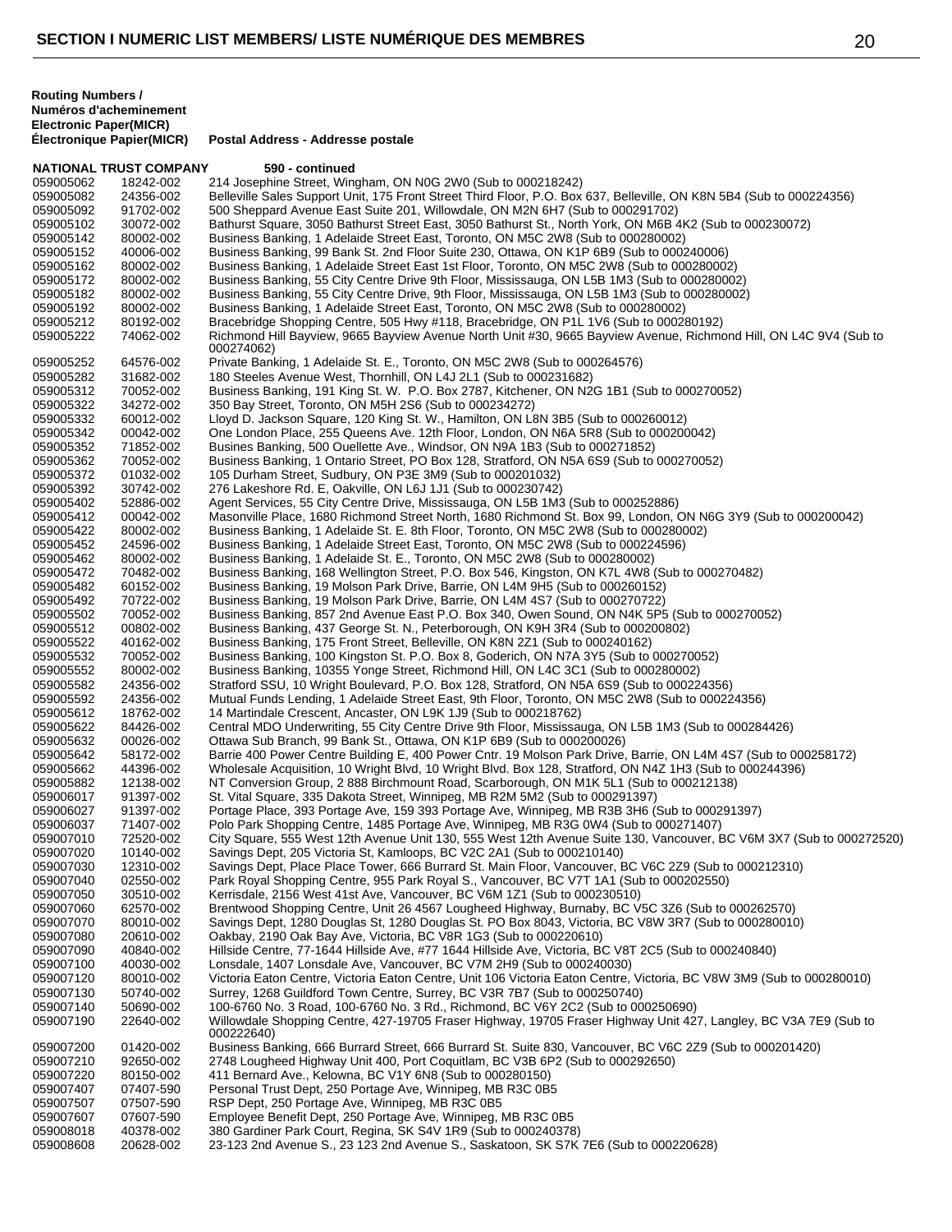| <b>Routing Numbers /</b><br>Numéros d'acheminement<br>Electronic Paper(MICR) |                               |                                                                                                                                 |
|------------------------------------------------------------------------------|-------------------------------|---------------------------------------------------------------------------------------------------------------------------------|
| Electronique Papier(MICR)                                                    |                               | Postal Address - Addresse postale                                                                                               |
|                                                                              | <b>NATIONAL TRUST COMPANY</b> | 590 - continued                                                                                                                 |
| 059005062                                                                    | 18242-002                     | 214 Josephine Street, Wingham, ON NOG 2W0 (Sub to 000218242)                                                                    |
| 059005082                                                                    | 24356-002                     | Belleville Sales Support Unit, 175 Front Street Third Floor, P.O. Box 637, Belleville, ON K8N 5B4 (Sub to 000224356)            |
| 059005092                                                                    | 91702-002                     | 500 Sheppard Avenue East Suite 201, Willowdale, ON M2N 6H7 (Sub to 000291702)                                                   |
| 059005102                                                                    | 30072-002                     | Bathurst Square, 3050 Bathurst Street East, 3050 Bathurst St., North York, ON M6B 4K2 (Sub to 000230072)                        |
| 059005142                                                                    | 80002-002                     | Business Banking, 1 Adelaide Street East, Toronto, ON M5C 2W8 (Sub to 000280002)                                                |
| 059005152                                                                    | 40006-002                     | Business Banking, 99 Bank St. 2nd Floor Suite 230, Ottawa, ON K1P 6B9 (Sub to 000240006)                                        |
| 059005162                                                                    | 80002-002                     | Business Banking, 1 Adelaide Street East 1st Floor, Toronto, ON M5C 2W8 (Sub to 000280002)                                      |
| 059005172                                                                    | 80002-002                     | Business Banking, 55 City Centre Drive 9th Floor, Mississauga, ON L5B 1M3 (Sub to 000280002)                                    |
| 059005182                                                                    | 80002-002                     | Business Banking, 55 City Centre Drive, 9th Floor, Mississauga, ON L5B 1M3 (Sub to 000280002)                                   |
| 059005192                                                                    | 80002-002                     | Business Banking, 1 Adelaide Street East, Toronto, ON M5C 2W8 (Sub to 000280002)                                                |
| 059005212                                                                    | 80192-002                     | Bracebridge Shopping Centre, 505 Hwy #118, Bracebridge, ON P1L 1V6 (Sub to 000280192)                                           |
| 059005222                                                                    | 74062-002                     | Richmond Hill Bayview, 9665 Bayview Avenue North Unit #30, 9665 Bayview Avenue, Richmond Hill, ON L4C 9V4 (Sub to<br>000274062) |
| 059005252                                                                    | 64576-002                     | Private Banking, 1 Adelaide St. E., Toronto, ON M5C 2W8 (Sub to 000264576)                                                      |
| 059005282                                                                    | 31682-002                     | 180 Steeles Avenue West, Thornhill, ON L4J 2L1 (Sub to 000231682)                                                               |
| 059005312                                                                    | 70052-002                     | Business Banking, 191 King St. W. P.O. Box 2787, Kitchener, ON N2G 1B1 (Sub to 000270052)                                       |
| 059005322                                                                    | 34272-002                     | 350 Bay Street, Toronto, ON M5H 2S6 (Sub to 000234272)                                                                          |
| 059005332                                                                    | 60012-002                     | Lloyd D. Jackson Square, 120 King St. W., Hamilton, ON L8N 3B5 (Sub to 000260012)                                               |
| 059005342                                                                    | 00042-002                     | One London Place, 255 Queens Ave. 12th Floor, London, ON N6A 5R8 (Sub to 000200042)                                             |
| 059005352                                                                    | 71852-002                     | Busines Banking, 500 Ouellette Ave., Windsor, ON N9A 1B3 (Sub to 000271852)                                                     |
| 059005362                                                                    | 70052-002                     | Business Banking, 1 Ontario Street, PO Box 128, Stratford, ON N5A 6S9 (Sub to 000270052)                                        |
| 059005372                                                                    | 01032-002                     | 105 Durham Street, Sudbury, ON P3E 3M9 (Sub to 000201032)                                                                       |
| 059005392                                                                    | 30742-002                     | 276 Lakeshore Rd. E, Oakville, ON L6J 1J1 (Sub to 000230742)                                                                    |
| 059005402                                                                    | 52886-002                     | Agent Services, 55 City Centre Drive, Mississauga, ON L5B 1M3 (Sub to 000252886)                                                |
| 059005412                                                                    | 00042-002                     | Masonville Place, 1680 Richmond Street North, 1680 Richmond St. Box 99, London, ON N6G 3Y9 (Sub to 000200042)                   |
| 059005422                                                                    |                               | Business Banking, 1 Adelaide St. E. 8th Floor, Toronto, ON M5C 2W8 (Sub to 000280002)                                           |
|                                                                              | 80002-002                     |                                                                                                                                 |
| 059005452                                                                    | 24596-002                     | Business Banking, 1 Adelaide Street East, Toronto, ON M5C 2W8 (Sub to 000224596)                                                |
| 059005462                                                                    | 80002-002                     | Business Banking, 1 Adelaide St. E., Toronto, ON M5C 2W8 (Sub to 000280002)                                                     |
| 059005472                                                                    | 70482-002                     | Business Banking, 168 Wellington Street, P.O. Box 546, Kingston, ON K7L 4W8 (Sub to 000270482)                                  |
| 059005482                                                                    | 60152-002                     | Business Banking, 19 Molson Park Drive, Barrie, ON L4M 9H5 (Sub to 000260152)                                                   |
| 059005492                                                                    | 70722-002                     | Business Banking, 19 Molson Park Drive, Barrie, ON L4M 4S7 (Sub to 000270722)                                                   |
| 059005502                                                                    | 70052-002                     | Business Banking, 857 2nd Avenue East P.O. Box 340, Owen Sound, ON N4K 5P5 (Sub to 000270052)                                   |
| 059005512                                                                    | 00802-002                     | Business Banking, 437 George St. N., Peterborough, ON K9H 3R4 (Sub to 000200802)                                                |
| 059005522                                                                    | 40162-002                     | Business Banking, 175 Front Street, Belleville, ON K8N 2Z1 (Sub to 000240162)                                                   |
| 059005532                                                                    | 70052-002                     | Business Banking, 100 Kingston St. P.O. Box 8, Goderich, ON N7A 3Y5 (Sub to 000270052)                                          |
| 059005552                                                                    | 80002-002                     | Business Banking, 10355 Yonge Street, Richmond Hill, ON L4C 3C1 (Sub to 000280002)                                              |
| 059005582                                                                    | 24356-002                     | Stratford SSU, 10 Wright Boulevard, P.O. Box 128, Stratford, ON N5A 6S9 (Sub to 000224356)                                      |
| 059005592                                                                    | 24356-002                     | Mutual Funds Lending, 1 Adelaide Street East, 9th Floor, Toronto, ON M5C 2W8 (Sub to 000224356)                                 |
| 059005612                                                                    | 18762-002                     | 14 Martindale Crescent, Ancaster, ON L9K 1J9 (Sub to 000218762)                                                                 |
| 059005622                                                                    | 84426-002                     | Central MDO Underwriting, 55 City Centre Drive 9th Floor, Mississauga, ON L5B 1M3 (Sub to 000284426)                            |
| 059005632                                                                    | 00026-002                     | Ottawa Sub Branch, 99 Bank St., Ottawa, ON K1P 6B9 (Sub to 000200026)                                                           |
| 059005642                                                                    | 58172-002                     | Barrie 400 Power Centre Building E, 400 Power Cntr. 19 Molson Park Drive, Barrie, ON L4M 4S7 (Sub to 000258172)                 |
| 059005662                                                                    | 44396-002                     | Wholesale Acquisition, 10 Wright Blvd, 10 Wright Blvd. Box 128, Stratford, ON N4Z 1H3 (Sub to 000244396)                        |
| 059005882                                                                    | 12138-002                     | NT Conversion Group, 2 888 Birchmount Road, Scarborough, ON M1K 5L1 (Sub to 000212138)                                          |
| 059006017                                                                    | 91397-002                     | St. Vital Square, 335 Dakota Street, Winnipeg, MB R2M 5M2 (Sub to 000291397)                                                    |
| 059006027                                                                    | 91397-002                     | Portage Place, 393 Portage Ave, 159 393 Portage Ave, Winnipeg, MB R3B 3H6 (Sub to 000291397)                                    |
| 059006037                                                                    | 71407-002                     | Polo Park Shopping Centre, 1485 Portage Ave, Winnipeg, MB R3G 0W4 (Sub to 000271407)                                            |
| 059007010                                                                    | 72520-002                     | City Square, 555 West 12th Avenue Unit 130, 555 West 12th Avenue Suite 130, Vancouver, BC V6M 3X7 (Sub to 000272520)            |
| 059007020                                                                    | 10140-002                     | Savings Dept, 205 Victoria St, Kamloops, BC V2C 2A1 (Sub to 000210140)                                                          |
| 059007030                                                                    | 12310-002                     | Savings Dept, Place Place Tower, 666 Burrard St. Main Floor, Vancouver, BC V6C 2Z9 (Sub to 000212310)                           |
| 059007040                                                                    | 02550-002                     | Park Royal Shopping Centre, 955 Park Royal S., Vancouver, BC V7T 1A1 (Sub to 000202550)                                         |
| 059007050                                                                    | 30510-002                     | Kerrisdale, 2156 West 41st Ave, Vancouver, BC V6M 1Z1 (Sub to 000230510)                                                        |
| 059007060                                                                    | 62570-002                     | Brentwood Shopping Centre, Unit 26 4567 Lougheed Highway, Burnaby, BC V5C 3Z6 (Sub to 000262570)                                |
| 059007070                                                                    | 80010-002                     | Savings Dept, 1280 Douglas St, 1280 Douglas St. PO Box 8043, Victoria, BC V8W 3R7 (Sub to 000280010)                            |
| 059007080                                                                    | 20610-002                     | Oakbay, 2190 Oak Bay Ave, Victoria, BC V8R 1G3 (Sub to 000220610)                                                               |
| 059007090                                                                    | 40840-002                     | Hillside Centre, 77-1644 Hillside Ave, #77 1644 Hillside Ave, Victoria, BC V8T 2C5 (Sub to 000240840)                           |
| 059007100                                                                    | 40030-002                     | Lonsdale, 1407 Lonsdale Ave, Vancouver, BC V7M 2H9 (Sub to 000240030)                                                           |
| 059007120                                                                    | 80010-002                     | Victoria Eaton Centre, Victoria Eaton Centre, Unit 106 Victoria Eaton Centre, Victoria, BC V8W 3M9 (Sub to 000280010)           |
| 059007130                                                                    | 50740-002                     | Surrey, 1268 Guildford Town Centre, Surrey, BC V3R 7B7 (Sub to 000250740)                                                       |
| 059007140                                                                    | 50690-002                     | 100-6760 No. 3 Road, 100-6760 No. 3 Rd., Richmond, BC V6Y 2C2 (Sub to 000250690)                                                |
| 059007190                                                                    | 22640-002                     | Willowdale Shopping Centre, 427-19705 Fraser Highway, 19705 Fraser Highway Unit 427, Langley, BC V3A 7E9 (Sub to<br>000222640)  |
| 059007200                                                                    | 01420-002                     | Business Banking, 666 Burrard Street, 666 Burrard St. Suite 830, Vancouver, BC V6C 2Z9 (Sub to 000201420)                       |
| 059007210                                                                    | 92650-002                     | 2748 Lougheed Highway Unit 400, Port Coquitlam, BC V3B 6P2 (Sub to 000292650)                                                   |
| 059007220                                                                    | 80150-002                     | 411 Bernard Ave., Kelowna, BC V1Y 6N8 (Sub to 000280150)                                                                        |
| 059007407                                                                    | 07407-590                     | Personal Trust Dept, 250 Portage Ave, Winnipeg, MB R3C 0B5                                                                      |
| 059007507                                                                    | 07507-590                     | RSP Dept, 250 Portage Ave, Winnipeg, MB R3C 0B5                                                                                 |
| 059007607                                                                    | 07607-590                     | Employee Benefit Dept, 250 Portage Ave, Winnipeg, MB R3C 0B5                                                                    |
|                                                                              |                               |                                                                                                                                 |
| 059008018<br>059008608                                                       | 40378-002                     | 380 Gardiner Park Court, Regina, SK S4V 1R9 (Sub to 000240378)                                                                  |
|                                                                              | 20628-002                     | 23-123 2nd Avenue S., 23 123 2nd Avenue S., Saskatoon, SK S7K 7E6 (Sub to 000220628)                                            |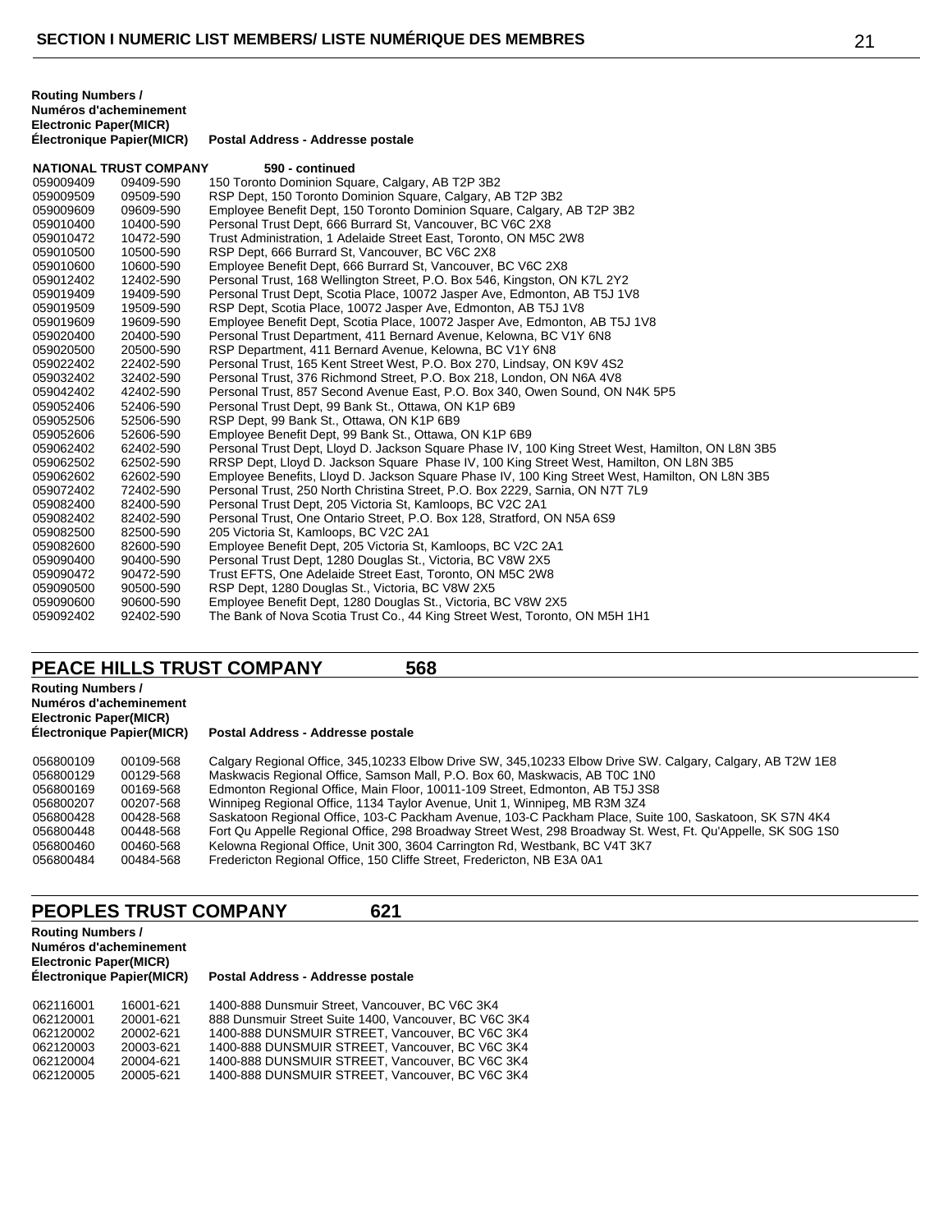| <b>Routing Numbers /</b>  |                                   |
|---------------------------|-----------------------------------|
| Numéros d'acheminement    |                                   |
| Electronic Paper(MICR)    |                                   |
| Électronique Papier(MICR) | Postal Address - Addresse postale |

|           | <b>NATIONAL TRUST COMPANY</b> | 590 - continued                                                                                   |
|-----------|-------------------------------|---------------------------------------------------------------------------------------------------|
| 059009409 | 09409-590                     | 150 Toronto Dominion Square, Calgary, AB T2P 3B2                                                  |
| 059009509 | 09509-590                     | RSP Dept, 150 Toronto Dominion Square, Calgary, AB T2P 3B2                                        |
| 059009609 | 09609-590                     | Employee Benefit Dept, 150 Toronto Dominion Square, Calgary, AB T2P 3B2                           |
| 059010400 | 10400-590                     | Personal Trust Dept, 666 Burrard St, Vancouver, BC V6C 2X8                                        |
| 059010472 | 10472-590                     | Trust Administration, 1 Adelaide Street East, Toronto, ON M5C 2W8                                 |
| 059010500 | 10500-590                     | RSP Dept, 666 Burrard St, Vancouver, BC V6C 2X8                                                   |
| 059010600 | 10600-590                     | Employee Benefit Dept, 666 Burrard St, Vancouver, BC V6C 2X8                                      |
| 059012402 | 12402-590                     | Personal Trust, 168 Wellington Street, P.O. Box 546, Kingston, ON K7L 2Y2                         |
| 059019409 | 19409-590                     | Personal Trust Dept, Scotia Place, 10072 Jasper Ave, Edmonton, AB T5J 1V8                         |
| 059019509 | 19509-590                     | RSP Dept, Scotia Place, 10072 Jasper Ave, Edmonton, AB T5J 1V8                                    |
| 059019609 | 19609-590                     | Employee Benefit Dept, Scotia Place, 10072 Jasper Ave, Edmonton, AB T5J 1V8                       |
| 059020400 | 20400-590                     | Personal Trust Department, 411 Bernard Avenue, Kelowna, BC V1Y 6N8                                |
| 059020500 | 20500-590                     | RSP Department, 411 Bernard Avenue, Kelowna, BC V1Y 6N8                                           |
| 059022402 | 22402-590                     | Personal Trust, 165 Kent Street West, P.O. Box 270, Lindsay, ON K9V 4S2                           |
| 059032402 | 32402-590                     | Personal Trust, 376 Richmond Street, P.O. Box 218, London, ON N6A 4V8                             |
| 059042402 | 42402-590                     | Personal Trust, 857 Second Avenue East, P.O. Box 340, Owen Sound, ON N4K 5P5                      |
| 059052406 | 52406-590                     | Personal Trust Dept, 99 Bank St., Ottawa, ON K1P 6B9                                              |
| 059052506 | 52506-590                     | RSP Dept, 99 Bank St., Ottawa, ON K1P 6B9                                                         |
| 059052606 | 52606-590                     | Employee Benefit Dept, 99 Bank St., Ottawa, ON K1P 6B9                                            |
| 059062402 | 62402-590                     | Personal Trust Dept, Lloyd D. Jackson Square Phase IV, 100 King Street West, Hamilton, ON L8N 3B5 |
| 059062502 | 62502-590                     | RRSP Dept, Lloyd D. Jackson Square Phase IV, 100 King Street West, Hamilton, ON L8N 3B5           |
| 059062602 | 62602-590                     | Employee Benefits, Lloyd D. Jackson Square Phase IV, 100 King Street West, Hamilton, ON L8N 3B5   |
| 059072402 | 72402-590                     | Personal Trust, 250 North Christina Street, P.O. Box 2229, Sarnia, ON N7T 7L9                     |
| 059082400 | 82400-590                     | Personal Trust Dept, 205 Victoria St, Kamloops, BC V2C 2A1                                        |
| 059082402 | 82402-590                     | Personal Trust, One Ontario Street, P.O. Box 128, Stratford, ON N5A 6S9                           |
| 059082500 | 82500-590                     | 205 Victoria St, Kamloops, BC V2C 2A1                                                             |
| 059082600 | 82600-590                     | Employee Benefit Dept, 205 Victoria St, Kamloops, BC V2C 2A1                                      |
| 059090400 | 90400-590                     | Personal Trust Dept, 1280 Douglas St., Victoria, BC V8W 2X5                                       |
| 059090472 | 90472-590                     | Trust EFTS, One Adelaide Street East, Toronto, ON M5C 2W8                                         |
| 059090500 | 90500-590                     | RSP Dept, 1280 Douglas St., Victoria, BC V8W 2X5                                                  |
| 059090600 | 90600-590                     | Employee Benefit Dept, 1280 Douglas St., Victoria, BC V8W 2X5                                     |
| 059092402 | 92402-590                     | The Bank of Nova Scotia Trust Co., 44 King Street West, Toronto, ON M5H 1H1                       |

# **PEACE HILLS TRUST COMPANY 568**

**Routing Numbers / Numéros d'acheminement Electronic Paper(MICR)**

**Routing Numbers /**

#### **Postal Address - Addresse postale**

| 056800109 | 00109-568 | Calgary Regional Office, 345,10233 Elbow Drive SW, 345,10233 Elbow Drive SW. Calgary, Calgary, AB T2W 1E8    |
|-----------|-----------|--------------------------------------------------------------------------------------------------------------|
| 056800129 | 00129-568 | Maskwacis Regional Office, Samson Mall, P.O. Box 60, Maskwacis, AB T0C 1N0                                   |
| 056800169 | 00169-568 | Edmonton Regional Office, Main Floor, 10011-109 Street, Edmonton, AB T5J 3S8                                 |
| 056800207 | 00207-568 | Winnipeg Regional Office, 1134 Taylor Avenue, Unit 1, Winnipeg, MB R3M 3Z4                                   |
| 056800428 | 00428-568 | Saskatoon Regional Office, 103-C Packham Avenue, 103-C Packham Place, Suite 100, Saskatoon, SK S7N 4K4       |
| 056800448 | 00448-568 | Fort Qu Appelle Regional Office, 298 Broadway Street West, 298 Broadway St. West, Ft. Qu'Appelle, SK S0G 1S0 |
| 056800460 | 00460-568 | Kelowna Regional Office, Unit 300, 3604 Carrington Rd, Westbank, BC V4T 3K7                                  |
| 056800484 | 00484-568 | Fredericton Regional Office, 150 Cliffe Street, Fredericton, NB E3A 0A1                                      |

# **PEOPLES TRUST COMPANY 621**

| 888 Dunsmuir Street Suite 1400. Vancouver, BC V6C 3K4 |
|-------------------------------------------------------|
| 1400-888 DUNSMUIR STREET, Vancouver, BC V6C 3K4       |
| 1400-888 DUNSMUIR STREET, Vancouver, BC V6C 3K4       |
| 1400-888 DUNSMUIR STREET, Vancouver, BC V6C 3K4       |
| 1400-888 DUNSMUIR STREET, Vancouver, BC V6C 3K4       |
|                                                       |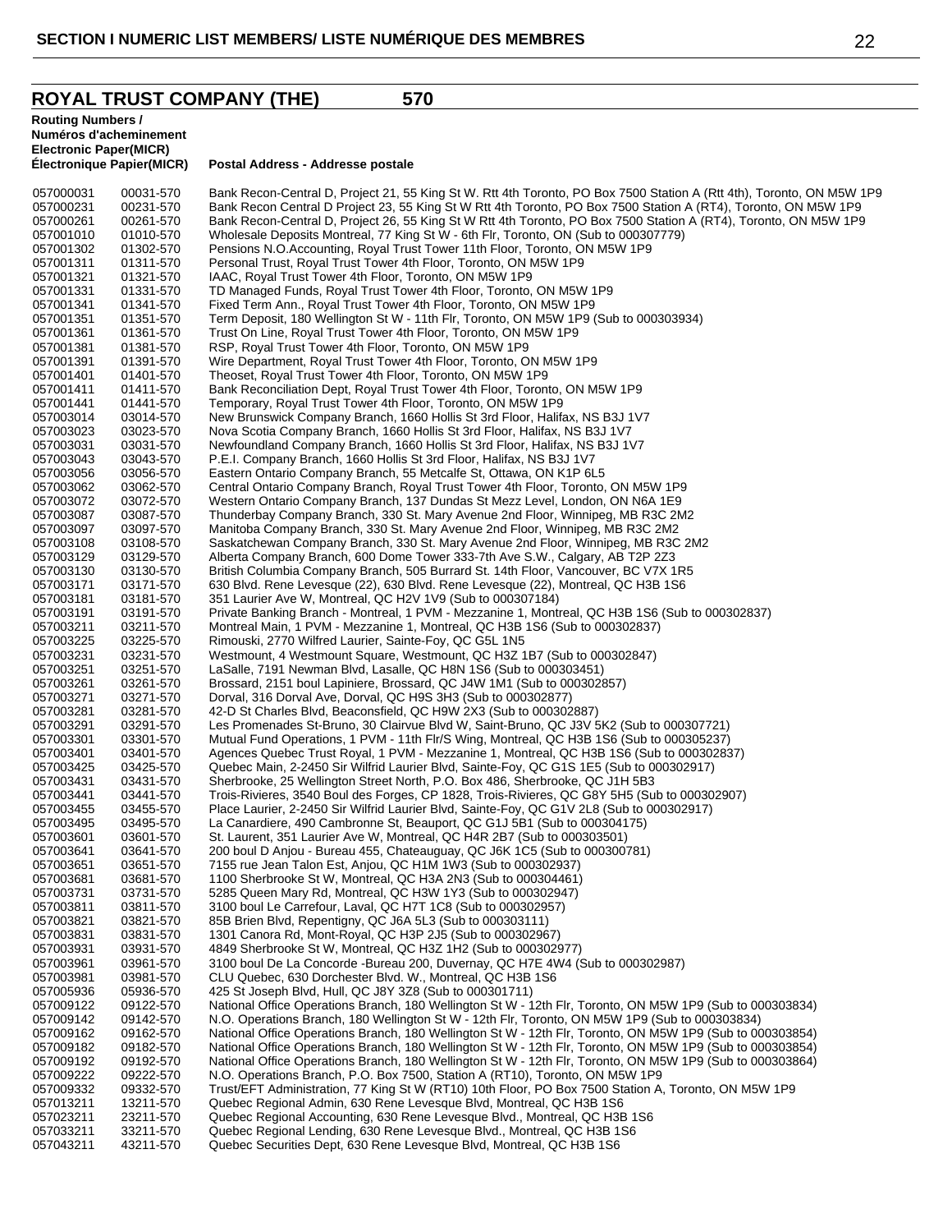## **ROYAL TRUST COMPANY (THE) 570**

**Routing Numbers /**

**Numéros d'acheminement Electronic Paper(MICR) Électronique Papier(MICR) Postal Address - Addresse postale** 057000031 00031-570 Bank Recon-Central D, Project 21, 55 King St W. Rtt 4th Toronto, PO Box 7500 Station A (Rtt 4th), Toronto, ON M5W 1P9<br>057000231 00231-570 Bank Recon Central D Project 23, 55 King St W Rtt 4th Toronto, P 057000231 00231-570 Bank Recon Central D Project 23, 55 King St W Rtt 4th Toronto, PO Box 7500 Station A (RT4), Toronto, ON M5W 1P9<br>057000261 00261-570 Bank Recon-Central D, Project 26, 55 King St W Rtt 4th Toronto, PO Box 057000261 00261-570 Bank Recon-Central D, Project 26, 55 King St W Rtt 4th Toronto, PO Box 7500 Station A (RT4), Toronto, ON M5W 1P9<br>057001010 01010-570 Wholesale Deposits Montreal. 77 King St W - 6th Flr. Toronto. ON (Sub Wholesale Deposits Montreal, 77 King St W - 6th Flr, Toronto, ON (Sub to 000307779) 057001302 01302-570 Pensions N.O.Accounting, Royal Trust Tower 11th Floor, Toronto, ON M5W 1P9<br>057001311 01311-570 Personal Trust, Royal Trust Tower 4th Floor, Toronto, ON M5W 1P9 057001311 01311-570 Personal Trust, Royal Trust Tower 4th Floor, Toronto, ON M5W 1P9<br>057001321 01321-570 IAAC, Royal Trust Tower 4th Floor, Toronto, ON M5W 1P9 057001321 01321-570 IAAC, Royal Trust Tower 4th Floor, Toronto, ON M5W 1P9 057001331 01331-570 TD Managed Funds, Royal Trust Tower 4th Floor, Toronto, ON M5W 1P9<br>057001341 01341-570 Fixed Term Ann., Royal Trust Tower 4th Floor, Toronto, ON M5W 1P9 Fixed Term Ann., Royal Trust Tower 4th Floor, Toronto, ON M5W 1P9 057001351 01351-570 Term Deposit, 180 Wellington St W - 11th Flr, Toronto, ON M5W 1P9 (Sub to 000303934)<br>057001361 01361-570 Trust On Line, Royal Trust Tower 4th Floor, Toronto, ON M5W 1P9 01361-570 Trust On Line, Royal Trust Tower 4th Floor, Toronto, ON M5W 1P9<br>01381-570 RSP, Royal Trust Tower 4th Floor, Toronto, ON M5W 1P9 057001381 01381-570 RSP, Royal Trust Tower 4th Floor, Toronto, ON M5W 1P9 057001391 01391-570 Wire Department, Royal Trust Tower 4th Floor, Toronto, ON M5W 1P9<br>057001401 01401-570 Theoset Royal Trust Tower 4th Floor, Toronto, ON M5W 1P9 Theoset, Royal Trust Tower 4th Floor, Toronto, ON M5W 1P9 057001411 01411-570 Bank Reconciliation Dept, Royal Trust Tower 4th Floor, Toronto, ON M5W 1P9<br>057001441 01441-570 Temporary, Royal Trust Tower 4th Floor, Toronto, ON M5W 1P9 057001441 01441-570 Temporary, Royal Trust Tower 4th Floor, Toronto, ON M5W 1P9<br>057003014 03014-570 New Brunswick Company Branch, 1660 Hollis St 3rd Floor, Halifa 057003014 03014-570 New Brunswick Company Branch, 1660 Hollis St 3rd Floor, Halifax, NS B3J 1V7<br>057003023 03023-570 Nova Scotia Company Branch, 1660 Hollis St 3rd Floor, Halifax, NS B3J 1V7 057003023 03023-570 Nova Scotia Company Branch, 1660 Hollis St 3rd Floor, Halifax, NS B3J 1V7 057003031 03031-570 Newfoundland Company Branch, 1660 Hollis St 3rd Floor, Halifax, NS B3J 1V7<br>057003043 03043-570 P.E.I. Company Branch, 1660 Hollis St 3rd Floor, Halifax, NS B3J 1V7 057003043 03043-570 P.E.I. Company Branch, 1660 Hollis St 3rd Floor, Halifax, NS B3J 1V7<br>057003056 03056-570 Eastern Ontario Company Branch, 55 Metcalfe St, Ottawa, ON K1P 6L 057003056 03056-570 Eastern Ontario Company Branch, 55 Metcalfe St, Ottawa, ON K1P 6L5 057003062 03062-570 Central Ontario Company Branch, Royal Trust Tower 4th Floor, Toronto, ON M5W 1P9<br>057003072 03072-570 Western Ontario Company Branch, 137 Dundas St Mezz Level, London, ON N6A 1E9 057003072 03072-570 Western Ontario Company Branch, 137 Dundas St Mezz Level, London, ON N6A 1E9<br>057003087 03087-570 Thunderbay Company Branch, 330 St. Mary Avenue 2nd Floor, Winnipeg, MB R3C 2N 057003087 03087-570 Thunderbay Company Branch, 330 St. Mary Avenue 2nd Floor, Winnipeg, MB R3C 2M2<br>057003097 03097-570 Manitoba Company Branch, 330 St. Mary Avenue 2nd Floor, Winnipeg, MB R3C 2M2 057003097 03097-570 Manitoba Company Branch, 330 St. Mary Avenue 2nd Floor, Winnipeg, MB R3C 2M2 Saskatchewan Company Branch, 330 St. Mary Avenue 2nd Floor, Winnipeg, MB R3C 2M2 057003129 03129-570 Alberta Company Branch, 600 Dome Tower 333-7th Ave S.W., Calgary, AB T2P 2Z3 057003130 03130-570 British Columbia Company Branch, 505 Burrard St. 14th Floor, Vancouver, BC V7X 1R5<br>057003171 03171-570 630 Blvd. Rene Levesque (22), 630 Blvd. Rene Levesque (22), Montreal, QC H3B 1S6 057003171 03171-570 630 Blvd. Rene Levesque (22), 630 Blvd. Rene Levesque (22), Montreal, QC H3B 1S6<br>057003181 03181-570 351 Laurier Ave W, Montreal, QC H2V 1V9 (Sub to 000307184) 057003181 03181-570 351 Laurier Ave W, Montreal, QC H2V 1V9 (Sub to 000307184) Private Banking Branch - Montreal, 1 PVM - Mezzanine 1, Montreal, QC H3B 1S6 (Sub to 000302837) 057003211 03211-570 Montreal Main, 1 PVM - Mezzanine 1, Montreal, QC H3B 1S6 (Sub to 000302837)<br>057003225 03225-570 Rimouski, 2770 Wilfred Laurier, Sainte-Foy, QC G5L 1N5 Rimouski, 2770 Wilfred Laurier, Sainte-Foy, QC G5L 1N5 057003231 03231-570 Westmount, 4 Westmount Square, Westmount, QC H3Z 1B7 (Sub to 000302847)<br>057003251 03251-570 LaSalle, 7191 Newman Blvd, Lasalle, QC H8N 1S6 (Sub to 000303451) 057003251 03251-570 LaSalle, 7191 Newman Blvd, Lasalle, QC H8N 1S6 (Sub to 000303451) Brossard, 2151 boul Lapiniere, Brossard, QC J4W 1M1 (Sub to 000302857) 057003271 03271-570 Dorval, 316 Dorval Ave, Dorval, QC H9S 3H3 (Sub to 000302877) 057003281 03281-570 42-D St Charles Blvd, Beaconsfield, QC H9W 2X3 (Sub to 000302887) 057003291 03291-570 Les Promenades St-Bruno, 30 Clairvue Blvd W, Saint-Bruno, QC J3V 5K2 (Sub to 000307721)<br>057003301 03301-570 Mutual Fund Operations, 1 PVM - 11th Flr/S Wing, Montreal, QC H3B 1S6 (Sub to 000305237) 057003301 03301-570 Mutual Fund Operations, 1 PVM - 11th Flr/S Wing, Montreal, QC H3B 1S6 (Sub to 000305237)<br>057003401 03401-570 Agences Quebec Trust Royal 1 PVM - Mezzanine 1 Montreal OC H3B 1S6 (Sub to 00030283 057003401 03401-570 Agences Quebec Trust Royal, 1 PVM - Mezzanine 1, Montreal, QC H3B 1S6 (Sub to 000302837)<br>057003425 03425-570 Quebec Main, 2-2450 Sir Wilfrid Laurier Blvd, Sainte-Foy, QC G1S 1E5 (Sub to 000302917) 057003425 03425-570 Quebec Main, 2-2450 Sir Wilfrid Laurier Blvd, Sainte-Foy, QC G1S 1E5 (Sub to 000302917)<br>057003431 03431-570 Sherbrooke, 25 Wellington Street North, P.O. Box 486, Sherbrooke, QC J1H 5B3 057003431 03431-570 Sherbrooke, 25 Wellington Street North, P.O. Box 486, Sherbrooke, QC J1H 5B3 057003441 03441-570 Trois-Rivieres, 3540 Boul des Forges, CP 1828, Trois-Rivieres, QC G8Y 5H5 (Sub to 000302907)<br>057003455 03455-570 Place Laurier, 2-2450 Sir Wilfrid Laurier Blvd, Sainte-Foy, QC G1V 2L8 (Sub to 000302917) 057003455 03455-570 Place Laurier, 2-2450 Sir Wilfrid Laurier Blvd, Sainte-Foy, QC G1V 2L8 (Sub to 000302917)<br>057003495 03495-570 La Canardiere, 490 Cambronne St, Beauport, QC G1J 5B1 (Sub to 000304175) 057003495 03495-570 La Canardiere, 490 Cambronne St, Beauport, QC G1J 5B1 (Sub to 000304175)<br>057003601 03601-570 St. Laurent, 351 Laurier Ave W, Montreal, QC H4R 2B7 (Sub to 000303501) 057003601 03601-570 St. Laurent, 351 Laurier Ave W, Montreal, QC H4R 2B7 (Sub to 000303501) 200 boul D Anjou - Bureau 455, Chateauguay, QC J6K 1C5 (Sub to 000300781) 057003651 03651-570 7155 rue Jean Talon Est, Anjou, QC H1M 1W3 (Sub to 000302937) 057003681 03681-570 1100 Sherbrooke St W, Montreal, QC H3A 2N3 (Sub to 000304461)<br>057003731 03731-570 5285 Queen Mary Rd, Montreal, QC H3W 1Y3 (Sub to 000302947) 057003731 03731-570 5285 Queen Mary Rd, Montreal, QC H3W 1Y3 (Sub to 000302947)<br>057003811 03811-570 3100 boul Le Carrefour, Laval, QC H7T 1C8 (Sub to 000302957) 057003811 03811-570 3100 boul Le Carrefour, Laval, QC H7T 1C8 (Sub to 000302957)<br>057003821 03821-570 85B Brien Blvd. Repentigny. QC J6A 5L3 (Sub to 000303111) 85B Brien Blvd, Repentigny, QC J6A 5L3 (Sub to 000303111) 057003831 03831-570 1301 Canora Rd, Mont-Royal, QC H3P 2J5 (Sub to 000302967)<br>057003931 03931-570 4849 Sherbrooke St W, Montreal, QC H3Z 1H2 (Sub to 0003029 4849 Sherbrooke St W, Montreal, QC H3Z 1H2 (Sub to 000302977) 057003961 03961-570 3100 boul De La Concorde -Bureau 200, Duvernay, QC H7E 4W4 (Sub to 000302987)<br>057003981 03981-570 CLU Quebec, 630 Dorchester Blvd. W., Montreal, QC H3B 1S6 057003981 03981-570 CLU Quebec, 630 Dorchester Blvd. W., Montreal, QC H3B 1S6 425 St Joseph Blvd, Hull, QC J8Y 3Z8 (Sub to 000301711) 057009122 09122-570 National Office Operations Branch, 180 Wellington St W - 12th Flr, Toronto, ON M5W 1P9 (Sub to 000303834)<br>057009142 09142-570 N.O. Operations Branch, 180 Wellington St W - 12th Flr, Toronto, ON M5W 1P9 057009142 09142-570 N.O. Operations Branch, 180 Wellington St W - 12th Flr, Toronto, ON M5W 1P9 (Sub to 000303834) 057009162 09162-570 National Office Operations Branch, 180 Wellington St W - 12th Flr, Toronto, ON M5W 1P9 (Sub to 000303854)<br>057009182 09182-570 National Office Operations Branch, 180 Wellington St W - 12th Flr, Toronto, 057009182 09182-570 National Office Operations Branch, 180 Wellington St W - 12th Flr, Toronto, ON M5W 1P9 (Sub to 000303854) 057009192 09192-570 National Office Operations Branch, 180 Wellington St W - 12th Flr, Toronto, ON M5W 1P9 (Sub to 000303864)<br>057009222 09222-570 N.O. Operations Branch, P.O. Box 7500, Station A (RT10), Toronto, ON M5W 1P9 057009222 09222-570 N.O. Operations Branch, P.O. Box 7500, Station A (RT10), Toronto, ON M5W 1P9<br>057009332 09332-570 Trust/EFT Administration, 77 King St W (RT10) 10th Floor, PO Box 7500 Station A Trust/EFT Administration, 77 King St W (RT10) 10th Floor, PO Box 7500 Station A, Toronto, ON M5W 1P9 057013211 13211-570 Quebec Regional Admin, 630 Rene Levesque Blvd, Montreal, QC H3B 1S6<br>057023211 23211-570 Quebec Regional Accounting, 630 Rene Levesque Blvd., Montreal, QC H3B 23211-570 Quebec Regional Accounting, 630 Rene Levesque Blvd., Montreal, QC H3B 1S6 057033211 33211-570 Quebec Regional Lending, 630 Rene Levesque Blvd., Montreal, QC H3B 1S6<br>057043211 43211-570 Quebec Securities Dept, 630 Rene Levesque Blvd, Montreal, QC H3B 1S6 Quebec Securities Dept, 630 Rene Levesque Blvd, Montreal, QC H3B 1S6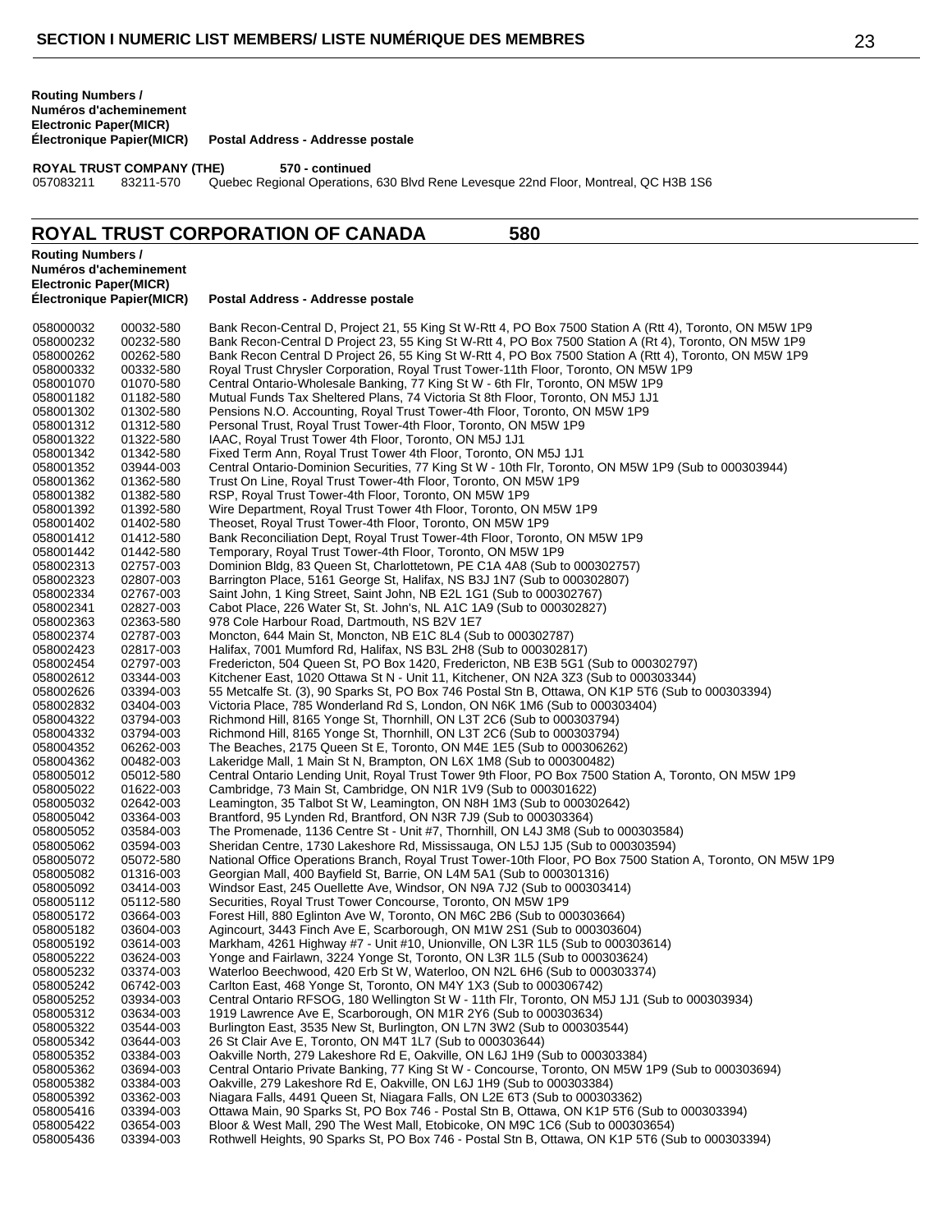**Routing Numbers / Numéros d'acheminement Electronic Paper(MICR) Électronique Papier(MICR) Postal Address - Addresse postale**

**ROYAL TRUST COMPANY (THE) 570 - continued**

83211-570 Quebec Regional Operations, 630 Blvd Rene Levesque 22nd Floor, Montreal, QC H3B 1S6

## **ROYAL TRUST CORPORATION OF CANADA 580**

**Routing Numbers / Numéros d'acheminement Electronic Paper(MICR)**

#### **Électronique Papier(MICR) Postal Address - Addresse postale**

 00032-580 Bank Recon-Central D, Project 21, 55 King St W-Rtt 4, PO Box 7500 Station A (Rtt 4), Toronto, ON M5W 1P9 00232-580 Bank Recon-Central D Project 23, 55 King St W-Rtt 4, PO Box 7500 Station A (Rt 4), Toronto, ON M5W 1P9 00262-580 Bank Recon Central D Project 26, 55 King St W-Rtt 4, PO Box 7500 Station A (Rtt 4), Toronto, ON M5W 1P9 00332-580 Royal Trust Chrysler Corporation, Royal Trust Tower-11th Floor, Toronto, ON M5W 1P9 058001070 01070-580 Central Ontario-Wholesale Banking, 77 King St W - 6th Flr, Toronto, ON M5W 1P9<br>058001182 01182-580 Mutual Funds Tax Sheltered Plans, 74 Victoria St 8th Floor, Toronto, ON M5J 1J1 058001182 01182-580 Mutual Funds Tax Sheltered Plans, 74 Victoria St 8th Floor, Toronto, ON M5J 1J1<br>058001302 01302-580 Pensions N.O. Accounting, Royal Trust Tower-4th Floor, Toronto, ON M5W 1P9 01302-580 Pensions N.O. Accounting, Royal Trust Tower-4th Floor, Toronto, ON M5W 1P9 01312-580 Personal Trust, Royal Trust Tower-4th Floor, Toronto, ON M5W 1P9 01322-580 IAAC, Royal Trust Tower 4th Floor, Toronto, ON M5J 1J1 01342-580 Fixed Term Ann, Royal Trust Tower 4th Floor, Toronto, ON M5J 1J1 03944-003 Central Ontario-Dominion Securities, 77 King St W - 10th Flr, Toronto, ON M5W 1P9 (Sub to 000303944) 01362-580 Trust On Line, Royal Trust Tower-4th Floor, Toronto, ON M5W 1P9 01382-580 RSP, Royal Trust Tower-4th Floor, Toronto, ON M5W 1P9 01392-580 Wire Department, Royal Trust Tower 4th Floor, Toronto, ON M5W 1P9 01402-580 Theoset, Royal Trust Tower-4th Floor, Toronto, ON M5W 1P9 01412-580 Bank Reconciliation Dept, Royal Trust Tower-4th Floor, Toronto, ON M5W 1P9 01442-580 Temporary, Royal Trust Tower-4th Floor, Toronto, ON M5W 1P9 058002313 02757-003 Dominion Bldg, 83 Queen St, Charlottetown, PE C1A 4A8 (Sub to 000302757)<br>058002323 02807-003 Barrington Place, 5161 George St, Halifax, NS B3J 1N7 (Sub to 000302807) Barrington Place, 5161 George St, Halifax, NS B3J 1N7 (Sub to 000302807) 02767-003 Saint John, 1 King Street, Saint John, NB E2L 1G1 (Sub to 000302767) 02827-003 Cabot Place, 226 Water St, St. John's, NL A1C 1A9 (Sub to 000302827) 02363-580 978 Cole Harbour Road, Dartmouth, NS B2V 1E7 02787-003 Moncton, 644 Main St, Moncton, NB E1C 8L4 (Sub to 000302787) 02817-003 Halifax, 7001 Mumford Rd, Halifax, NS B3L 2H8 (Sub to 000302817) 02797-003 Fredericton, 504 Queen St, PO Box 1420, Fredericton, NB E3B 5G1 (Sub to 000302797) 03344-003 Kitchener East, 1020 Ottawa St N - Unit 11, Kitchener, ON N2A 3Z3 (Sub to 000303344) 03394-003 55 Metcalfe St. (3), 90 Sparks St, PO Box 746 Postal Stn B, Ottawa, ON K1P 5T6 (Sub to 000303394) 03404-003 Victoria Place, 785 Wonderland Rd S, London, ON N6K 1M6 (Sub to 000303404) 03794-003 Richmond Hill, 8165 Yonge St, Thornhill, ON L3T 2C6 (Sub to 000303794) 03794-003 Richmond Hill, 8165 Yonge St, Thornhill, ON L3T 2C6 (Sub to 000303794) 06262-003 The Beaches, 2175 Queen St E, Toronto, ON M4E 1E5 (Sub to 000306262) 00482-003 Lakeridge Mall, 1 Main St N, Brampton, ON L6X 1M8 (Sub to 000300482) 05012-580 Central Ontario Lending Unit, Royal Trust Tower 9th Floor, PO Box 7500 Station A, Toronto, ON M5W 1P9 01622-003 Cambridge, 73 Main St, Cambridge, ON N1R 1V9 (Sub to 000301622) 02642-003 Leamington, 35 Talbot St W, Leamington, ON N8H 1M3 (Sub to 000302642) 03364-003 Brantford, 95 Lynden Rd, Brantford, ON N3R 7J9 (Sub to 000303364) 03584-003 The Promenade, 1136 Centre St - Unit #7, Thornhill, ON L4J 3M8 (Sub to 000303584) 03594-003 Sheridan Centre, 1730 Lakeshore Rd, Mississauga, ON L5J 1J5 (Sub to 000303594) 05072-580 National Office Operations Branch, Royal Trust Tower-10th Floor, PO Box 7500 Station A, Toronto, ON M5W 1P9 01316-003 Georgian Mall, 400 Bayfield St, Barrie, ON L4M 5A1 (Sub to 000301316) 03414-003 Windsor East, 245 Ouellette Ave, Windsor, ON N9A 7J2 (Sub to 000303414) 05112-580 Securities, Royal Trust Tower Concourse, Toronto, ON M5W 1P9 03664-003 Forest Hill, 880 Eglinton Ave W, Toronto, ON M6C 2B6 (Sub to 000303664) 03604-003 Agincourt, 3443 Finch Ave E, Scarborough, ON M1W 2S1 (Sub to 000303604) 03614-003 Markham, 4261 Highway #7 - Unit #10, Unionville, ON L3R 1L5 (Sub to 000303614) 03624-003 Yonge and Fairlawn, 3224 Yonge St, Toronto, ON L3R 1L5 (Sub to 000303624) 03374-003 Waterloo Beechwood, 420 Erb St W, Waterloo, ON N2L 6H6 (Sub to 000303374) 06742-003 Carlton East, 468 Yonge St, Toronto, ON M4Y 1X3 (Sub to 000306742) 03934-003 Central Ontario RFSOG, 180 Wellington St W - 11th Flr, Toronto, ON M5J 1J1 (Sub to 000303934) 058005312 03634-003 1919 Lawrence Ave E, Scarborough, ON M1R 2Y6 (Sub to 000303634)<br>058005322 03544-003 Burlington East, 3535 New St, Burlington, ON L7N 3W2 (Sub to 000303 03544-003 Burlington East, 3535 New St, Burlington, ON L7N 3W2 (Sub to 000303544) 03644-003 26 St Clair Ave E, Toronto, ON M4T 1L7 (Sub to 000303644) 03384-003 Oakville North, 279 Lakeshore Rd E, Oakville, ON L6J 1H9 (Sub to 000303384) 03694-003 Central Ontario Private Banking, 77 King St W - Concourse, Toronto, ON M5W 1P9 (Sub to 000303694) 03384-003 Oakville, 279 Lakeshore Rd E, Oakville, ON L6J 1H9 (Sub to 000303384) 03362-003 Niagara Falls, 4491 Queen St, Niagara Falls, ON L2E 6T3 (Sub to 000303362) 03394-003 Ottawa Main, 90 Sparks St, PO Box 746 - Postal Stn B, Ottawa, ON K1P 5T6 (Sub to 000303394) 03654-003 Bloor & West Mall, 290 The West Mall, Etobicoke, ON M9C 1C6 (Sub to 000303654) 03394-003 Rothwell Heights, 90 Sparks St, PO Box 746 - Postal Stn B, Ottawa, ON K1P 5T6 (Sub to 000303394)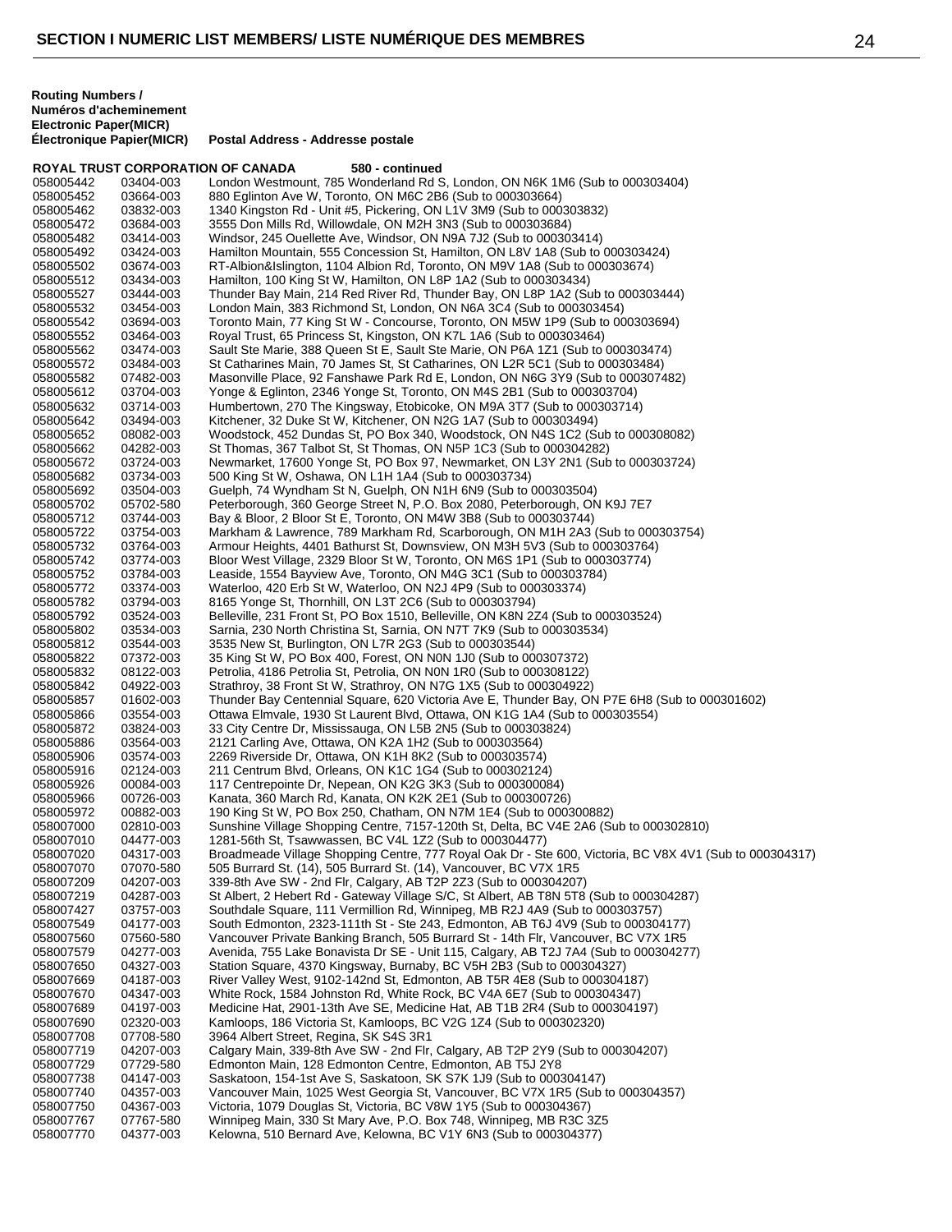| Routing Numbers /         |                                   |
|---------------------------|-----------------------------------|
| Numéros d'acheminement    |                                   |
| Electronic Paper(MICR)    |                                   |
| Electronique Papier(MICR) | Postal Address - Addresse postale |
|                           |                                   |

#### **ROYAL TRUST CORPORATION OF CANADA 580 - continued**

| 058005442 | 03404-003 | London Westmount, 785 Wonderland Rd S, London, ON N6K 1M6 (Sub to 000303404)                            |
|-----------|-----------|---------------------------------------------------------------------------------------------------------|
| 058005452 | 03664-003 | 880 Eglinton Ave W, Toronto, ON M6C 2B6 (Sub to 000303664)                                              |
| 058005462 | 03832-003 | 1340 Kingston Rd - Unit #5, Pickering, ON L1V 3M9 (Sub to 000303832)                                    |
| 058005472 | 03684-003 | 3555 Don Mills Rd, Willowdale, ON M2H 3N3 (Sub to 000303684)                                            |
| 058005482 | 03414-003 | Windsor, 245 Ouellette Ave, Windsor, ON N9A 7J2 (Sub to 000303414)                                      |
| 058005492 | 03424-003 | Hamilton Mountain, 555 Concession St, Hamilton, ON L8V 1A8 (Sub to 000303424)                           |
| 058005502 | 03674-003 | RT-Albion&Islington, 1104 Albion Rd, Toronto, ON M9V 1A8 (Sub to 000303674)                             |
| 058005512 | 03434-003 | Hamilton, 100 King St W, Hamilton, ON L8P 1A2 (Sub to 000303434)                                        |
| 058005527 | 03444-003 | Thunder Bay Main, 214 Red River Rd, Thunder Bay, ON L8P 1A2 (Sub to 000303444)                          |
| 058005532 | 03454-003 | London Main, 383 Richmond St, London, ON N6A 3C4 (Sub to 000303454)                                     |
| 058005542 | 03694-003 | Toronto Main, 77 King St W - Concourse, Toronto, ON M5W 1P9 (Sub to 000303694)                          |
| 058005552 | 03464-003 | Royal Trust, 65 Princess St, Kingston, ON K7L 1A6 (Sub to 000303464)                                    |
| 058005562 | 03474-003 | Sault Ste Marie, 388 Queen St E, Sault Ste Marie, ON P6A 1Z1 (Sub to 000303474)                         |
| 058005572 | 03484-003 | St Catharines Main, 70 James St, St Catharines, ON L2R 5C1 (Sub to 000303484)                           |
| 058005582 | 07482-003 | Masonville Place, 92 Fanshawe Park Rd E, London, ON N6G 3Y9 (Sub to 000307482)                          |
| 058005612 | 03704-003 | Yonge & Eglinton, 2346 Yonge St, Toronto, ON M4S 2B1 (Sub to 000303704)                                 |
| 058005632 | 03714-003 | Humbertown, 270 The Kingsway, Etobicoke, ON M9A 3T7 (Sub to 000303714)                                  |
| 058005642 | 03494-003 | Kitchener, 32 Duke St W, Kitchener, ON N2G 1A7 (Sub to 000303494)                                       |
| 058005652 | 08082-003 | Woodstock, 452 Dundas St, PO Box 340, Woodstock, ON N4S 1C2 (Sub to 000308082)                          |
| 058005662 | 04282-003 | St Thomas, 367 Talbot St, St Thomas, ON N5P 1C3 (Sub to 000304282)                                      |
| 058005672 | 03724-003 | Newmarket, 17600 Yonge St, PO Box 97, Newmarket, ON L3Y 2N1 (Sub to 000303724)                          |
| 058005682 | 03734-003 | 500 King St W, Oshawa, ON L1H 1A4 (Sub to 000303734)                                                    |
| 058005692 | 03504-003 | Guelph, 74 Wyndham St N, Guelph, ON N1H 6N9 (Sub to 000303504)                                          |
| 058005702 | 05702-580 | Peterborough, 360 George Street N, P.O. Box 2080, Peterborough, ON K9J 7E7                              |
| 058005712 | 03744-003 | Bay & Bloor, 2 Bloor St E, Toronto, ON M4W 3B8 (Sub to 000303744)                                       |
| 058005722 | 03754-003 | Markham & Lawrence, 789 Markham Rd, Scarborough, ON M1H 2A3 (Sub to 000303754)                          |
| 058005732 | 03764-003 | Armour Heights, 4401 Bathurst St, Downsview, ON M3H 5V3 (Sub to 000303764)                              |
| 058005742 | 03774-003 | Bloor West Village, 2329 Bloor St W, Toronto, ON M6S 1P1 (Sub to 000303774)                             |
| 058005752 | 03784-003 | Leaside, 1554 Bayview Ave, Toronto, ON M4G 3C1 (Sub to 000303784)                                       |
| 058005772 | 03374-003 | Waterloo, 420 Erb St W, Waterloo, ON N2J 4P9 (Sub to 000303374)                                         |
| 058005782 | 03794-003 | 8165 Yonge St, Thornhill, ON L3T 2C6 (Sub to 000303794)                                                 |
| 058005792 | 03524-003 | Belleville, 231 Front St, PO Box 1510, Belleville, ON K8N 2Z4 (Sub to 000303524)                        |
| 058005802 | 03534-003 | Sarnia, 230 North Christina St, Sarnia, ON N7T 7K9 (Sub to 000303534)                                   |
| 058005812 | 03544-003 | 3535 New St, Burlington, ON L7R 2G3 (Sub to 000303544)                                                  |
| 058005822 | 07372-003 | 35 King St W, PO Box 400, Forest, ON N0N 1J0 (Sub to 000307372)                                         |
| 058005832 | 08122-003 | Petrolia, 4186 Petrolia St, Petrolia, ON N0N 1R0 (Sub to 000308122)                                     |
| 058005842 | 04922-003 | Strathroy, 38 Front St W, Strathroy, ON N7G 1X5 (Sub to 000304922)                                      |
| 058005857 | 01602-003 | Thunder Bay Centennial Square, 620 Victoria Ave E, Thunder Bay, ON P7E 6H8 (Sub to 000301602)           |
| 058005866 | 03554-003 | Ottawa Elmvale, 1930 St Laurent Blvd, Ottawa, ON K1G 1A4 (Sub to 000303554)                             |
| 058005872 | 03824-003 | 33 City Centre Dr, Mississauga, ON L5B 2N5 (Sub to 000303824)                                           |
| 058005886 | 03564-003 | 2121 Carling Ave, Ottawa, ON K2A 1H2 (Sub to 000303564)                                                 |
| 058005906 | 03574-003 | 2269 Riverside Dr, Ottawa, ON K1H 8K2 (Sub to 000303574)                                                |
| 058005916 | 02124-003 | 211 Centrum Blvd, Orleans, ON K1C 1G4 (Sub to 000302124)                                                |
| 058005926 | 00084-003 | 117 Centrepointe Dr, Nepean, ON K2G 3K3 (Sub to 000300084)                                              |
| 058005966 | 00726-003 | Kanata, 360 March Rd, Kanata, ON K2K 2E1 (Sub to 000300726)                                             |
| 058005972 | 00882-003 | 190 King St W, PO Box 250, Chatham, ON N7M 1E4 (Sub to 000300882)                                       |
| 058007000 | 02810-003 | Sunshine Village Shopping Centre, 7157-120th St, Delta, BC V4E 2A6 (Sub to 000302810)                   |
| 058007010 | 04477-003 | 1281-56th St, Tsawwassen, BC V4L 1Z2 (Sub to 000304477)                                                 |
| 058007020 | 04317-003 | Broadmeade Village Shopping Centre, 777 Royal Oak Dr - Ste 600, Victoria, BC V8X 4V1 (Sub to 000304317) |
| 058007070 | 07070-580 | 505 Burrard St. (14), 505 Burrard St. (14), Vancouver, BC V7X 1R5                                       |
| 058007209 | 04207-003 | 339-8th Ave SW - 2nd Flr, Calgary, AB T2P 2Z3 (Sub to 000304207)                                        |
| 058007219 | 04287-003 | St Albert, 2 Hebert Rd - Gateway Village S/C, St Albert, AB T8N 5T8 (Sub to 000304287)                  |
| 058007427 | 03757-003 | Southdale Square, 111 Vermillion Rd, Winnipeg, MB R2J 4A9 (Sub to 000303757)                            |
| 058007549 | 04177-003 | South Edmonton, 2323-111th St - Ste 243, Edmonton, AB T6J 4V9 (Sub to 000304177)                        |
| 058007560 | 07560-580 | Vancouver Private Banking Branch, 505 Burrard St - 14th Flr, Vancouver, BC V7X 1R5                      |
| 058007579 | 04277-003 | Avenida, 755 Lake Bonavista Dr SE - Unit 115, Calgary, AB T2J 7A4 (Sub to 000304277)                    |
| 058007650 | 04327-003 | Station Square, 4370 Kingsway, Burnaby, BC V5H 2B3 (Sub to 000304327)                                   |
| 058007669 | 04187-003 | River Valley West, 9102-142nd St, Edmonton, AB T5R 4E8 (Sub to 000304187)                               |
| 058007670 | 04347-003 | White Rock, 1584 Johnston Rd, White Rock, BC V4A 6E7 (Sub to 000304347)                                 |
| 058007689 | 04197-003 | Medicine Hat, 2901-13th Ave SE, Medicine Hat, AB T1B 2R4 (Sub to 000304197)                             |
| 058007690 | 02320-003 | Kamloops, 186 Victoria St, Kamloops, BC V2G 1Z4 (Sub to 000302320)                                      |
| 058007708 | 07708-580 | 3964 Albert Street, Regina, SK S4S 3R1                                                                  |
| 058007719 | 04207-003 | Calgary Main, 339-8th Ave SW - 2nd Flr, Calgary, AB T2P 2Y9 (Sub to 000304207)                          |
| 058007729 | 07729-580 | Edmonton Main, 128 Edmonton Centre, Edmonton, AB T5J 2Y8                                                |
| 058007738 | 04147-003 | Saskatoon, 154-1st Ave S, Saskatoon, SK S7K 1J9 (Sub to 000304147)                                      |
| 058007740 | 04357-003 | Vancouver Main, 1025 West Georgia St, Vancouver, BC V7X 1R5 (Sub to 000304357)                          |
| 058007750 | 04367-003 | Victoria, 1079 Douglas St, Victoria, BC V8W 1Y5 (Sub to 000304367)                                      |
| 058007767 | 07767-580 | Winnipeg Main, 330 St Mary Ave, P.O. Box 748, Winnipeg, MB R3C 3Z5                                      |
| 058007770 | 04377-003 | Kelowna, 510 Bernard Ave, Kelowna, BC V1Y 6N3 (Sub to 000304377)                                        |
|           |           |                                                                                                         |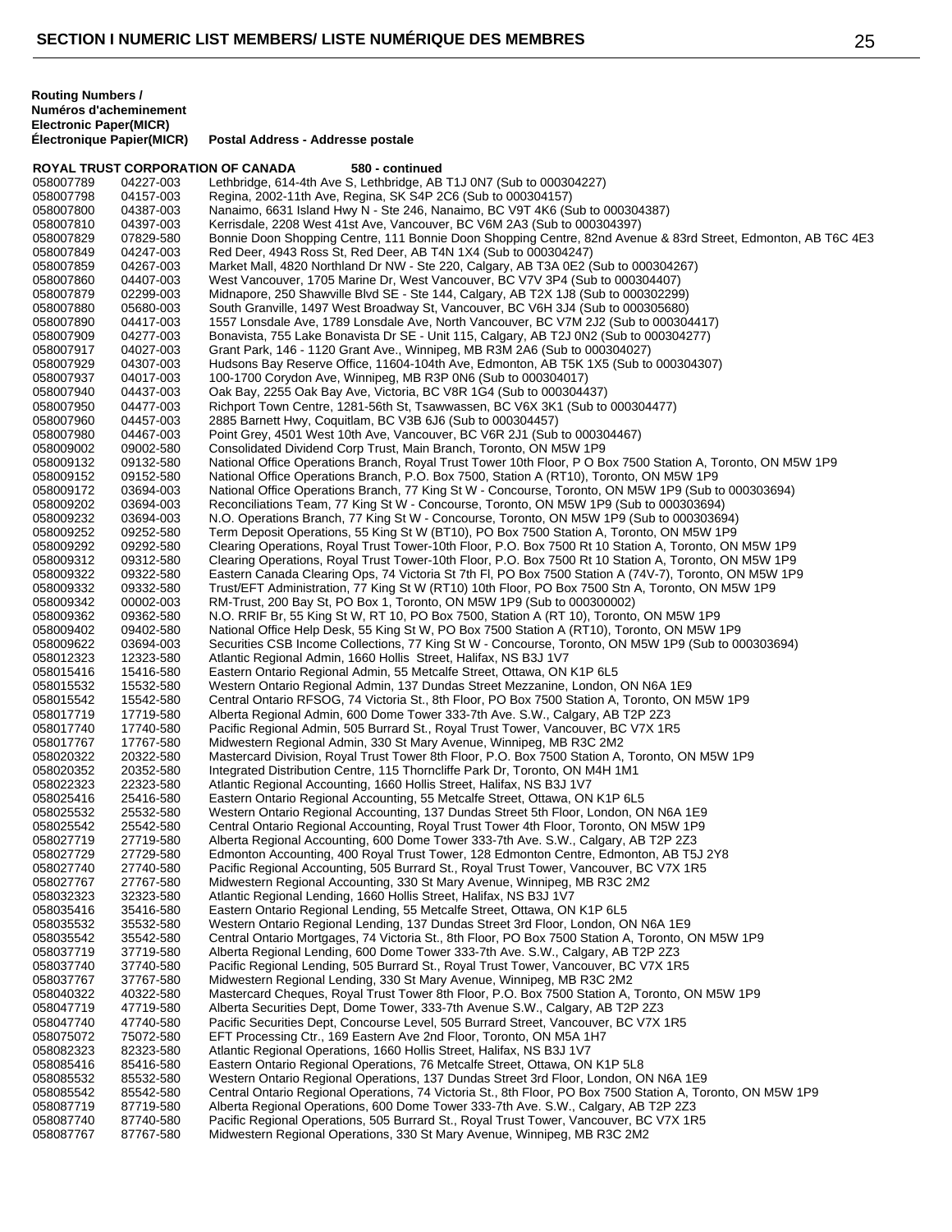| <b>Routing Numbers /</b><br>Numéros d'acheminement<br><b>Electronic Paper(MICR)</b><br><b>Électronique Papier(MICR)</b> |           |           | Postal Address - Addresse postale                                                                             |
|-------------------------------------------------------------------------------------------------------------------------|-----------|-----------|---------------------------------------------------------------------------------------------------------------|
|                                                                                                                         |           |           | <b>ROYAL TRUST CORPORATION OF CANADA</b><br>580 - continued                                                   |
|                                                                                                                         | 058007789 | 04227-003 | Lethbridge, 614-4th Ave S, Lethbridge, AB T1J 0N7 (Sub to 000304227)                                          |
|                                                                                                                         | 058007798 | 04157-003 | Regina, 2002-11th Ave, Regina, SK S4P 2C6 (Sub to 000304157)                                                  |
|                                                                                                                         | 058007800 | 04387-003 | Nanaimo, 6631 Island Hwy N - Ste 246, Nanaimo, BC V9T 4K6 (Sub to 000304387)                                  |
|                                                                                                                         | 058007810 | 04397-003 | Kerrisdale, 2208 West 41st Ave, Vancouver, BC V6M 2A3 (Sub to 000304397)                                      |
|                                                                                                                         | 058007829 | 07829-580 | Bonnie Doon Shopping Centre, 111 Bonnie Doon Shopping Centre, 82nd Avenue & 83rd Street, Edmonton, AB T6C 4E3 |
|                                                                                                                         | 058007849 | 04247-003 | Red Deer, 4943 Ross St, Red Deer, AB T4N 1X4 (Sub to 000304247)                                               |
|                                                                                                                         | 058007859 | 04267-003 | Market Mall, 4820 Northland Dr NW - Ste 220, Calgary, AB T3A 0E2 (Sub to 000304267)                           |
|                                                                                                                         | 058007860 | 04407-003 | West Vancouver, 1705 Marine Dr, West Vancouver, BC V7V 3P4 (Sub to 000304407)                                 |
|                                                                                                                         | 058007879 | 02299-003 | Midnapore, 250 Shawville Blvd SE - Ste 144, Calgary, AB T2X 1J8 (Sub to 000302299)                            |
|                                                                                                                         | 058007880 | 05680-003 | South Granville, 1497 West Broadway St, Vancouver, BC V6H 3J4 (Sub to 000305680)                              |
|                                                                                                                         | 058007890 | 04417-003 | 1557 Lonsdale Ave, 1789 Lonsdale Ave, North Vancouver, BC V7M 2J2 (Sub to 000304417)                          |
|                                                                                                                         | 058007909 | 04277-003 | Bonavista, 755 Lake Bonavista Dr SE - Unit 115, Calgary, AB T2J 0N2 (Sub to 000304277)                        |
|                                                                                                                         | 058007917 | 04027-003 | Grant Park, 146 - 1120 Grant Ave., Winnipeg, MB R3M 2A6 (Sub to 000304027)                                    |
|                                                                                                                         | 058007929 | 04307-003 | Hudsons Bay Reserve Office, 11604-104th Ave, Edmonton, AB T5K 1X5 (Sub to 000304307)                          |
|                                                                                                                         | 058007937 | 04017-003 | 100-1700 Corydon Ave, Winnipeg, MB R3P 0N6 (Sub to 000304017)                                                 |
|                                                                                                                         | 058007940 | 04437-003 | Oak Bay, 2255 Oak Bay Ave, Victoria, BC V8R 1G4 (Sub to 000304437)                                            |
|                                                                                                                         | 058007950 | 04477-003 | Richport Town Centre, 1281-56th St, Tsawwassen, BC V6X 3K1 (Sub to 000304477)                                 |
|                                                                                                                         | 058007960 | 04457-003 | 2885 Barnett Hwy, Coquitlam, BC V3B 6J6 (Sub to 000304457)                                                    |
|                                                                                                                         | 058007980 | 04467-003 | Point Grey, 4501 West 10th Ave, Vancouver, BC V6R 2J1 (Sub to 000304467)                                      |
|                                                                                                                         | 058009002 | 09002-580 | Consolidated Dividend Corp Trust, Main Branch, Toronto, ON M5W 1P9                                            |
|                                                                                                                         | 058009132 | 09132-580 | National Office Operations Branch, Royal Trust Tower 10th Floor, P O Box 7500 Station A, Toronto, ON M5W 1P9  |
|                                                                                                                         | 058009152 | 09152-580 | National Office Operations Branch, P.O. Box 7500, Station A (RT10), Toronto, ON M5W 1P9                       |
|                                                                                                                         |           |           |                                                                                                               |

gary, AB T2J 0N2 (Sub to 000304277) 3M 2A6 (Sub to 000304027) 0010001008 honton, AB T5K 1X5 (Sub to 000304307) b to 000304017) (Sub to 000304437) 8C V6X 3K1 (Sub to 000304477) 058007960 04457-003 2885 Barnett Hwy, Coquitlam, BC V3B 6J6 (Sub to 000304457) R 2J1 (Sub to 000304467) onto. ON M5W 1P9 er 10th Floor, P O Box 7500 Station A, Toronto, ON M5W 1P9 058009152 09152-580 National Office Operations Branch, P.O. Box 7500, Station A (RT10), Toronto, ON M5W 1P9<br>058009172 03694-003 National Office Operations Branch, 77 King St W - Concourse, Toronto, ON M5W 1P9 (Sub to 058009172 03694-003 National Office Operations Branch, 77 King St W - Concourse, Toronto, ON M5W 1P9 (Sub to 000303694)<br>058009202 03694-003 Reconciliations Team, 77 King St W - Concourse, Toronto, ON M5W 1P9 (Sub to 000303 058009202 03694-003 Reconciliations Team, 77 King St W - Concourse, Toronto, ON M5W 1P9 (Sub to 000303694)<br>058009232 03694-003 N.O. Operations Branch. 77 King St W - Concourse. Toronto. ON M5W 1P9 (Sub to 00030369 N.O. Operations Branch, 77 King St W - Concourse, Toronto, ON M5W 1P9 (Sub to 000303694) 058009252 09252-580 Term Deposit Operations, 55 King St W (BT10), PO Box 7500 Station A, Toronto, ON M5W 1P9<br>058009292 09292-580 Clearing Operations, Royal Trust Tower-10th Floor, P.O. Box 7500 Rt 10 Station A, Toronto, ON Clearing Operations, Royal Trust Tower-10th Floor, P.O. Box 7500 Rt 10 Station A, Toronto, ON M5W 1P9 058009312 09312-580 Clearing Operations, Royal Trust Tower-10th Floor, P.O. Box 7500 Rt 10 Station A, Toronto, ON M5W 1P9<br>058009322 09322-580 Eastern Canada Clearing Ops, 74 Victoria St 7th Fl, PO Box 7500 Station A (74V-7 058009322 09322-580 Eastern Canada Clearing Ops, 74 Victoria St 7th Fl, PO Box 7500 Station A (74V-7), Toronto, ON M5W 1P9<br>058009332 09332-580 Trust/EFT Administration. 77 King St W (RT10) 10th Floor. PO Box 7500 Stn A. To Trust/EFT Administration, 77 King St W (RT10) 10th Floor, PO Box 7500 Stn A, Toronto, ON M5W 1P9 058009342 00002-003 RM-Trust, 200 Bay St, PO Box 1, Toronto, ON M5W 1P9 (Sub to 000300002)<br>058009362 09362-580 N.O. RRIF Br, 55 King St W, RT 10, PO Box 7500, Station A (RT 10), Toronto 058009362 09362-580 N.O. RRIF Br, 55 King St W, RT 10, PO Box 7500, Station A (RT 10), Toronto, ON M5W 1P9<br>058009402 09402-580 National Office Help Desk, 55 King St W, PO Box 7500 Station A (RT10), Toronto, ON M5W 058009402 09402-580 National Office Help Desk, 55 King St W, PO Box 7500 Station A (RT10), Toronto, ON M5W 1P9<br>058009622 03694-003 Securities CSB Income Collections, 77 King St W - Concourse, Toronto, ON M5W 1P9 (Sub to 0 058009622 03694-003 Securities CSB Income Collections, 77 King St W - Concourse, Toronto, ON M5W 1P9 (Sub to 000303694)<br>058012323 12323-580 Atlantic Regional Admin. 1660 Hollis Street, Halifax, NS B3J 1V7 12323-580 Atlantic Regional Admin, 1660 Hollis Street, Halifax, NS B3J 1V7<br>15416-580 Eastern Ontario Regional Admin, 55 Metcalfe Street, Ottawa, ON 058015416 15416-580 Eastern Ontario Regional Admin, 55 Metcalfe Street, Ottawa, ON K1P 6L5<br>058015532 15532-580 Western Ontario Regional Admin, 137 Dundas Street Mezzanine, London, 058015532 15532-580 Western Ontario Regional Admin, 137 Dundas Street Mezzanine, London, ON N6A 1E9<br>058015542 15542-580 Central Ontario RFSOG, 74 Victoria St., 8th Floor, PO Box 7500 Station A, Toronto, ON Central Ontario RFSOG, 74 Victoria St., 8th Floor, PO Box 7500 Station A, Toronto, ON M5W 1P9 058017719 17719-580 Alberta Regional Admin, 600 Dome Tower 333-7th Ave. S.W., Calgary, AB T2P 2Z3<br>058017740 17740-580 Pacific Regional Admin, 505 Burrard St., Royal Trust Tower. Vancouver. BC V7X 1R 058017740 17740-580 Pacific Regional Admin, 505 Burrard St., Royal Trust Tower, Vancouver, BC V7X 1R5<br>058017767 17767-580 Midwestern Regional Admin, 330 St Mary Avenue, Winnipeg, MB R3C 2M2 058017767 17767-580 Midwestern Regional Admin, 330 St Mary Avenue, Winnipeg, MB R3C 2M2<br>058020322 20322-580 Mastercard Division. Roval Trust Tower 8th Floor. P.O. Box 7500 Station A. Mastercard Division, Royal Trust Tower 8th Floor, P.O. Box 7500 Station A, Toronto, ON M5W 1P9 058020352 20352-580 Integrated Distribution Centre, 115 Thorncliffe Park Dr, Toronto, ON M4H 1M1<br>058022323 22323-580 Atlantic Regional Accounting, 1660 Hollis Street, Halifax, NS B3J 1V7 Atlantic Regional Accounting, 1660 Hollis Street, Halifax, NS B3J 1V7 058025416 25416-580 Eastern Ontario Regional Accounting, 55 Metcalfe Street, Ottawa, ON K1P 6L5 058025532 25532-580 Western Ontario Regional Accounting, 137 Dundas Street 5th Floor, London, ON N6A 1E9<br>058025542 25542-580 Central Ontario Regional Accounting. Royal Trust Tower 4th Floor, Toronto, ON M5W 1P9 Central Ontario Regional Accounting, Royal Trust Tower 4th Floor, Toronto, ON M5W 1P9 058027719 27719-580 Alberta Regional Accounting, 600 Dome Tower 333-7th Ave. S.W., Calgary, AB T2P 2Z3 Edmonton Accounting, 400 Royal Trust Tower, 128 Edmonton Centre, Edmonton, AB T5J 2Y8 058027740 27740-580 Pacific Regional Accounting, 505 Burrard St., Royal Trust Tower, Vancouver, BC V7X 1R5<br>058027767 27767-580 Midwestern Regional Accounting, 330 St Mary Avenue, Winnipeg, MB R3C 2M2 058027767 27767-580 Midwestern Regional Accounting, 330 St Mary Avenue, Winnipeg, MB R3C 2M2<br>058032323 32323-580 Atlantic Regional Lending, 1660 Hollis Street, Halifax, NS B3J 1V7 Atlantic Regional Lending, 1660 Hollis Street, Halifax, NS B3J 1V7 058035416 35416-580 Eastern Ontario Regional Lending, 55 Metcalfe Street, Ottawa, ON K1P 6L5 058035532 35532-580 Western Ontario Regional Lending, 137 Dundas Street 3rd Floor, London, ON N6A 1E9<br>058035542 35542-580 Central Ontario Mortgages, 74 Victoria St., 8th Floor, PO Box 7500 Station A, Toronto, 0 058035542 35542-580 Central Ontario Mortgages, 74 Victoria St., 8th Floor, PO Box 7500 Station A, Toronto, ON M5W 1P9<br>058037719 37719-580 Alberta Regional Lending, 600 Dome Tower 333-7th Ave. S.W., Calgary, AB T2P 2Z3 058037719 37719-580 Alberta Regional Lending, 600 Dome Tower 333-7th Ave. S.W., Calgary, AB T2P 2Z3 Pacific Regional Lending, 505 Burrard St., Royal Trust Tower, Vancouver, BC V7X 1R5 058037767 37767-580 Midwestern Regional Lending, 330 St Mary Avenue, Winnipeg, MB R3C 2M2 Mastercard Cheques, Royal Trust Tower 8th Floor, P.O. Box 7500 Station A, Toronto, ON M5W 1P9 058047719 47719-580 Alberta Securities Dept, Dome Tower, 333-7th Avenue S.W., Calgary, AB T2P 2Z3<br>058047740 47740-580 Pacific Securities Dept, Concourse Level, 505 Burrard Street, Vancouver, BC V7X 058047740 47740-580 Pacific Securities Dept, Concourse Level, 505 Burrard Street, Vancouver, BC V7X 1R5<br>058075072 75072-580 EFT Processing Ctr., 169 Eastern Ave 2nd Floor, Toronto, ON M5A 1H7 058075072 75072-580 EFT Processing Ctr., 169 Eastern Ave 2nd Floor, Toronto, ON M5A 1H7<br>058082323 82323-580 Atlantic Regional Operations, 1660 Hollis Street, Halifax, NS B3J 1V7 058082323 82323-580 Atlantic Regional Operations, 1660 Hollis Street, Halifax, NS B3J 1V7<br>058085416 85416-580 Eastern Ontario Regional Operations, 76 Metcalfe Street, Ottawa, ON Eastern Ontario Regional Operations, 76 Metcalfe Street, Ottawa, ON K1P 5L8 058085532 85532-580 Western Ontario Regional Operations, 137 Dundas Street 3rd Floor, London, ON N6A 1E9<br>058085542 85542-580 Central Ontario Regional Operations, 74 Victoria St., 8th Floor, PO Box 7500 Station A, To Central Ontario Regional Operations, 74 Victoria St., 8th Floor, PO Box 7500 Station A, Toronto, ON M5W 1P9 058087719 87719-580 Alberta Regional Operations, 600 Dome Tower 333-7th Ave. S.W., Calgary, AB T2P 2Z3<br>058087740 87740-580 Pacific Regional Operations, 505 Burrard St., Royal Trust Tower, Vancouver, BC V7X 1R 058087740 87740-580 Pacific Regional Operations, 505 Burrard St., Royal Trust Tower, Vancouver, BC V7X 1R5<br>058087767 87767-580 Midwestern Regional Operations. 330 St Mary Avenue. Winnipeg. MB R3C 2M2 Midwestern Regional Operations, 330 St Mary Avenue, Winnipeg, MB R3C 2M2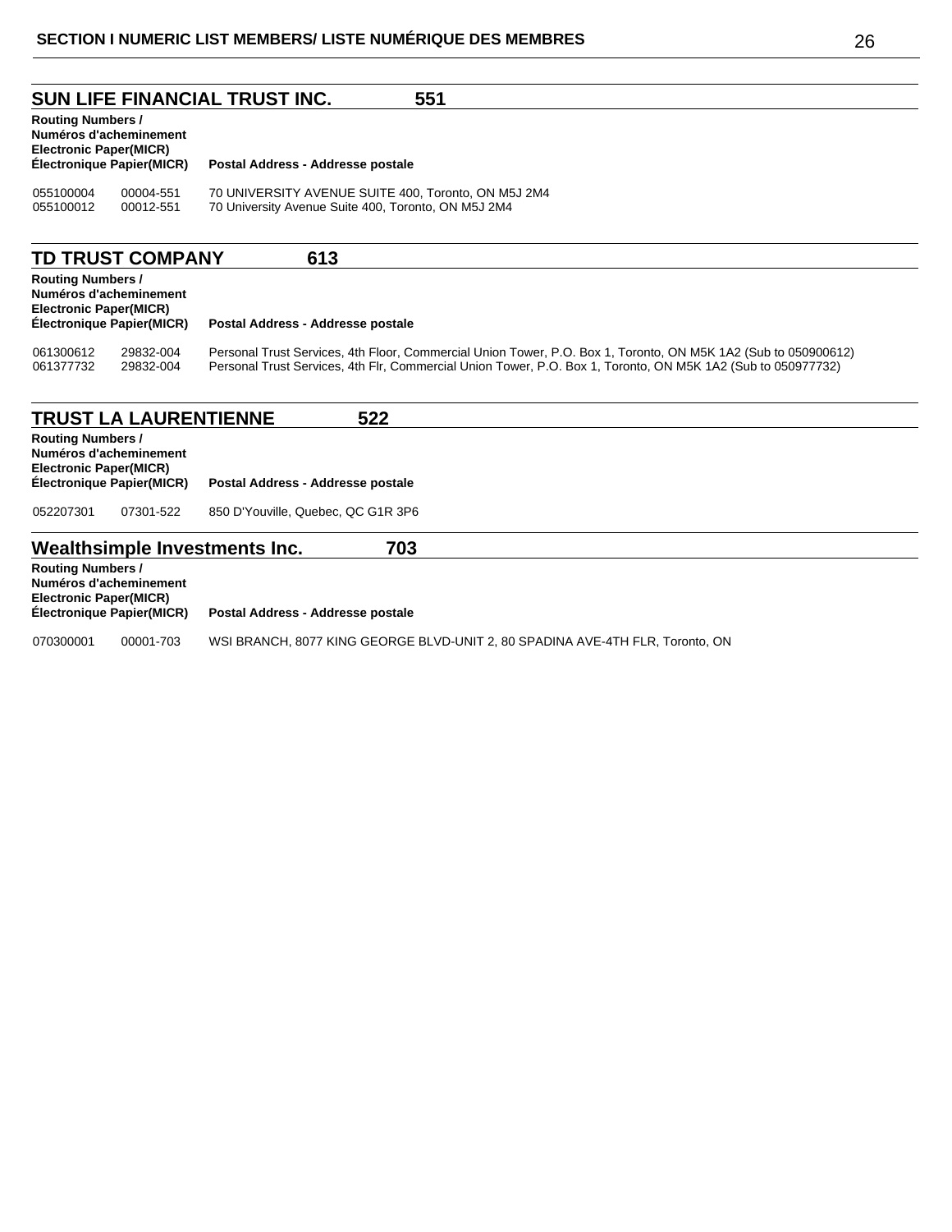| SUN LIFE FINANCIAL TRUST INC.<br>551<br><b>Routing Numbers /</b><br>Numéros d'acheminement                              |                                  |                                                                                                                                                                                                                                |
|-------------------------------------------------------------------------------------------------------------------------|----------------------------------|--------------------------------------------------------------------------------------------------------------------------------------------------------------------------------------------------------------------------------|
| <b>Electronic Paper(MICR)</b>                                                                                           | <b>Électronique Papier(MICR)</b> | Postal Address - Addresse postale                                                                                                                                                                                              |
| 055100004<br>055100012                                                                                                  | 00004-551<br>00012-551           | 70 UNIVERSITY AVENUE SUITE 400, Toronto, ON M5J 2M4<br>70 University Avenue Suite 400, Toronto, ON M5J 2M4                                                                                                                     |
|                                                                                                                         | <b>TD TRUST COMPANY</b>          | 613                                                                                                                                                                                                                            |
| <b>Routing Numbers /</b><br>Numéros d'acheminement<br><b>Electronic Paper(MICR)</b><br><b>Électronique Papier(MICR)</b> |                                  | Postal Address - Addresse postale                                                                                                                                                                                              |
| 061300612<br>061377732                                                                                                  | 29832-004<br>29832-004           | Personal Trust Services, 4th Floor, Commercial Union Tower, P.O. Box 1, Toronto, ON M5K 1A2 (Sub to 050900612)<br>Personal Trust Services, 4th Flr, Commercial Union Tower, P.O. Box 1, Toronto, ON M5K 1A2 (Sub to 050977732) |
|                                                                                                                         | <b>TRUST LA LAURENTIENNE</b>     | 522                                                                                                                                                                                                                            |
| <b>Routing Numbers /</b><br>Numéros d'acheminement<br><b>Electronic Paper(MICR)</b>                                     |                                  |                                                                                                                                                                                                                                |
|                                                                                                                         | Electronique Papier(MICR)        | Postal Address - Addresse postale                                                                                                                                                                                              |
| 052207301                                                                                                               | 07301-522                        | 850 D'Youville, Quebec, QC G1R 3P6                                                                                                                                                                                             |
|                                                                                                                         |                                  | 703<br>Wealthsimple Investments Inc.                                                                                                                                                                                           |
| <b>Routing Numbers /</b><br>Numéros d'acheminement                                                                      |                                  |                                                                                                                                                                                                                                |

**Electronic Paper(MICR) Postal Address - Addresse postale** 070300001 00001-703 WSI BRANCH, 8077 KING GEORGE BLVD-UNIT 2, 80 SPADINA AVE-4TH FLR, Toronto, ON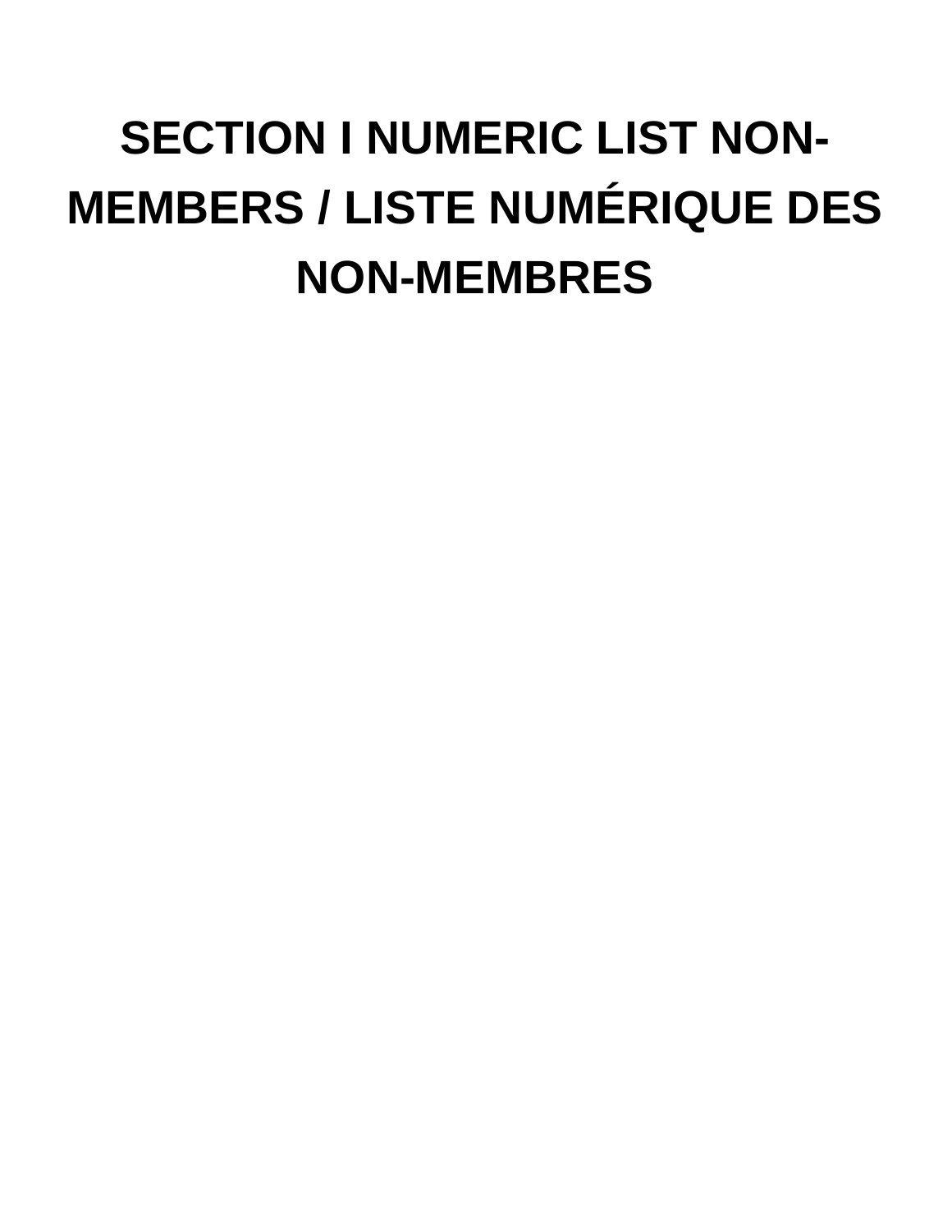# **SECTION I NUMERIC LIST NON-MEMBERS / LISTE NUMÉRIQUE DES NON-MEMBRES**